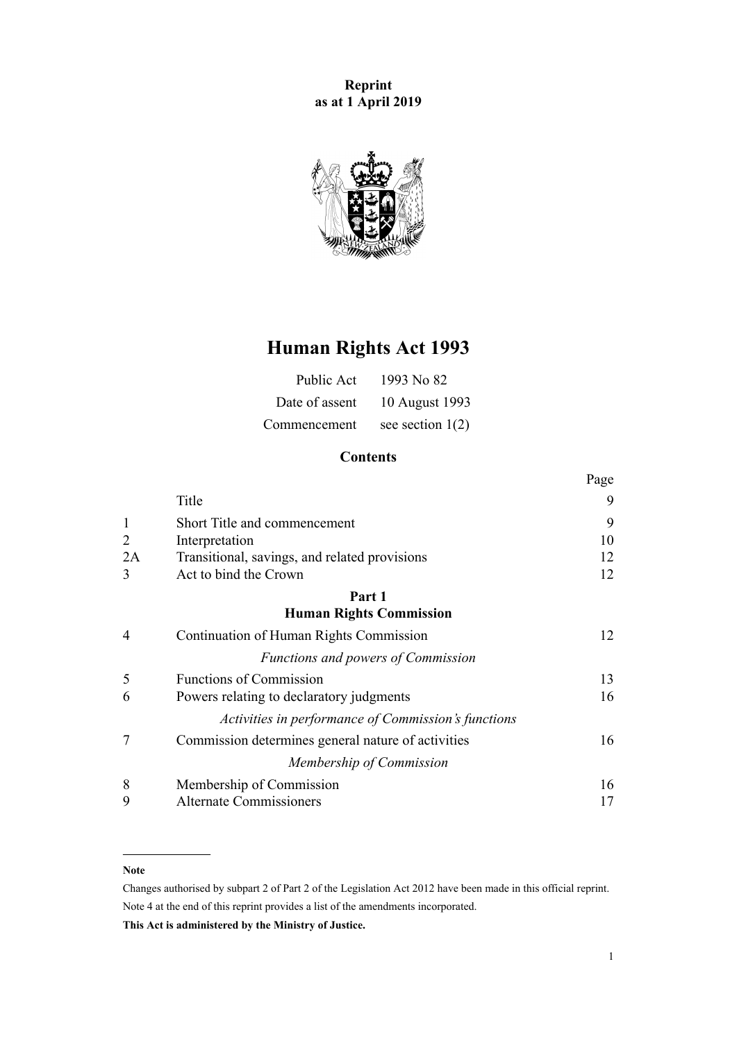**Reprint as at 1 April 2019**



# **Human Rights Act 1993**

| Public Act     | 1993 No 82         |
|----------------|--------------------|
| Date of assent | 10 August 1993     |
| Commencement   | see section $1(2)$ |

# **Contents**

|                |                                                     | Page |
|----------------|-----------------------------------------------------|------|
|                | Title                                               | 9    |
|                | Short Title and commencement                        | 9    |
| $\overline{2}$ | Interpretation                                      | 10   |
| 2A             | Transitional, savings, and related provisions       | 12   |
| 3              | Act to bind the Crown                               | 12   |
|                | Part 1                                              |      |
|                | <b>Human Rights Commission</b>                      |      |
| $\overline{4}$ | Continuation of Human Rights Commission             | 12   |
|                | Functions and powers of Commission                  |      |
| 5              | <b>Functions of Commission</b>                      | 13   |
| 6              | Powers relating to declaratory judgments            | 16   |
|                | Activities in performance of Commission's functions |      |
|                | Commission determines general nature of activities  | 16   |
|                | Membership of Commission                            |      |
| 8              | Membership of Commission                            | 16   |
| 9              | <b>Alternate Commissioners</b>                      | 17   |

#### **Note**

Changes authorised by [subpart 2](http://legislation.govt.nz/pdflink.aspx?id=DLM2998524) of Part 2 of the Legislation Act 2012 have been made in this official reprint. Note 4 at the end of this reprint provides a list of the amendments incorporated.

**This Act is administered by the Ministry of Justice.**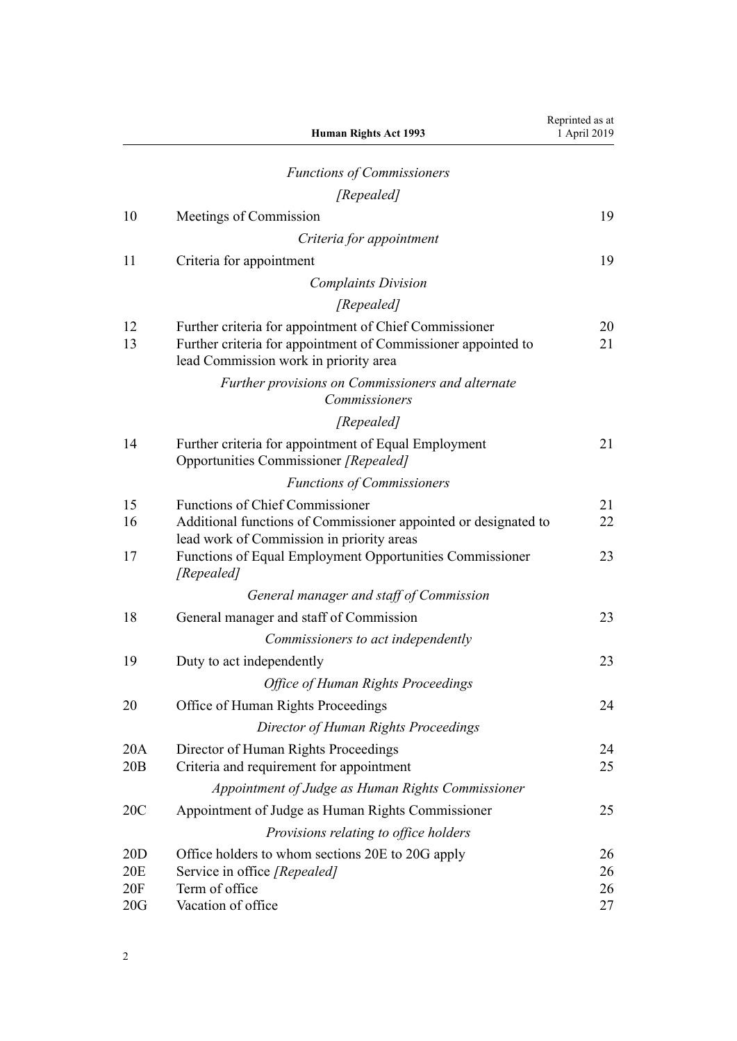|            | Human Rights Act 1993                                                                                                                                            | Reprinted as at<br>1 April 2019 |
|------------|------------------------------------------------------------------------------------------------------------------------------------------------------------------|---------------------------------|
|            | <b>Functions of Commissioners</b>                                                                                                                                |                                 |
|            | [Repealed]                                                                                                                                                       |                                 |
| 10         | Meetings of Commission                                                                                                                                           | 19                              |
|            | Criteria for appointment                                                                                                                                         |                                 |
| 11         | Criteria for appointment                                                                                                                                         | 19                              |
|            | <b>Complaints Division</b>                                                                                                                                       |                                 |
|            | [Repealed]                                                                                                                                                       |                                 |
| 12<br>13   | Further criteria for appointment of Chief Commissioner<br>Further criteria for appointment of Commissioner appointed to<br>lead Commission work in priority area | 20<br>21                        |
|            | Further provisions on Commissioners and alternate<br>Commissioners                                                                                               |                                 |
|            | [Repealed]                                                                                                                                                       |                                 |
| 14         | Further criteria for appointment of Equal Employment<br>Opportunities Commissioner [Repealed]                                                                    | 21                              |
|            | <b>Functions of Commissioners</b>                                                                                                                                |                                 |
| 15<br>16   | <b>Functions of Chief Commissioner</b><br>Additional functions of Commissioner appointed or designated to<br>lead work of Commission in priority areas           | 21<br>22                        |
| 17         | Functions of Equal Employment Opportunities Commissioner<br>[Repealed]                                                                                           | 23                              |
|            | General manager and staff of Commission                                                                                                                          |                                 |
| 18         | General manager and staff of Commission                                                                                                                          | 23                              |
|            | Commissioners to act independently                                                                                                                               |                                 |
| 19         | Duty to act independently                                                                                                                                        | 23                              |
|            | <b>Office of Human Rights Proceedings</b>                                                                                                                        |                                 |
| 20         | Office of Human Rights Proceedings                                                                                                                               | 24                              |
|            | Director of Human Rights Proceedings                                                                                                                             |                                 |
| 20A<br>20B | Director of Human Rights Proceedings<br>Criteria and requirement for appointment                                                                                 | 24<br>25                        |
|            | Appointment of Judge as Human Rights Commissioner                                                                                                                |                                 |
| 20C        | Appointment of Judge as Human Rights Commissioner                                                                                                                | 25                              |
|            | Provisions relating to office holders                                                                                                                            |                                 |
| 20D        | Office holders to whom sections 20E to 20G apply                                                                                                                 | 26                              |
| 20E        | Service in office [Repealed]                                                                                                                                     | 26                              |
| 20F        | Term of office                                                                                                                                                   | 26                              |
| 20G        | Vacation of office                                                                                                                                               | 27                              |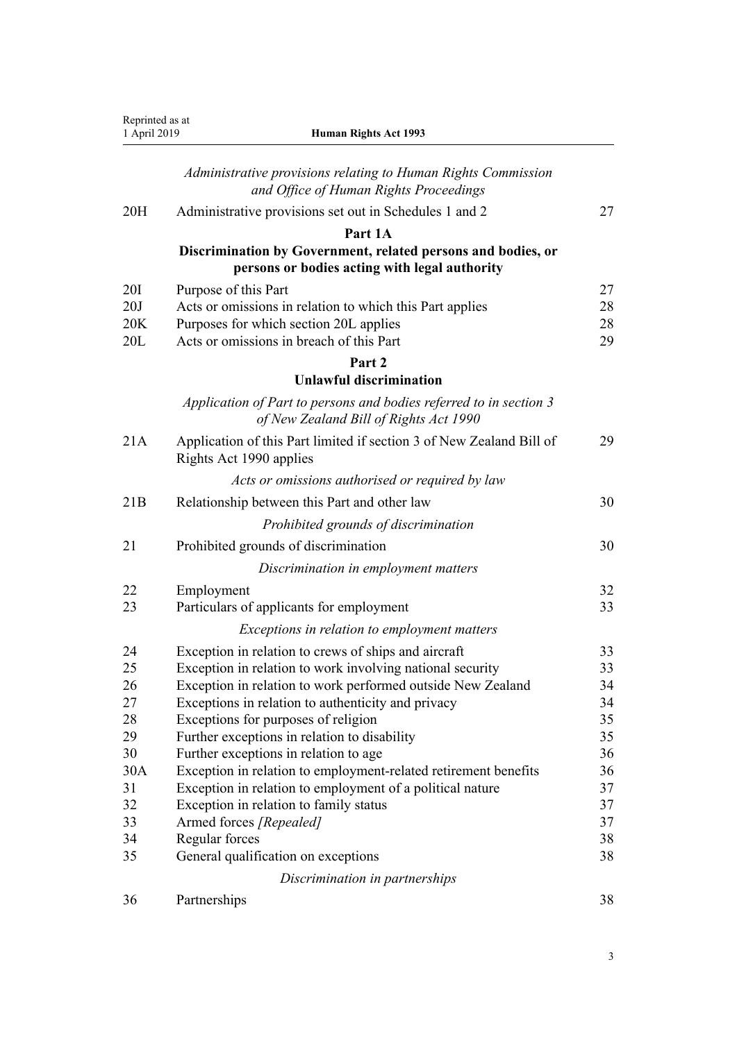| Reprinted as at<br>1 April 2019 | Human Rights Act 1993                                                                                        |          |
|---------------------------------|--------------------------------------------------------------------------------------------------------------|----------|
|                                 | Administrative provisions relating to Human Rights Commission<br>and Office of Human Rights Proceedings      |          |
| 20H                             | Administrative provisions set out in Schedules 1 and 2                                                       | 27       |
|                                 | Part 1A<br>Discrimination by Government, related persons and bodies, or                                      |          |
|                                 | persons or bodies acting with legal authority                                                                | 27       |
| <b>20I</b><br>20J               | Purpose of this Part<br>Acts or omissions in relation to which this Part applies                             | 28       |
| 20K                             | Purposes for which section 20L applies                                                                       | 28       |
| 20L                             | Acts or omissions in breach of this Part                                                                     | 29       |
|                                 | Part 2                                                                                                       |          |
|                                 | <b>Unlawful discrimination</b>                                                                               |          |
|                                 | Application of Part to persons and bodies referred to in section 3<br>of New Zealand Bill of Rights Act 1990 |          |
| 21A                             | Application of this Part limited if section 3 of New Zealand Bill of<br>Rights Act 1990 applies              | 29       |
|                                 | Acts or omissions authorised or required by law                                                              |          |
| 21B                             | Relationship between this Part and other law                                                                 | 30       |
|                                 | Prohibited grounds of discrimination                                                                         |          |
| 21                              | Prohibited grounds of discrimination                                                                         | 30       |
|                                 | Discrimination in employment matters                                                                         |          |
| 22                              | Employment                                                                                                   | 32       |
| 23                              | Particulars of applicants for employment                                                                     | 33       |
|                                 | Exceptions in relation to employment matters                                                                 |          |
| 24                              | Exception in relation to crews of ships and aircraft                                                         | 33       |
| 25                              | Exception in relation to work involving national security                                                    | 33       |
| 26                              | Exception in relation to work performed outside New Zealand                                                  | 34       |
| 27                              | Exceptions in relation to authenticity and privacy                                                           | 34       |
| 28                              | Exceptions for purposes of religion                                                                          | 35       |
| 29                              | Further exceptions in relation to disability                                                                 | 35       |
| 30                              | Further exceptions in relation to age                                                                        | 36       |
| 30A                             | Exception in relation to employment-related retirement benefits                                              | 36       |
| 31                              | Exception in relation to employment of a political nature                                                    | 37       |
| 32                              | Exception in relation to family status                                                                       | 37       |
| 33                              | Armed forces [Repealed]                                                                                      | 37       |
| 34<br>35                        | Regular forces<br>General qualification on exceptions                                                        | 38<br>38 |
|                                 | Discrimination in partnerships                                                                               |          |
| 36                              |                                                                                                              | 38       |
|                                 | Partnerships                                                                                                 |          |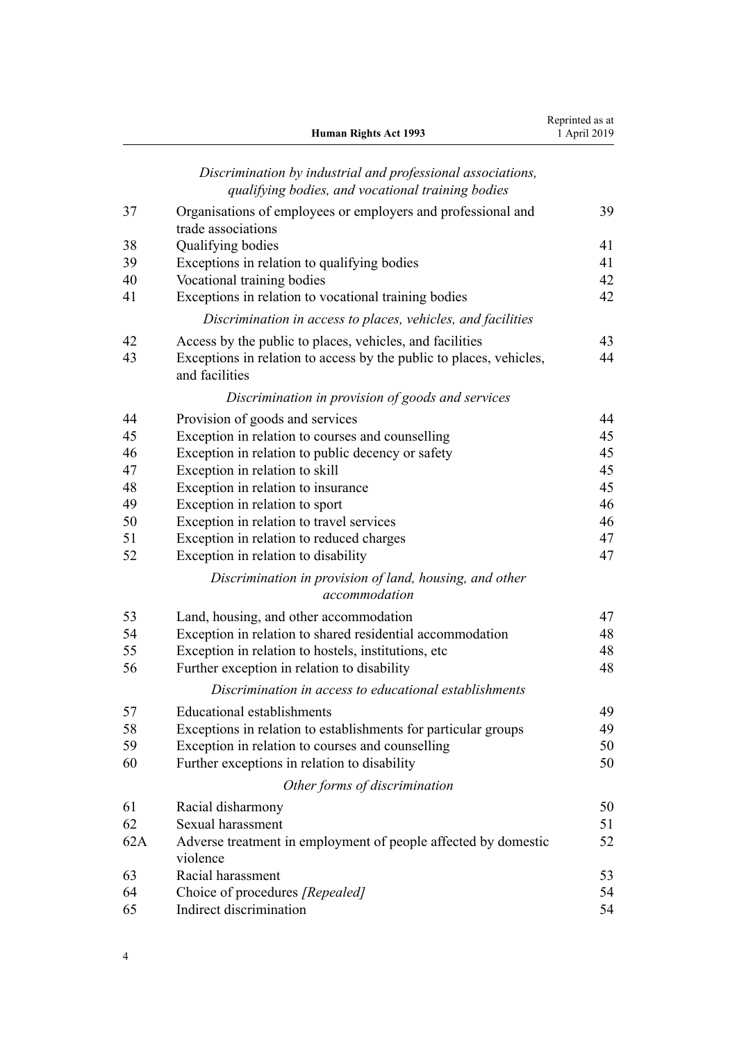|     | Human Rights Act 1993                                                                                            | Reprinted as at<br>1 April 2019 |
|-----|------------------------------------------------------------------------------------------------------------------|---------------------------------|
|     | Discrimination by industrial and professional associations,<br>qualifying bodies, and vocational training bodies |                                 |
| 37  | Organisations of employees or employers and professional and<br>trade associations                               | 39                              |
| 38  | Qualifying bodies                                                                                                | 41                              |
| 39  | Exceptions in relation to qualifying bodies                                                                      | 41                              |
| 40  | Vocational training bodies                                                                                       | 42                              |
| 41  | Exceptions in relation to vocational training bodies                                                             | 42                              |
|     | Discrimination in access to places, vehicles, and facilities                                                     |                                 |
| 42  | Access by the public to places, vehicles, and facilities                                                         | 43                              |
| 43  | Exceptions in relation to access by the public to places, vehicles,<br>and facilities                            | 44                              |
|     | Discrimination in provision of goods and services                                                                |                                 |
| 44  | Provision of goods and services                                                                                  | 44                              |
| 45  | Exception in relation to courses and counselling                                                                 | 45                              |
| 46  | Exception in relation to public decency or safety                                                                | 45                              |
| 47  | Exception in relation to skill                                                                                   | 45                              |
| 48  | Exception in relation to insurance                                                                               | 45                              |
| 49  | Exception in relation to sport                                                                                   | 46                              |
| 50  | Exception in relation to travel services                                                                         | 46                              |
| 51  | Exception in relation to reduced charges                                                                         | 47                              |
| 52  | Exception in relation to disability                                                                              | 47                              |
|     | Discrimination in provision of land, housing, and other<br>accommodation                                         |                                 |
| 53  | Land, housing, and other accommodation                                                                           | 47                              |
| 54  | Exception in relation to shared residential accommodation                                                        | 48                              |
| 55  | Exception in relation to hostels, institutions, etc                                                              | 48                              |
| 56  | Further exception in relation to disability                                                                      | 48                              |
|     | Discrimination in access to educational establishments                                                           |                                 |
| 57  | <b>Educational establishments</b>                                                                                | 49                              |
| 58  | Exceptions in relation to establishments for particular groups                                                   | 49                              |
| 59  | Exception in relation to courses and counselling                                                                 | 50                              |
| 60  | Further exceptions in relation to disability                                                                     | 50                              |
|     | Other forms of discrimination                                                                                    |                                 |
| 61  | Racial disharmony                                                                                                | 50                              |
| 62  | Sexual harassment                                                                                                | 51                              |
| 62A | Adverse treatment in employment of people affected by domestic<br>violence                                       | 52                              |
| 63  | Racial harassment                                                                                                | 53                              |
| 64  | Choice of procedures [Repealed]                                                                                  | 54                              |
| 65  | Indirect discrimination                                                                                          | 54                              |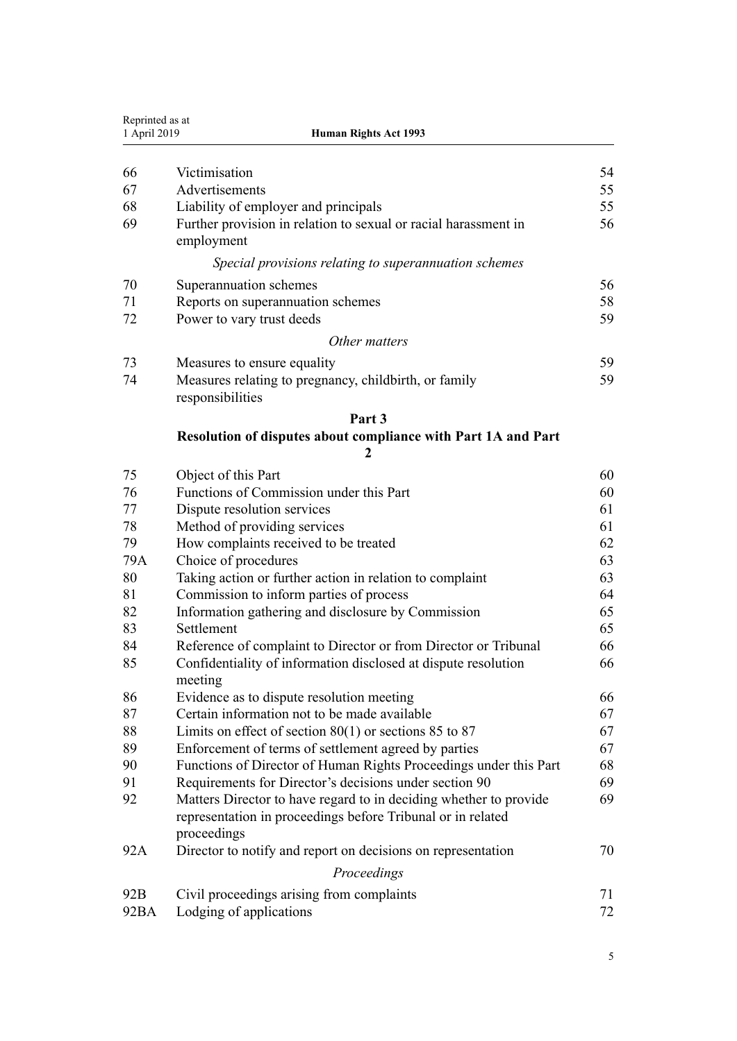| Reprinted as at<br>1 April 2019<br>Human Rights Act 1993 |                                                                                                                                                 |          |
|----------------------------------------------------------|-------------------------------------------------------------------------------------------------------------------------------------------------|----------|
|                                                          |                                                                                                                                                 |          |
| 66<br>67                                                 | Victimisation<br>Advertisements                                                                                                                 | 54<br>55 |
| 68                                                       | Liability of employer and principals                                                                                                            | 55       |
| 69                                                       | Further provision in relation to sexual or racial harassment in<br>employment                                                                   | 56       |
|                                                          | Special provisions relating to superannuation schemes                                                                                           |          |
| 70                                                       | Superannuation schemes                                                                                                                          | 56       |
| 71                                                       | Reports on superannuation schemes                                                                                                               | 58       |
| 72                                                       | Power to vary trust deeds                                                                                                                       | 59       |
|                                                          | Other matters                                                                                                                                   |          |
| 73                                                       | Measures to ensure equality                                                                                                                     | 59       |
| 74                                                       | Measures relating to pregnancy, childbirth, or family<br>responsibilities                                                                       | 59       |
|                                                          | Part 3                                                                                                                                          |          |
|                                                          | Resolution of disputes about compliance with Part 1A and Part<br>2                                                                              |          |
| 75                                                       | Object of this Part                                                                                                                             | 60       |
| 76                                                       | Functions of Commission under this Part                                                                                                         | 60       |
| 77                                                       | Dispute resolution services                                                                                                                     | 61       |
| 78                                                       | Method of providing services                                                                                                                    | 61       |
| 79                                                       | How complaints received to be treated                                                                                                           | 62       |
| 79A                                                      | Choice of procedures                                                                                                                            | 63       |
| 80                                                       | Taking action or further action in relation to complaint                                                                                        | 63       |
| 81                                                       | Commission to inform parties of process                                                                                                         | 64       |
| 82                                                       | Information gathering and disclosure by Commission                                                                                              | 65       |
| 83                                                       | Settlement                                                                                                                                      | 65       |
| 84                                                       | Reference of complaint to Director or from Director or Tribunal                                                                                 | 66       |
| 85                                                       | Confidentiality of information disclosed at dispute resolution<br>meeting                                                                       | 66       |
| 86                                                       | Evidence as to dispute resolution meeting                                                                                                       | 66       |
| 87                                                       | Certain information not to be made available                                                                                                    | 67       |
| 88                                                       | Limits on effect of section $80(1)$ or sections 85 to 87                                                                                        | 67       |
| 89                                                       | Enforcement of terms of settlement agreed by parties                                                                                            | 67       |
| 90                                                       | Functions of Director of Human Rights Proceedings under this Part                                                                               | 68       |
| 91                                                       | Requirements for Director's decisions under section 90                                                                                          | 69       |
| 92                                                       | Matters Director to have regard to in deciding whether to provide<br>representation in proceedings before Tribunal or in related<br>proceedings | 69       |
| 92A                                                      | Director to notify and report on decisions on representation                                                                                    | 70       |
|                                                          | Proceedings                                                                                                                                     |          |
| 92 <sub>B</sub>                                          | Civil proceedings arising from complaints                                                                                                       | 71       |
| 92BA                                                     | Lodging of applications                                                                                                                         | 72       |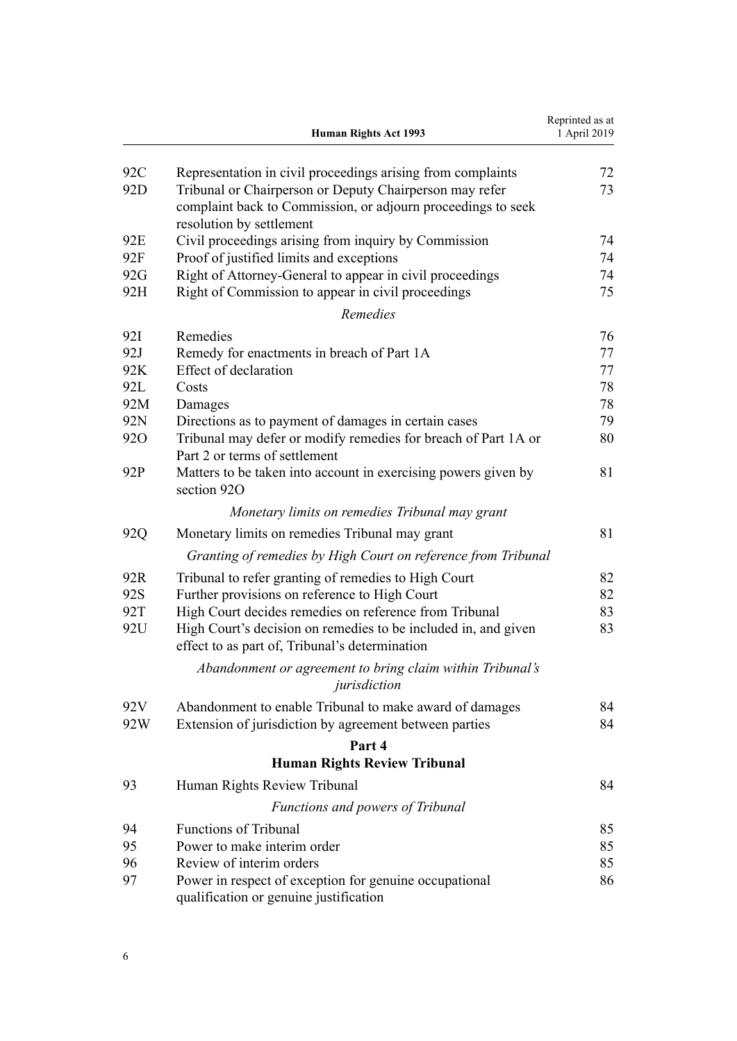|            | Human Rights Act 1993                                                                                                                               | Reprinted as at<br>1 April 2019 |
|------------|-----------------------------------------------------------------------------------------------------------------------------------------------------|---------------------------------|
| 92C        | Representation in civil proceedings arising from complaints                                                                                         | 72                              |
| 92D        | Tribunal or Chairperson or Deputy Chairperson may refer<br>complaint back to Commission, or adjourn proceedings to seek<br>resolution by settlement | 73                              |
| 92E        | Civil proceedings arising from inquiry by Commission                                                                                                | 74                              |
| 92F        | Proof of justified limits and exceptions                                                                                                            | 74                              |
| 92G        | Right of Attorney-General to appear in civil proceedings                                                                                            | 74                              |
| 92H        | Right of Commission to appear in civil proceedings                                                                                                  | 75                              |
|            | Remedies                                                                                                                                            |                                 |
| 92I        | Remedies                                                                                                                                            | 76                              |
| 92J        | Remedy for enactments in breach of Part 1A                                                                                                          | 77                              |
| 92K        | <b>Effect of declaration</b>                                                                                                                        | 77                              |
| 92L        | Costs                                                                                                                                               | 78                              |
| 92M        | Damages                                                                                                                                             | 78                              |
| 92N        | Directions as to payment of damages in certain cases                                                                                                | 79                              |
| <b>920</b> | Tribunal may defer or modify remedies for breach of Part 1A or<br>Part 2 or terms of settlement                                                     | 80                              |
| 92P        | Matters to be taken into account in exercising powers given by<br>section 92O                                                                       | 81                              |
|            | Monetary limits on remedies Tribunal may grant                                                                                                      |                                 |
| 92Q        | Monetary limits on remedies Tribunal may grant                                                                                                      | 81                              |
|            | Granting of remedies by High Court on reference from Tribunal                                                                                       |                                 |
| 92R        | Tribunal to refer granting of remedies to High Court                                                                                                | 82                              |
| 92S        | Further provisions on reference to High Court                                                                                                       | 82                              |
| 92T        | High Court decides remedies on reference from Tribunal                                                                                              | 83                              |
| 92U        | High Court's decision on remedies to be included in, and given<br>effect to as part of, Tribunal's determination                                    | 83                              |
|            | Abandonment or agreement to bring claim within Tribunal's<br>jurisdiction                                                                           |                                 |
| 92V        | Abandonment to enable Tribunal to make award of damages                                                                                             | 84                              |
| 92W        | Extension of jurisdiction by agreement between parties                                                                                              | 84                              |
|            | Part 4                                                                                                                                              |                                 |
|            | <b>Human Rights Review Tribunal</b>                                                                                                                 |                                 |
| 93         | Human Rights Review Tribunal                                                                                                                        | 84                              |
|            | <b>Functions and powers of Tribunal</b>                                                                                                             |                                 |
| 94         | <b>Functions of Tribunal</b>                                                                                                                        | 85                              |
| 95         | Power to make interim order                                                                                                                         | 85                              |
| 96         | Review of interim orders                                                                                                                            | 85                              |
| 97         | Power in respect of exception for genuine occupational<br>qualification or genuine justification                                                    | 86                              |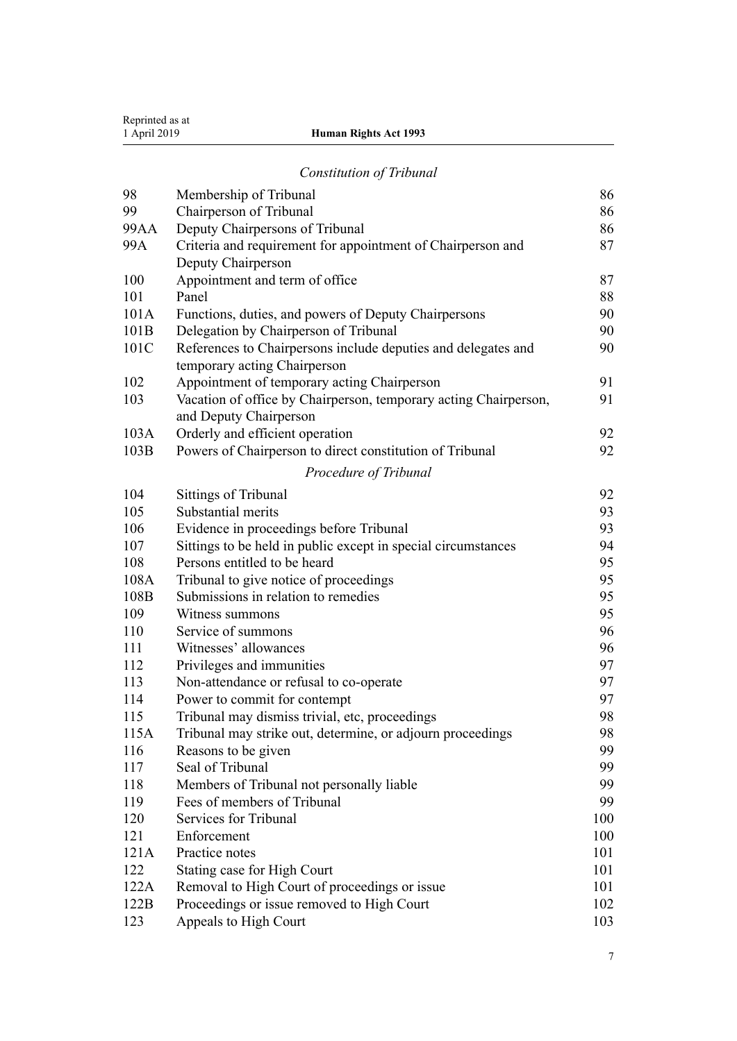| Reprinted as at<br>1 April 2019<br>Human Rights Act 1993 |                                                                                               |           |
|----------------------------------------------------------|-----------------------------------------------------------------------------------------------|-----------|
|                                                          | Constitution of Tribunal                                                                      |           |
| 98                                                       | Membership of Tribunal                                                                        | 86        |
| 99                                                       | Chairperson of Tribunal                                                                       | 86        |
| 99AA                                                     | Deputy Chairpersons of Tribunal                                                               | 86        |
| 99A                                                      | Criteria and requirement for appointment of Chairperson and<br>Deputy Chairperson             | 87        |
| 100                                                      | Appointment and term of office                                                                | 87        |
| 101                                                      | Panel                                                                                         | 88        |
| 101A                                                     | Functions, duties, and powers of Deputy Chairpersons                                          | 90        |
| 101B                                                     | Delegation by Chairperson of Tribunal                                                         | 90        |
| 101C                                                     | References to Chairpersons include deputies and delegates and<br>temporary acting Chairperson | 90        |
| 102                                                      | Appointment of temporary acting Chairperson                                                   | 91        |
| 103                                                      | Vacation of office by Chairperson, temporary acting Chairperson,<br>and Deputy Chairperson    | 91        |
| 103A                                                     | Orderly and efficient operation                                                               | 92        |
| 103B                                                     | Powers of Chairperson to direct constitution of Tribunal                                      | 92        |
|                                                          | Procedure of Tribunal                                                                         |           |
| 104                                                      | <b>Sittings of Tribunal</b>                                                                   | 92        |
| 105                                                      | Substantial merits                                                                            | 93        |
| 106                                                      | Evidence in proceedings before Tribunal                                                       | 93        |
| 107                                                      | Sittings to be held in public except in special circumstances                                 | 94        |
| 108                                                      | Persons entitled to be heard                                                                  | 95        |
| 108A                                                     | Tribunal to give notice of proceedings                                                        | 95        |
| 108B                                                     | Submissions in relation to remedies                                                           | 95        |
| 109                                                      | Witness summons                                                                               | 95        |
| 110                                                      | Service of summons                                                                            | 96        |
| 111                                                      | Witnesses' allowances                                                                         | 96        |
| 112                                                      | Privileges and immunities                                                                     | 97        |
| 113                                                      | Non-attendance or refusal to co-operate                                                       | 97        |
| 114                                                      | Power to commit for contempt                                                                  | 97        |
| 115                                                      | Tribunal may dismiss trivial, etc, proceedings                                                | 98        |
| 115A                                                     | Tribunal may strike out, determine, or adjourn proceedings                                    | 98        |
| 116                                                      | Reasons to be given                                                                           | 99        |
| 117                                                      | Seal of Tribunal                                                                              | 99<br>99  |
| 118                                                      | Members of Tribunal not personally liable                                                     |           |
| 119<br>120                                               | Fees of members of Tribunal<br>Services for Tribunal                                          | 99<br>100 |
| 121                                                      | Enforcement                                                                                   | 100       |
| 121A                                                     | Practice notes                                                                                | 101       |
| 122                                                      | Stating case for High Court                                                                   | 101       |
| 122A                                                     | Removal to High Court of proceedings or issue                                                 | 101       |
| 122B                                                     | Proceedings or issue removed to High Court                                                    | 102       |
| 123                                                      | Appeals to High Court                                                                         | 103       |
|                                                          |                                                                                               |           |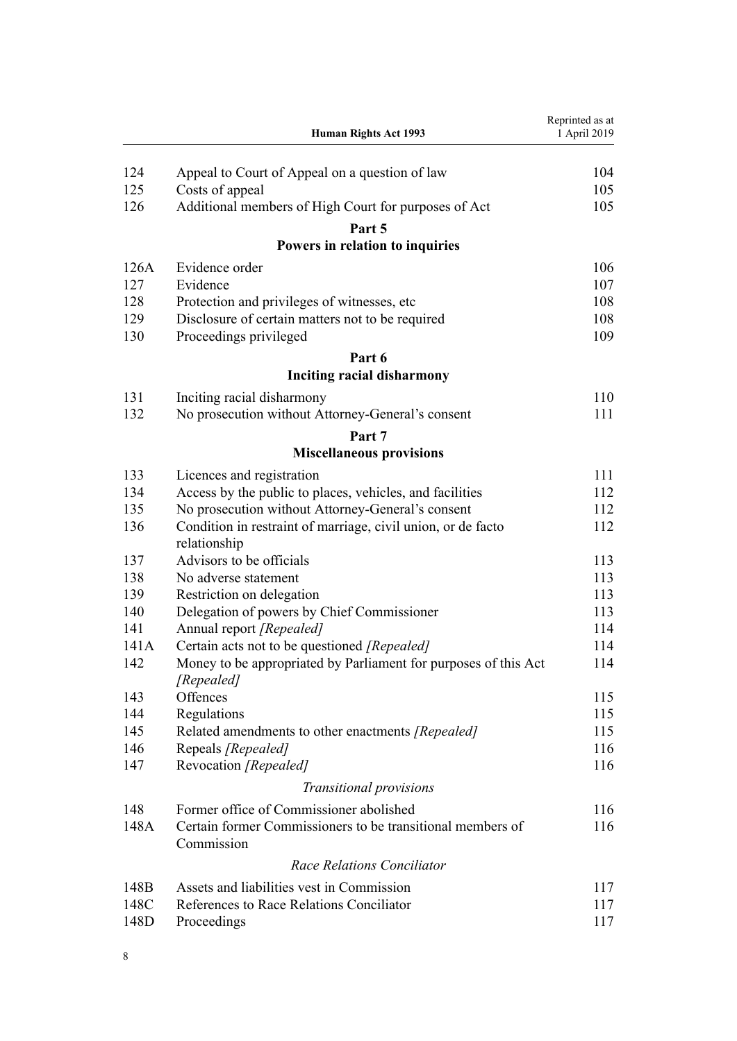|      | Human Rights Act 1993                                                                 | Reprinted as at<br>1 April 2019 |
|------|---------------------------------------------------------------------------------------|---------------------------------|
| 124  | Appeal to Court of Appeal on a question of law                                        | 104                             |
| 125  | Costs of appeal                                                                       | 105                             |
| 126  | Additional members of High Court for purposes of Act                                  | 105                             |
|      | Part 5<br>Powers in relation to inquiries                                             |                                 |
| 126A | Evidence order                                                                        | 106                             |
| 127  | Evidence                                                                              | 107                             |
| 128  | Protection and privileges of witnesses, etc                                           | 108                             |
| 129  | Disclosure of certain matters not to be required                                      | 108                             |
| 130  | Proceedings privileged                                                                | 109                             |
|      | Part 6<br><b>Inciting racial disharmony</b>                                           |                                 |
|      |                                                                                       |                                 |
| 131  | Inciting racial disharmony                                                            | 110                             |
| 132  | No prosecution without Attorney-General's consent<br>Part 7                           | 111                             |
|      | <b>Miscellaneous provisions</b>                                                       |                                 |
| 133  |                                                                                       | 111                             |
| 134  | Licences and registration<br>Access by the public to places, vehicles, and facilities | 112                             |
| 135  | No prosecution without Attorney-General's consent                                     | 112                             |
| 136  | Condition in restraint of marriage, civil union, or de facto                          | 112                             |
|      | relationship                                                                          |                                 |
| 137  | Advisors to be officials                                                              | 113                             |
| 138  | No adverse statement                                                                  | 113                             |
| 139  | Restriction on delegation                                                             | 113                             |
| 140  | Delegation of powers by Chief Commissioner                                            | 113                             |
| 141  | Annual report [Repealed]                                                              | 114                             |
| 141A | Certain acts not to be questioned [Repealed]                                          | 114                             |
| 142  | Money to be appropriated by Parliament for purposes of this Act<br>[Repealed]         | 114                             |
| 143  | Offences                                                                              | 115                             |
| 144  | Regulations                                                                           | 115                             |
| 145  | Related amendments to other enactments [Repealed]                                     | 115                             |
| 146  | Repeals [Repealed]                                                                    | 116                             |
| 147  | Revocation [Repealed]                                                                 | 116                             |
|      | Transitional provisions                                                               |                                 |
| 148  | Former office of Commissioner abolished                                               | 116                             |
| 148A | Certain former Commissioners to be transitional members of<br>Commission              | 116                             |
|      | <b>Race Relations Conciliator</b>                                                     |                                 |
| 148B | Assets and liabilities vest in Commission                                             | 117                             |
| 148C | References to Race Relations Conciliator                                              | 117                             |
| 148D | Proceedings                                                                           | 117                             |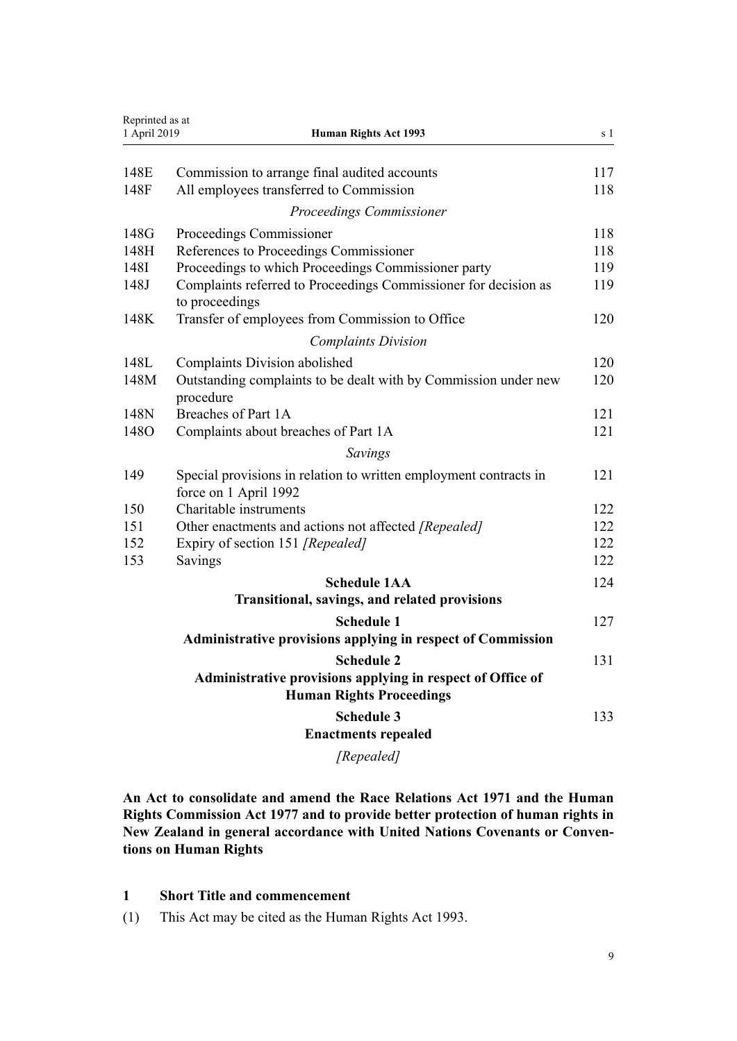<span id="page-8-0"></span>

| Reprinted as at<br>1 April 2019 | Human Rights Act 1993                                                                         | s 1 |
|---------------------------------|-----------------------------------------------------------------------------------------------|-----|
| 148E                            |                                                                                               | 117 |
| 148F                            | Commission to arrange final audited accounts<br>All employees transferred to Commission       | 118 |
|                                 | Proceedings Commissioner                                                                      |     |
| 148G                            | Proceedings Commissioner                                                                      | 118 |
| 148H                            | References to Proceedings Commissioner                                                        | 118 |
| 148I                            | Proceedings to which Proceedings Commissioner party                                           | 119 |
| 148J                            | Complaints referred to Proceedings Commissioner for decision as<br>to proceedings             | 119 |
| 148K                            | Transfer of employees from Commission to Office                                               | 120 |
|                                 | <b>Complaints Division</b>                                                                    |     |
| 148L                            | Complaints Division abolished                                                                 | 120 |
| 148M                            | Outstanding complaints to be dealt with by Commission under new<br>procedure                  | 120 |
| 148N                            | Breaches of Part 1A                                                                           | 121 |
| 148O                            | Complaints about breaches of Part 1A                                                          | 121 |
|                                 | Savings                                                                                       |     |
| 149                             | Special provisions in relation to written employment contracts in<br>force on 1 April 1992    | 121 |
| 150                             | Charitable instruments                                                                        | 122 |
| 151                             | Other enactments and actions not affected [Repealed]                                          | 122 |
| 152                             | Expiry of section 151 [Repealed]                                                              | 122 |
| 153                             | Savings                                                                                       | 122 |
|                                 | <b>Schedule 1AA</b>                                                                           | 124 |
|                                 | Transitional, savings, and related provisions                                                 |     |
|                                 | <b>Schedule 1</b>                                                                             | 127 |
|                                 | Administrative provisions applying in respect of Commission                                   |     |
|                                 | <b>Schedule 2</b>                                                                             | 131 |
|                                 | Administrative provisions applying in respect of Office of<br><b>Human Rights Proceedings</b> |     |
|                                 | <b>Schedule 3</b>                                                                             | 133 |
|                                 | <b>Enactments repealed</b>                                                                    |     |
|                                 | [Repealed]                                                                                    |     |

**An Act to consolidate and amend the Race Relations Act 1971 and the Human Rights Commission Act 1977 and to provide better protection of human rights in New Zealand in general accordance with United Nations Covenants or Conventions on Human Rights**

#### **1 Short Title and commencement**

(1) This Act may be cited as the Human Rights Act 1993.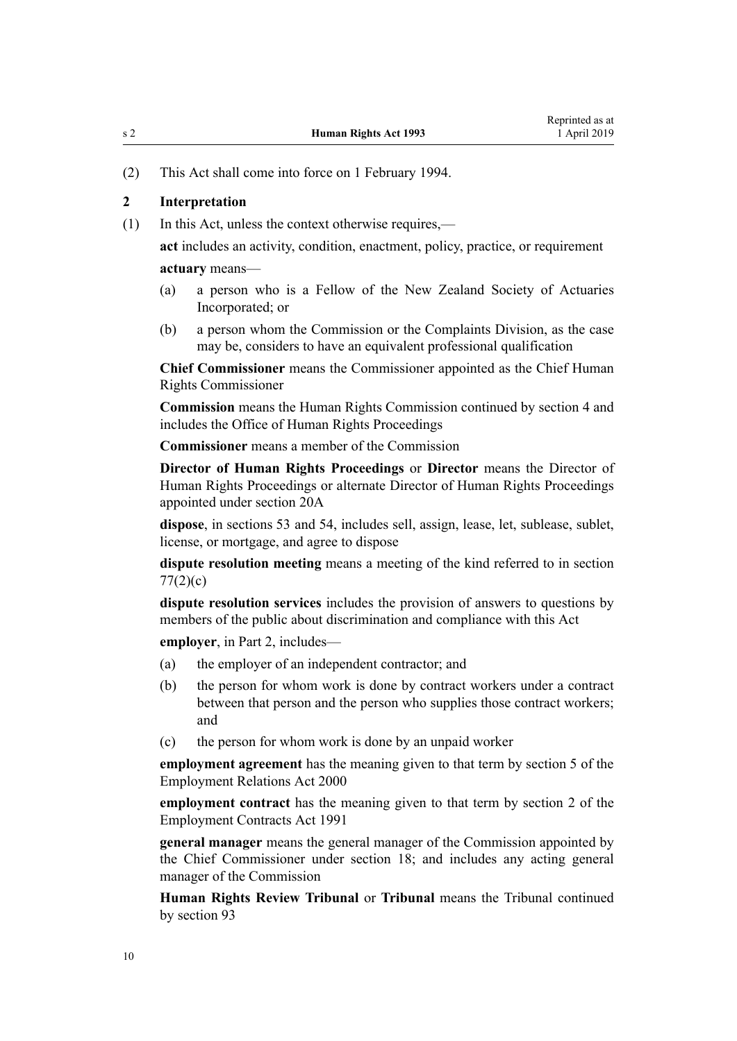<span id="page-9-0"></span>(2) This Act shall come into force on 1 February 1994.

# **2 Interpretation**

(1) In this Act, unless the context otherwise requires,—

**act** includes an activity, condition, enactment, policy, practice, or requirement **actuary** means—

- (a) a person who is a Fellow of the New Zealand Society of Actuaries Incorporated; or
- (b) a person whom the Commission or the Complaints Division, as the case may be, considers to have an equivalent professional qualification

**Chief Commissioner** means the Commissioner appointed as the Chief Human Rights Commissioner

**Commission** means the Human Rights Commission continued by [section 4](#page-11-0) and includes the Office of Human Rights Proceedings

**Commissioner** means a member of the Commission

**Director of Human Rights Proceedings** or **Director** means the Director of Human Rights Proceedings or alternate Director of Human Rights Proceedings appointed under [section 20A](#page-23-0)

**dispose**, in [sections 53](#page-46-0) and [54,](#page-47-0) includes sell, assign, lease, let, sublease, sublet, license, or mortgage, and agree to dispose

**dispute resolution meeting** means a meeting of the kind referred to in [section](#page-60-0) [77\(2\)\(c\)](#page-60-0)

**dispute resolution services** includes the provision of answers to questions by members of the public about discrimination and compliance with this Act

**employer**, in [Part 2,](#page-28-0) includes—

- (a) the employer of an independent contractor; and
- (b) the person for whom work is done by contract workers under a contract between that person and the person who supplies those contract workers; and
- (c) the person for whom work is done by an unpaid worker

**employment agreement** has the meaning given to that term by [section 5](http://legislation.govt.nz/pdflink.aspx?id=DLM58337) of the Employment Relations Act 2000

**employment contract** has the meaning given to that term by section 2 of the Employment Contracts Act 1991

**general manager** means the general manager of the Commission appointed by the Chief Commissioner under [section 18;](#page-22-0) and includes any acting general manager of the Commission

**Human Rights Review Tribunal** or **Tribunal** means the Tribunal continued by [section 93](#page-83-0)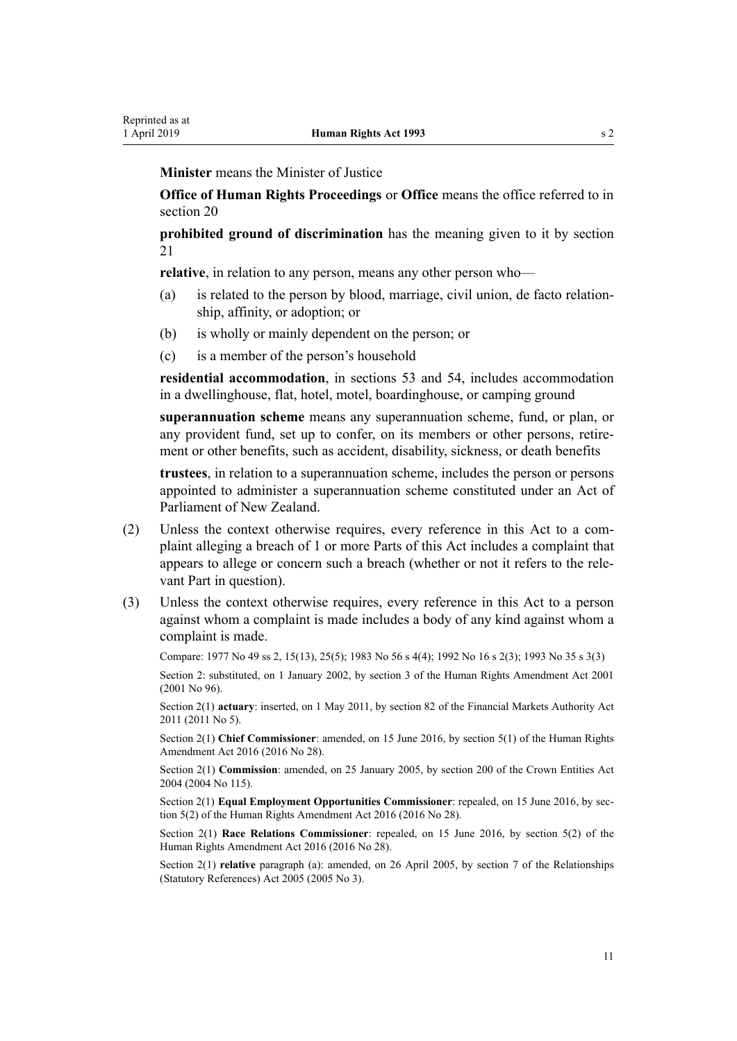**Minister** means the Minister of Justice

**Office of Human Rights Proceedings** or **Office** means the office referred to in [section 20](#page-23-0)

**prohibited ground of discrimination** has the meaning given to it by [section](#page-29-0) [21](#page-29-0)

**relative**, in relation to any person, means any other person who—

- (a) is related to the person by blood, marriage, civil union, de facto relationship, affinity, or adoption; or
- (b) is wholly or mainly dependent on the person; or
- (c) is a member of the person's household

**residential accommodation**, in [sections 53](#page-46-0) and [54,](#page-47-0) includes accommodation in a dwellinghouse, flat, hotel, motel, boardinghouse, or camping ground

**superannuation scheme** means any superannuation scheme, fund, or plan, or any provident fund, set up to confer, on its members or other persons, retirement or other benefits, such as accident, disability, sickness, or death benefits

**trustees**, in relation to a superannuation scheme, includes the person or persons appointed to administer a superannuation scheme constituted under an Act of Parliament of New Zealand.

- (2) Unless the context otherwise requires, every reference in this Act to a complaint alleging a breach of 1 or more Parts of this Act includes a complaint that appears to allege or concern such a breach (whether or not it refers to the relevant Part in question).
- (3) Unless the context otherwise requires, every reference in this Act to a person against whom a complaint is made includes a body of any kind against whom a complaint is made.

Compare: 1977 No 49 ss 2, 15(13), 25(5); 1983 No 56 s 4(4); 1992 No 16 s 2(3); 1993 No 35 s 3(3) Section 2: substituted, on 1 January 2002, by [section 3](http://legislation.govt.nz/pdflink.aspx?id=DLM121292) of the Human Rights Amendment Act 2001 (2001 No 96).

Section 2(1) **actuary**: inserted, on 1 May 2011, by [section 82](http://legislation.govt.nz/pdflink.aspx?id=DLM3231793) of the Financial Markets Authority Act 2011 (2011 No 5).

Section 2(1) **Chief Commissioner**: amended, on 15 June 2016, by [section 5\(1\)](http://legislation.govt.nz/pdflink.aspx?id=DLM4097513) of the Human Rights Amendment Act 2016 (2016 No 28).

Section 2(1) **Commission**: amended, on 25 January 2005, by [section 200](http://legislation.govt.nz/pdflink.aspx?id=DLM331111) of the Crown Entities Act 2004 (2004 No 115).

Section 2(1) **Equal Employment Opportunities Commissioner**: repealed, on 15 June 2016, by [sec](http://legislation.govt.nz/pdflink.aspx?id=DLM4097513)[tion 5\(2\)](http://legislation.govt.nz/pdflink.aspx?id=DLM4097513) of the Human Rights Amendment Act 2016 (2016 No 28).

Section 2(1) **Race Relations Commissioner**: repealed, on 15 June 2016, by [section 5\(2\)](http://legislation.govt.nz/pdflink.aspx?id=DLM4097513) of the Human Rights Amendment Act 2016 (2016 No 28).

Section 2(1) **relative** paragraph (a): amended, on 26 April 2005, by [section 7](http://legislation.govt.nz/pdflink.aspx?id=DLM333795) of the Relationships (Statutory References) Act 2005 (2005 No 3).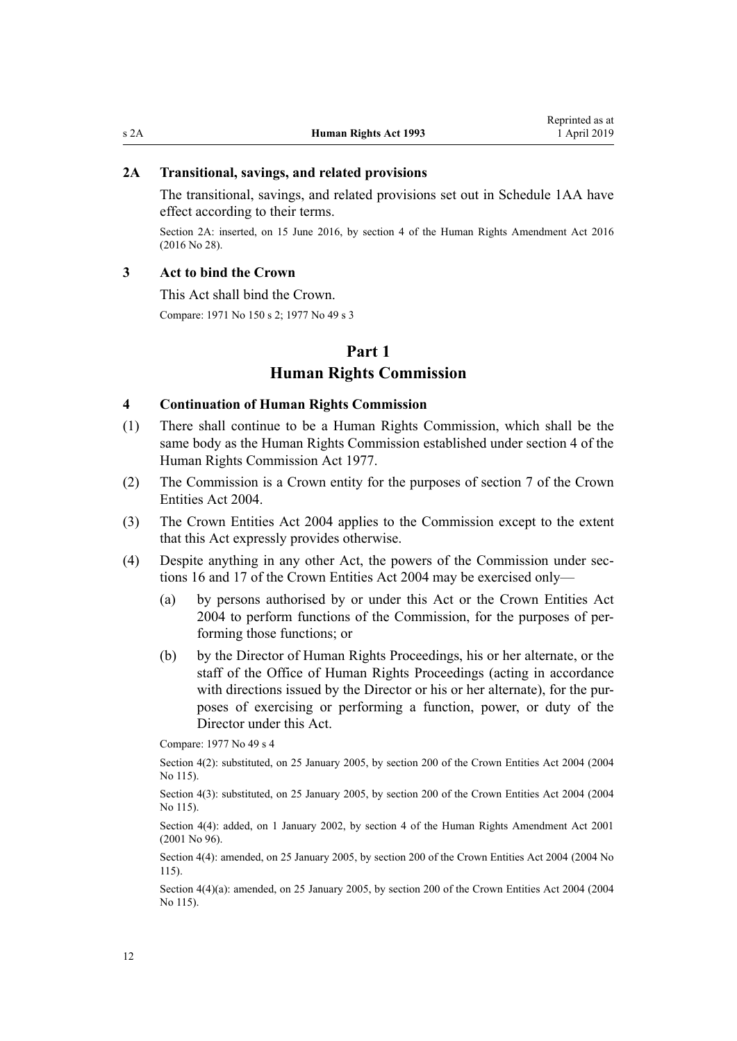# <span id="page-11-0"></span>**2A Transitional, savings, and related provisions**

The transitional, savings, and related provisions set out in [Schedule 1AA](#page-123-0) have effect according to their terms.

Section 2A: inserted, on 15 June 2016, by [section 4](http://legislation.govt.nz/pdflink.aspx?id=DLM6069201) of the Human Rights Amendment Act 2016 (2016 No 28).

### **3 Act to bind the Crown**

This Act shall bind the Crown.

Compare: 1971 No 150 s 2; 1977 No 49 s 3

# **Part 1**

# **Human Rights Commission**

#### **4 Continuation of Human Rights Commission**

- (1) There shall continue to be a Human Rights Commission, which shall be the same body as the Human Rights Commission established under section 4 of the Human Rights Commission Act 1977.
- (2) The Commission is a Crown entity for the purposes of [section 7](http://legislation.govt.nz/pdflink.aspx?id=DLM329641) of the Crown Entities Act 2004.
- (3) The [Crown Entities Act 2004](http://legislation.govt.nz/pdflink.aspx?id=DLM329630) applies to the Commission except to the extent that this Act expressly provides otherwise.
- (4) Despite anything in any other Act, the powers of the Commission under [sec](http://legislation.govt.nz/pdflink.aspx?id=DLM329930)[tions 16](http://legislation.govt.nz/pdflink.aspx?id=DLM329930) and [17](http://legislation.govt.nz/pdflink.aspx?id=DLM329931) of the Crown Entities Act 2004 may be exercised only—
	- (a) by persons authorised by or under this Act or the [Crown Entities Act](http://legislation.govt.nz/pdflink.aspx?id=DLM329630) [2004](http://legislation.govt.nz/pdflink.aspx?id=DLM329630) to perform functions of the Commission, for the purposes of performing those functions; or
	- (b) by the Director of Human Rights Proceedings, his or her alternate, or the staff of the Office of Human Rights Proceedings (acting in accordance with directions issued by the Director or his or her alternate), for the purposes of exercising or performing a function, power, or duty of the Director under this Act.

Compare: 1977 No 49 s 4

Section 4(2): substituted, on 25 January 2005, by [section 200](http://legislation.govt.nz/pdflink.aspx?id=DLM331111) of the Crown Entities Act 2004 (2004 No 115).

Section 4(3): substituted, on 25 January 2005, by [section 200](http://legislation.govt.nz/pdflink.aspx?id=DLM331111) of the Crown Entities Act 2004 (2004 No 115).

Section 4(4): added, on 1 January 2002, by [section 4](http://legislation.govt.nz/pdflink.aspx?id=DLM121842) of the Human Rights Amendment Act 2001 (2001 No 96).

Section 4(4): amended, on 25 January 2005, by [section 200](http://legislation.govt.nz/pdflink.aspx?id=DLM331111) of the Crown Entities Act 2004 (2004 No 115).

Section 4(4)(a): amended, on 25 January 2005, by [section 200](http://legislation.govt.nz/pdflink.aspx?id=DLM331111) of the Crown Entities Act 2004 (2004 No 115).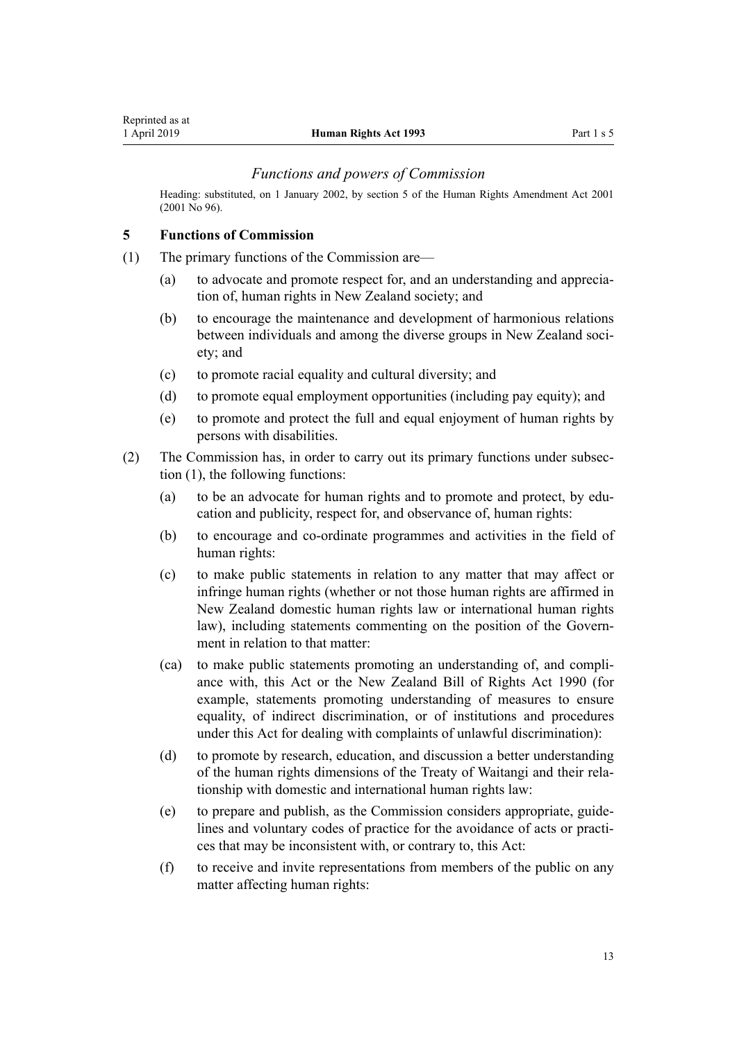# *Functions and powers of Commission*

<span id="page-12-0"></span>Heading: substituted, on 1 January 2002, by [section 5](http://legislation.govt.nz/pdflink.aspx?id=DLM121843) of the Human Rights Amendment Act 2001 (2001 No 96).

#### **5 Functions of Commission**

- (1) The primary functions of the Commission are—
	- (a) to advocate and promote respect for, and an understanding and appreciation of, human rights in New Zealand society; and
	- (b) to encourage the maintenance and development of harmonious relations between individuals and among the diverse groups in New Zealand society; and
	- (c) to promote racial equality and cultural diversity; and
	- (d) to promote equal employment opportunities (including pay equity); and
	- (e) to promote and protect the full and equal enjoyment of human rights by persons with disabilities.
- (2) The Commission has, in order to carry out its primary functions under subsection (1), the following functions:
	- (a) to be an advocate for human rights and to promote and protect, by education and publicity, respect for, and observance of, human rights:
	- (b) to encourage and co-ordinate programmes and activities in the field of human rights:
	- (c) to make public statements in relation to any matter that may affect or infringe human rights (whether or not those human rights are affirmed in New Zealand domestic human rights law or international human rights law), including statements commenting on the position of the Government in relation to that matter:
	- (ca) to make public statements promoting an understanding of, and compliance with, this Act or the [New Zealand Bill of Rights Act 1990](http://legislation.govt.nz/pdflink.aspx?id=DLM224791) (for example, statements promoting understanding of measures to ensure equality, of indirect discrimination, or of institutions and procedures under this Act for dealing with complaints of unlawful discrimination):
	- (d) to promote by research, education, and discussion a better understanding of the human rights dimensions of the [Treaty of Waitangi](http://legislation.govt.nz/pdflink.aspx?id=DLM435834) and their relationship with domestic and international human rights law:
	- (e) to prepare and publish, as the Commission considers appropriate, guidelines and voluntary codes of practice for the avoidance of acts or practices that may be inconsistent with, or contrary to, this Act:
	- (f) to receive and invite representations from members of the public on any matter affecting human rights: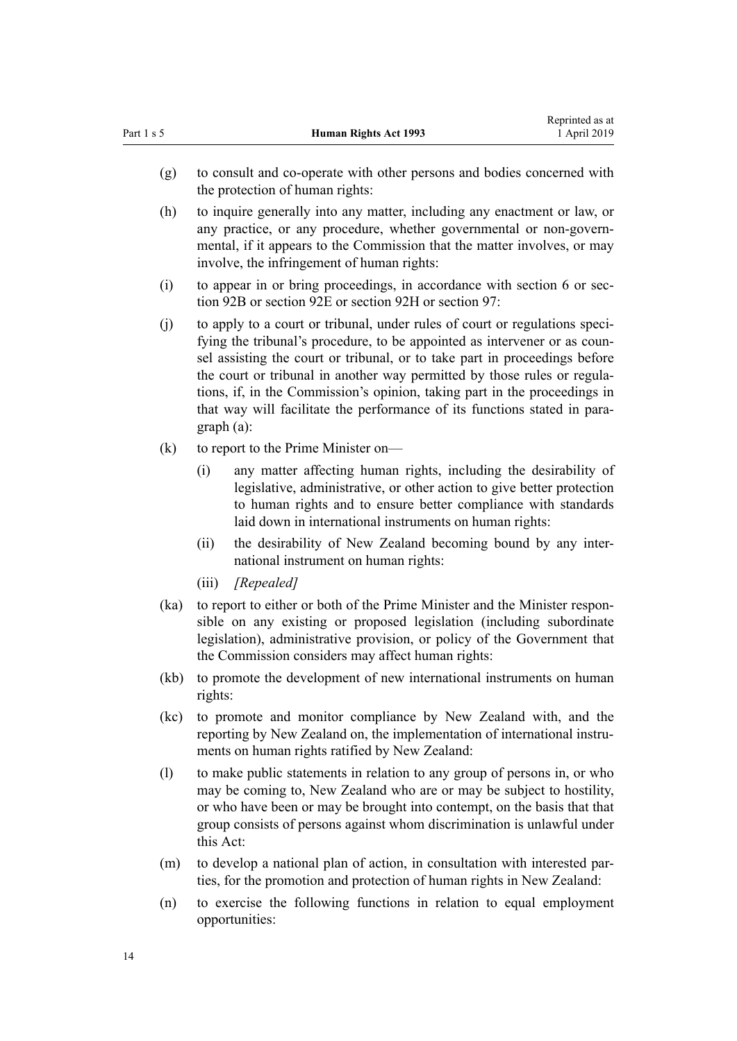(g) to consult and co-operate with other persons and bodies concerned with the protection of human rights:

Reprinted as at

- (h) to inquire generally into any matter, including any enactment or law, or any practice, or any procedure, whether governmental or non-governmental, if it appears to the Commission that the matter involves, or may involve, the infringement of human rights:
- (i) to appear in or bring proceedings, in accordance with [section 6](#page-15-0) or [sec](#page-70-0)[tion 92B](#page-70-0) or [section 92E](#page-73-0) or [section 92H](#page-74-0) or [section 97](#page-85-0):
- (j) to apply to a court or tribunal, under rules of court or regulations specifying the tribunal's procedure, to be appointed as intervener or as counsel assisting the court or tribunal, or to take part in proceedings before the court or tribunal in another way permitted by those rules or regulations, if, in the Commission's opinion, taking part in the proceedings in that way will facilitate the performance of its functions stated in paragraph (a):
- (k) to report to the Prime Minister on—
	- (i) any matter affecting human rights, including the desirability of legislative, administrative, or other action to give better protection to human rights and to ensure better compliance with standards laid down in international instruments on human rights:
	- (ii) the desirability of New Zealand becoming bound by any international instrument on human rights:
	- (iii) *[Repealed]*
- (ka) to report to either or both of the Prime Minister and the Minister responsible on any existing or proposed legislation (including subordinate legislation), administrative provision, or policy of the Government that the Commission considers may affect human rights:
- (kb) to promote the development of new international instruments on human rights:
- (kc) to promote and monitor compliance by New Zealand with, and the reporting by New Zealand on, the implementation of international instruments on human rights ratified by New Zealand:
- (l) to make public statements in relation to any group of persons in, or who may be coming to, New Zealand who are or may be subject to hostility, or who have been or may be brought into contempt, on the basis that that group consists of persons against whom discrimination is unlawful under this Act:
- (m) to develop a national plan of action, in consultation with interested parties, for the promotion and protection of human rights in New Zealand:
- (n) to exercise the following functions in relation to equal employment opportunities: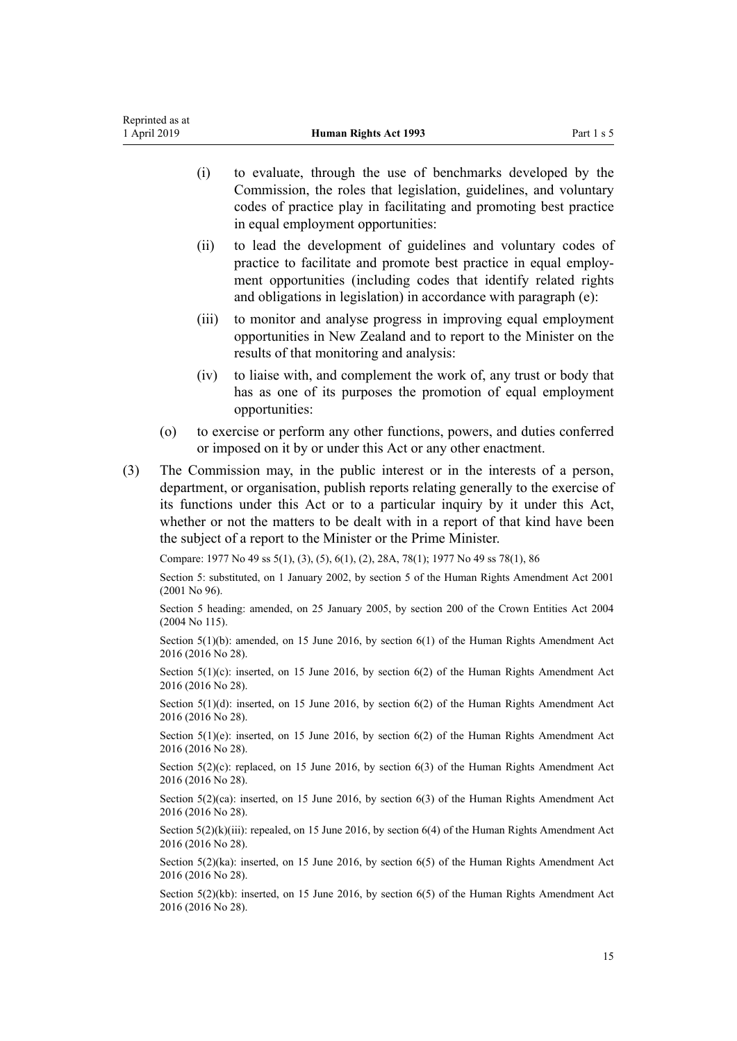|     |                                                                                                                                                                                                                                                                                                                                                                                                        | (i)                | to evaluate, through the use of benchmarks developed by the<br>Commission, the roles that legislation, guidelines, and voluntary<br>codes of practice play in facilitating and promoting best practice<br>in equal employment opportunities:                               |
|-----|--------------------------------------------------------------------------------------------------------------------------------------------------------------------------------------------------------------------------------------------------------------------------------------------------------------------------------------------------------------------------------------------------------|--------------------|----------------------------------------------------------------------------------------------------------------------------------------------------------------------------------------------------------------------------------------------------------------------------|
|     |                                                                                                                                                                                                                                                                                                                                                                                                        | (ii)               | to lead the development of guidelines and voluntary codes of<br>practice to facilitate and promote best practice in equal employ-<br>ment opportunities (including codes that identify related rights<br>and obligations in legislation) in accordance with paragraph (e): |
|     |                                                                                                                                                                                                                                                                                                                                                                                                        | (iii)              | to monitor and analyse progress in improving equal employment<br>opportunities in New Zealand and to report to the Minister on the<br>results of that monitoring and analysis:                                                                                             |
|     |                                                                                                                                                                                                                                                                                                                                                                                                        | (iv)               | to liaise with, and complement the work of, any trust or body that<br>has as one of its purposes the promotion of equal employment<br>opportunities:                                                                                                                       |
|     | $\circ$                                                                                                                                                                                                                                                                                                                                                                                                |                    | to exercise or perform any other functions, powers, and duties conferred<br>or imposed on it by or under this Act or any other enactment.                                                                                                                                  |
| (3) | The Commission may, in the public interest or in the interests of a person,<br>department, or organisation, publish reports relating generally to the exercise of<br>its functions under this Act or to a particular inquiry by it under this Act,<br>whether or not the matters to be dealt with in a report of that kind have been<br>the subject of a report to the Minister or the Prime Minister. |                    |                                                                                                                                                                                                                                                                            |
|     |                                                                                                                                                                                                                                                                                                                                                                                                        |                    | Compare: 1977 No 49 ss 5(1), (3), (5), 6(1), (2), 28A, 78(1); 1977 No 49 ss 78(1), 86                                                                                                                                                                                      |
|     |                                                                                                                                                                                                                                                                                                                                                                                                        | $(2001$ No 96).    | Section 5: substituted, on 1 January 2002, by section 5 of the Human Rights Amendment Act 2001                                                                                                                                                                             |
|     |                                                                                                                                                                                                                                                                                                                                                                                                        | (2004 No 115).     | Section 5 heading: amended, on 25 January 2005, by section 200 of the Crown Entities Act 2004                                                                                                                                                                              |
|     |                                                                                                                                                                                                                                                                                                                                                                                                        | 2016 (2016 No 28). | Section $5(1)(b)$ : amended, on 15 June 2016, by section $6(1)$ of the Human Rights Amendment Act                                                                                                                                                                          |
|     |                                                                                                                                                                                                                                                                                                                                                                                                        | 2016 (2016 No 28). | Section $5(1)(c)$ : inserted, on 15 June 2016, by section 6(2) of the Human Rights Amendment Act                                                                                                                                                                           |
|     |                                                                                                                                                                                                                                                                                                                                                                                                        | 2016 (2016 No 28). | Section $5(1)(d)$ : inserted, on 15 June 2016, by section $6(2)$ of the Human Rights Amendment Act                                                                                                                                                                         |
|     |                                                                                                                                                                                                                                                                                                                                                                                                        | 2016 (2016 No 28). | Section $5(1)(e)$ : inserted, on 15 June 2016, by section $6(2)$ of the Human Rights Amendment Act                                                                                                                                                                         |
|     |                                                                                                                                                                                                                                                                                                                                                                                                        | 2016 (2016 No 28). | Section $5(2)(c)$ : replaced, on 15 June 2016, by section $6(3)$ of the Human Rights Amendment Act                                                                                                                                                                         |
|     |                                                                                                                                                                                                                                                                                                                                                                                                        | 2016 (2016 No 28). | Section $5(2)(ca)$ : inserted, on 15 June 2016, by section 6(3) of the Human Rights Amendment Act                                                                                                                                                                          |
|     |                                                                                                                                                                                                                                                                                                                                                                                                        | 2016 (2016 No 28). | Section $5(2)(k)(iii)$ : repealed, on 15 June 2016, by section 6(4) of the Human Rights Amendment Act                                                                                                                                                                      |
|     |                                                                                                                                                                                                                                                                                                                                                                                                        |                    |                                                                                                                                                                                                                                                                            |

Section 5(2)(ka): inserted, on 15 June 2016, by [section 6\(5\)](http://legislation.govt.nz/pdflink.aspx?id=DLM4097517) of the Human Rights Amendment Act 2016 (2016 No 28).

Section 5(2)(kb): inserted, on 15 June 2016, by [section 6\(5\)](http://legislation.govt.nz/pdflink.aspx?id=DLM4097517) of the Human Rights Amendment Act 2016 (2016 No 28).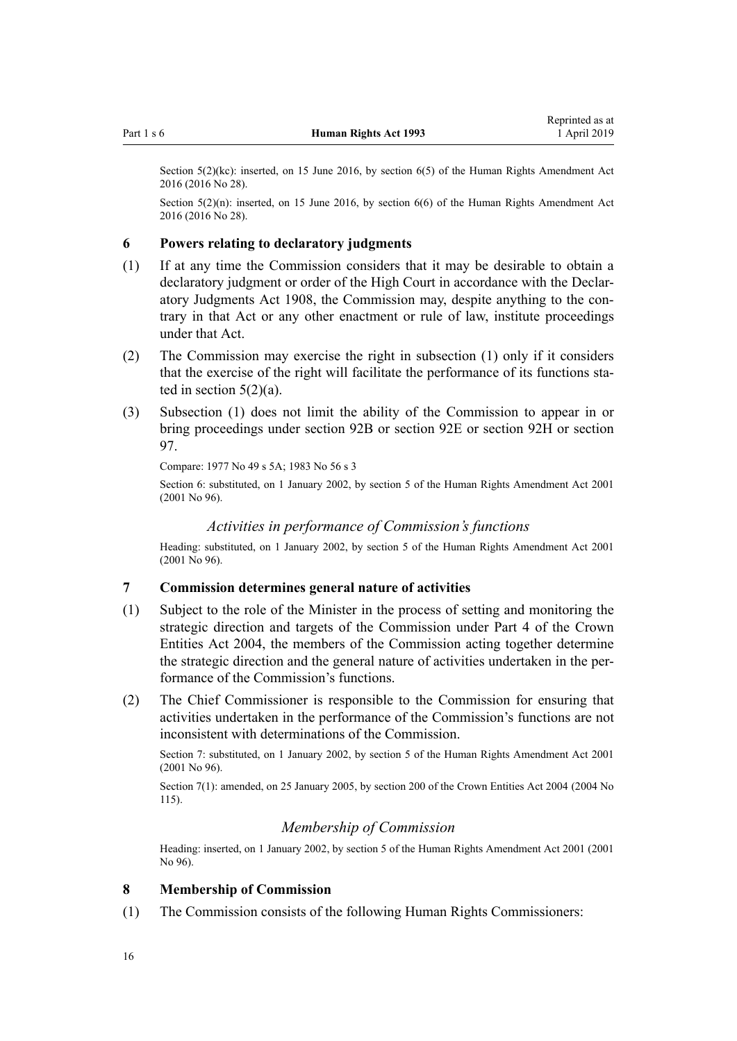<span id="page-15-0"></span>Section 5(2)(kc): inserted, on 15 June 2016, by [section 6\(5\)](http://legislation.govt.nz/pdflink.aspx?id=DLM4097517) of the Human Rights Amendment Act 2016 (2016 No 28).

Section  $5(2)(n)$ : inserted, on 15 June 2016, by section  $6(6)$  of the Human Rights Amendment Act 2016 (2016 No 28).

#### **6 Powers relating to declaratory judgments**

- (1) If at any time the Commission considers that it may be desirable to obtain a declaratory judgment or order of the High Court in accordance with the [Declar](http://legislation.govt.nz/pdflink.aspx?id=DLM176192)[atory Judgments Act 1908,](http://legislation.govt.nz/pdflink.aspx?id=DLM176192) the Commission may, despite anything to the contrary in that Act or any other enactment or rule of law, institute proceedings under that Act.
- (2) The Commission may exercise the right in subsection (1) only if it considers that the exercise of the right will facilitate the performance of its functions stated in section  $5(2)(a)$ .
- (3) Subsection (1) does not limit the ability of the Commission to appear in or bring proceedings under [section 92B](#page-70-0) or [section 92E](#page-73-0) or [section 92H](#page-74-0) or [section](#page-85-0) [97.](#page-85-0)

Compare: 1977 No 49 s 5A; 1983 No 56 s 3

Section 6: substituted, on 1 January 2002, by [section 5](http://legislation.govt.nz/pdflink.aspx?id=DLM121843) of the Human Rights Amendment Act 2001 (2001 No 96).

# *Activities in performance of Commission's functions*

Heading: substituted, on 1 January 2002, by [section 5](http://legislation.govt.nz/pdflink.aspx?id=DLM121843) of the Human Rights Amendment Act 2001 (2001 No 96).

#### **7 Commission determines general nature of activities**

- (1) Subject to the role of the Minister in the process of setting and monitoring the strategic direction and targets of the Commission under [Part 4](http://legislation.govt.nz/pdflink.aspx?id=DLM330504) of the Crown Entities Act 2004, the members of the Commission acting together determine the strategic direction and the general nature of activities undertaken in the performance of the Commission's functions.
- (2) The Chief Commissioner is responsible to the Commission for ensuring that activities undertaken in the performance of the Commission's functions are not inconsistent with determinations of the Commission.

Section 7: substituted, on 1 January 2002, by [section 5](http://legislation.govt.nz/pdflink.aspx?id=DLM121843) of the Human Rights Amendment Act 2001 (2001 No 96).

Section 7(1): amended, on 25 January 2005, by [section 200](http://legislation.govt.nz/pdflink.aspx?id=DLM331111) of the Crown Entities Act 2004 (2004 No 115).

#### *Membership of Commission*

Heading: inserted, on 1 January 2002, by [section 5](http://legislation.govt.nz/pdflink.aspx?id=DLM121843) of the Human Rights Amendment Act 2001 (2001 No 96).

#### **8 Membership of Commission**

(1) The Commission consists of the following Human Rights Commissioners: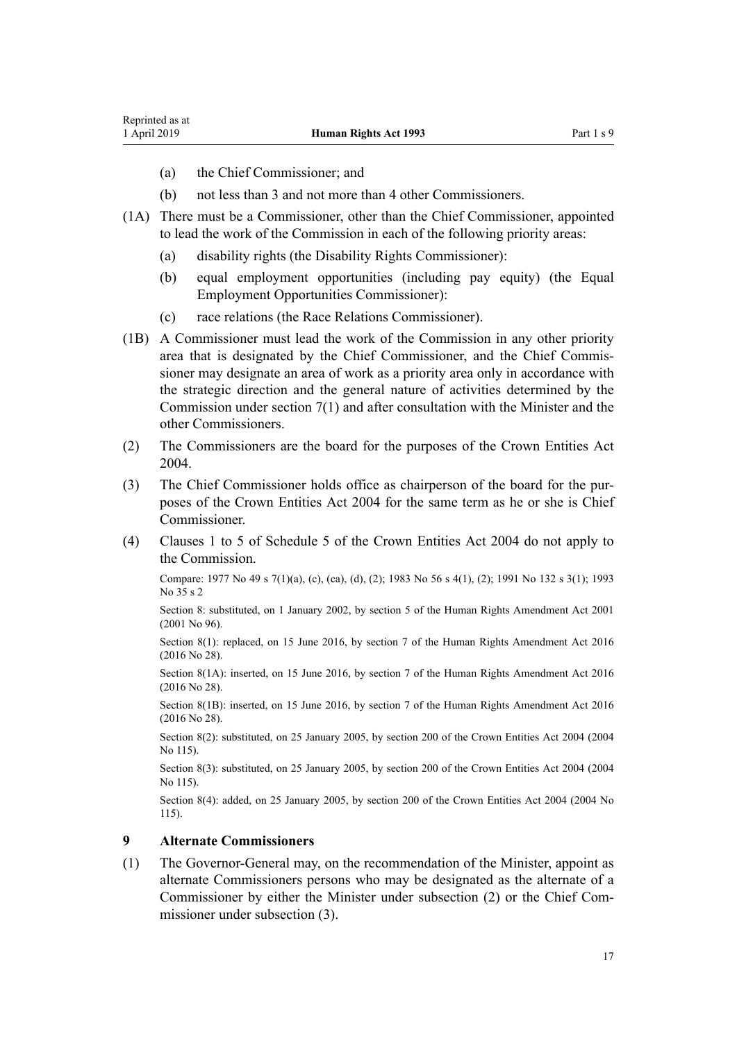- <span id="page-16-0"></span>(a) the Chief Commissioner; and
- (b) not less than 3 and not more than 4 other Commissioners.
- (1A) There must be a Commissioner, other than the Chief Commissioner, appointed to lead the work of the Commission in each of the following priority areas:
	- (a) disability rights (the Disability Rights Commissioner):
	- (b) equal employment opportunities (including pay equity) (the Equal Employment Opportunities Commissioner):
	- (c) race relations (the Race Relations Commissioner).
- (1B) A Commissioner must lead the work of the Commission in any other priority area that is designated by the Chief Commissioner, and the Chief Commissioner may designate an area of work as a priority area only in accordance with the strategic direction and the general nature of activities determined by the Commission under [section 7\(1\)](#page-15-0) and after consultation with the Minister and the other Commissioners.
- (2) The Commissioners are the board for the purposes of the [Crown Entities Act](http://legislation.govt.nz/pdflink.aspx?id=DLM329630) [2004](http://legislation.govt.nz/pdflink.aspx?id=DLM329630).
- (3) The Chief Commissioner holds office as chairperson of the board for the purposes of the [Crown Entities Act 2004](http://legislation.govt.nz/pdflink.aspx?id=DLM329630) for the same term as he or she is Chief **Commissioner**
- (4) [Clauses 1 to 5](http://legislation.govt.nz/pdflink.aspx?id=DLM331133) of Schedule 5 of the Crown Entities Act 2004 do not apply to the Commission.

Compare: 1977 No 49 s 7(1)(a), (c), (ca), (d), (2); 1983 No 56 s 4(1), (2); 1991 No 132 s 3(1); 1993 No 35 s 2

Section 8: substituted, on 1 January 2002, by [section 5](http://legislation.govt.nz/pdflink.aspx?id=DLM121843) of the Human Rights Amendment Act 2001 (2001 No 96).

Section 8(1): replaced, on 15 June 2016, by [section 7](http://legislation.govt.nz/pdflink.aspx?id=DLM4097518) of the Human Rights Amendment Act 2016 (2016 No 28).

Section 8(1A): inserted, on 15 June 2016, by [section 7](http://legislation.govt.nz/pdflink.aspx?id=DLM4097518) of the Human Rights Amendment Act 2016 (2016 No 28).

Section 8(1B): inserted, on 15 June 2016, by [section 7](http://legislation.govt.nz/pdflink.aspx?id=DLM4097518) of the Human Rights Amendment Act 2016 (2016 No 28).

Section 8(2): substituted, on 25 January 2005, by [section 200](http://legislation.govt.nz/pdflink.aspx?id=DLM331111) of the Crown Entities Act 2004 (2004 No 115).

Section 8(3): substituted, on 25 January 2005, by [section 200](http://legislation.govt.nz/pdflink.aspx?id=DLM331111) of the Crown Entities Act 2004 (2004 No 115).

Section 8(4): added, on 25 January 2005, by [section 200](http://legislation.govt.nz/pdflink.aspx?id=DLM331111) of the Crown Entities Act 2004 (2004 No 115).

### **9 Alternate Commissioners**

(1) The Governor-General may, on the recommendation of the Minister, appoint as alternate Commissioners persons who may be designated as the alternate of a Commissioner by either the Minister under subsection (2) or the Chief Commissioner under subsection (3).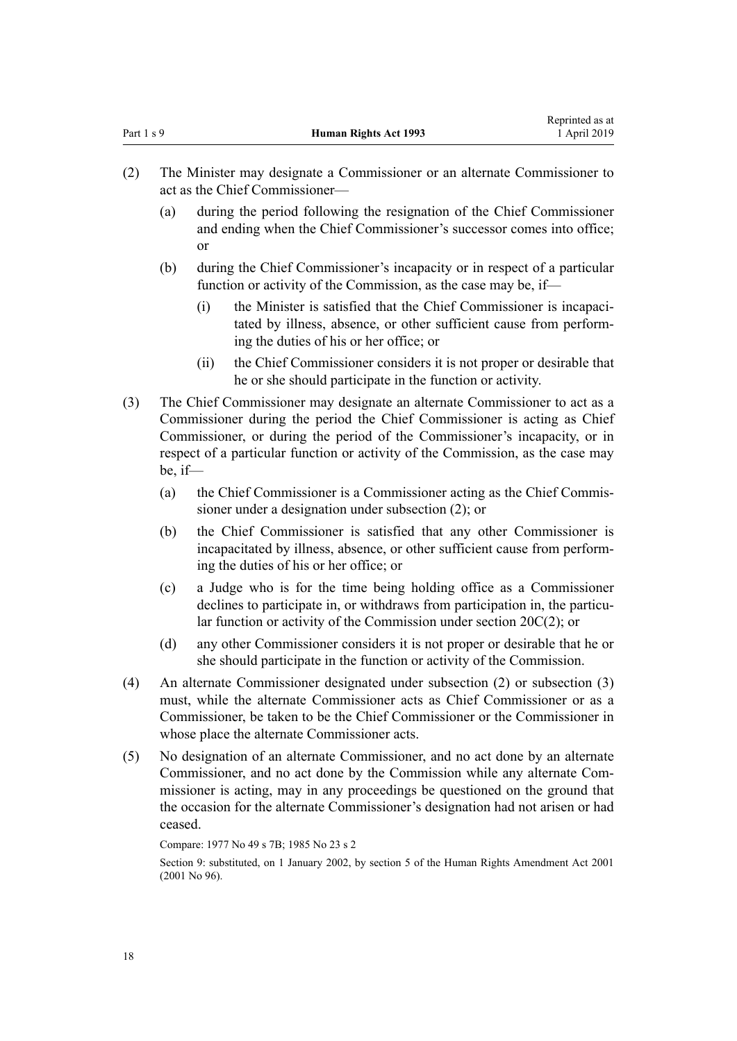- (2) The Minister may designate a Commissioner or an alternate Commissioner to act as the Chief Commissioner—
	- (a) during the period following the resignation of the Chief Commissioner and ending when the Chief Commissioner's successor comes into office; or
	- (b) during the Chief Commissioner's incapacity or in respect of a particular function or activity of the Commission, as the case may be, if—
		- (i) the Minister is satisfied that the Chief Commissioner is incapacitated by illness, absence, or other sufficient cause from performing the duties of his or her office; or
		- (ii) the Chief Commissioner considers it is not proper or desirable that he or she should participate in the function or activity.
- (3) The Chief Commissioner may designate an alternate Commissioner to act as a Commissioner during the period the Chief Commissioner is acting as Chief Commissioner, or during the period of the Commissioner's incapacity, or in respect of a particular function or activity of the Commission, as the case may be, if—
	- (a) the Chief Commissioner is a Commissioner acting as the Chief Commissioner under a designation under subsection (2); or
	- (b) the Chief Commissioner is satisfied that any other Commissioner is incapacitated by illness, absence, or other sufficient cause from performing the duties of his or her office; or
	- (c) a Judge who is for the time being holding office as a Commissioner declines to participate in, or withdraws from participation in, the particular function or activity of the Commission under [section 20C\(2\);](#page-24-0) or
	- (d) any other Commissioner considers it is not proper or desirable that he or she should participate in the function or activity of the Commission.
- (4) An alternate Commissioner designated under subsection (2) or subsection (3) must, while the alternate Commissioner acts as Chief Commissioner or as a Commissioner, be taken to be the Chief Commissioner or the Commissioner in whose place the alternate Commissioner acts.
- (5) No designation of an alternate Commissioner, and no act done by an alternate Commissioner, and no act done by the Commission while any alternate Commissioner is acting, may in any proceedings be questioned on the ground that the occasion for the alternate Commissioner's designation had not arisen or had ceased.

Compare: 1977 No 49 s 7B; 1985 No 23 s 2

Section 9: substituted, on 1 January 2002, by [section 5](http://legislation.govt.nz/pdflink.aspx?id=DLM121843) of the Human Rights Amendment Act 2001 (2001 No 96).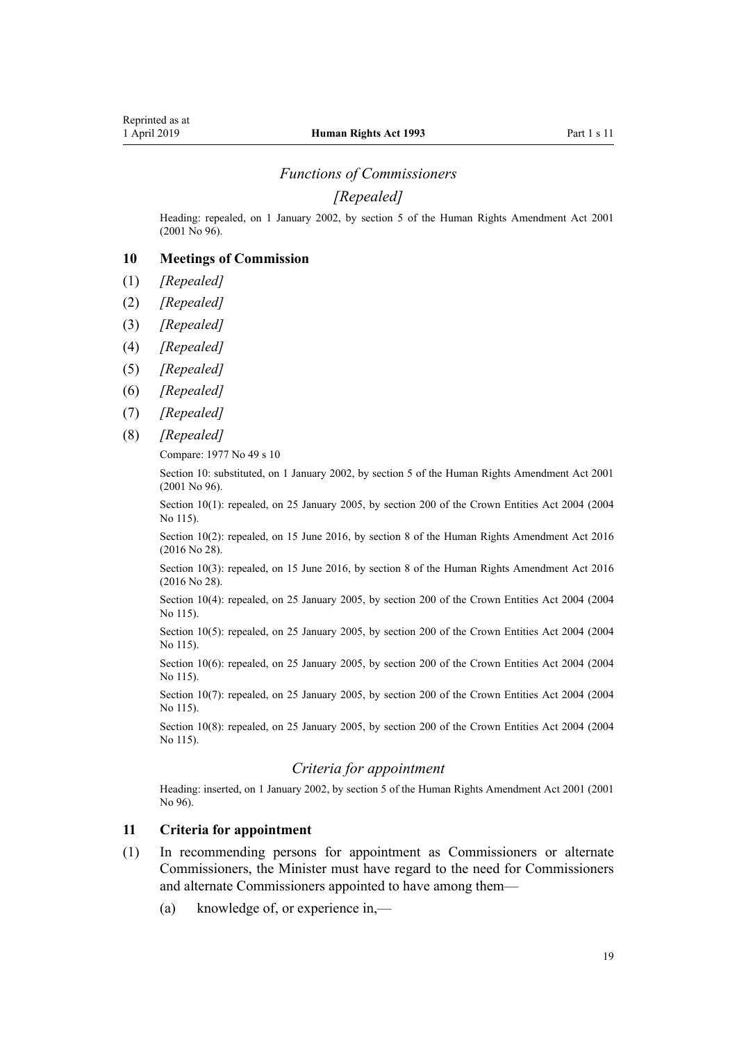#### *Functions of Commissioners*

# *[Repealed]*

<span id="page-18-0"></span>Heading: repealed, on 1 January 2002, by [section 5](http://legislation.govt.nz/pdflink.aspx?id=DLM121843) of the Human Rights Amendment Act 2001 (2001 No 96).

#### **10 Meetings of Commission**

- (1) *[Repealed]*
- (2) *[Repealed]*
- (3) *[Repealed]*
- (4) *[Repealed]*
- (5) *[Repealed]*
- (6) *[Repealed]*
- (7) *[Repealed]*
- (8) *[Repealed]*

Compare: 1977 No 49 s 10

Section 10: substituted, on 1 January 2002, by [section 5](http://legislation.govt.nz/pdflink.aspx?id=DLM121843) of the Human Rights Amendment Act 2001 (2001 No 96).

Section 10(1): repealed, on 25 January 2005, by [section 200](http://legislation.govt.nz/pdflink.aspx?id=DLM331111) of the Crown Entities Act 2004 (2004 No 115).

Section 10(2): repealed, on 15 June 2016, by [section 8](http://legislation.govt.nz/pdflink.aspx?id=DLM4097519) of the Human Rights Amendment Act 2016 (2016 No 28).

Section 10(3): repealed, on 15 June 2016, by [section 8](http://legislation.govt.nz/pdflink.aspx?id=DLM4097519) of the Human Rights Amendment Act 2016 (2016 No 28).

Section 10(4): repealed, on 25 January 2005, by [section 200](http://legislation.govt.nz/pdflink.aspx?id=DLM331111) of the Crown Entities Act 2004 (2004 No 115).

Section 10(5): repealed, on 25 January 2005, by [section 200](http://legislation.govt.nz/pdflink.aspx?id=DLM331111) of the Crown Entities Act 2004 (2004) No 115).

Section 10(6): repealed, on 25 January 2005, by [section 200](http://legislation.govt.nz/pdflink.aspx?id=DLM331111) of the Crown Entities Act 2004 (2004) No 115).

Section 10(7): repealed, on 25 January 2005, by [section 200](http://legislation.govt.nz/pdflink.aspx?id=DLM331111) of the Crown Entities Act 2004 (2004) No 115).

Section 10(8): repealed, on 25 January 2005, by [section 200](http://legislation.govt.nz/pdflink.aspx?id=DLM331111) of the Crown Entities Act 2004 (2004 No 115).

#### *Criteria for appointment*

Heading: inserted, on 1 January 2002, by [section 5](http://legislation.govt.nz/pdflink.aspx?id=DLM121843) of the Human Rights Amendment Act 2001 (2001 No 96).

#### **11 Criteria for appointment**

- (1) In recommending persons for appointment as Commissioners or alternate Commissioners, the Minister must have regard to the need for Commissioners and alternate Commissioners appointed to have among them—
	- (a) knowledge of, or experience in,—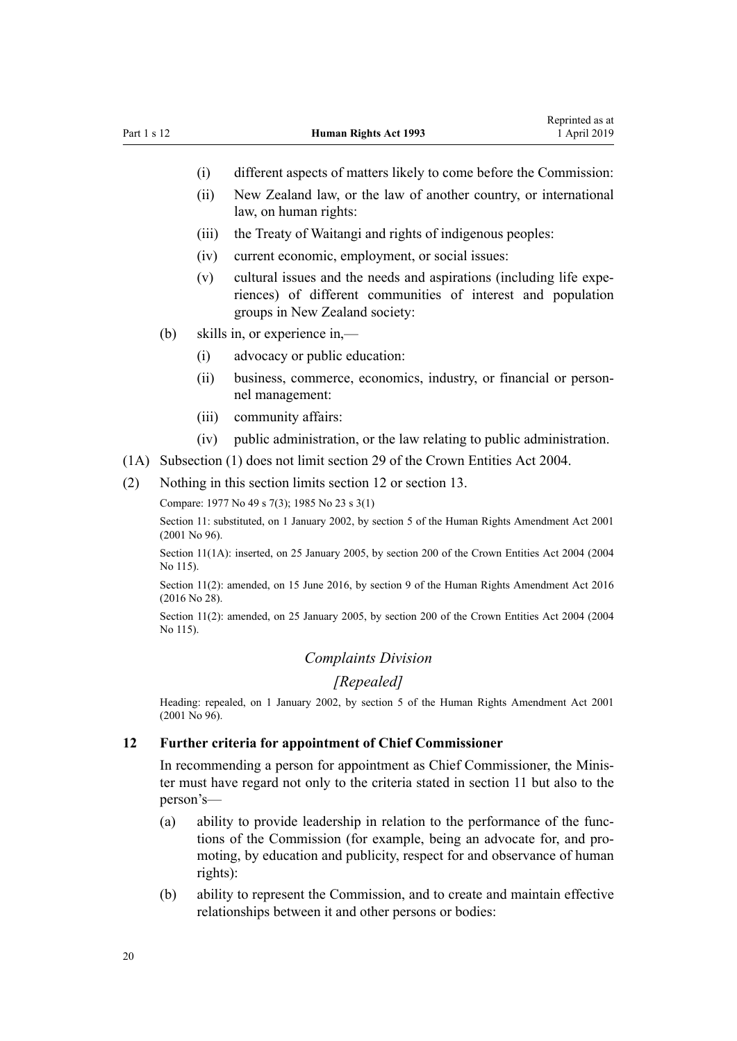- <span id="page-19-0"></span>(i) different aspects of matters likely to come before the Commission:
- (ii) New Zealand law, or the law of another country, or international law, on human rights:
- (iii) the [Treaty of Waitangi](http://legislation.govt.nz/pdflink.aspx?id=DLM435834) and rights of indigenous peoples:
- (iv) current economic, employment, or social issues:
- (v) cultural issues and the needs and aspirations (including life experiences) of different communities of interest and population groups in New Zealand society:
- (b) skills in, or experience in,—
	- (i) advocacy or public education:
	- (ii) business, commerce, economics, industry, or financial or personnel management:
	- (iii) community affairs:
	- (iv) public administration, or the law relating to public administration.
- (1A) Subsection (1) does not limit [section 29](http://legislation.govt.nz/pdflink.aspx?id=DLM329955) of the Crown Entities Act 2004.
- (2) Nothing in this section limits section 12 or [section 13.](#page-20-0)

Compare: 1977 No 49 s 7(3); 1985 No 23 s 3(1)

Section 11: substituted, on 1 January 2002, by [section 5](http://legislation.govt.nz/pdflink.aspx?id=DLM121843) of the Human Rights Amendment Act 2001 (2001 No 96).

Section 11(1A): inserted, on 25 January 2005, by [section 200](http://legislation.govt.nz/pdflink.aspx?id=DLM331111) of the Crown Entities Act 2004 (2004 No 115).

Section 11(2): amended, on 15 June 2016, by [section 9](http://legislation.govt.nz/pdflink.aspx?id=DLM4097520) of the Human Rights Amendment Act 2016 (2016 No 28).

Section 11(2): amended, on 25 January 2005, by [section 200](http://legislation.govt.nz/pdflink.aspx?id=DLM331111) of the Crown Entities Act 2004 (2004) No 115).

# *Complaints Division*

# *[Repealed]*

Heading: repealed, on 1 January 2002, by [section 5](http://legislation.govt.nz/pdflink.aspx?id=DLM121843) of the Human Rights Amendment Act 2001  $(2001 \overline{N_0} 96)$ .

# **12 Further criteria for appointment of Chief Commissioner**

In recommending a person for appointment as Chief Commissioner, the Minister must have regard not only to the criteria stated in [section 11](#page-18-0) but also to the person's—

- (a) ability to provide leadership in relation to the performance of the functions of the Commission (for example, being an advocate for, and promoting, by education and publicity, respect for and observance of human rights):
- (b) ability to represent the Commission, and to create and maintain effective relationships between it and other persons or bodies: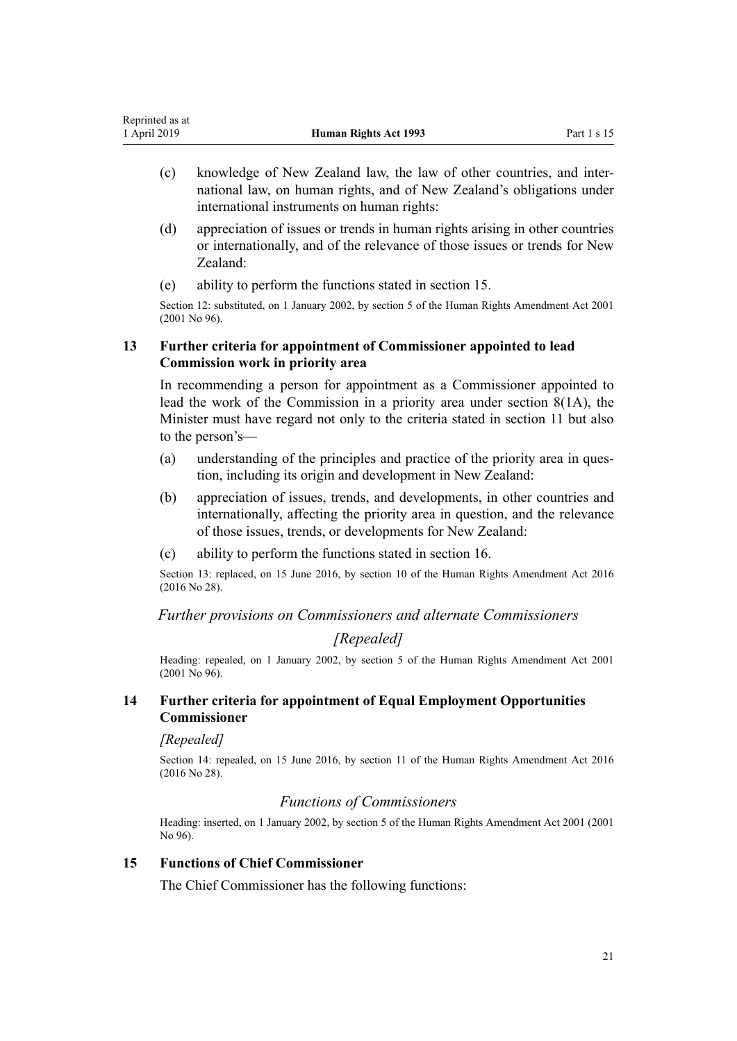- <span id="page-20-0"></span>(c) knowledge of New Zealand law, the law of other countries, and international law, on human rights, and of New Zealand's obligations under international instruments on human rights:
- (d) appreciation of issues or trends in human rights arising in other countries or internationally, and of the relevance of those issues or trends for New Zealand:
- (e) ability to perform the functions stated in section 15.

Section 12: substituted, on 1 January 2002, by [section 5](http://legislation.govt.nz/pdflink.aspx?id=DLM121843) of the Human Rights Amendment Act 2001 (2001 No 96).

# **13 Further criteria for appointment of Commissioner appointed to lead Commission work in priority area**

In recommending a person for appointment as a Commissioner appointed to lead the work of the Commission in a priority area under [section 8\(1A\),](#page-15-0) the Minister must have regard not only to the criteria stated in [section 11](#page-18-0) but also to the person's—

- (a) understanding of the principles and practice of the priority area in question, including its origin and development in New Zealand:
- (b) appreciation of issues, trends, and developments, in other countries and internationally, affecting the priority area in question, and the relevance of those issues, trends, or developments for New Zealand:
- (c) ability to perform the functions stated in [section 16](#page-21-0).

Section 13: replaced, on 15 June 2016, by [section 10](http://legislation.govt.nz/pdflink.aspx?id=DLM4097521) of the Human Rights Amendment Act 2016 (2016 No 28).

*Further provisions on Commissioners and alternate Commissioners*

# *[Repealed]*

Heading: repealed, on 1 January 2002, by [section 5](http://legislation.govt.nz/pdflink.aspx?id=DLM121843) of the Human Rights Amendment Act 2001 (2001 No 96).

# **14 Further criteria for appointment of Equal Employment Opportunities Commissioner**

#### *[Repealed]*

Section 14: repealed, on 15 June 2016, by [section 11](http://legislation.govt.nz/pdflink.aspx?id=DLM4097523) of the Human Rights Amendment Act 2016 (2016 No 28).

# *Functions of Commissioners*

Heading: inserted, on 1 January 2002, by [section 5](http://legislation.govt.nz/pdflink.aspx?id=DLM121843) of the Human Rights Amendment Act 2001 (2001 No 96).

# **15 Functions of Chief Commissioner**

The Chief Commissioner has the following functions: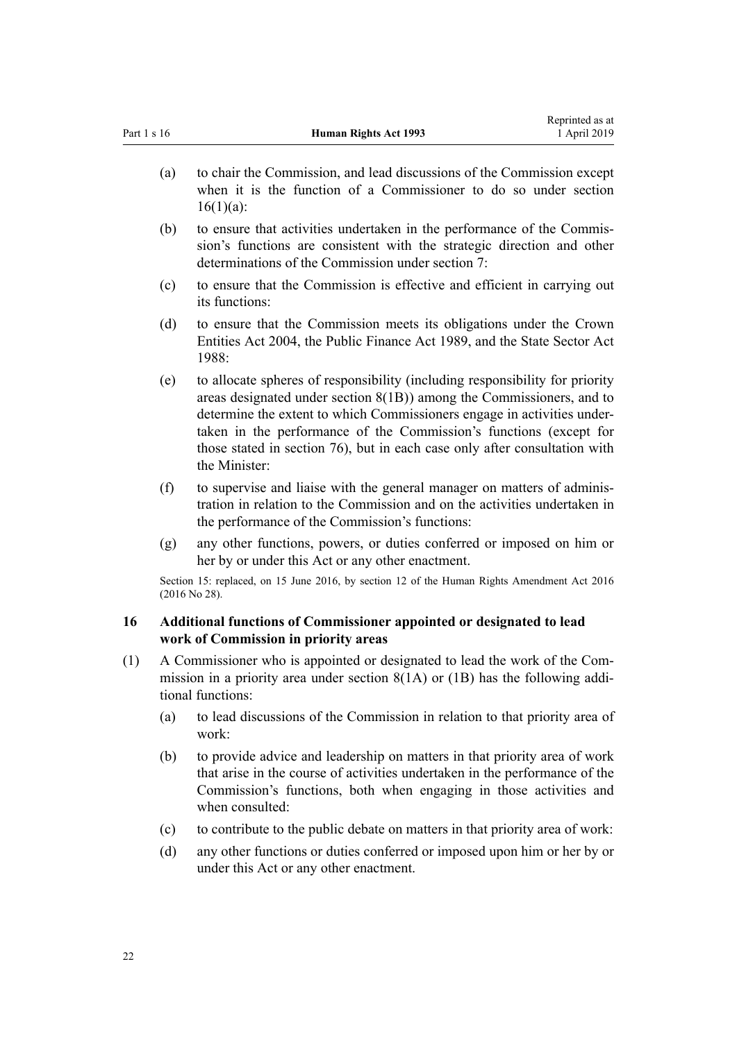<span id="page-21-0"></span>

| Part 1 s 16 | <b>Human Rights Act 1993</b> | $\sim$<br>1 April 2019 |
|-------------|------------------------------|------------------------|
|             |                              |                        |

(a) to chair the Commission, and lead discussions of the Commission except when it is the function of a Commissioner to do so under section  $16(1)(a)$ :

Reprinted as at

- (b) to ensure that activities undertaken in the performance of the Commission's functions are consistent with the strategic direction and other determinations of the Commission under [section 7](#page-15-0):
- (c) to ensure that the Commission is effective and efficient in carrying out its functions:
- (d) to ensure that the Commission meets its obligations under the [Crown](http://legislation.govt.nz/pdflink.aspx?id=DLM329630) [Entities Act 2004](http://legislation.govt.nz/pdflink.aspx?id=DLM329630), the [Public Finance Act 1989](http://legislation.govt.nz/pdflink.aspx?id=DLM160808), and the [State Sector Act](http://legislation.govt.nz/pdflink.aspx?id=DLM129109) [1988](http://legislation.govt.nz/pdflink.aspx?id=DLM129109):
- (e) to allocate spheres of responsibility (including responsibility for priority areas designated under [section 8\(1B\)\)](#page-15-0) among the Commissioners, and to determine the extent to which Commissioners engage in activities undertaken in the performance of the Commission's functions (except for those stated in [section 76\)](#page-59-0), but in each case only after consultation with the Minister:
- (f) to supervise and liaise with the general manager on matters of administration in relation to the Commission and on the activities undertaken in the performance of the Commission's functions:
- (g) any other functions, powers, or duties conferred or imposed on him or her by or under this Act or any other enactment.

Section 15: replaced, on 15 June 2016, by [section 12](http://legislation.govt.nz/pdflink.aspx?id=DLM4097524) of the Human Rights Amendment Act 2016 (2016 No 28).

# **16 Additional functions of Commissioner appointed or designated to lead work of Commission in priority areas**

- (1) A Commissioner who is appointed or designated to lead the work of the Commission in a priority area under [section 8\(1A\) or \(1B\)](#page-15-0) has the following additional functions:
	- (a) to lead discussions of the Commission in relation to that priority area of work:
	- (b) to provide advice and leadership on matters in that priority area of work that arise in the course of activities undertaken in the performance of the Commission's functions, both when engaging in those activities and when consulted:
	- (c) to contribute to the public debate on matters in that priority area of work:
	- (d) any other functions or duties conferred or imposed upon him or her by or under this Act or any other enactment.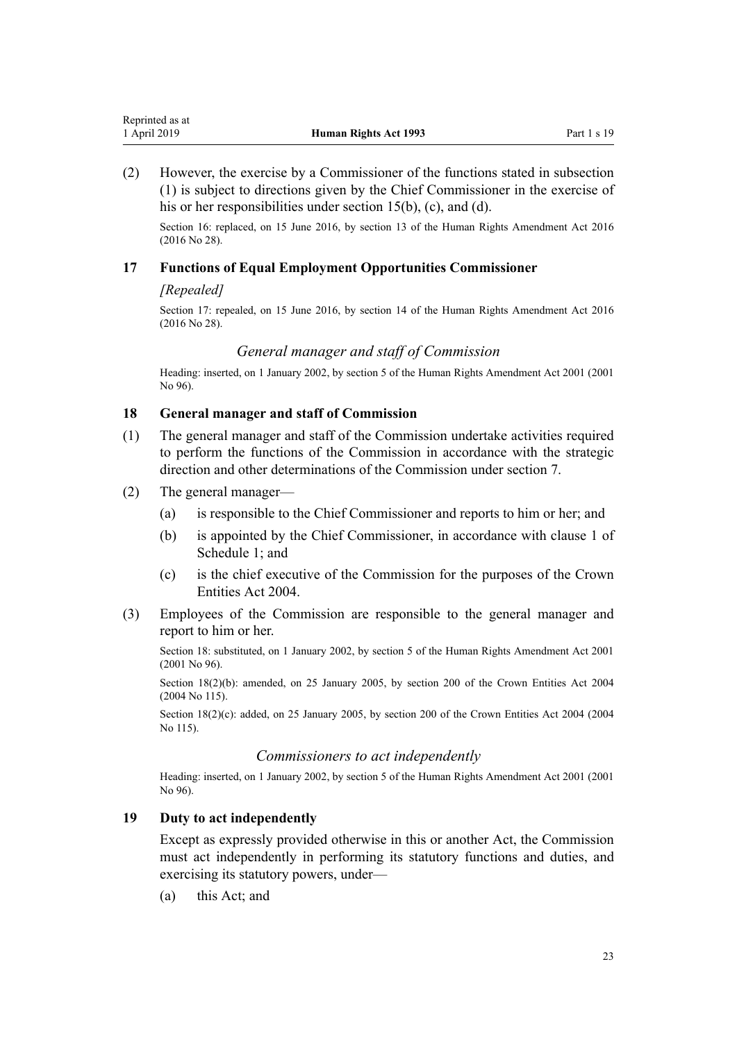<span id="page-22-0"></span>(2) However, the exercise by a Commissioner of the functions stated in subsection (1) is subject to directions given by the Chief Commissioner in the exercise of his or her responsibilities under [section 15\(b\), \(c\), and \(d\).](#page-20-0)

Section 16: replaced, on 15 June 2016, by [section 13](http://legislation.govt.nz/pdflink.aspx?id=DLM4097526) of the Human Rights Amendment Act 2016 (2016 No 28).

#### **17 Functions of Equal Employment Opportunities Commissioner**

#### *[Repealed]*

Section 17: repealed, on 15 June 2016, by [section 14](http://legislation.govt.nz/pdflink.aspx?id=DLM4097528) of the Human Rights Amendment Act 2016 (2016 No 28).

#### *General manager and staff of Commission*

Heading: inserted, on 1 January 2002, by [section 5](http://legislation.govt.nz/pdflink.aspx?id=DLM121843) of the Human Rights Amendment Act 2001 (2001 No 96).

#### **18 General manager and staff of Commission**

- (1) The general manager and staff of the Commission undertake activities required to perform the functions of the Commission in accordance with the strategic direction and other determinations of the Commission under [section 7.](#page-15-0)
- (2) The general manager—
	- (a) is responsible to the Chief Commissioner and reports to him or her; and
	- (b) is appointed by the Chief Commissioner, in accordance with [clause 1](#page-126-0) of Schedule 1; and
	- (c) is the chief executive of the Commission for the purposes of the [Crown](http://legislation.govt.nz/pdflink.aspx?id=DLM329630) [Entities Act 2004.](http://legislation.govt.nz/pdflink.aspx?id=DLM329630)
- (3) Employees of the Commission are responsible to the general manager and report to him or her.

Section 18: substituted, on 1 January 2002, by [section 5](http://legislation.govt.nz/pdflink.aspx?id=DLM121843) of the Human Rights Amendment Act 2001 (2001 No 96).

Section 18(2)(b): amended, on 25 January 2005, by [section 200](http://legislation.govt.nz/pdflink.aspx?id=DLM331111) of the Crown Entities Act 2004 (2004 No 115).

Section 18(2)(c): added, on 25 January 2005, by [section 200](http://legislation.govt.nz/pdflink.aspx?id=DLM331111) of the Crown Entities Act 2004 (2004) No 115).

# *Commissioners to act independently*

Heading: inserted, on 1 January 2002, by [section 5](http://legislation.govt.nz/pdflink.aspx?id=DLM121843) of the Human Rights Amendment Act 2001 (2001 No 96).

# **19 Duty to act independently**

Except as expressly provided otherwise in this or another Act, the Commission must act independently in performing its statutory functions and duties, and exercising its statutory powers, under—

(a) this Act; and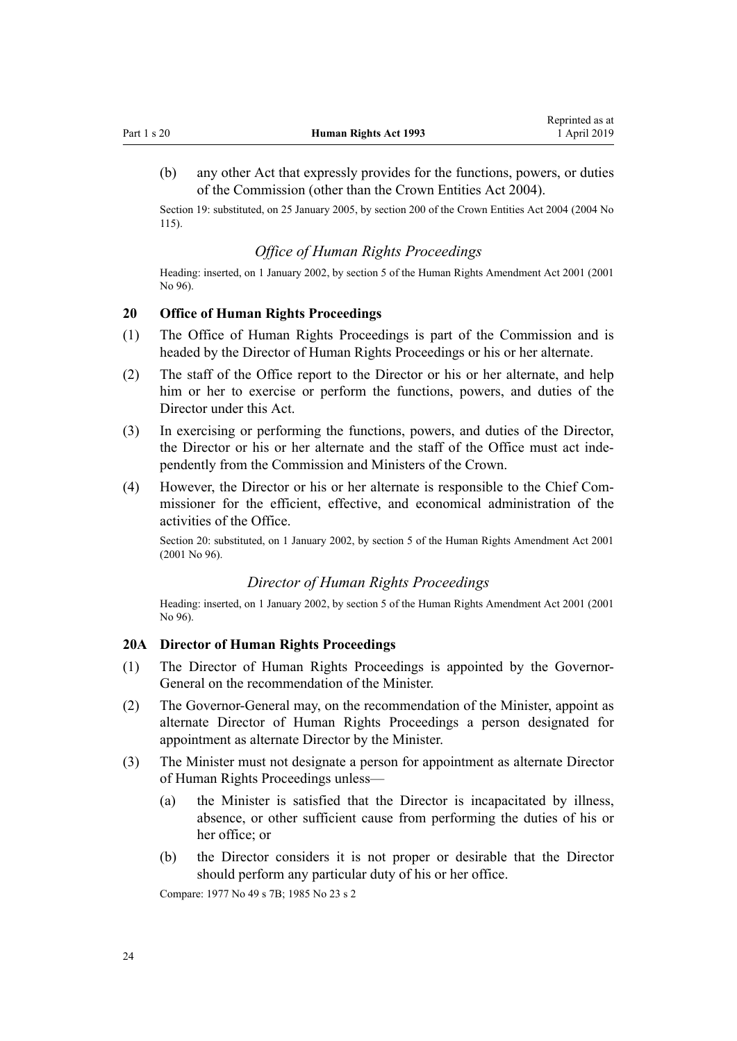<span id="page-23-0"></span>(b) any other Act that expressly provides for the functions, powers, or duties of the Commission (other than the [Crown Entities Act 2004](http://legislation.govt.nz/pdflink.aspx?id=DLM329630)).

Section 19: substituted, on 25 January 2005, by [section 200](http://legislation.govt.nz/pdflink.aspx?id=DLM331111) of the Crown Entities Act 2004 (2004 No 115).

#### *Office of Human Rights Proceedings*

Heading: inserted, on 1 January 2002, by [section 5](http://legislation.govt.nz/pdflink.aspx?id=DLM121843) of the Human Rights Amendment Act 2001 (2001 No 96).

## **20 Office of Human Rights Proceedings**

- (1) The Office of Human Rights Proceedings is part of the Commission and is headed by the Director of Human Rights Proceedings or his or her alternate.
- (2) The staff of the Office report to the Director or his or her alternate, and help him or her to exercise or perform the functions, powers, and duties of the Director under this Act.
- (3) In exercising or performing the functions, powers, and duties of the Director, the Director or his or her alternate and the staff of the Office must act independently from the Commission and Ministers of the Crown.
- (4) However, the Director or his or her alternate is responsible to the Chief Commissioner for the efficient, effective, and economical administration of the activities of the Office.

Section 20: substituted, on 1 January 2002, by [section 5](http://legislation.govt.nz/pdflink.aspx?id=DLM121843) of the Human Rights Amendment Act 2001 (2001 No 96).

#### *Director of Human Rights Proceedings*

Heading: inserted, on 1 January 2002, by [section 5](http://legislation.govt.nz/pdflink.aspx?id=DLM121843) of the Human Rights Amendment Act 2001 (2001 No 96).

#### **20A Director of Human Rights Proceedings**

- (1) The Director of Human Rights Proceedings is appointed by the Governor-General on the recommendation of the Minister.
- (2) The Governor-General may, on the recommendation of the Minister, appoint as alternate Director of Human Rights Proceedings a person designated for appointment as alternate Director by the Minister.
- (3) The Minister must not designate a person for appointment as alternate Director of Human Rights Proceedings unless—
	- (a) the Minister is satisfied that the Director is incapacitated by illness, absence, or other sufficient cause from performing the duties of his or her office; or
	- (b) the Director considers it is not proper or desirable that the Director should perform any particular duty of his or her office.

Compare: 1977 No 49 s 7B; 1985 No 23 s 2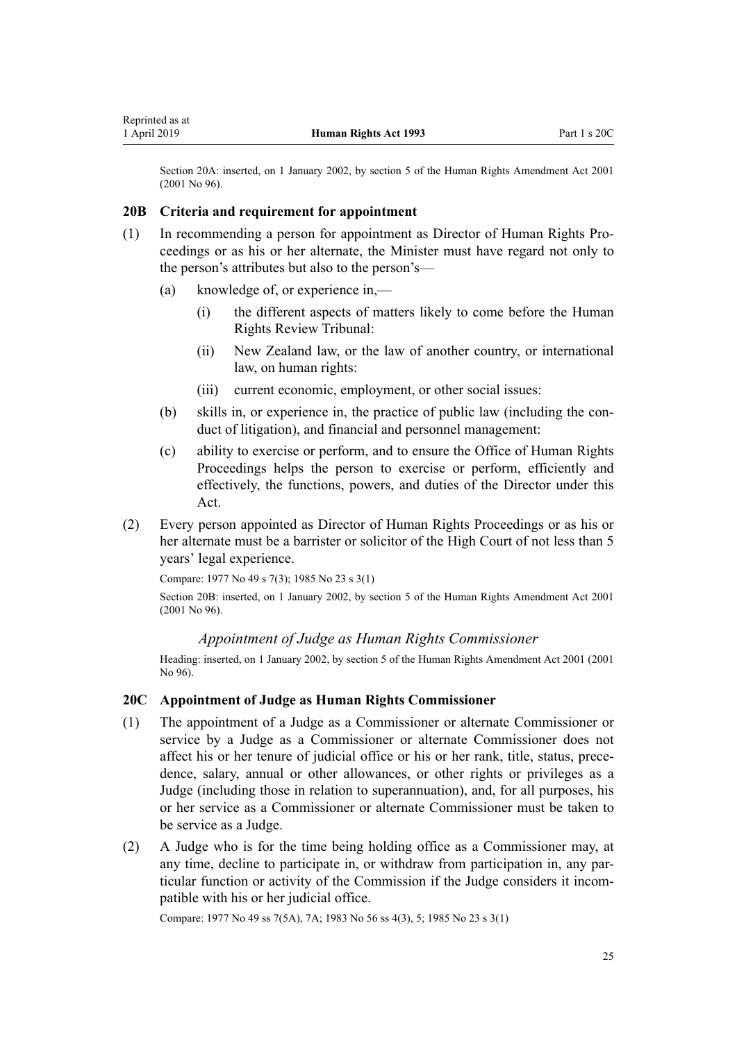<span id="page-24-0"></span>Section 20A: inserted, on 1 January 2002, by [section 5](http://legislation.govt.nz/pdflink.aspx?id=DLM121843) of the Human Rights Amendment Act 2001 (2001 No 96).

### **20B Criteria and requirement for appointment**

- (1) In recommending a person for appointment as Director of Human Rights Proceedings or as his or her alternate, the Minister must have regard not only to the person's attributes but also to the person's—
	- (a) knowledge of, or experience in,—
		- (i) the different aspects of matters likely to come before the Human Rights Review Tribunal:
		- (ii) New Zealand law, or the law of another country, or international law, on human rights:
		- (iii) current economic, employment, or other social issues:
	- (b) skills in, or experience in, the practice of public law (including the conduct of litigation), and financial and personnel management:
	- (c) ability to exercise or perform, and to ensure the Office of Human Rights Proceedings helps the person to exercise or perform, efficiently and effectively, the functions, powers, and duties of the Director under this Act.
- (2) Every person appointed as Director of Human Rights Proceedings or as his or her alternate must be a barrister or solicitor of the High Court of not less than 5 years' legal experience.

Compare: 1977 No 49 s 7(3); 1985 No 23 s 3(1)

Section 20B: inserted, on 1 January 2002, by [section 5](http://legislation.govt.nz/pdflink.aspx?id=DLM121843) of the Human Rights Amendment Act 2001 (2001 No 96).

# *Appointment of Judge as Human Rights Commissioner*

Heading: inserted, on 1 January 2002, by [section 5](http://legislation.govt.nz/pdflink.aspx?id=DLM121843) of the Human Rights Amendment Act 2001 (2001 No 96).

#### **20C Appointment of Judge as Human Rights Commissioner**

- (1) The appointment of a Judge as a Commissioner or alternate Commissioner or service by a Judge as a Commissioner or alternate Commissioner does not affect his or her tenure of judicial office or his or her rank, title, status, precedence, salary, annual or other allowances, or other rights or privileges as a Judge (including those in relation to superannuation), and, for all purposes, his or her service as a Commissioner or alternate Commissioner must be taken to be service as a Judge.
- (2) A Judge who is for the time being holding office as a Commissioner may, at any time, decline to participate in, or withdraw from participation in, any particular function or activity of the Commission if the Judge considers it incompatible with his or her judicial office.

Compare: 1977 No 49 ss 7(5A), 7A; 1983 No 56 ss 4(3), 5; 1985 No 23 s 3(1)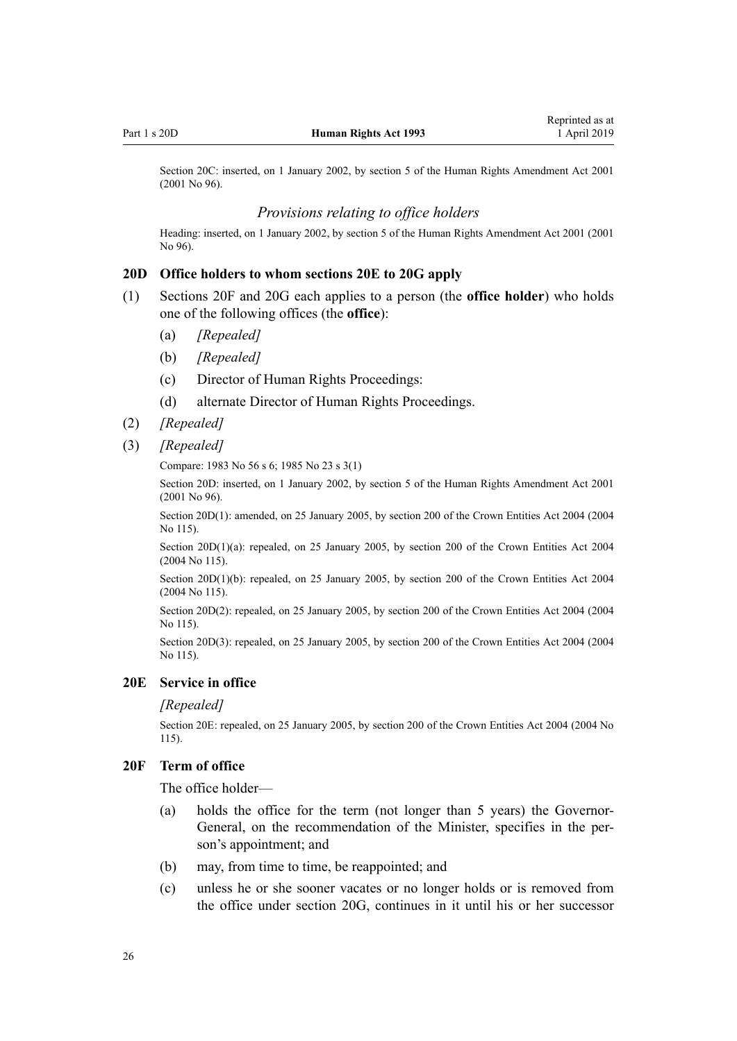<span id="page-25-0"></span>Section 20C: inserted, on 1 January 2002, by [section 5](http://legislation.govt.nz/pdflink.aspx?id=DLM121843) of the Human Rights Amendment Act 2001 (2001 No 96).

#### *Provisions relating to office holders*

Heading: inserted, on 1 January 2002, by [section 5](http://legislation.govt.nz/pdflink.aspx?id=DLM121843) of the Human Rights Amendment Act 2001 (2001 No 96).

#### **20D Office holders to whom sections 20E to 20G apply**

- (1) Sections 20F and [20G](#page-26-0) each applies to a person (the **office holder**) who holds one of the following offices (the **office**):
	- (a) *[Repealed]*
	- (b) *[Repealed]*
	- (c) Director of Human Rights Proceedings:
	- (d) alternate Director of Human Rights Proceedings.
- (2) *[Repealed]*
- (3) *[Repealed]*

Compare: 1983 No 56 s 6; 1985 No 23 s 3(1)

Section 20D: inserted, on 1 January 2002, by [section 5](http://legislation.govt.nz/pdflink.aspx?id=DLM121843) of the Human Rights Amendment Act 2001 (2001 No 96).

Section 20D(1): amended, on 25 January 2005, by [section 200](http://legislation.govt.nz/pdflink.aspx?id=DLM331111) of the Crown Entities Act 2004 (2004 No 115).

Section 20D(1)(a): repealed, on 25 January 2005, by [section 200](http://legislation.govt.nz/pdflink.aspx?id=DLM331111) of the Crown Entities Act 2004 (2004 No 115).

Section 20D(1)(b): repealed, on 25 January 2005, by [section 200](http://legislation.govt.nz/pdflink.aspx?id=DLM331111) of the Crown Entities Act 2004 (2004 No 115).

Section 20D(2): repealed, on 25 January 2005, by [section 200](http://legislation.govt.nz/pdflink.aspx?id=DLM331111) of the Crown Entities Act 2004 (2004 No 115).

Section 20D(3): repealed, on 25 January 2005, by [section 200](http://legislation.govt.nz/pdflink.aspx?id=DLM331111) of the Crown Entities Act 2004 (2004 No 115).

#### **20E Service in office**

#### *[Repealed]*

Section 20E: repealed, on 25 January 2005, by [section 200](http://legislation.govt.nz/pdflink.aspx?id=DLM331111) of the Crown Entities Act 2004 (2004 No 115).

#### **20F Term of office**

The office holder—

- (a) holds the office for the term (not longer than 5 years) the Governor-General, on the recommendation of the Minister, specifies in the person's appointment; and
- (b) may, from time to time, be reappointed; and
- (c) unless he or she sooner vacates or no longer holds or is removed from the office under [section 20G,](#page-26-0) continues in it until his or her successor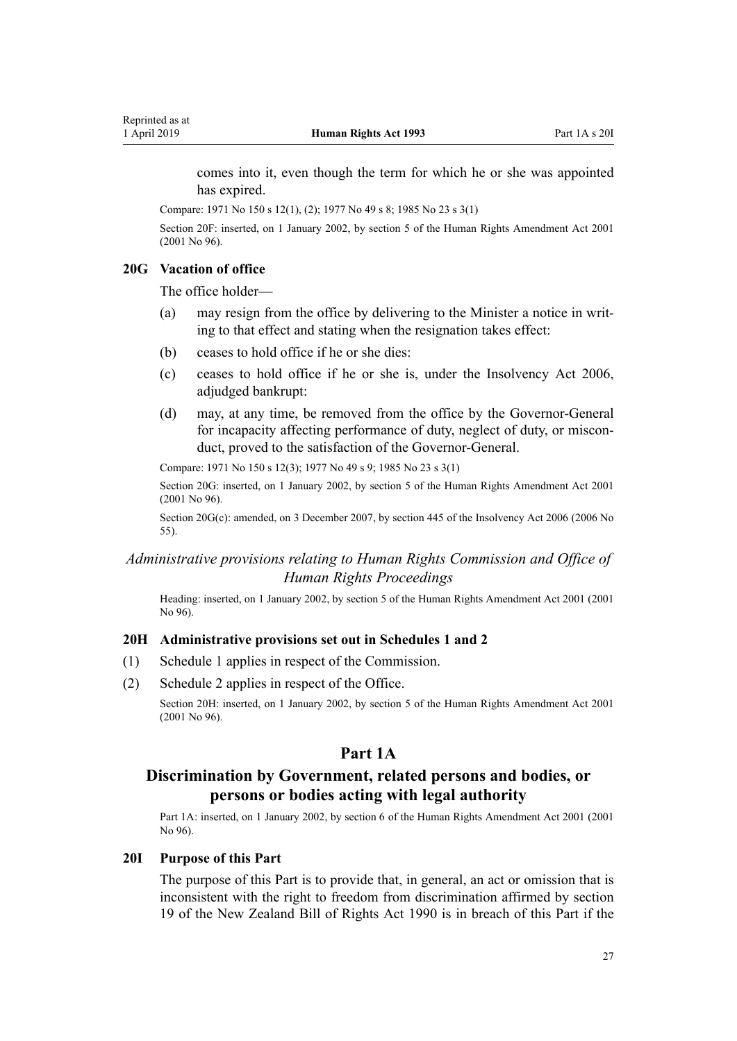<span id="page-26-0"></span>comes into it, even though the term for which he or she was appointed has expired.

Compare: 1971 No 150 s 12(1), (2); 1977 No 49 s 8; 1985 No 23 s 3(1)

Section 20F: inserted, on 1 January 2002, by [section 5](http://legislation.govt.nz/pdflink.aspx?id=DLM121843) of the Human Rights Amendment Act 2001 (2001 No 96).

# **20G Vacation of office**

The office holder—

- (a) may resign from the office by delivering to the Minister a notice in writing to that effect and stating when the resignation takes effect:
- (b) ceases to hold office if he or she dies:
- (c) ceases to hold office if he or she is, under the Insolvency Act 2006, adjudged bankrupt:
- (d) may, at any time, be removed from the office by the Governor-General for incapacity affecting performance of duty, neglect of duty, or misconduct, proved to the satisfaction of the Governor-General.

Compare: 1971 No 150 s 12(3); 1977 No 49 s 9; 1985 No 23 s 3(1)

Section 20G: inserted, on 1 January 2002, by [section 5](http://legislation.govt.nz/pdflink.aspx?id=DLM121843) of the Human Rights Amendment Act 2001 (2001 No 96).

Section 20G(c): amended, on 3 December 2007, by [section 445](http://legislation.govt.nz/pdflink.aspx?id=DLM387857) of the Insolvency Act 2006 (2006 No 55).

# *Administrative provisions relating to Human Rights Commission and Office of Human Rights Proceedings*

Heading: inserted, on 1 January 2002, by [section 5](http://legislation.govt.nz/pdflink.aspx?id=DLM121843) of the Human Rights Amendment Act 2001 (2001 No 96).

#### **20H Administrative provisions set out in Schedules 1 and 2**

- (1) [Schedule 1](#page-126-0) applies in respect of the Commission.
- (2) [Schedule 2](#page-130-0) applies in respect of the Office.

Section 20H: inserted, on 1 January 2002, by [section 5](http://legislation.govt.nz/pdflink.aspx?id=DLM121843) of the Human Rights Amendment Act 2001 (2001 No 96).

# **Part 1A**

# **Discrimination by Government, related persons and bodies, or persons or bodies acting with legal authority**

Part 1A: inserted, on 1 January 2002, by [section 6](http://legislation.govt.nz/pdflink.aspx?id=DLM121882) of the Human Rights Amendment Act 2001 (2001 No 96).

#### **20I Purpose of this Part**

The purpose of this Part is to provide that, in general, an act or omission that is inconsistent with the right to freedom from discrimination affirmed by [section](http://legislation.govt.nz/pdflink.aspx?id=DLM225519) [19](http://legislation.govt.nz/pdflink.aspx?id=DLM225519) of the New Zealand Bill of Rights Act 1990 is in breach of this Part if the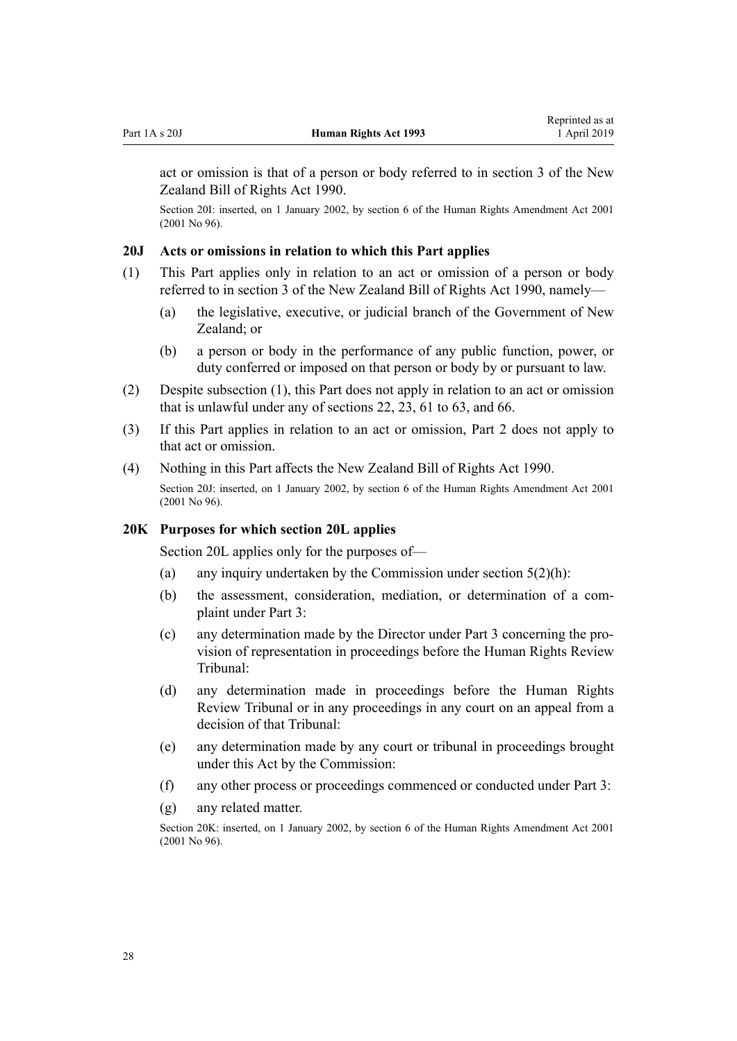<span id="page-27-0"></span>act or omission is that of a person or body referred to in [section 3](http://legislation.govt.nz/pdflink.aspx?id=DLM224799) of the New Zealand Bill of Rights Act 1990.

Section 20I: inserted, on 1 January 2002, by [section 6](http://legislation.govt.nz/pdflink.aspx?id=DLM121882) of the Human Rights Amendment Act 2001 (2001 No 96).

#### **20J Acts or omissions in relation to which this Part applies**

- (1) This Part applies only in relation to an act or omission of a person or body referred to in [section 3](http://legislation.govt.nz/pdflink.aspx?id=DLM224799) of the New Zealand Bill of Rights Act 1990, namely—
	- (a) the legislative, executive, or judicial branch of the Government of New Zealand; or
	- (b) a person or body in the performance of any public function, power, or duty conferred or imposed on that person or body by or pursuant to law.
- (2) Despite subsection (1), this Part does not apply in relation to an act or omission that is unlawful under any of [sections 22](#page-31-0), [23](#page-32-0), [61 to 63,](#page-49-0) and [66](#page-53-0).
- (3) If this Part applies in relation to an act or omission, [Part 2](#page-28-0) does not apply to that act or omission.
- (4) Nothing in this Part affects the [New Zealand Bill of Rights Act 1990](http://legislation.govt.nz/pdflink.aspx?id=DLM224791).

Section 20J: inserted, on 1 January 2002, by [section 6](http://legislation.govt.nz/pdflink.aspx?id=DLM121882) of the Human Rights Amendment Act 2001 (2001 No 96).

#### **20K Purposes for which section 20L applies**

[Section 20L](#page-28-0) applies only for the purposes of—

- (a) any inquiry undertaken by the Commission under section  $5(2)(h)$ :
- (b) the assessment, consideration, mediation, or determination of a complaint under [Part 3](#page-59-0):
- (c) any determination made by the Director under [Part 3](#page-59-0) concerning the provision of representation in proceedings before the Human Rights Review Tribunal:
- (d) any determination made in proceedings before the Human Rights Review Tribunal or in any proceedings in any court on an appeal from a decision of that Tribunal:
- (e) any determination made by any court or tribunal in proceedings brought under this Act by the Commission:
- (f) any other process or proceedings commenced or conducted under [Part 3:](#page-59-0)
- (g) any related matter.

Section 20K: inserted, on 1 January 2002, by [section 6](http://legislation.govt.nz/pdflink.aspx?id=DLM121882) of the Human Rights Amendment Act 2001 (2001 No 96).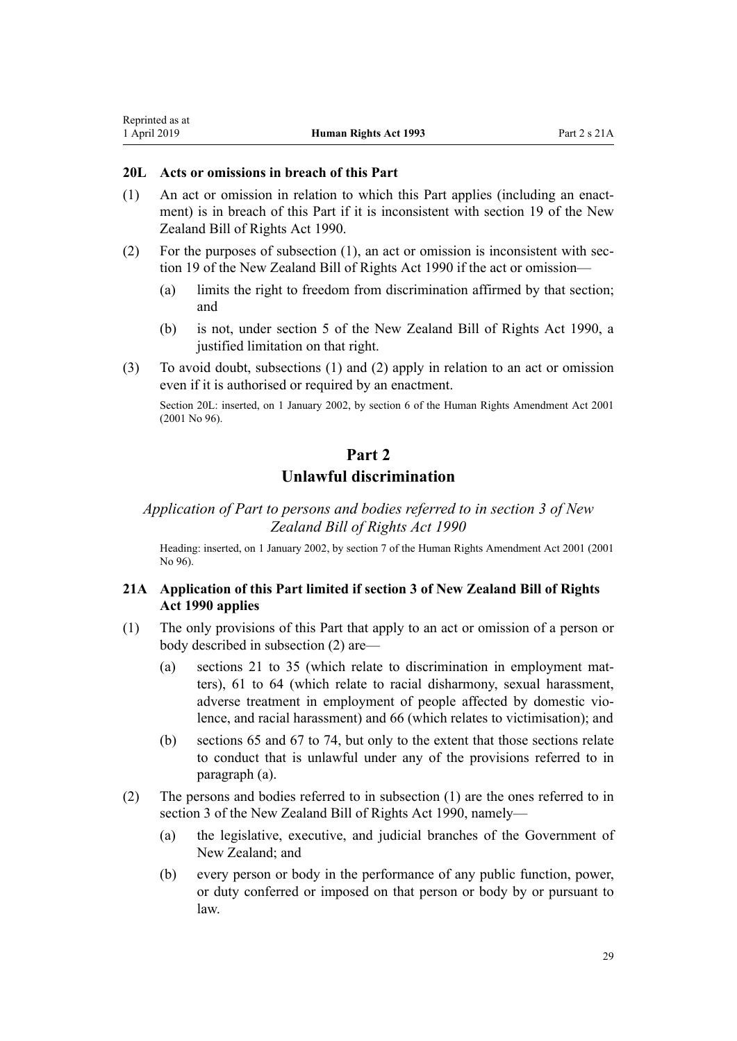#### <span id="page-28-0"></span>**20L Acts or omissions in breach of this Part**

- (1) An act or omission in relation to which this Part applies (including an enactment) is in breach of this Part if it is inconsistent with [section 19](http://legislation.govt.nz/pdflink.aspx?id=DLM225519) of the New Zealand Bill of Rights Act 1990.
- (2) For the purposes of subsection (1), an act or omission is inconsistent with [sec](http://legislation.govt.nz/pdflink.aspx?id=DLM225519)[tion 19](http://legislation.govt.nz/pdflink.aspx?id=DLM225519) of the New Zealand Bill of Rights Act 1990 if the act or omission—
	- (a) limits the right to freedom from discrimination affirmed by that section; and
	- (b) is not, under [section 5](http://legislation.govt.nz/pdflink.aspx?id=DLM225501) of the New Zealand Bill of Rights Act 1990, a justified limitation on that right.
- (3) To avoid doubt, subsections (1) and (2) apply in relation to an act or omission even if it is authorised or required by an enactment.

Section 20L: inserted, on 1 January 2002, by [section 6](http://legislation.govt.nz/pdflink.aspx?id=DLM121882) of the Human Rights Amendment Act 2001 (2001 No 96).

# **Part 2 Unlawful discrimination**

# *Application of Part to persons and bodies referred to in section 3 of New Zealand Bill of Rights Act 1990*

Heading: inserted, on 1 January 2002, by [section 7](http://legislation.govt.nz/pdflink.aspx?id=DLM121889) of the Human Rights Amendment Act 2001 (2001 No 96).

# **21A Application of this Part limited if section 3 of New Zealand Bill of Rights Act 1990 applies**

- (1) The only provisions of this Part that apply to an act or omission of a person or body described in subsection (2) are—
	- (a) [sections 21 to 35](#page-29-0) (which relate to discrimination in employment matters), [61 to 64](#page-49-0) (which relate to racial disharmony, sexual harassment, adverse treatment in employment of people affected by domestic violence, and racial harassment) and [66](#page-53-0) (which relates to victimisation); and
	- (b) [sections 65](#page-53-0) and [67 to 74,](#page-54-0) but only to the extent that those sections relate to conduct that is unlawful under any of the provisions referred to in paragraph (a).
- (2) The persons and bodies referred to in subsection (1) are the ones referred to in [section 3](http://legislation.govt.nz/pdflink.aspx?id=DLM224799) of the New Zealand Bill of Rights Act 1990, namely—
	- (a) the legislative, executive, and judicial branches of the Government of New Zealand; and
	- (b) every person or body in the performance of any public function, power, or duty conferred or imposed on that person or body by or pursuant to law.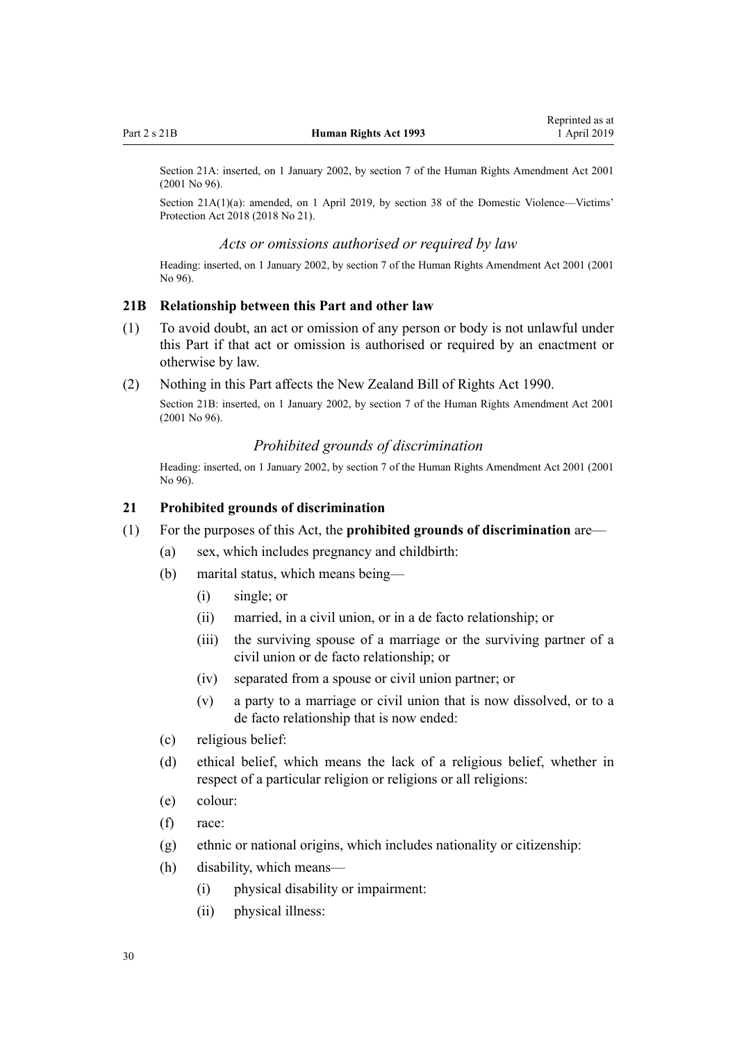<span id="page-29-0"></span>Section 21A: inserted, on 1 January 2002, by [section 7](http://legislation.govt.nz/pdflink.aspx?id=DLM121889) of the Human Rights Amendment Act 2001 (2001 No 96).

Section 21A(1)(a): amended, on 1 April 2019, by [section 38](http://legislation.govt.nz/pdflink.aspx?id=LMS50998) of the Domestic Violence—Victims' Protection Act 2018 (2018 No 21).

#### *Acts or omissions authorised or required by law*

Heading: inserted, on 1 January 2002, by [section 7](http://legislation.govt.nz/pdflink.aspx?id=DLM121889) of the Human Rights Amendment Act 2001 (2001 No 96).

#### **21B Relationship between this Part and other law**

- (1) To avoid doubt, an act or omission of any person or body is not unlawful under this Part if that act or omission is authorised or required by an enactment or otherwise by law.
- (2) Nothing in this Part affects the [New Zealand Bill of Rights Act 1990](http://legislation.govt.nz/pdflink.aspx?id=DLM224791).

Section 21B: inserted, on 1 January 2002, by [section 7](http://legislation.govt.nz/pdflink.aspx?id=DLM121889) of the Human Rights Amendment Act 2001 (2001 No 96).

#### *Prohibited grounds of discrimination*

Heading: inserted, on 1 January 2002, by [section 7](http://legislation.govt.nz/pdflink.aspx?id=DLM121889) of the Human Rights Amendment Act 2001 (2001 No 96).

#### **21 Prohibited grounds of discrimination**

- (1) For the purposes of this Act, the **prohibited grounds of discrimination** are—
	- (a) sex, which includes pregnancy and childbirth:
	- (b) marital status, which means being—
		- (i) single; or
		- (ii) married, in a civil union, or in a de facto relationship; or
		- (iii) the surviving spouse of a marriage or the surviving partner of a civil union or de facto relationship; or
		- (iv) separated from a spouse or civil union partner; or
		- (v) a party to a marriage or civil union that is now dissolved, or to a de facto relationship that is now ended:
	- (c) religious belief:
	- (d) ethical belief, which means the lack of a religious belief, whether in respect of a particular religion or religions or all religions:
	- (e) colour:
	- (f) race:
	- (g) ethnic or national origins, which includes nationality or citizenship:
	- (h) disability, which means—
		- (i) physical disability or impairment:
		- (ii) physical illness: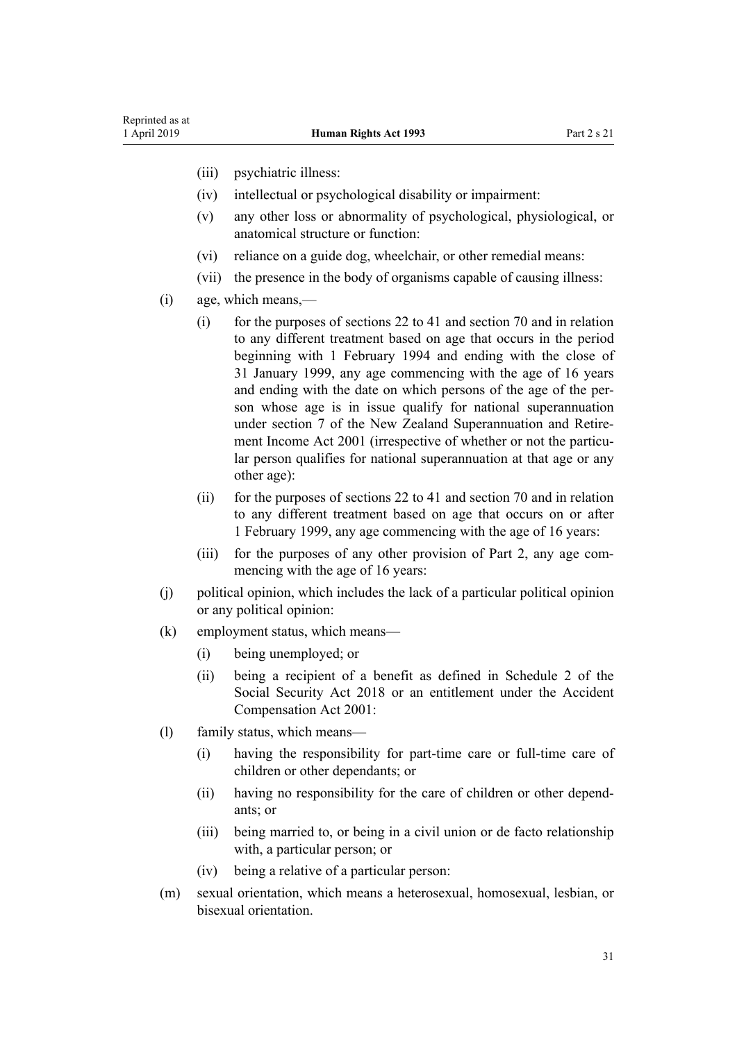- (iii) psychiatric illness:
- (iv) intellectual or psychological disability or impairment:
- (v) any other loss or abnormality of psychological, physiological, or anatomical structure or function:
- (vi) reliance on a guide dog, wheelchair, or other remedial means:
- (vii) the presence in the body of organisms capable of causing illness:
- (i) age, which means,—
	- (i) for the purposes of [sections 22 to 41](#page-31-0) and [section 70](#page-55-0) and in relation to any different treatment based on age that occurs in the period beginning with 1 February 1994 and ending with the close of 31 January 1999, any age commencing with the age of 16 years and ending with the date on which persons of the age of the person whose age is in issue qualify for national superannuation under [section 7](http://legislation.govt.nz/pdflink.aspx?id=DLM113987) of the New Zealand Superannuation and Retirement Income Act 2001 (irrespective of whether or not the particular person qualifies for national superannuation at that age or any other age):
	- (ii) for the purposes of [sections 22 to 41](#page-31-0) and [section 70](#page-55-0) and in relation to any different treatment based on age that occurs on or after 1 February 1999, any age commencing with the age of 16 years:
	- (iii) for the purposes of any other provision of [Part 2,](#page-28-0) any age commencing with the age of 16 years:
- (j) political opinion, which includes the lack of a particular political opinion or any political opinion:
- (k) employment status, which means—
	- (i) being unemployed; or
	- (ii) being a recipient of a benefit as defined in [Schedule 2](http://legislation.govt.nz/pdflink.aspx?id=DLM6784375) of the Social Security Act 2018 or an entitlement under the [Accident](http://legislation.govt.nz/pdflink.aspx?id=DLM99493) [Compensation Act 2001](http://legislation.govt.nz/pdflink.aspx?id=DLM99493):
- (l) family status, which means—
	- (i) having the responsibility for part-time care or full-time care of children or other dependants; or
	- (ii) having no responsibility for the care of children or other dependants; or
	- (iii) being married to, or being in a civil union or de facto relationship with, a particular person; or
	- (iv) being a relative of a particular person:
- (m) sexual orientation, which means a heterosexual, homosexual, lesbian, or bisexual orientation.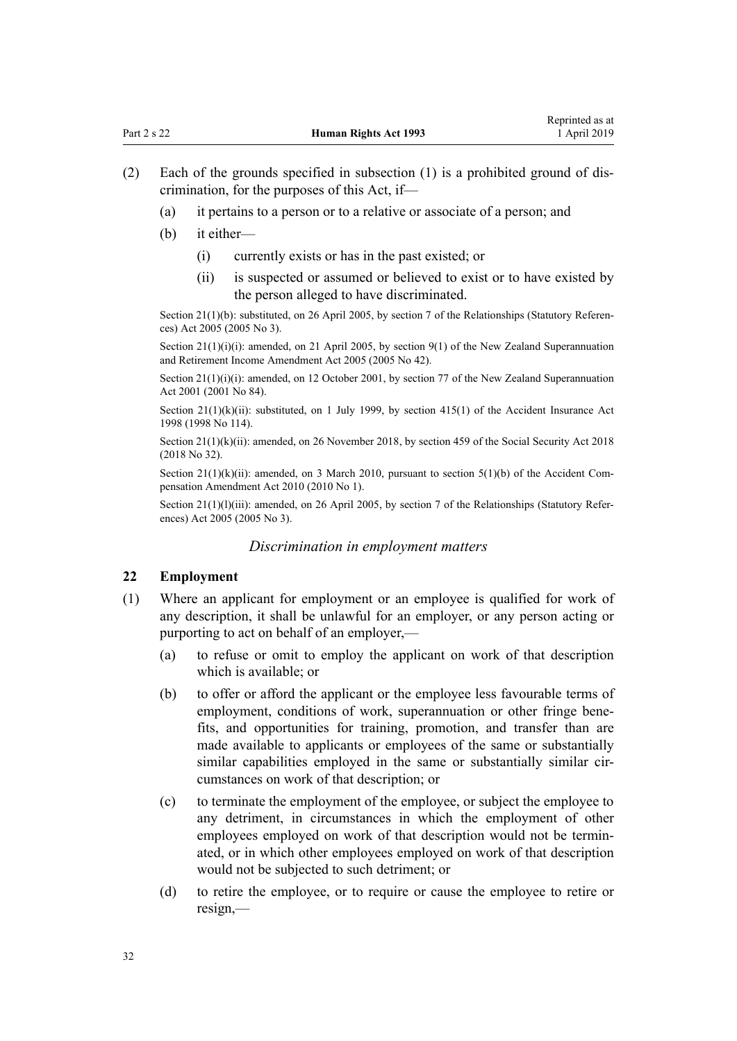- <span id="page-31-0"></span>(2) Each of the grounds specified in subsection (1) is a prohibited ground of discrimination, for the purposes of this Act, if—
	- (a) it pertains to a person or to a relative or associate of a person; and
	- (b) it either—
		- (i) currently exists or has in the past existed; or
		- (ii) is suspected or assumed or believed to exist or to have existed by the person alleged to have discriminated.

Section 21(1)(b): substituted, on 26 April 2005, by [section 7](http://legislation.govt.nz/pdflink.aspx?id=DLM333795) of the Relationships (Statutory References) Act 2005 (2005 No 3).

Section  $21(1)(i)(i)$ : amended, on 21 April 2005, by section  $9(1)$  of the New Zealand Superannuation and Retirement Income Amendment Act 2005 (2005 No 42).

Section  $21(1)(i)(i)$ : amended, on 12 October 2001, by [section 77](http://legislation.govt.nz/pdflink.aspx?id=DLM114875) of the New Zealand Superannuation Act 2001 (2001 No 84).

Section 21(1)(k)(ii): substituted, on 1 July 1999, by section 415(1) of the Accident Insurance Act 1998 (1998 No 114).

Section 21(1)(k)(ii): amended, on 26 November 2018, by [section 459](http://legislation.govt.nz/pdflink.aspx?id=DLM6784038) of the Social Security Act 2018 (2018 No 32).

Section  $21(1)(k)(ii)$ : amended, on 3 March 2010, pursuant to section  $5(1)(b)$  of the Accident Compensation Amendment Act 2010 (2010 No 1).

Section 21(1)(l)(iii): amended, on 26 April 2005, by [section 7](http://legislation.govt.nz/pdflink.aspx?id=DLM333795) of the Relationships (Statutory References) Act 2005 (2005 No 3).

#### *Discrimination in employment matters*

#### **22 Employment**

- (1) Where an applicant for employment or an employee is qualified for work of any description, it shall be unlawful for an employer, or any person acting or purporting to act on behalf of an employer,—
	- (a) to refuse or omit to employ the applicant on work of that description which is available; or
	- (b) to offer or afford the applicant or the employee less favourable terms of employment, conditions of work, superannuation or other fringe benefits, and opportunities for training, promotion, and transfer than are made available to applicants or employees of the same or substantially similar capabilities employed in the same or substantially similar circumstances on work of that description; or
	- (c) to terminate the employment of the employee, or subject the employee to any detriment, in circumstances in which the employment of other employees employed on work of that description would not be terminated, or in which other employees employed on work of that description would not be subjected to such detriment; or
	- (d) to retire the employee, or to require or cause the employee to retire or resign,—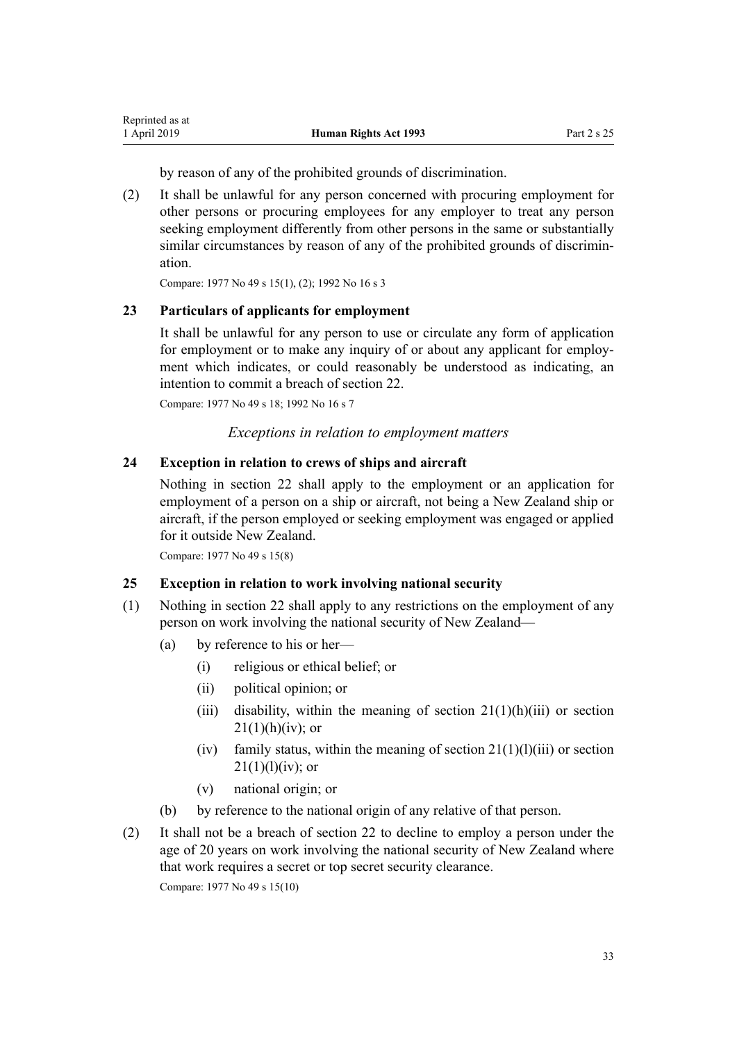by reason of any of the prohibited grounds of discrimination.

<span id="page-32-0"></span>(2) It shall be unlawful for any person concerned with procuring employment for other persons or procuring employees for any employer to treat any person seeking employment differently from other persons in the same or substantially similar circumstances by reason of any of the prohibited grounds of discrimination.

Compare: 1977 No 49 s 15(1), (2); 1992 No 16 s 3

# **23 Particulars of applicants for employment**

It shall be unlawful for any person to use or circulate any form of application for employment or to make any inquiry of or about any applicant for employment which indicates, or could reasonably be understood as indicating, an intention to commit a breach of [section 22.](#page-31-0)

Compare: 1977 No 49 s 18; 1992 No 16 s 7

*Exceptions in relation to employment matters*

# **24 Exception in relation to crews of ships and aircraft**

Nothing in [section 22](#page-31-0) shall apply to the employment or an application for employment of a person on a ship or aircraft, not being a New Zealand ship or aircraft, if the person employed or seeking employment was engaged or applied for it outside New Zealand.

Compare: 1977 No 49 s 15(8)

#### **25 Exception in relation to work involving national security**

- (1) Nothing in [section 22](#page-31-0) shall apply to any restrictions on the employment of any person on work involving the national security of New Zealand—
	- (a) by reference to his or her—
		- (i) religious or ethical belief; or
		- (ii) political opinion; or
		- (iii) disability, within the meaning of [section](#page-29-0)  $21(1)(h)(iii)$  or section  $21(1)(h)(iv)$ ; or
		- (iv) family status, within the meaning of [section](#page-29-0)  $21(1)(1)(iii)$  or section  $21(1)(1)(iv)$ ; or
		- (v) national origin; or
	- (b) by reference to the national origin of any relative of that person.
- (2) It shall not be a breach of [section 22](#page-31-0) to decline to employ a person under the age of 20 years on work involving the national security of New Zealand where that work requires a secret or top secret security clearance.

Compare: 1977 No 49 s 15(10)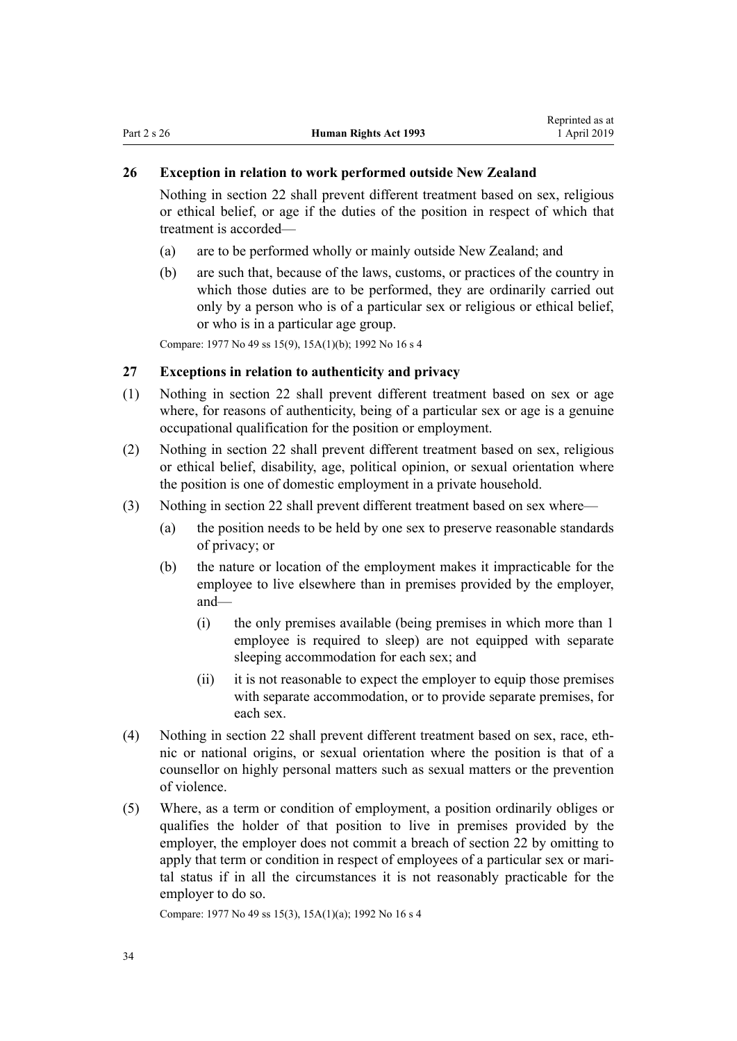# <span id="page-33-0"></span>**26 Exception in relation to work performed outside New Zealand**

Nothing in [section 22](#page-31-0) shall prevent different treatment based on sex, religious or ethical belief, or age if the duties of the position in respect of which that treatment is accorded—

- (a) are to be performed wholly or mainly outside New Zealand; and
- (b) are such that, because of the laws, customs, or practices of the country in which those duties are to be performed, they are ordinarily carried out only by a person who is of a particular sex or religious or ethical belief, or who is in a particular age group.

Compare: 1977 No 49 ss 15(9), 15A(1)(b); 1992 No 16 s 4

#### **27 Exceptions in relation to authenticity and privacy**

- (1) Nothing in [section 22](#page-31-0) shall prevent different treatment based on sex or age where, for reasons of authenticity, being of a particular sex or age is a genuine occupational qualification for the position or employment.
- (2) Nothing in [section 22](#page-31-0) shall prevent different treatment based on sex, religious or ethical belief, disability, age, political opinion, or sexual orientation where the position is one of domestic employment in a private household.
- (3) Nothing in [section 22](#page-31-0) shall prevent different treatment based on sex where—
	- (a) the position needs to be held by one sex to preserve reasonable standards of privacy; or
	- (b) the nature or location of the employment makes it impracticable for the employee to live elsewhere than in premises provided by the employer, and—
		- (i) the only premises available (being premises in which more than 1 employee is required to sleep) are not equipped with separate sleeping accommodation for each sex; and
		- (ii) it is not reasonable to expect the employer to equip those premises with separate accommodation, or to provide separate premises, for each sex.
- (4) Nothing in [section 22](#page-31-0) shall prevent different treatment based on sex, race, ethnic or national origins, or sexual orientation where the position is that of a counsellor on highly personal matters such as sexual matters or the prevention of violence.
- (5) Where, as a term or condition of employment, a position ordinarily obliges or qualifies the holder of that position to live in premises provided by the employer, the employer does not commit a breach of [section 22](#page-31-0) by omitting to apply that term or condition in respect of employees of a particular sex or marital status if in all the circumstances it is not reasonably practicable for the employer to do so.

Compare: 1977 No 49 ss 15(3), 15A(1)(a); 1992 No 16 s 4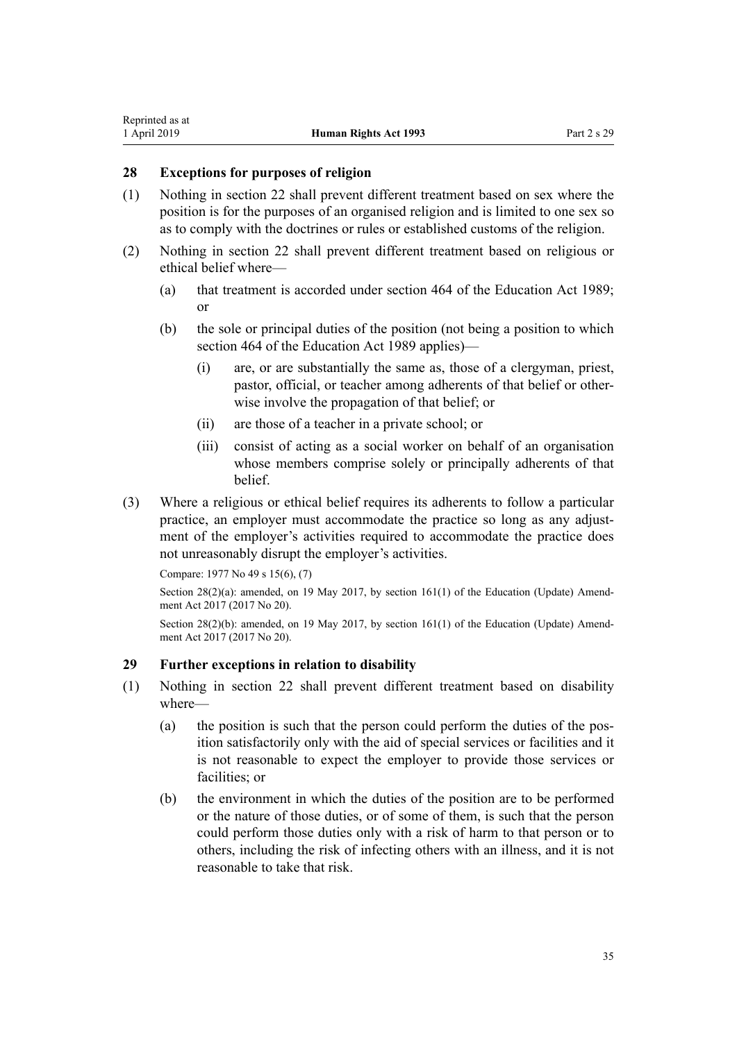# <span id="page-34-0"></span>**28 Exceptions for purposes of religion**

- (1) Nothing in [section 22](#page-31-0) shall prevent different treatment based on sex where the position is for the purposes of an organised religion and is limited to one sex so as to comply with the doctrines or rules or established customs of the religion.
- (2) Nothing in [section 22](#page-31-0) shall prevent different treatment based on religious or ethical belief where—
	- (a) that treatment is accorded under [section 464](http://legislation.govt.nz/pdflink.aspx?id=DLM7270093) of the Education Act 1989; or
	- (b) the sole or principal duties of the position (not being a position to which [section 464](http://legislation.govt.nz/pdflink.aspx?id=DLM7270093) of the Education Act 1989 applies)—
		- (i) are, or are substantially the same as, those of a clergyman, priest, pastor, official, or teacher among adherents of that belief or otherwise involve the propagation of that belief; or
		- (ii) are those of a teacher in a private school; or
		- (iii) consist of acting as a social worker on behalf of an organisation whose members comprise solely or principally adherents of that belief.
- (3) Where a religious or ethical belief requires its adherents to follow a particular practice, an employer must accommodate the practice so long as any adjustment of the employer's activities required to accommodate the practice does not unreasonably disrupt the employer's activities.

Compare: 1977 No 49 s 15(6), (7)

Section 28(2)(a): amended, on 19 May 2017, by [section 161\(1\)](http://legislation.govt.nz/pdflink.aspx?id=DLM6929049) of the Education (Update) Amendment Act 2017 (2017 No 20).

Section 28(2)(b): amended, on 19 May 2017, by [section 161\(1\)](http://legislation.govt.nz/pdflink.aspx?id=DLM6929049) of the Education (Update) Amendment Act 2017 (2017 No 20).

#### **29 Further exceptions in relation to disability**

- (1) Nothing in [section 22](#page-31-0) shall prevent different treatment based on disability where—
	- (a) the position is such that the person could perform the duties of the position satisfactorily only with the aid of special services or facilities and it is not reasonable to expect the employer to provide those services or facilities; or
	- (b) the environment in which the duties of the position are to be performed or the nature of those duties, or of some of them, is such that the person could perform those duties only with a risk of harm to that person or to others, including the risk of infecting others with an illness, and it is not reasonable to take that risk.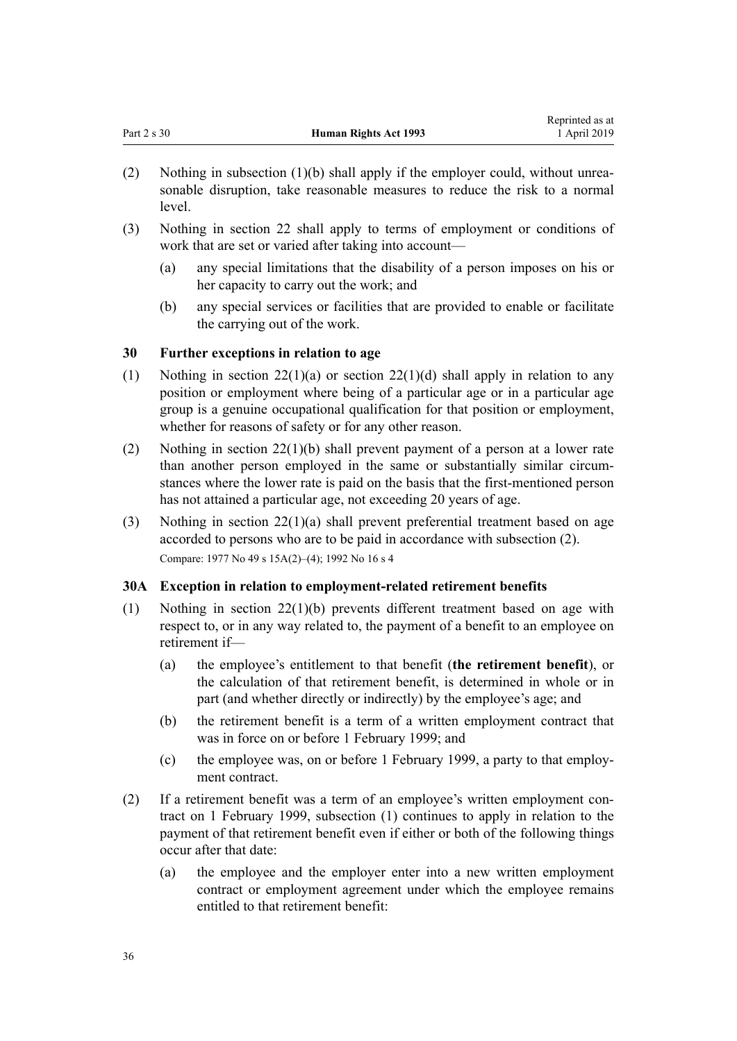<span id="page-35-0"></span>

|               |                              | <i>reprinted as at</i> |
|---------------|------------------------------|------------------------|
| Part $2 s 30$ | <b>Human Rights Act 1993</b> | 1 April 2019           |

Reprinted as at

- (2) Nothing in subsection (1)(b) shall apply if the employer could, without unreasonable disruption, take reasonable measures to reduce the risk to a normal level.
- (3) Nothing in [section 22](#page-31-0) shall apply to terms of employment or conditions of work that are set or varied after taking into account—
	- (a) any special limitations that the disability of a person imposes on his or her capacity to carry out the work; and
	- (b) any special services or facilities that are provided to enable or facilitate the carrying out of the work.

# **30 Further exceptions in relation to age**

- (1) Nothing in section  $22(1)(a)$  or section  $22(1)(d)$  shall apply in relation to any position or employment where being of a particular age or in a particular age group is a genuine occupational qualification for that position or employment, whether for reasons of safety or for any other reason.
- (2) Nothing in [section 22\(1\)\(b\)](#page-31-0) shall prevent payment of a person at a lower rate than another person employed in the same or substantially similar circumstances where the lower rate is paid on the basis that the first-mentioned person has not attained a particular age, not exceeding 20 years of age.
- (3) Nothing in [section 22\(1\)\(a\)](#page-31-0) shall prevent preferential treatment based on age accorded to persons who are to be paid in accordance with subsection (2). Compare: 1977 No 49 s 15A(2)–(4); 1992 No 16 s 4

#### **30A Exception in relation to employment-related retirement benefits**

- (1) Nothing in [section 22\(1\)\(b\)](#page-31-0) prevents different treatment based on age with respect to, or in any way related to, the payment of a benefit to an employee on retirement if—
	- (a) the employee's entitlement to that benefit (**the retirement benefit**), or the calculation of that retirement benefit, is determined in whole or in part (and whether directly or indirectly) by the employee's age; and
	- (b) the retirement benefit is a term of a written employment contract that was in force on or before 1 February 1999; and
	- (c) the employee was, on or before 1 February 1999, a party to that employment contract.
- (2) If a retirement benefit was a term of an employee's written employment contract on 1 February 1999, subsection (1) continues to apply in relation to the payment of that retirement benefit even if either or both of the following things occur after that date:
	- (a) the employee and the employer enter into a new written employment contract or employment agreement under which the employee remains entitled to that retirement benefit: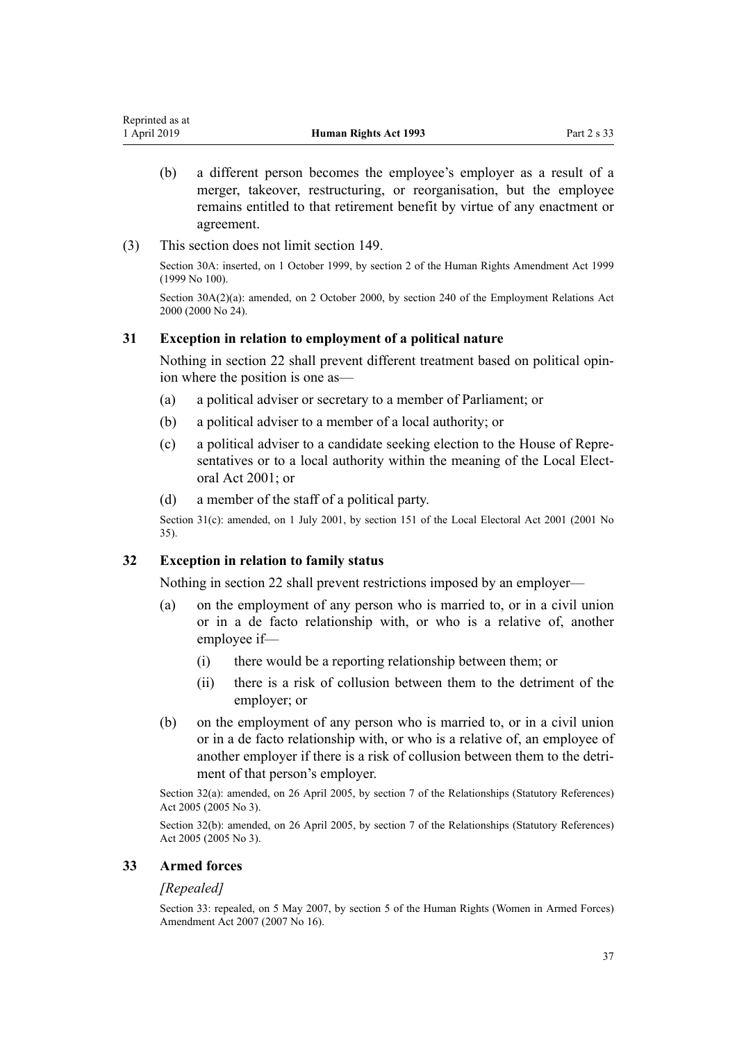- (b) a different person becomes the employee's employer as a result of a merger, takeover, restructuring, or reorganisation, but the employee remains entitled to that retirement benefit by virtue of any enactment or agreement.
- (3) This section does not limit [section 149.](#page-120-0)

Section 30A: inserted, on 1 October 1999, by [section 2](http://legislation.govt.nz/pdflink.aspx?id=DLM39233) of the Human Rights Amendment Act 1999 (1999 No 100).

Section 30A(2)(a): amended, on 2 October 2000, by [section 240](http://legislation.govt.nz/pdflink.aspx?id=DLM61487) of the Employment Relations Act 2000 (2000 No 24).

#### **31 Exception in relation to employment of a political nature**

Nothing in [section 22](#page-31-0) shall prevent different treatment based on political opinion where the position is one as—

- (a) a political adviser or secretary to a member of Parliament; or
- (b) a political adviser to a member of a local authority; or
- (c) a political adviser to a candidate seeking election to the House of Representatives or to a local authority within the meaning of the [Local Elect](http://legislation.govt.nz/pdflink.aspx?id=DLM93300)[oral Act 2001](http://legislation.govt.nz/pdflink.aspx?id=DLM93300); or
- (d) a member of the staff of a political party.

Section 31(c): amended, on 1 July 2001, by [section 151](http://legislation.govt.nz/pdflink.aspx?id=DLM95330) of the Local Electoral Act 2001 (2001 No 35).

## **32 Exception in relation to family status**

Nothing in [section 22](#page-31-0) shall prevent restrictions imposed by an employer—

- (a) on the employment of any person who is married to, or in a civil union or in a de facto relationship with, or who is a relative of, another employee if—
	- (i) there would be a reporting relationship between them; or
	- (ii) there is a risk of collusion between them to the detriment of the employer; or
- (b) on the employment of any person who is married to, or in a civil union or in a de facto relationship with, or who is a relative of, an employee of another employer if there is a risk of collusion between them to the detriment of that person's employer.

Section 32(a): amended, on 26 April 2005, by [section 7](http://legislation.govt.nz/pdflink.aspx?id=DLM333795) of the Relationships (Statutory References) Act 2005 (2005 No 3).

Section 32(b): amended, on 26 April 2005, by [section 7](http://legislation.govt.nz/pdflink.aspx?id=DLM333795) of the Relationships (Statutory References) Act 2005 (2005 No 3).

#### **33 Armed forces**

#### *[Repealed]*

Section 33: repealed, on 5 May 2007, by [section 5](http://legislation.govt.nz/pdflink.aspx?id=DLM407642) of the Human Rights (Women in Armed Forces) Amendment Act 2007 (2007 No 16).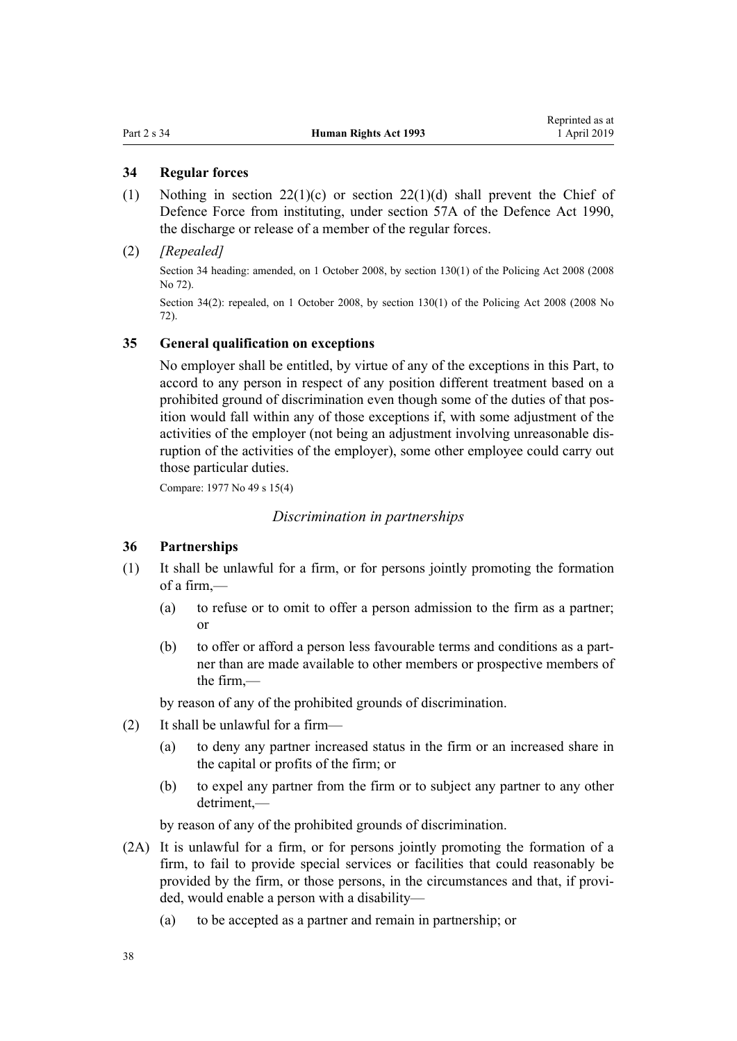## **34 Regular forces**

- (1) Nothing in section  $22(1)(c)$  or section  $22(1)(d)$  shall prevent the Chief of Defence Force from instituting, under [section 57A](http://legislation.govt.nz/pdflink.aspx?id=DLM206409) of the Defence Act 1990, the discharge or release of a member of the regular forces.
- (2) *[Repealed]*

Section 34 heading: amended, on 1 October 2008, by [section 130\(1\)](http://legislation.govt.nz/pdflink.aspx?id=DLM1102383) of the Policing Act 2008 (2008 No 72).

Section 34(2): repealed, on 1 October 2008, by [section 130\(1\)](http://legislation.govt.nz/pdflink.aspx?id=DLM1102383) of the Policing Act 2008 (2008 No 72).

## **35 General qualification on exceptions**

No employer shall be entitled, by virtue of any of the exceptions in this Part, to accord to any person in respect of any position different treatment based on a prohibited ground of discrimination even though some of the duties of that position would fall within any of those exceptions if, with some adjustment of the activities of the employer (not being an adjustment involving unreasonable disruption of the activities of the employer), some other employee could carry out those particular duties.

Compare: 1977 No 49 s 15(4)

#### *Discrimination in partnerships*

## **36 Partnerships**

- (1) It shall be unlawful for a firm, or for persons jointly promoting the formation of a firm,—
	- (a) to refuse or to omit to offer a person admission to the firm as a partner; or
	- (b) to offer or afford a person less favourable terms and conditions as a partner than are made available to other members or prospective members of the firm,—

by reason of any of the prohibited grounds of discrimination.

- (2) It shall be unlawful for a firm—
	- (a) to deny any partner increased status in the firm or an increased share in the capital or profits of the firm; or
	- (b) to expel any partner from the firm or to subject any partner to any other detriment,—

by reason of any of the prohibited grounds of discrimination.

- (2A) It is unlawful for a firm, or for persons jointly promoting the formation of a firm, to fail to provide special services or facilities that could reasonably be provided by the firm, or those persons, in the circumstances and that, if provided, would enable a person with a disability—
	- (a) to be accepted as a partner and remain in partnership; or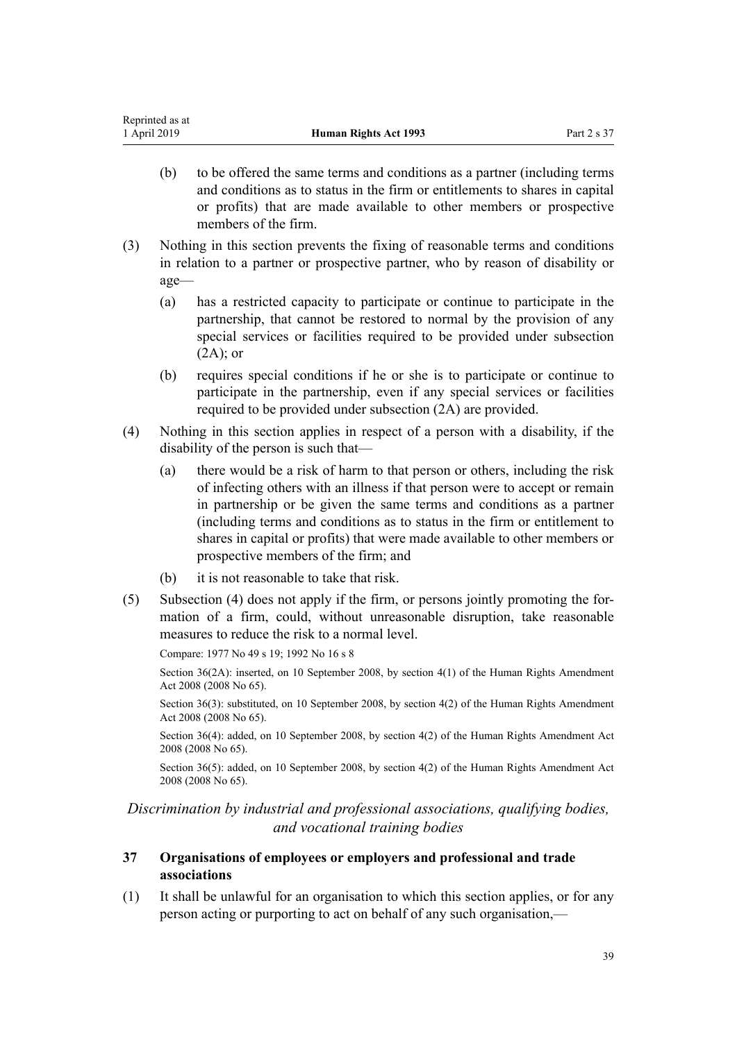- (b) to be offered the same terms and conditions as a partner (including terms and conditions as to status in the firm or entitlements to shares in capital or profits) that are made available to other members or prospective members of the firm.
- (3) Nothing in this section prevents the fixing of reasonable terms and conditions in relation to a partner or prospective partner, who by reason of disability or age—
	- (a) has a restricted capacity to participate or continue to participate in the partnership, that cannot be restored to normal by the provision of any special services or facilities required to be provided under subsection  $(2A)$ ; or
	- (b) requires special conditions if he or she is to participate or continue to participate in the partnership, even if any special services or facilities required to be provided under subsection (2A) are provided.
- (4) Nothing in this section applies in respect of a person with a disability, if the disability of the person is such that—
	- (a) there would be a risk of harm to that person or others, including the risk of infecting others with an illness if that person were to accept or remain in partnership or be given the same terms and conditions as a partner (including terms and conditions as to status in the firm or entitlement to shares in capital or profits) that were made available to other members or prospective members of the firm; and
	- (b) it is not reasonable to take that risk.
- (5) Subsection (4) does not apply if the firm, or persons jointly promoting the formation of a firm, could, without unreasonable disruption, take reasonable measures to reduce the risk to a normal level.

Compare: 1977 No 49 s 19; 1992 No 16 s 8

Section 36(2A): inserted, on 10 September 2008, by [section 4\(1\)](http://legislation.govt.nz/pdflink.aspx?id=DLM1582305) of the Human Rights Amendment Act 2008 (2008 No 65).

Section 36(3): substituted, on 10 September 2008, by [section 4\(2\)](http://legislation.govt.nz/pdflink.aspx?id=DLM1582305) of the Human Rights Amendment Act 2008 (2008 No 65).

Section 36(4): added, on 10 September 2008, by [section 4\(2\)](http://legislation.govt.nz/pdflink.aspx?id=DLM1582305) of the Human Rights Amendment Act 2008 (2008 No 65).

Section 36(5): added, on 10 September 2008, by [section 4\(2\)](http://legislation.govt.nz/pdflink.aspx?id=DLM1582305) of the Human Rights Amendment Act 2008 (2008 No 65).

# *Discrimination by industrial and professional associations, qualifying bodies, and vocational training bodies*

# **37 Organisations of employees or employers and professional and trade associations**

(1) It shall be unlawful for an organisation to which this section applies, or for any person acting or purporting to act on behalf of any such organisation,—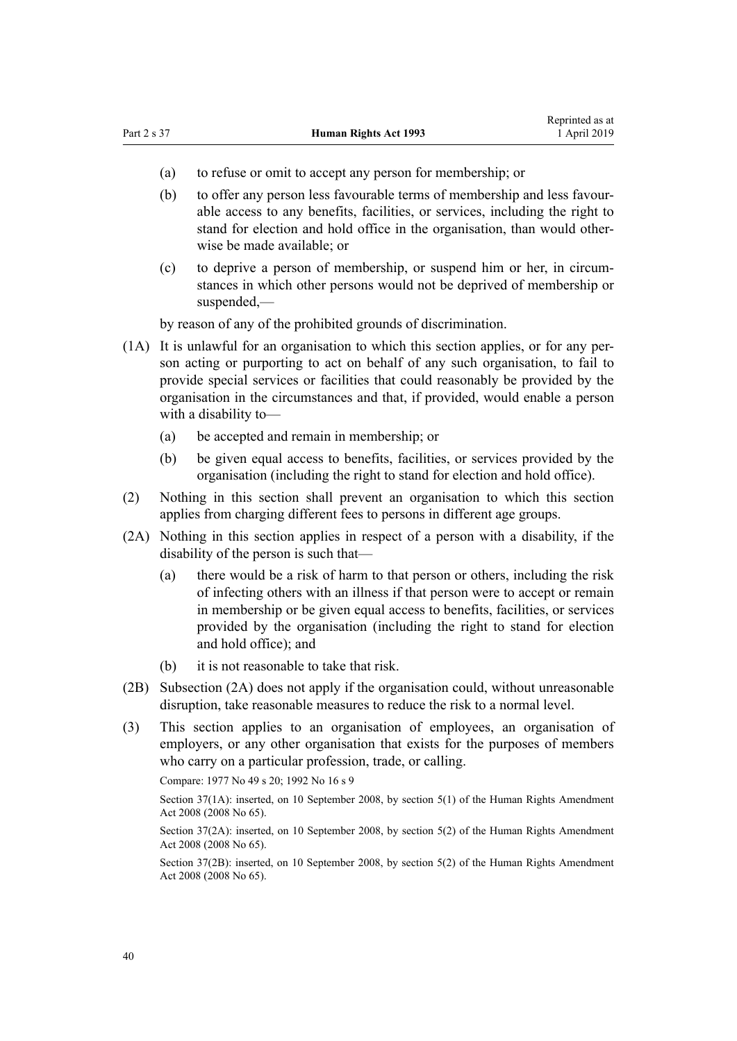- (a) to refuse or omit to accept any person for membership; or
- (b) to offer any person less favourable terms of membership and less favourable access to any benefits, facilities, or services, including the right to stand for election and hold office in the organisation, than would otherwise be made available; or
- (c) to deprive a person of membership, or suspend him or her, in circumstances in which other persons would not be deprived of membership or suspended,—

by reason of any of the prohibited grounds of discrimination.

- (1A) It is unlawful for an organisation to which this section applies, or for any person acting or purporting to act on behalf of any such organisation, to fail to provide special services or facilities that could reasonably be provided by the organisation in the circumstances and that, if provided, would enable a person with a disability to—
	- (a) be accepted and remain in membership; or
	- (b) be given equal access to benefits, facilities, or services provided by the organisation (including the right to stand for election and hold office).
- (2) Nothing in this section shall prevent an organisation to which this section applies from charging different fees to persons in different age groups.
- (2A) Nothing in this section applies in respect of a person with a disability, if the disability of the person is such that—
	- (a) there would be a risk of harm to that person or others, including the risk of infecting others with an illness if that person were to accept or remain in membership or be given equal access to benefits, facilities, or services provided by the organisation (including the right to stand for election and hold office); and
	- (b) it is not reasonable to take that risk.
- (2B) Subsection (2A) does not apply if the organisation could, without unreasonable disruption, take reasonable measures to reduce the risk to a normal level.
- (3) This section applies to an organisation of employees, an organisation of employers, or any other organisation that exists for the purposes of members who carry on a particular profession, trade, or calling.

Compare: 1977 No 49 s 20; 1992 No 16 s 9

Section 37(1A): inserted, on 10 September 2008, by [section 5\(1\)](http://legislation.govt.nz/pdflink.aspx?id=DLM1582306) of the Human Rights Amendment Act 2008 (2008 No 65).

Section 37(2A): inserted, on 10 September 2008, by [section 5\(2\)](http://legislation.govt.nz/pdflink.aspx?id=DLM1582306) of the Human Rights Amendment Act 2008 (2008 No 65).

Section 37(2B): inserted, on 10 September 2008, by [section 5\(2\)](http://legislation.govt.nz/pdflink.aspx?id=DLM1582306) of the Human Rights Amendment Act 2008 (2008 No 65).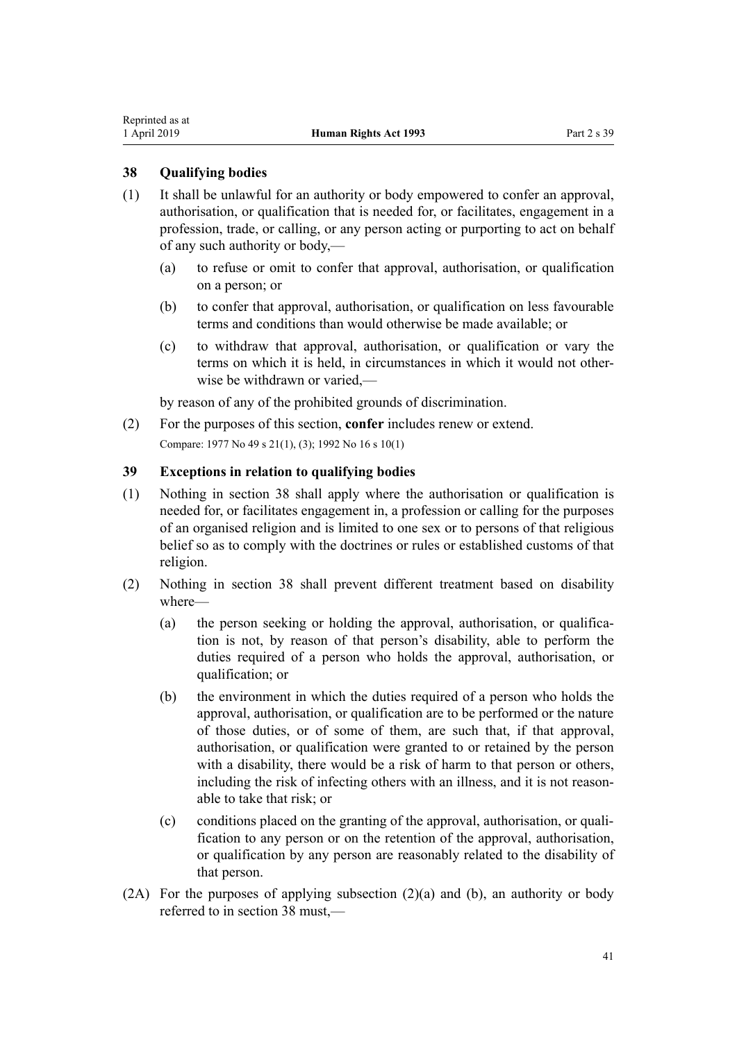#### <span id="page-40-0"></span>**38 Qualifying bodies**

- (1) It shall be unlawful for an authority or body empowered to confer an approval, authorisation, or qualification that is needed for, or facilitates, engagement in a profession, trade, or calling, or any person acting or purporting to act on behalf of any such authority or body,—
	- (a) to refuse or omit to confer that approval, authorisation, or qualification on a person; or
	- (b) to confer that approval, authorisation, or qualification on less favourable terms and conditions than would otherwise be made available; or
	- (c) to withdraw that approval, authorisation, or qualification or vary the terms on which it is held, in circumstances in which it would not otherwise be withdrawn or varied,—

by reason of any of the prohibited grounds of discrimination.

(2) For the purposes of this section, **confer** includes renew or extend. Compare: 1977 No 49 s 21(1), (3); 1992 No 16 s 10(1)

## **39 Exceptions in relation to qualifying bodies**

- (1) Nothing in section 38 shall apply where the authorisation or qualification is needed for, or facilitates engagement in, a profession or calling for the purposes of an organised religion and is limited to one sex or to persons of that religious belief so as to comply with the doctrines or rules or established customs of that religion.
- (2) Nothing in section 38 shall prevent different treatment based on disability where—
	- (a) the person seeking or holding the approval, authorisation, or qualification is not, by reason of that person's disability, able to perform the duties required of a person who holds the approval, authorisation, or qualification; or
	- (b) the environment in which the duties required of a person who holds the approval, authorisation, or qualification are to be performed or the nature of those duties, or of some of them, are such that, if that approval, authorisation, or qualification were granted to or retained by the person with a disability, there would be a risk of harm to that person or others, including the risk of infecting others with an illness, and it is not reasonable to take that risk; or
	- (c) conditions placed on the granting of the approval, authorisation, or qualification to any person or on the retention of the approval, authorisation, or qualification by any person are reasonably related to the disability of that person.
- (2A) For the purposes of applying subsection  $(2)(a)$  and (b), an authority or body referred to in section 38 must,—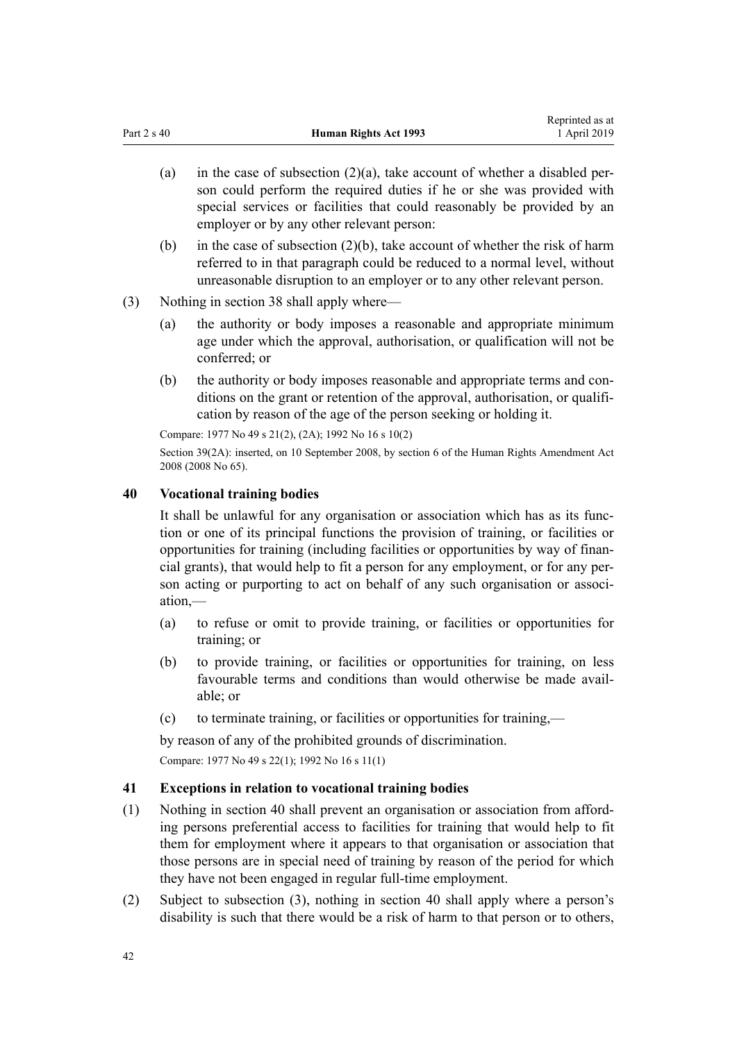- <span id="page-41-0"></span>(a) in the case of subsection  $(2)(a)$ , take account of whether a disabled person could perform the required duties if he or she was provided with special services or facilities that could reasonably be provided by an employer or by any other relevant person:
- (b) in the case of subsection  $(2)(b)$ , take account of whether the risk of harm referred to in that paragraph could be reduced to a normal level, without unreasonable disruption to an employer or to any other relevant person.
- (3) Nothing in [section 38](#page-40-0) shall apply where—
	- (a) the authority or body imposes a reasonable and appropriate minimum age under which the approval, authorisation, or qualification will not be conferred; or
	- (b) the authority or body imposes reasonable and appropriate terms and conditions on the grant or retention of the approval, authorisation, or qualification by reason of the age of the person seeking or holding it.

Compare: 1977 No 49 s 21(2), (2A); 1992 No 16 s 10(2) Section 39(2A): inserted, on 10 September 2008, by [section 6](http://legislation.govt.nz/pdflink.aspx?id=DLM1582307) of the Human Rights Amendment Act 2008 (2008 No 65).

# **40 Vocational training bodies**

It shall be unlawful for any organisation or association which has as its function or one of its principal functions the provision of training, or facilities or opportunities for training (including facilities or opportunities by way of financial grants), that would help to fit a person for any employment, or for any person acting or purporting to act on behalf of any such organisation or association,—

- (a) to refuse or omit to provide training, or facilities or opportunities for training; or
- (b) to provide training, or facilities or opportunities for training, on less favourable terms and conditions than would otherwise be made available; or
- (c) to terminate training, or facilities or opportunities for training,—

by reason of any of the prohibited grounds of discrimination. Compare: 1977 No 49 s 22(1); 1992 No 16 s 11(1)

# **41 Exceptions in relation to vocational training bodies**

- (1) Nothing in section 40 shall prevent an organisation or association from affording persons preferential access to facilities for training that would help to fit them for employment where it appears to that organisation or association that those persons are in special need of training by reason of the period for which they have not been engaged in regular full-time employment.
- (2) Subject to subsection (3), nothing in section 40 shall apply where a person's disability is such that there would be a risk of harm to that person or to others,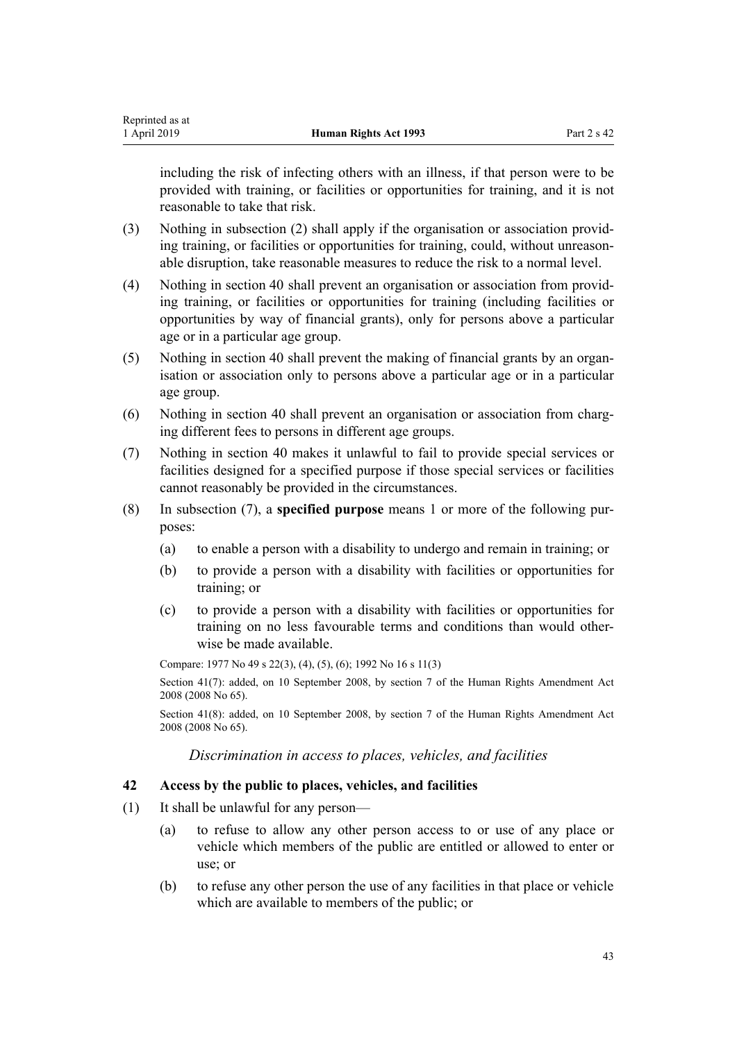<span id="page-42-0"></span>

| Reprinted as at |                              |             |
|-----------------|------------------------------|-------------|
| 1 April 2019    | <b>Human Rights Act 1993</b> | Part 2 s 42 |

including the risk of infecting others with an illness, if that person were to be provided with training, or facilities or opportunities for training, and it is not reasonable to take that risk.

- (3) Nothing in subsection (2) shall apply if the organisation or association providing training, or facilities or opportunities for training, could, without unreasonable disruption, take reasonable measures to reduce the risk to a normal level.
- (4) Nothing in [section 40](#page-41-0) shall prevent an organisation or association from providing training, or facilities or opportunities for training (including facilities or opportunities by way of financial grants), only for persons above a particular age or in a particular age group.
- (5) Nothing in [section 40](#page-41-0) shall prevent the making of financial grants by an organisation or association only to persons above a particular age or in a particular age group.
- (6) Nothing in [section 40](#page-41-0) shall prevent an organisation or association from charging different fees to persons in different age groups.
- (7) Nothing in [section 40](#page-41-0) makes it unlawful to fail to provide special services or facilities designed for a specified purpose if those special services or facilities cannot reasonably be provided in the circumstances.
- (8) In subsection (7), a **specified purpose** means 1 or more of the following purposes:
	- (a) to enable a person with a disability to undergo and remain in training; or
	- (b) to provide a person with a disability with facilities or opportunities for training; or
	- (c) to provide a person with a disability with facilities or opportunities for training on no less favourable terms and conditions than would otherwise be made available.

Compare: 1977 No 49 s 22(3), (4), (5), (6); 1992 No 16 s 11(3)

Section 41(7): added, on 10 September 2008, by [section 7](http://legislation.govt.nz/pdflink.aspx?id=DLM1582308) of the Human Rights Amendment Act 2008 (2008 No 65).

Section 41(8): added, on 10 September 2008, by [section 7](http://legislation.govt.nz/pdflink.aspx?id=DLM1582308) of the Human Rights Amendment Act 2008 (2008 No 65).

*Discrimination in access to places, vehicles, and facilities*

# **42 Access by the public to places, vehicles, and facilities**

- (1) It shall be unlawful for any person—
	- (a) to refuse to allow any other person access to or use of any place or vehicle which members of the public are entitled or allowed to enter or use; or
	- (b) to refuse any other person the use of any facilities in that place or vehicle which are available to members of the public; or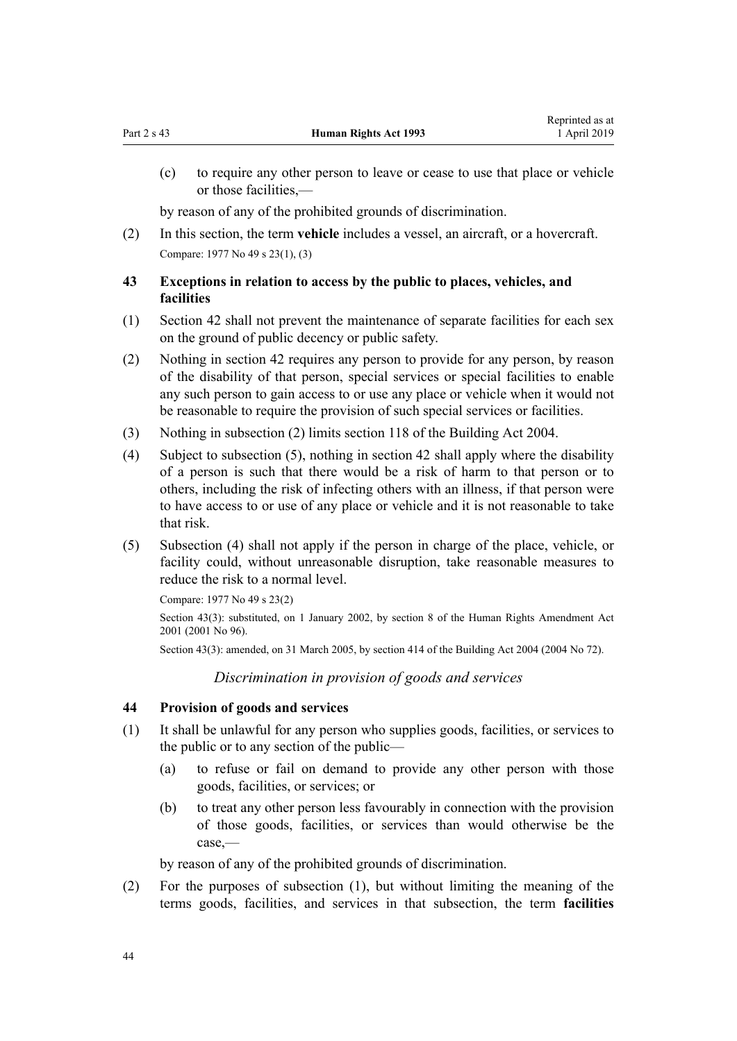<span id="page-43-0"></span>(c) to require any other person to leave or cease to use that place or vehicle or those facilities,—

by reason of any of the prohibited grounds of discrimination.

(2) In this section, the term **vehicle** includes a vessel, an aircraft, or a hovercraft. Compare: 1977 No 49 s 23(1), (3)

## **43 Exceptions in relation to access by the public to places, vehicles, and facilities**

- (1) [Section 42](#page-42-0) shall not prevent the maintenance of separate facilities for each sex on the ground of public decency or public safety.
- (2) Nothing in [section 42](#page-42-0) requires any person to provide for any person, by reason of the disability of that person, special services or special facilities to enable any such person to gain access to or use any place or vehicle when it would not be reasonable to require the provision of such special services or facilities.
- (3) Nothing in subsection (2) limits [section 118](http://legislation.govt.nz/pdflink.aspx?id=DLM306890) of the Building Act 2004.
- (4) Subject to subsection (5), nothing in [section 42](#page-42-0) shall apply where the disability of a person is such that there would be a risk of harm to that person or to others, including the risk of infecting others with an illness, if that person were to have access to or use of any place or vehicle and it is not reasonable to take that risk.
- (5) Subsection (4) shall not apply if the person in charge of the place, vehicle, or facility could, without unreasonable disruption, take reasonable measures to reduce the risk to a normal level.

```
Compare: 1977 No 49 s 23(2)
section 8 of the Human Rights Amendment Act
2001 (2001 No 96).
```
Section 43(3): amended, on 31 March 2005, by [section 414](http://legislation.govt.nz/pdflink.aspx?id=DLM309090) of the Building Act 2004 (2004 No 72).

*Discrimination in provision of goods and services*

#### **44 Provision of goods and services**

- (1) It shall be unlawful for any person who supplies goods, facilities, or services to the public or to any section of the public—
	- (a) to refuse or fail on demand to provide any other person with those goods, facilities, or services; or
	- (b) to treat any other person less favourably in connection with the provision of those goods, facilities, or services than would otherwise be the case,—

by reason of any of the prohibited grounds of discrimination.

(2) For the purposes of subsection (1), but without limiting the meaning of the terms goods, facilities, and services in that subsection, the term **facilities**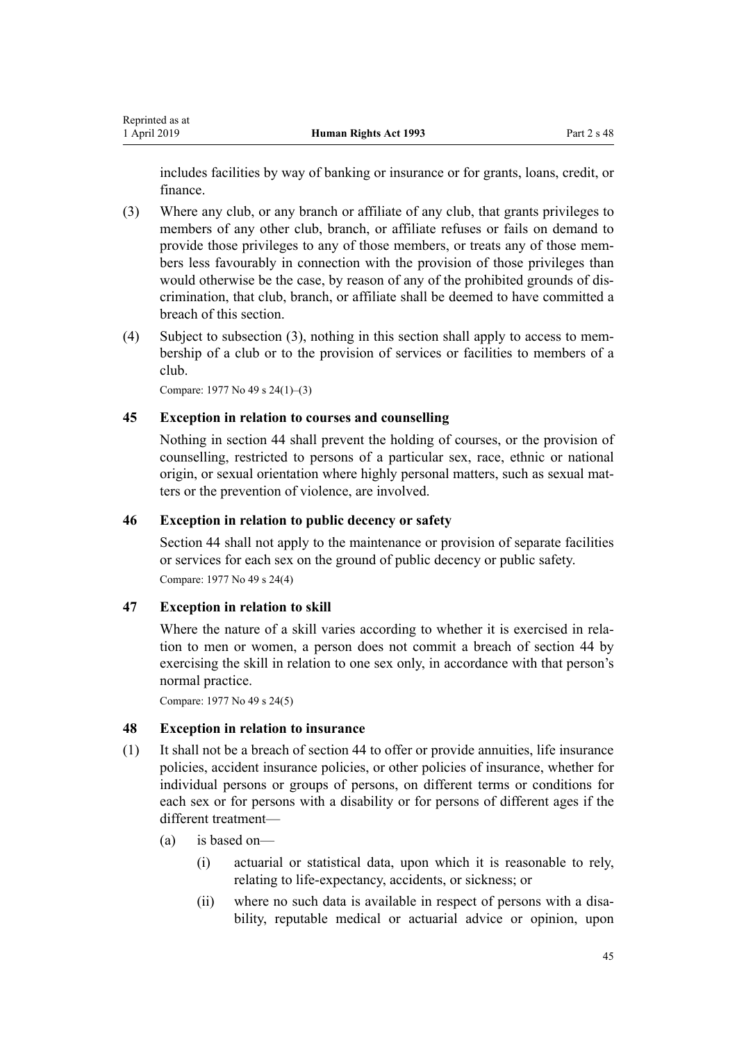includes facilities by way of banking or insurance or for grants, loans, credit, or finance.

- (3) Where any club, or any branch or affiliate of any club, that grants privileges to members of any other club, branch, or affiliate refuses or fails on demand to provide those privileges to any of those members, or treats any of those members less favourably in connection with the provision of those privileges than would otherwise be the case, by reason of any of the prohibited grounds of discrimination, that club, branch, or affiliate shall be deemed to have committed a breach of this section.
- (4) Subject to subsection (3), nothing in this section shall apply to access to membership of a club or to the provision of services or facilities to members of a club.

Compare: 1977 No 49 s 24(1)–(3)

# **45 Exception in relation to courses and counselling**

Nothing in [section 44](#page-43-0) shall prevent the holding of courses, or the provision of counselling, restricted to persons of a particular sex, race, ethnic or national origin, or sexual orientation where highly personal matters, such as sexual matters or the prevention of violence, are involved.

## **46 Exception in relation to public decency or safety**

[Section 44](#page-43-0) shall not apply to the maintenance or provision of separate facilities or services for each sex on the ground of public decency or public safety. Compare: 1977 No 49 s 24(4)

#### **47 Exception in relation to skill**

Where the nature of a skill varies according to whether it is exercised in relation to men or women, a person does not commit a breach of [section 44](#page-43-0) by exercising the skill in relation to one sex only, in accordance with that person's normal practice.

Compare: 1977 No 49 s 24(5)

# **48 Exception in relation to insurance**

- (1) It shall not be a breach of [section 44](#page-43-0) to offer or provide annuities, life insurance policies, accident insurance policies, or other policies of insurance, whether for individual persons or groups of persons, on different terms or conditions for each sex or for persons with a disability or for persons of different ages if the different treatment—
	- (a) is based on—
		- (i) actuarial or statistical data, upon which it is reasonable to rely, relating to life-expectancy, accidents, or sickness; or
		- (ii) where no such data is available in respect of persons with a disability, reputable medical or actuarial advice or opinion, upon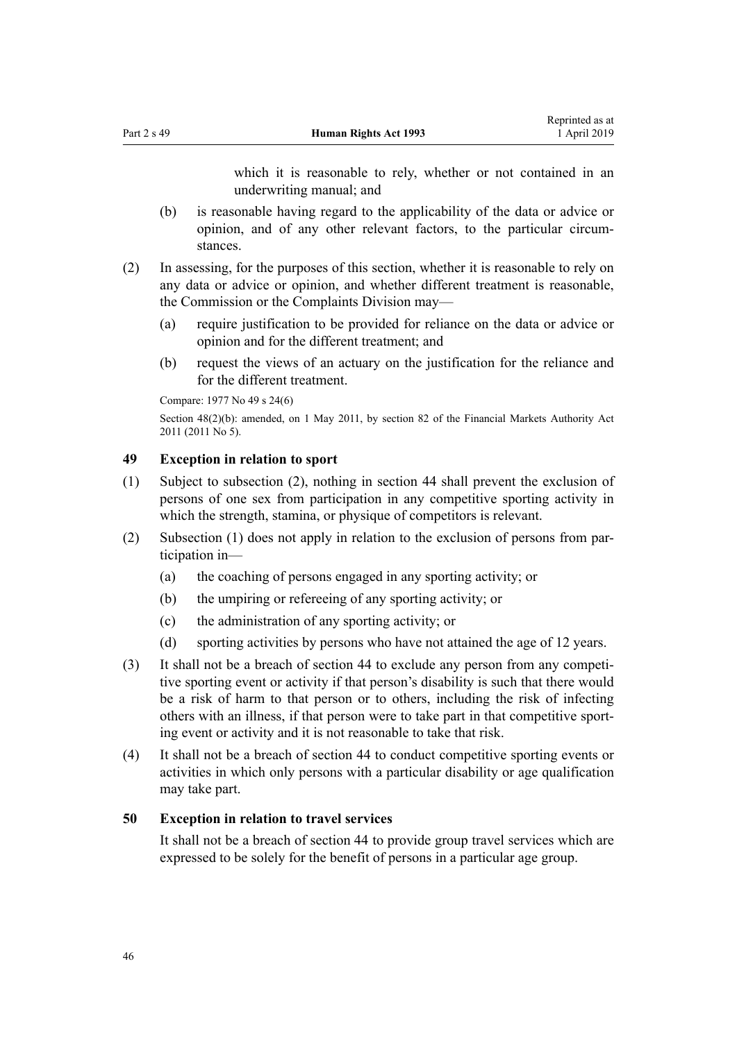which it is reasonable to rely, whether or not contained in an underwriting manual; and

- (b) is reasonable having regard to the applicability of the data or advice or opinion, and of any other relevant factors, to the particular circumstances.
- (2) In assessing, for the purposes of this section, whether it is reasonable to rely on any data or advice or opinion, and whether different treatment is reasonable, the Commission or the Complaints Division may—
	- (a) require justification to be provided for reliance on the data or advice or opinion and for the different treatment; and
	- (b) request the views of an actuary on the justification for the reliance and for the different treatment.

Compare: 1977 No 49 s 24(6)

Section 48(2)(b): amended, on 1 May 2011, by [section 82](http://legislation.govt.nz/pdflink.aspx?id=DLM3231793) of the Financial Markets Authority Act 2011 (2011 No 5).

## **49 Exception in relation to sport**

- (1) Subject to subsection (2), nothing in [section 44](#page-43-0) shall prevent the exclusion of persons of one sex from participation in any competitive sporting activity in which the strength, stamina, or physique of competitors is relevant.
- (2) Subsection (1) does not apply in relation to the exclusion of persons from participation in—
	- (a) the coaching of persons engaged in any sporting activity; or
	- (b) the umpiring or refereeing of any sporting activity; or
	- (c) the administration of any sporting activity; or
	- (d) sporting activities by persons who have not attained the age of 12 years.
- (3) It shall not be a breach of [section 44](#page-43-0) to exclude any person from any competitive sporting event or activity if that person's disability is such that there would be a risk of harm to that person or to others, including the risk of infecting others with an illness, if that person were to take part in that competitive sporting event or activity and it is not reasonable to take that risk.
- (4) It shall not be a breach of [section 44](#page-43-0) to conduct competitive sporting events or activities in which only persons with a particular disability or age qualification may take part.

## **50 Exception in relation to travel services**

It shall not be a breach of [section 44](#page-43-0) to provide group travel services which are expressed to be solely for the benefit of persons in a particular age group.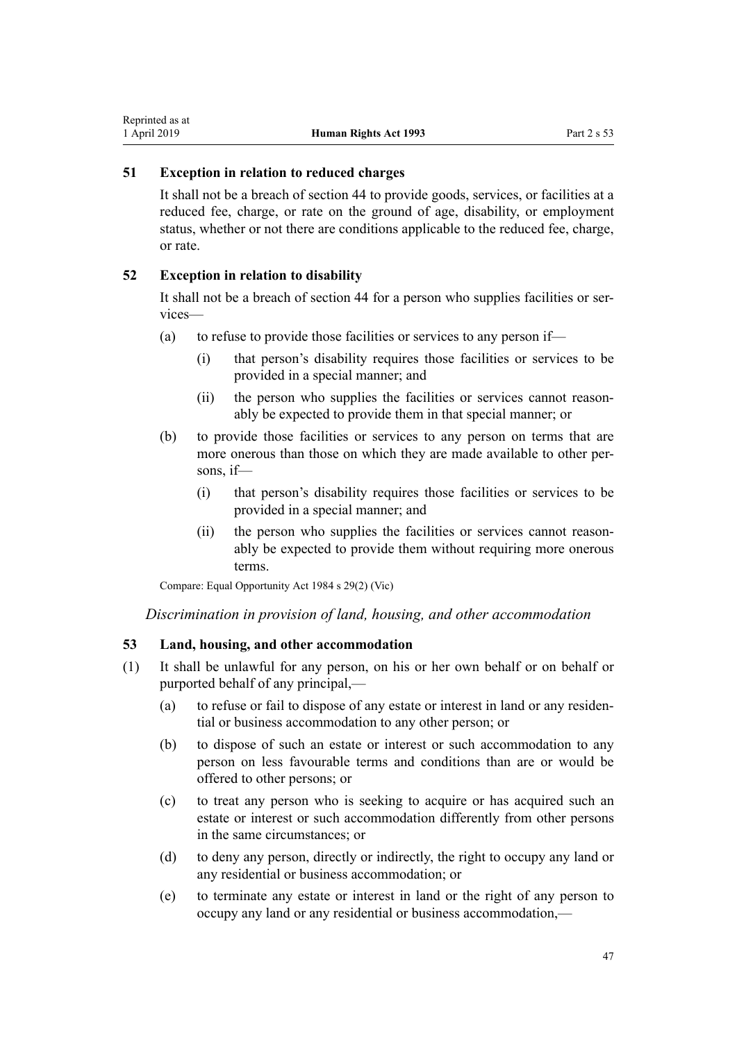## <span id="page-46-0"></span>**51 Exception in relation to reduced charges**

It shall not be a breach of [section 44](#page-43-0) to provide goods, services, or facilities at a reduced fee, charge, or rate on the ground of age, disability, or employment status, whether or not there are conditions applicable to the reduced fee, charge, or rate.

## **52 Exception in relation to disability**

It shall not be a breach of [section 44](#page-43-0) for a person who supplies facilities or services—

- (a) to refuse to provide those facilities or services to any person if—
	- (i) that person's disability requires those facilities or services to be provided in a special manner; and
	- (ii) the person who supplies the facilities or services cannot reasonably be expected to provide them in that special manner; or
- (b) to provide those facilities or services to any person on terms that are more onerous than those on which they are made available to other persons, if—
	- (i) that person's disability requires those facilities or services to be provided in a special manner; and
	- (ii) the person who supplies the facilities or services cannot reasonably be expected to provide them without requiring more onerous terms.

Compare: Equal Opportunity Act 1984 s 29(2) (Vic)

*Discrimination in provision of land, housing, and other accommodation*

## **53 Land, housing, and other accommodation**

- (1) It shall be unlawful for any person, on his or her own behalf or on behalf or purported behalf of any principal,—
	- (a) to refuse or fail to dispose of any estate or interest in land or any residential or business accommodation to any other person; or
	- (b) to dispose of such an estate or interest or such accommodation to any person on less favourable terms and conditions than are or would be offered to other persons; or
	- (c) to treat any person who is seeking to acquire or has acquired such an estate or interest or such accommodation differently from other persons in the same circumstances; or
	- (d) to deny any person, directly or indirectly, the right to occupy any land or any residential or business accommodation; or
	- (e) to terminate any estate or interest in land or the right of any person to occupy any land or any residential or business accommodation,—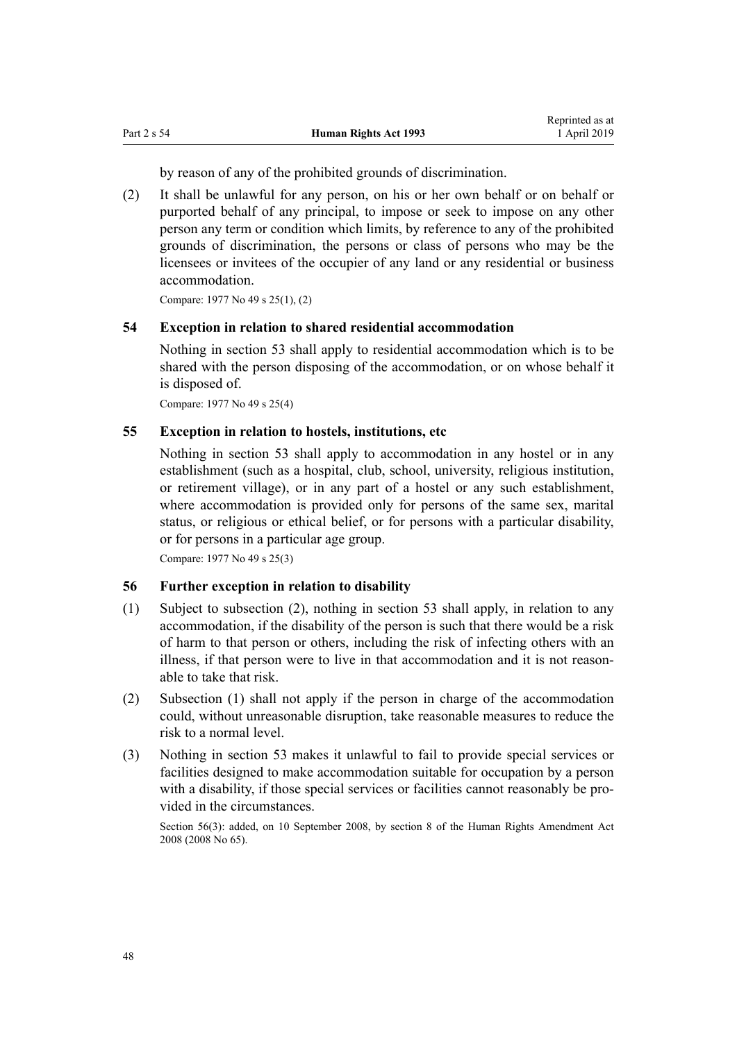by reason of any of the prohibited grounds of discrimination.

(2) It shall be unlawful for any person, on his or her own behalf or on behalf or purported behalf of any principal, to impose or seek to impose on any other person any term or condition which limits, by reference to any of the prohibited grounds of discrimination, the persons or class of persons who may be the licensees or invitees of the occupier of any land or any residential or business accommodation.

Compare: 1977 No 49 s 25(1), (2)

#### **54 Exception in relation to shared residential accommodation**

Nothing in [section 53](#page-46-0) shall apply to residential accommodation which is to be shared with the person disposing of the accommodation, or on whose behalf it is disposed of.

Compare: 1977 No 49 s 25(4)

## **55 Exception in relation to hostels, institutions, etc**

Nothing in [section 53](#page-46-0) shall apply to accommodation in any hostel or in any establishment (such as a hospital, club, school, university, religious institution, or retirement village), or in any part of a hostel or any such establishment, where accommodation is provided only for persons of the same sex, marital status, or religious or ethical belief, or for persons with a particular disability, or for persons in a particular age group.

Compare: 1977 No 49 s 25(3)

#### **56 Further exception in relation to disability**

- (1) Subject to subsection (2), nothing in [section 53](#page-46-0) shall apply, in relation to any accommodation, if the disability of the person is such that there would be a risk of harm to that person or others, including the risk of infecting others with an illness, if that person were to live in that accommodation and it is not reasonable to take that risk.
- (2) Subsection (1) shall not apply if the person in charge of the accommodation could, without unreasonable disruption, take reasonable measures to reduce the risk to a normal level.
- (3) Nothing in [section 53](#page-46-0) makes it unlawful to fail to provide special services or facilities designed to make accommodation suitable for occupation by a person with a disability, if those special services or facilities cannot reasonably be provided in the circumstances.

Section 56(3): added, on 10 September 2008, by [section 8](http://legislation.govt.nz/pdflink.aspx?id=DLM1582310) of the Human Rights Amendment Act 2008 (2008 No 65).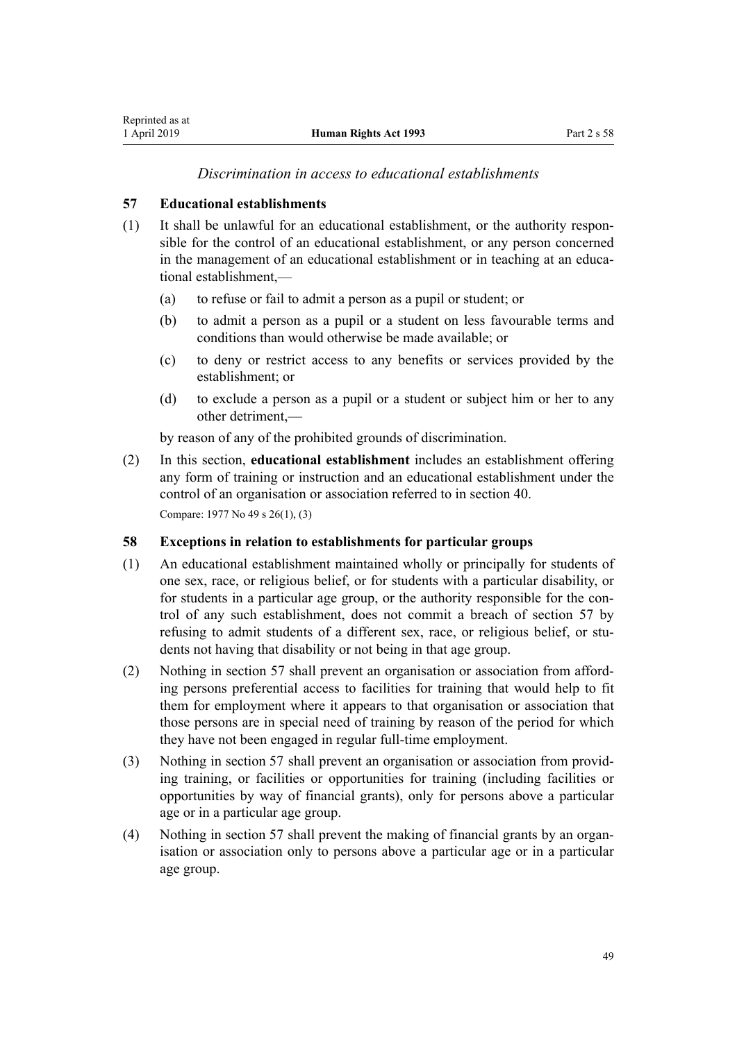# *Discrimination in access to educational establishments*

## <span id="page-48-0"></span>**57 Educational establishments**

- (1) It shall be unlawful for an educational establishment, or the authority responsible for the control of an educational establishment, or any person concerned in the management of an educational establishment or in teaching at an educational establishment,—
	- (a) to refuse or fail to admit a person as a pupil or student; or
	- (b) to admit a person as a pupil or a student on less favourable terms and conditions than would otherwise be made available; or
	- (c) to deny or restrict access to any benefits or services provided by the establishment; or
	- (d) to exclude a person as a pupil or a student or subject him or her to any other detriment,—

by reason of any of the prohibited grounds of discrimination.

(2) In this section, **educational establishment** includes an establishment offering any form of training or instruction and an educational establishment under the control of an organisation or association referred to in [section 40.](#page-41-0)

Compare: 1977 No 49 s 26(1), (3)

#### **58 Exceptions in relation to establishments for particular groups**

- (1) An educational establishment maintained wholly or principally for students of one sex, race, or religious belief, or for students with a particular disability, or for students in a particular age group, or the authority responsible for the control of any such establishment, does not commit a breach of section 57 by refusing to admit students of a different sex, race, or religious belief, or students not having that disability or not being in that age group.
- (2) Nothing in section 57 shall prevent an organisation or association from affording persons preferential access to facilities for training that would help to fit them for employment where it appears to that organisation or association that those persons are in special need of training by reason of the period for which they have not been engaged in regular full-time employment.
- (3) Nothing in section 57 shall prevent an organisation or association from providing training, or facilities or opportunities for training (including facilities or opportunities by way of financial grants), only for persons above a particular age or in a particular age group.
- (4) Nothing in section 57 shall prevent the making of financial grants by an organisation or association only to persons above a particular age or in a particular age group.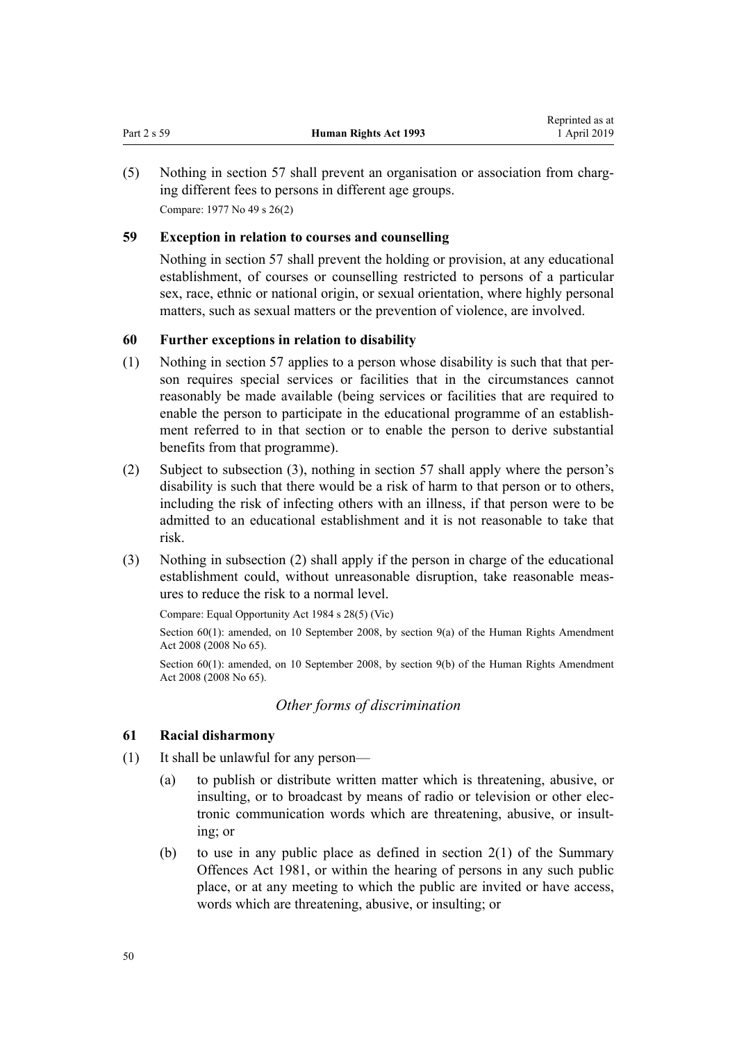<span id="page-49-0"></span>(5) Nothing in [section 57](#page-48-0) shall prevent an organisation or association from charging different fees to persons in different age groups. Compare: 1977 No 49 s 26(2)

# **59 Exception in relation to courses and counselling**

Nothing in [section 57](#page-48-0) shall prevent the holding or provision, at any educational establishment, of courses or counselling restricted to persons of a particular sex, race, ethnic or national origin, or sexual orientation, where highly personal matters, such as sexual matters or the prevention of violence, are involved.

## **60 Further exceptions in relation to disability**

- (1) Nothing in [section 57](#page-48-0) applies to a person whose disability is such that that person requires special services or facilities that in the circumstances cannot reasonably be made available (being services or facilities that are required to enable the person to participate in the educational programme of an establishment referred to in that section or to enable the person to derive substantial benefits from that programme).
- (2) Subject to subsection (3), nothing in [section 57](#page-48-0) shall apply where the person's disability is such that there would be a risk of harm to that person or to others, including the risk of infecting others with an illness, if that person were to be admitted to an educational establishment and it is not reasonable to take that risk.
- (3) Nothing in subsection (2) shall apply if the person in charge of the educational establishment could, without unreasonable disruption, take reasonable measures to reduce the risk to a normal level.

Compare: Equal Opportunity Act 1984 s 28(5) (Vic)

Section 60(1): amended, on 10 September 2008, by [section 9\(a\)](http://legislation.govt.nz/pdflink.aspx?id=DLM1582311) of the Human Rights Amendment Act 2008 (2008 No 65).

Section 60(1): amended, on 10 September 2008, by [section 9\(b\)](http://legislation.govt.nz/pdflink.aspx?id=DLM1582311) of the Human Rights Amendment Act 2008 (2008 No 65).

## *Other forms of discrimination*

## **61 Racial disharmony**

- (1) It shall be unlawful for any person—
	- (a) to publish or distribute written matter which is threatening, abusive, or insulting, or to broadcast by means of radio or television or other electronic communication words which are threatening, abusive, or insulting; or
	- (b) to use in any public place as defined in [section 2\(1\)](http://legislation.govt.nz/pdflink.aspx?id=DLM53353) of the Summary Offences Act 1981, or within the hearing of persons in any such public place, or at any meeting to which the public are invited or have access, words which are threatening, abusive, or insulting; or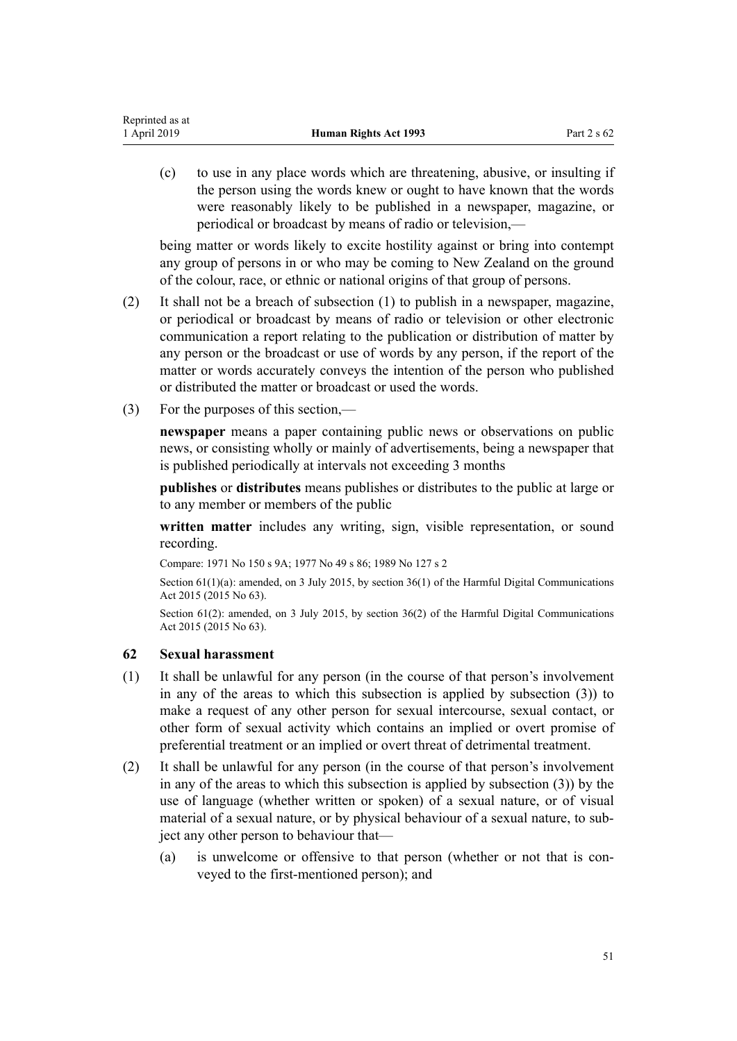<span id="page-50-0"></span>(c) to use in any place words which are threatening, abusive, or insulting if the person using the words knew or ought to have known that the words were reasonably likely to be published in a newspaper, magazine, or periodical or broadcast by means of radio or television,—

being matter or words likely to excite hostility against or bring into contempt any group of persons in or who may be coming to New Zealand on the ground of the colour, race, or ethnic or national origins of that group of persons.

- (2) It shall not be a breach of subsection (1) to publish in a newspaper, magazine, or periodical or broadcast by means of radio or television or other electronic communication a report relating to the publication or distribution of matter by any person or the broadcast or use of words by any person, if the report of the matter or words accurately conveys the intention of the person who published or distributed the matter or broadcast or used the words.
- (3) For the purposes of this section,—

**newspaper** means a paper containing public news or observations on public news, or consisting wholly or mainly of advertisements, being a newspaper that is published periodically at intervals not exceeding 3 months

**publishes** or **distributes** means publishes or distributes to the public at large or to any member or members of the public

**written matter** includes any writing, sign, visible representation, or sound recording.

Compare: 1971 No 150 s 9A; 1977 No 49 s 86; 1989 No 127 s 2

Section  $61(1)(a)$ : amended, on 3 July 2015, by [section 36\(1\)](http://legislation.govt.nz/pdflink.aspx?id=DLM5711880) of the Harmful Digital Communications Act 2015 (2015 No 63).

Section 61(2): amended, on 3 July 2015, by [section 36\(2\)](http://legislation.govt.nz/pdflink.aspx?id=DLM5711880) of the Harmful Digital Communications Act 2015 (2015 No 63).

# **62 Sexual harassment**

- (1) It shall be unlawful for any person (in the course of that person's involvement in any of the areas to which this subsection is applied by subsection (3)) to make a request of any other person for sexual intercourse, sexual contact, or other form of sexual activity which contains an implied or overt promise of preferential treatment or an implied or overt threat of detrimental treatment.
- (2) It shall be unlawful for any person (in the course of that person's involvement in any of the areas to which this subsection is applied by subsection (3)) by the use of language (whether written or spoken) of a sexual nature, or of visual material of a sexual nature, or by physical behaviour of a sexual nature, to subject any other person to behaviour that—
	- (a) is unwelcome or offensive to that person (whether or not that is conveyed to the first-mentioned person); and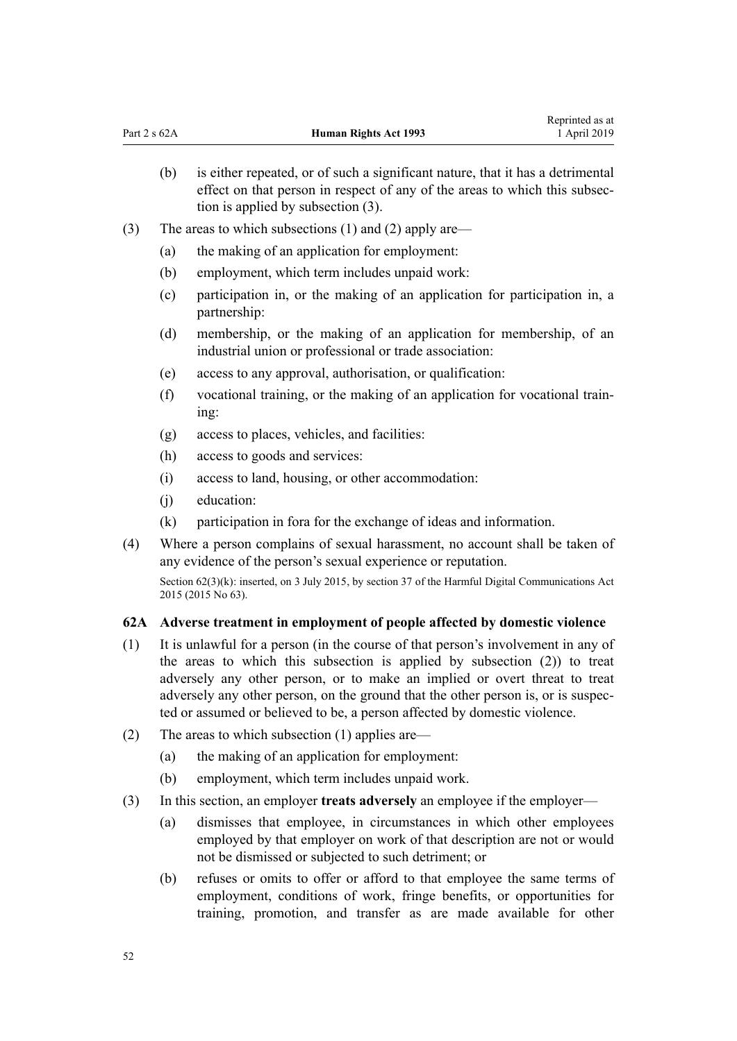- (b) is either repeated, or of such a significant nature, that it has a detrimental effect on that person in respect of any of the areas to which this subsection is applied by subsection (3).
- (3) The areas to which subsections (1) and (2) apply are—
	- (a) the making of an application for employment:
	- (b) employment, which term includes unpaid work:
	- (c) participation in, or the making of an application for participation in, a partnership:
	- (d) membership, or the making of an application for membership, of an industrial union or professional or trade association:
	- (e) access to any approval, authorisation, or qualification:
	- (f) vocational training, or the making of an application for vocational training:
	- (g) access to places, vehicles, and facilities:
	- (h) access to goods and services:
	- (i) access to land, housing, or other accommodation:
	- (j) education:
	- (k) participation in fora for the exchange of ideas and information.
- (4) Where a person complains of sexual harassment, no account shall be taken of any evidence of the person's sexual experience or reputation.

Section  $62(3)(k)$ : inserted, on 3 July 2015, by [section 37](http://legislation.govt.nz/pdflink.aspx?id=DLM5711881) of the Harmful Digital Communications Act 2015 (2015 No 63).

#### **62A Adverse treatment in employment of people affected by domestic violence**

- (1) It is unlawful for a person (in the course of that person's involvement in any of the areas to which this subsection is applied by subsection (2)) to treat adversely any other person, or to make an implied or overt threat to treat adversely any other person, on the ground that the other person is, or is suspected or assumed or believed to be, a person affected by domestic violence.
- (2) The areas to which subsection (1) applies are—
	- (a) the making of an application for employment:
	- (b) employment, which term includes unpaid work.
- (3) In this section, an employer **treats adversely** an employee if the employer—
	- (a) dismisses that employee, in circumstances in which other employees employed by that employer on work of that description are not or would not be dismissed or subjected to such detriment; or
	- (b) refuses or omits to offer or afford to that employee the same terms of employment, conditions of work, fringe benefits, or opportunities for training, promotion, and transfer as are made available for other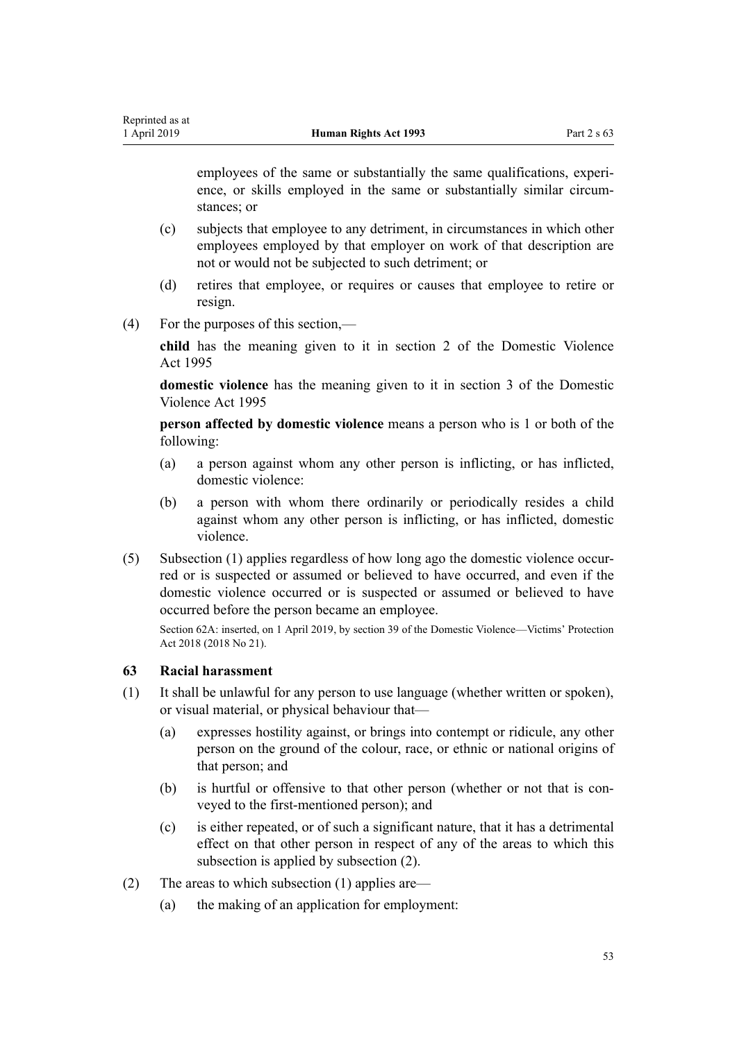<span id="page-52-0"></span>employees of the same or substantially the same qualifications, experience, or skills employed in the same or substantially similar circumstances; or

- (c) subjects that employee to any detriment, in circumstances in which other employees employed by that employer on work of that description are not or would not be subjected to such detriment; or
- (d) retires that employee, or requires or causes that employee to retire or resign.
- (4) For the purposes of this section,—

**child** has the meaning given to it in [section 2](http://legislation.govt.nz/pdflink.aspx?id=DLM371932) of the Domestic Violence Act 1995

**domestic violence** has the meaning given to it in [section 3](http://legislation.govt.nz/pdflink.aspx?id=DLM372117) of the Domestic Violence Act 1995

**person affected by domestic violence** means a person who is 1 or both of the following:

- (a) a person against whom any other person is inflicting, or has inflicted, domestic violence:
- (b) a person with whom there ordinarily or periodically resides a child against whom any other person is inflicting, or has inflicted, domestic violence.
- (5) Subsection (1) applies regardless of how long ago the domestic violence occurred or is suspected or assumed or believed to have occurred, and even if the domestic violence occurred or is suspected or assumed or believed to have occurred before the person became an employee.

Section 62A: inserted, on 1 April 2019, by [section 39](http://legislation.govt.nz/pdflink.aspx?id=LMS51008) of the Domestic Violence—Victims' Protection Act 2018 (2018 No 21).

# **63 Racial harassment**

- (1) It shall be unlawful for any person to use language (whether written or spoken), or visual material, or physical behaviour that—
	- (a) expresses hostility against, or brings into contempt or ridicule, any other person on the ground of the colour, race, or ethnic or national origins of that person; and
	- (b) is hurtful or offensive to that other person (whether or not that is conveyed to the first-mentioned person); and
	- (c) is either repeated, or of such a significant nature, that it has a detrimental effect on that other person in respect of any of the areas to which this subsection is applied by subsection (2).
- (2) The areas to which subsection (1) applies are—
	- (a) the making of an application for employment: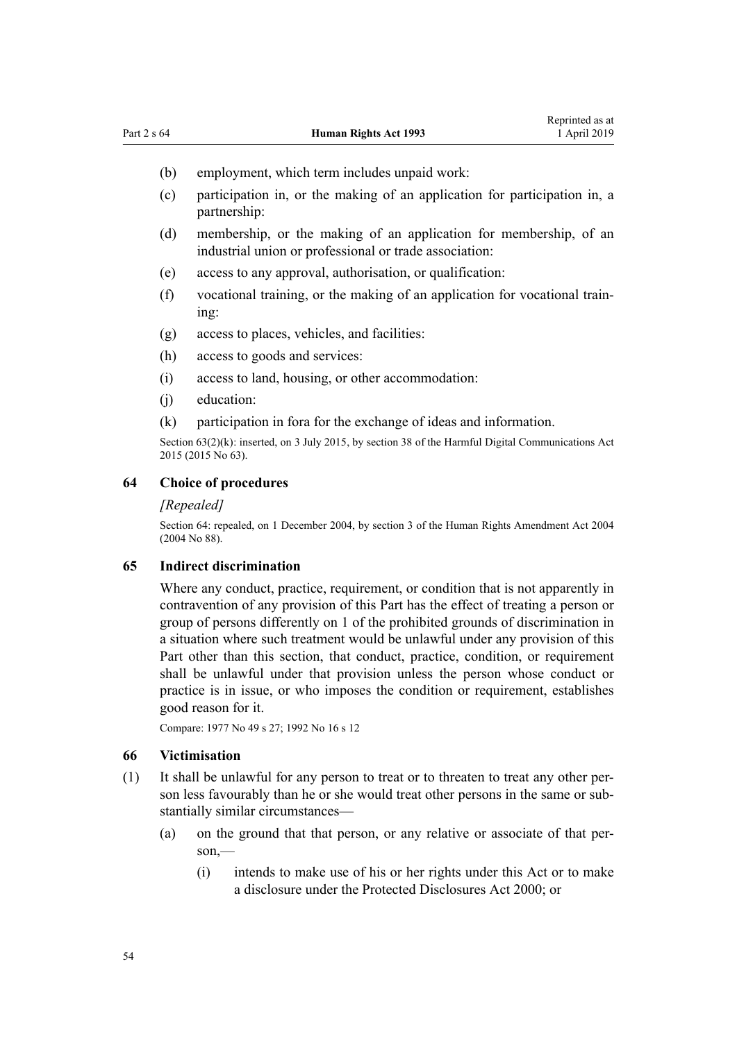- <span id="page-53-0"></span>(b) employment, which term includes unpaid work:
- (c) participation in, or the making of an application for participation in, a partnership:
- (d) membership, or the making of an application for membership, of an industrial union or professional or trade association:
- (e) access to any approval, authorisation, or qualification:
- (f) vocational training, or the making of an application for vocational training:
- (g) access to places, vehicles, and facilities:
- (h) access to goods and services:
- (i) access to land, housing, or other accommodation:
- (j) education:
- (k) participation in fora for the exchange of ideas and information.

Section 63(2)(k): inserted, on 3 July 2015, by [section 38](http://legislation.govt.nz/pdflink.aspx?id=DLM5711882) of the Harmful Digital Communications Act 2015 (2015 No 63).

## **64 Choice of procedures**

#### *[Repealed]*

Section 64: repealed, on 1 December 2004, by [section 3](http://legislation.govt.nz/pdflink.aspx?id=DLM316651) of the Human Rights Amendment Act 2004 (2004 No 88).

#### **65 Indirect discrimination**

Where any conduct, practice, requirement, or condition that is not apparently in contravention of any provision of this Part has the effect of treating a person or group of persons differently on 1 of the prohibited grounds of discrimination in a situation where such treatment would be unlawful under any provision of this Part other than this section, that conduct, practice, condition, or requirement shall be unlawful under that provision unless the person whose conduct or practice is in issue, or who imposes the condition or requirement, establishes good reason for it.

Compare: 1977 No 49 s 27; 1992 No 16 s 12

## **66 Victimisation**

- (1) It shall be unlawful for any person to treat or to threaten to treat any other person less favourably than he or she would treat other persons in the same or substantially similar circumstances—
	- (a) on the ground that that person, or any relative or associate of that person,—
		- (i) intends to make use of his or her rights under this Act or to make a disclosure under the [Protected Disclosures Act 2000;](http://legislation.govt.nz/pdflink.aspx?id=DLM53465) or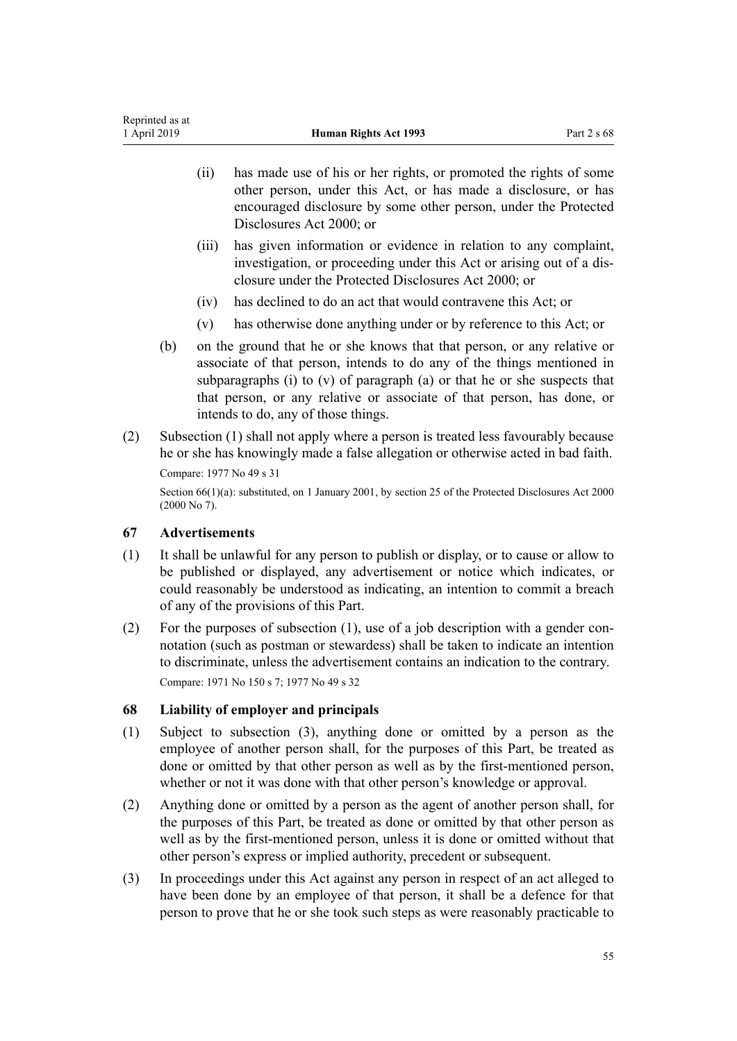- <span id="page-54-0"></span>(ii) has made use of his or her rights, or promoted the rights of some other person, under this Act, or has made a disclosure, or has encouraged disclosure by some other person, under the [Protected](http://legislation.govt.nz/pdflink.aspx?id=DLM53465) [Disclosures Act 2000](http://legislation.govt.nz/pdflink.aspx?id=DLM53465); or
- (iii) has given information or evidence in relation to any complaint, investigation, or proceeding under this Act or arising out of a disclosure under the [Protected Disclosures Act 2000;](http://legislation.govt.nz/pdflink.aspx?id=DLM53465) or
- (iv) has declined to do an act that would contravene this Act; or
- (v) has otherwise done anything under or by reference to this Act; or
- (b) on the ground that he or she knows that that person, or any relative or associate of that person, intends to do any of the things mentioned in subparagraphs (i) to (v) of paragraph (a) or that he or she suspects that that person, or any relative or associate of that person, has done, or intends to do, any of those things.
- (2) Subsection (1) shall not apply where a person is treated less favourably because he or she has knowingly made a false allegation or otherwise acted in bad faith. Compare: 1977 No 49 s 31

Section 66(1)(a): substituted, on 1 January 2001, by [section 25](http://legislation.govt.nz/pdflink.aspx?id=DLM53928) of the Protected Disclosures Act 2000 (2000 No 7).

# **67 Advertisements**

- (1) It shall be unlawful for any person to publish or display, or to cause or allow to be published or displayed, any advertisement or notice which indicates, or could reasonably be understood as indicating, an intention to commit a breach of any of the provisions of this Part.
- (2) For the purposes of subsection (1), use of a job description with a gender connotation (such as postman or stewardess) shall be taken to indicate an intention to discriminate, unless the advertisement contains an indication to the contrary. Compare: 1971 No 150 s 7; 1977 No 49 s 32

# **68 Liability of employer and principals**

- (1) Subject to subsection (3), anything done or omitted by a person as the employee of another person shall, for the purposes of this Part, be treated as done or omitted by that other person as well as by the first-mentioned person, whether or not it was done with that other person's knowledge or approval.
- (2) Anything done or omitted by a person as the agent of another person shall, for the purposes of this Part, be treated as done or omitted by that other person as well as by the first-mentioned person, unless it is done or omitted without that other person's express or implied authority, precedent or subsequent.
- (3) In proceedings under this Act against any person in respect of an act alleged to have been done by an employee of that person, it shall be a defence for that person to prove that he or she took such steps as were reasonably practicable to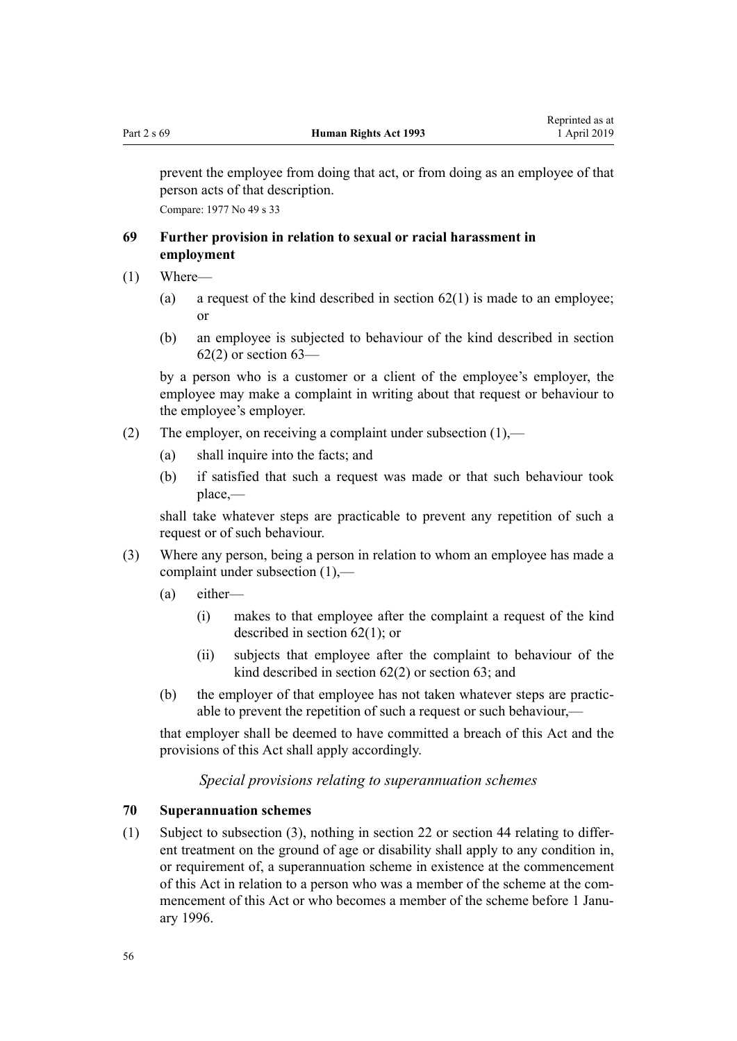<span id="page-55-0"></span>prevent the employee from doing that act, or from doing as an employee of that person acts of that description.

Compare: 1977 No 49 s 33

# **69 Further provision in relation to sexual or racial harassment in employment**

- (1) Where—
	- (a) a request of the kind described in section  $62(1)$  is made to an employee; or
	- (b) an employee is subjected to behaviour of the kind described in [section](#page-50-0)  $62(2)$  or section  $63-$

by a person who is a customer or a client of the employee's employer, the employee may make a complaint in writing about that request or behaviour to the employee's employer.

- (2) The employer, on receiving a complaint under subsection (1),—
	- (a) shall inquire into the facts; and
	- (b) if satisfied that such a request was made or that such behaviour took place,—

shall take whatever steps are practicable to prevent any repetition of such a request or of such behaviour.

- (3) Where any person, being a person in relation to whom an employee has made a complaint under subsection (1),—
	- (a) either—
		- (i) makes to that employee after the complaint a request of the kind described in [section 62\(1\)](#page-50-0); or
		- (ii) subjects that employee after the complaint to behaviour of the kind described in [section 62\(2\)](#page-50-0) or [section 63;](#page-52-0) and
	- (b) the employer of that employee has not taken whatever steps are practicable to prevent the repetition of such a request or such behaviour,—

that employer shall be deemed to have committed a breach of this Act and the provisions of this Act shall apply accordingly.

*Special provisions relating to superannuation schemes*

#### **70 Superannuation schemes**

(1) Subject to subsection (3), nothing in [section 22](#page-31-0) or [section 44](#page-43-0) relating to different treatment on the ground of age or disability shall apply to any condition in, or requirement of, a superannuation scheme in existence at the commencement of this Act in relation to a person who was a member of the scheme at the commencement of this Act or who becomes a member of the scheme before 1 January 1996.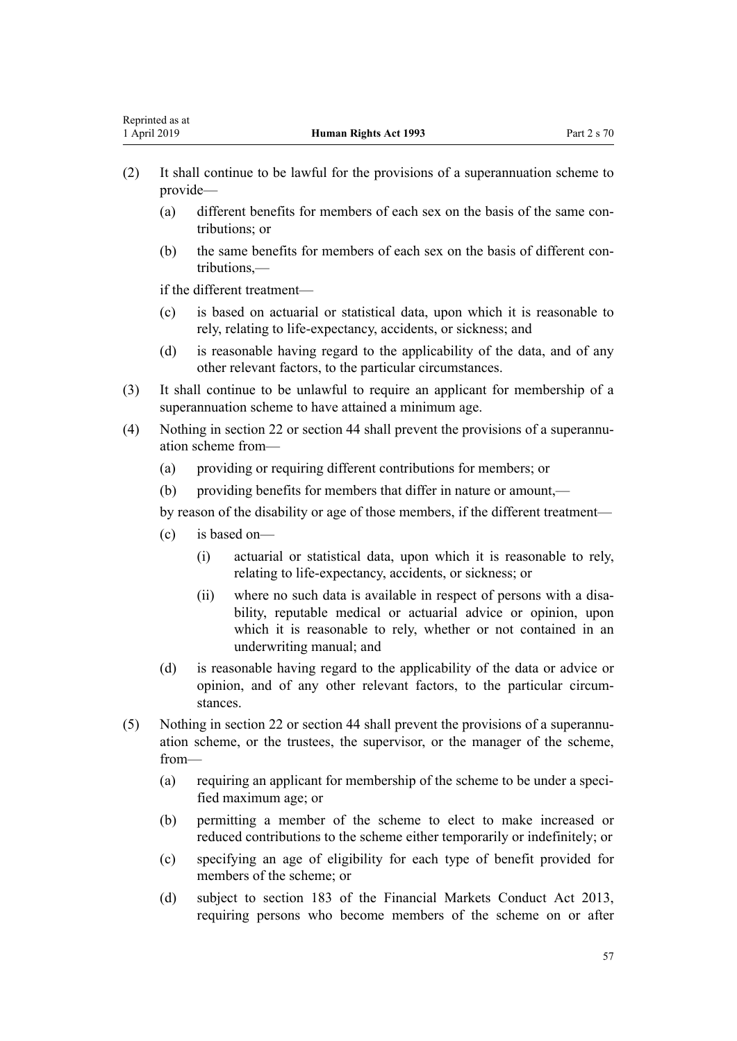- (2) It shall continue to be lawful for the provisions of a superannuation scheme to provide—
	- (a) different benefits for members of each sex on the basis of the same contributions; or
	- (b) the same benefits for members of each sex on the basis of different contributions,—

if the different treatment—

- (c) is based on actuarial or statistical data, upon which it is reasonable to rely, relating to life-expectancy, accidents, or sickness; and
- (d) is reasonable having regard to the applicability of the data, and of any other relevant factors, to the particular circumstances.
- (3) It shall continue to be unlawful to require an applicant for membership of a superannuation scheme to have attained a minimum age.
- (4) Nothing in [section 22](#page-31-0) or [section 44](#page-43-0) shall prevent the provisions of a superannuation scheme from—
	- (a) providing or requiring different contributions for members; or
	- (b) providing benefits for members that differ in nature or amount,—

by reason of the disability or age of those members, if the different treatment—

- (c) is based on—
	- (i) actuarial or statistical data, upon which it is reasonable to rely, relating to life-expectancy, accidents, or sickness; or
	- (ii) where no such data is available in respect of persons with a disability, reputable medical or actuarial advice or opinion, upon which it is reasonable to rely, whether or not contained in an underwriting manual; and
- (d) is reasonable having regard to the applicability of the data or advice or opinion, and of any other relevant factors, to the particular circumstances.
- (5) Nothing in [section 22](#page-31-0) or [section 44](#page-43-0) shall prevent the provisions of a superannuation scheme, or the trustees, the supervisor, or the manager of the scheme, from—
	- (a) requiring an applicant for membership of the scheme to be under a specified maximum age; or
	- (b) permitting a member of the scheme to elect to make increased or reduced contributions to the scheme either temporarily or indefinitely; or
	- (c) specifying an age of eligibility for each type of benefit provided for members of the scheme; or
	- (d) subject to [section 183](http://legislation.govt.nz/pdflink.aspx?id=DLM4091190) of the Financial Markets Conduct Act 2013, requiring persons who become members of the scheme on or after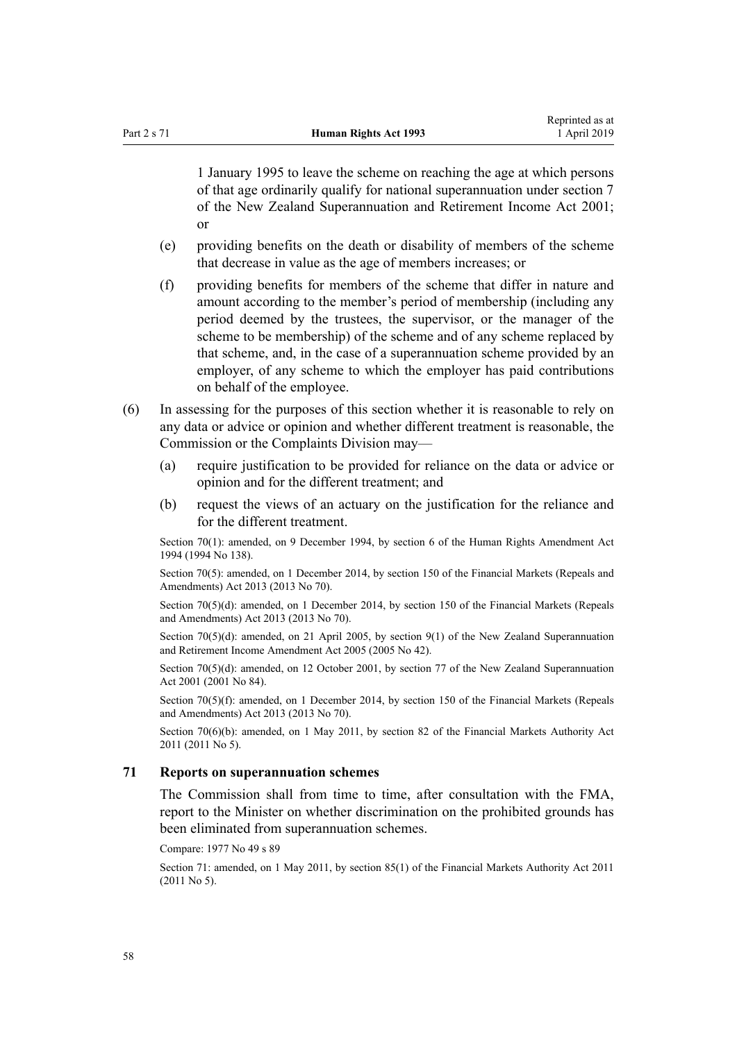1 January 1995 to leave the scheme on reaching the age at which persons of that age ordinarily qualify for national superannuation under [section 7](http://legislation.govt.nz/pdflink.aspx?id=DLM113987) of the New Zealand Superannuation and Retirement Income Act 2001; or

- (e) providing benefits on the death or disability of members of the scheme that decrease in value as the age of members increases; or
- (f) providing benefits for members of the scheme that differ in nature and amount according to the member's period of membership (including any period deemed by the trustees, the supervisor, or the manager of the scheme to be membership) of the scheme and of any scheme replaced by that scheme, and, in the case of a superannuation scheme provided by an employer, of any scheme to which the employer has paid contributions on behalf of the employee.
- (6) In assessing for the purposes of this section whether it is reasonable to rely on any data or advice or opinion and whether different treatment is reasonable, the Commission or the Complaints Division may—
	- (a) require justification to be provided for reliance on the data or advice or opinion and for the different treatment; and
	- (b) request the views of an actuary on the justification for the reliance and for the different treatment.

Section 70(1): amended, on 9 December 1994, by [section 6](http://legislation.govt.nz/pdflink.aspx?id=DLM345613) of the Human Rights Amendment Act 1994 (1994 No 138).

Section 70(5): amended, on 1 December 2014, by [section 150](http://legislation.govt.nz/pdflink.aspx?id=DLM5561603) of the Financial Markets (Repeals and Amendments) Act 2013 (2013 No 70).

Section 70(5)(d): amended, on 1 December 2014, by [section 150](http://legislation.govt.nz/pdflink.aspx?id=DLM5561603) of the Financial Markets (Repeals and Amendments) Act 2013 (2013 No 70).

Section 70(5)(d): amended, on 21 April 2005, by [section 9\(1\)](http://legislation.govt.nz/pdflink.aspx?id=DLM346494) of the New Zealand Superannuation and Retirement Income Amendment Act 2005 (2005 No 42).

Section 70(5)(d): amended, on 12 October 2001, by [section 77](http://legislation.govt.nz/pdflink.aspx?id=DLM114875) of the New Zealand Superannuation Act 2001 (2001 No 84).

Section 70(5)(f): amended, on 1 December 2014, by [section 150](http://legislation.govt.nz/pdflink.aspx?id=DLM5561603) of the Financial Markets (Repeals and Amendments) Act 2013 (2013 No 70).

Section 70(6)(b): amended, on 1 May 2011, by [section 82](http://legislation.govt.nz/pdflink.aspx?id=DLM3231793) of the Financial Markets Authority Act 2011 (2011 No 5).

## **71 Reports on superannuation schemes**

The Commission shall from time to time, after consultation with the FMA, report to the Minister on whether discrimination on the prohibited grounds has been eliminated from superannuation schemes.

Compare: 1977 No 49 s 89

Section 71: amended, on 1 May 2011, by [section 85\(1\)](http://legislation.govt.nz/pdflink.aspx?id=DLM3231795) of the Financial Markets Authority Act 2011 (2011 No 5).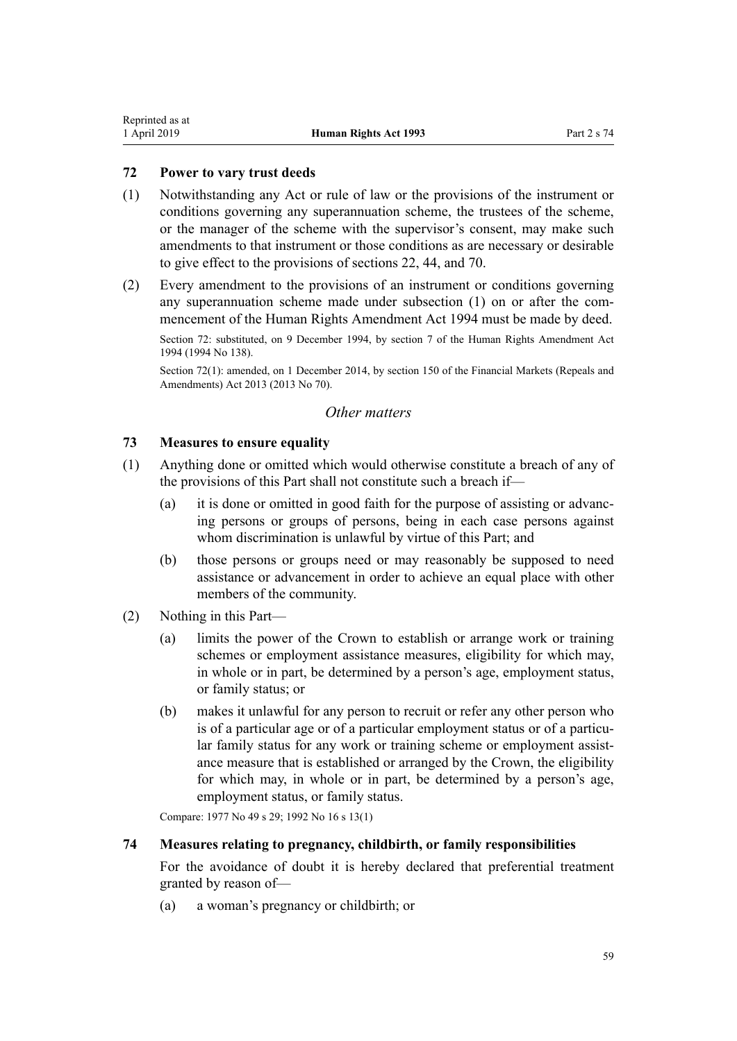## **72 Power to vary trust deeds**

- (1) Notwithstanding any Act or rule of law or the provisions of the instrument or conditions governing any superannuation scheme, the trustees of the scheme, or the manager of the scheme with the supervisor's consent, may make such amendments to that instrument or those conditions as are necessary or desirable to give effect to the provisions of [sections 22,](#page-31-0) [44](#page-43-0), and [70.](#page-55-0)
- (2) Every amendment to the provisions of an instrument or conditions governing any superannuation scheme made under subsection (1) on or after the commencement of the [Human Rights Amendment Act 1994](http://legislation.govt.nz/pdflink.aspx?id=DLM345299) must be made by deed.

Section 72: substituted, on 9 December 1994, by [section 7](http://legislation.govt.nz/pdflink.aspx?id=DLM345614) of the Human Rights Amendment Act 1994 (1994 No 138).

Section 72(1): amended, on 1 December 2014, by [section 150](http://legislation.govt.nz/pdflink.aspx?id=DLM5561603) of the Financial Markets (Repeals and Amendments) Act 2013 (2013 No 70).

#### *Other matters*

#### **73 Measures to ensure equality**

- (1) Anything done or omitted which would otherwise constitute a breach of any of the provisions of this Part shall not constitute such a breach if—
	- (a) it is done or omitted in good faith for the purpose of assisting or advancing persons or groups of persons, being in each case persons against whom discrimination is unlawful by virtue of this Part; and
	- (b) those persons or groups need or may reasonably be supposed to need assistance or advancement in order to achieve an equal place with other members of the community.
- (2) Nothing in this Part—
	- (a) limits the power of the Crown to establish or arrange work or training schemes or employment assistance measures, eligibility for which may, in whole or in part, be determined by a person's age, employment status, or family status; or
	- (b) makes it unlawful for any person to recruit or refer any other person who is of a particular age or of a particular employment status or of a particular family status for any work or training scheme or employment assistance measure that is established or arranged by the Crown, the eligibility for which may, in whole or in part, be determined by a person's age, employment status, or family status.

Compare: 1977 No 49 s 29; 1992 No 16 s 13(1)

## **74 Measures relating to pregnancy, childbirth, or family responsibilities**

For the avoidance of doubt it is hereby declared that preferential treatment granted by reason of—

(a) a woman's pregnancy or childbirth; or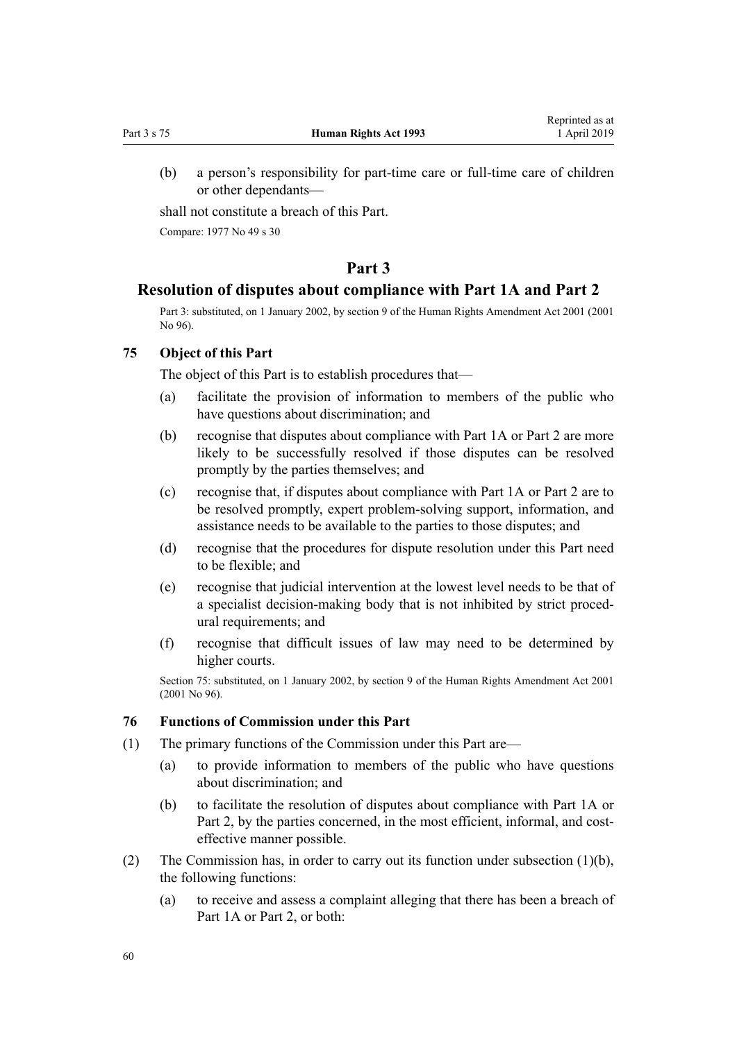<span id="page-59-0"></span>(b) a person's responsibility for part-time care or full-time care of children or other dependants—

shall not constitute a breach of this Part.

Compare: 1977 No 49 s 30

# **Part 3**

# **Resolution of disputes about compliance with Part 1A and Part 2**

Part 3: substituted, on 1 January 2002, by [section 9](http://legislation.govt.nz/pdflink.aspx?id=DLM121897) of the Human Rights Amendment Act 2001 (2001 No 96).

## **75 Object of this Part**

The object of this Part is to establish procedures that—

- (a) facilitate the provision of information to members of the public who have questions about discrimination; and
- (b) recognise that disputes about compliance with [Part 1A](#page-26-0) or [Part 2](#page-28-0) are more likely to be successfully resolved if those disputes can be resolved promptly by the parties themselves; and
- (c) recognise that, if disputes about compliance with [Part 1A](#page-26-0) or [Part 2](#page-28-0) are to be resolved promptly, expert problem-solving support, information, and assistance needs to be available to the parties to those disputes; and
- (d) recognise that the procedures for dispute resolution under this Part need to be flexible; and
- (e) recognise that judicial intervention at the lowest level needs to be that of a specialist decision-making body that is not inhibited by strict procedural requirements; and
- (f) recognise that difficult issues of law may need to be determined by higher courts.

Section 75: substituted, on 1 January 2002, by [section 9](http://legislation.govt.nz/pdflink.aspx?id=DLM121897) of the Human Rights Amendment Act 2001 (2001 No 96).

#### **76 Functions of Commission under this Part**

- (1) The primary functions of the Commission under this Part are—
	- (a) to provide information to members of the public who have questions about discrimination; and
	- (b) to facilitate the resolution of disputes about compliance with [Part 1A](#page-26-0) or [Part 2](#page-28-0), by the parties concerned, in the most efficient, informal, and costeffective manner possible.
- (2) The Commission has, in order to carry out its function under subsection (1)(b), the following functions:
	- (a) to receive and assess a complaint alleging that there has been a breach of [Part 1A](#page-26-0) or [Part 2](#page-28-0), or both: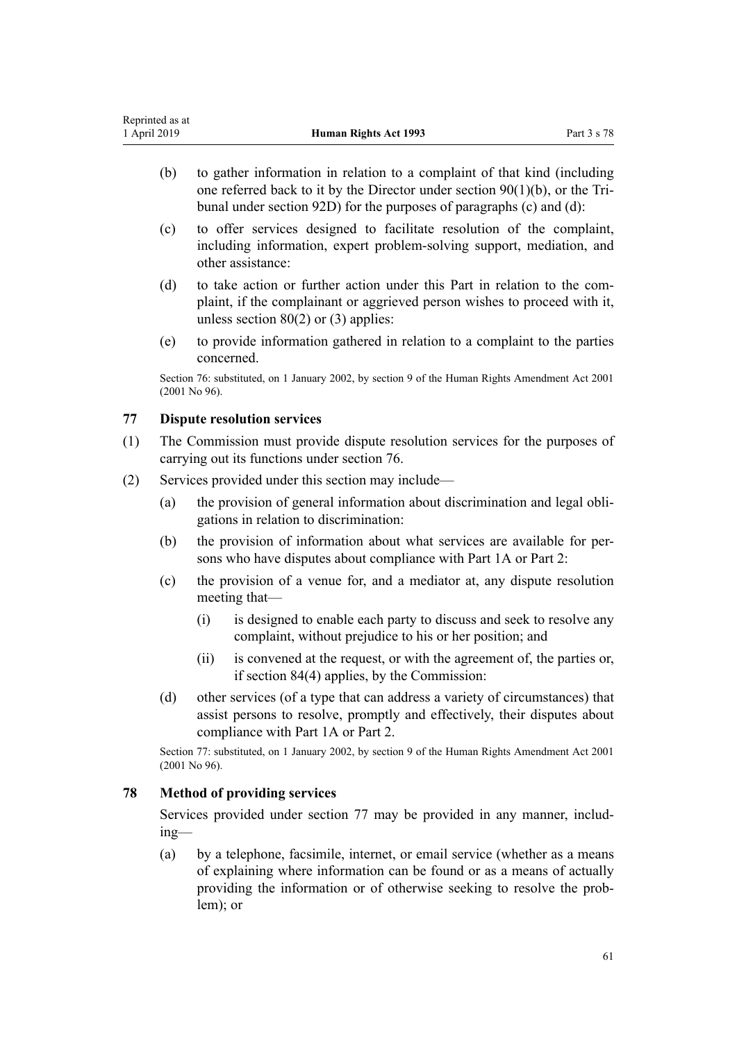- (b) to gather information in relation to a complaint of that kind (including one referred back to it by the Director under [section 90\(1\)\(b\)](#page-67-0), or the Tribunal under [section 92D\)](#page-72-0) for the purposes of paragraphs (c) and (d):
- (c) to offer services designed to facilitate resolution of the complaint, including information, expert problem-solving support, mediation, and other assistance:
- (d) to take action or further action under this Part in relation to the complaint, if the complainant or aggrieved person wishes to proceed with it, unless section  $80(2)$  or  $(3)$  applies:
- (e) to provide information gathered in relation to a complaint to the parties concerned.

Section 76: substituted, on 1 January 2002, by [section 9](http://legislation.govt.nz/pdflink.aspx?id=DLM121897) of the Human Rights Amendment Act 2001 (2001 No 96).

## **77 Dispute resolution services**

- (1) The Commission must provide dispute resolution services for the purposes of carrying out its functions under [section 76](#page-59-0).
- (2) Services provided under this section may include—
	- (a) the provision of general information about discrimination and legal obligations in relation to discrimination:
	- (b) the provision of information about what services are available for persons who have disputes about compliance with [Part 1A](#page-26-0) or [Part 2:](#page-28-0)
	- (c) the provision of a venue for, and a mediator at, any dispute resolution meeting that—
		- (i) is designed to enable each party to discuss and seek to resolve any complaint, without prejudice to his or her position; and
		- (ii) is convened at the request, or with the agreement of, the parties or, if [section 84\(4\)](#page-65-0) applies, by the Commission:
	- (d) other services (of a type that can address a variety of circumstances) that assist persons to resolve, promptly and effectively, their disputes about compliance with [Part 1A](#page-26-0) or [Part 2](#page-28-0).

Section 77: substituted, on 1 January 2002, by [section 9](http://legislation.govt.nz/pdflink.aspx?id=DLM121897) of the Human Rights Amendment Act 2001 (2001 No 96).

## **78 Method of providing services**

Services provided under section 77 may be provided in any manner, including—

(a) by a telephone, facsimile, internet, or email service (whether as a means of explaining where information can be found or as a means of actually providing the information or of otherwise seeking to resolve the problem); or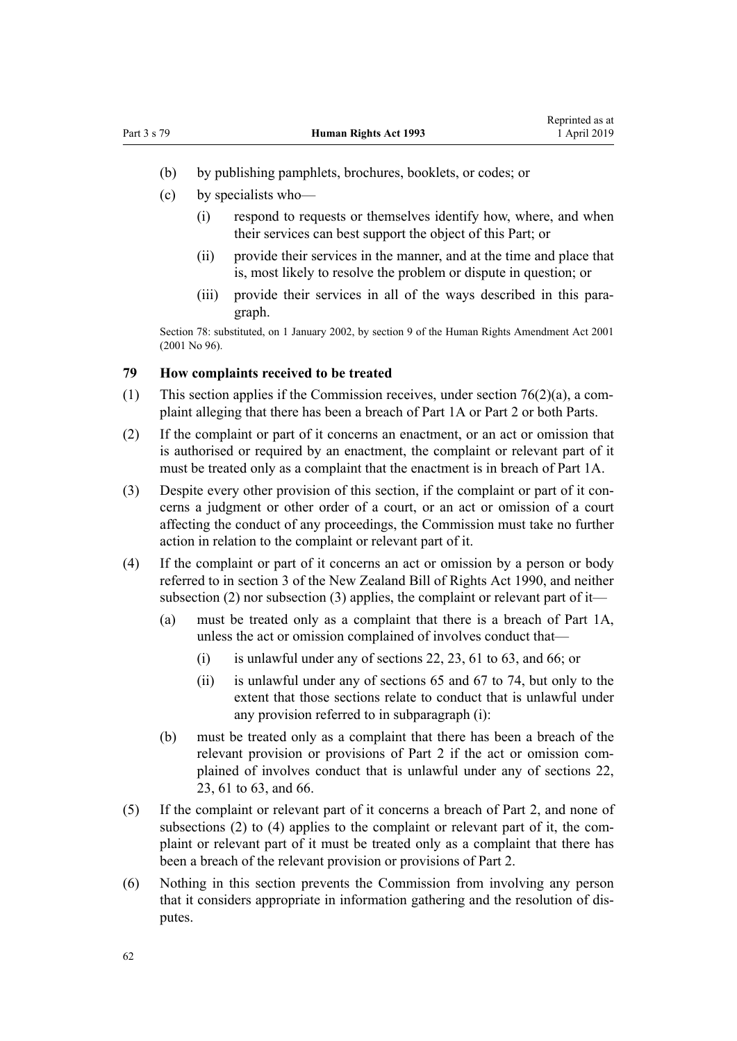- <span id="page-61-0"></span>(b) by publishing pamphlets, brochures, booklets, or codes; or
- (c) by specialists who—
	- (i) respond to requests or themselves identify how, where, and when their services can best support the object of this Part; or
	- (ii) provide their services in the manner, and at the time and place that is, most likely to resolve the problem or dispute in question; or
	- (iii) provide their services in all of the ways described in this paragraph.

Section 78: substituted, on 1 January 2002, by [section 9](http://legislation.govt.nz/pdflink.aspx?id=DLM121897) of the Human Rights Amendment Act 2001 (2001 No 96).

## **79 How complaints received to be treated**

- (1) This section applies if the Commission receives, under section  $76(2)(a)$ , a complaint alleging that there has been a breach of [Part 1A](#page-26-0) or [Part 2](#page-28-0) or both Parts.
- (2) If the complaint or part of it concerns an enactment, or an act or omission that is authorised or required by an enactment, the complaint or relevant part of it must be treated only as a complaint that the enactment is in breach of [Part 1A.](#page-26-0)
- (3) Despite every other provision of this section, if the complaint or part of it concerns a judgment or other order of a court, or an act or omission of a court affecting the conduct of any proceedings, the Commission must take no further action in relation to the complaint or relevant part of it.
- (4) If the complaint or part of it concerns an act or omission by a person or body referred to in [section 3](http://legislation.govt.nz/pdflink.aspx?id=DLM224799) of the New Zealand Bill of Rights Act 1990, and neither subsection (2) nor subsection (3) applies, the complaint or relevant part of it—
	- (a) must be treated only as a complaint that there is a breach of [Part 1A](#page-26-0), unless the act or omission complained of involves conduct that
		- (i) is unlawful under any of [sections 22,](#page-31-0) [23](#page-32-0), [61 to 63,](#page-49-0) and [66](#page-53-0); or
		- (ii) is unlawful under any of [sections 65](#page-53-0) and [67 to 74](#page-54-0), but only to the extent that those sections relate to conduct that is unlawful under any provision referred to in subparagraph (i):
	- (b) must be treated only as a complaint that there has been a breach of the relevant provision or provisions of [Part 2](#page-28-0) if the act or omission complained of involves conduct that is unlawful under any of [sections 22](#page-31-0), [23,](#page-32-0) [61 to 63](#page-49-0), and [66.](#page-53-0)
- (5) If the complaint or relevant part of it concerns a breach of [Part 2](#page-28-0), and none of subsections (2) to (4) applies to the complaint or relevant part of it, the complaint or relevant part of it must be treated only as a complaint that there has been a breach of the relevant provision or provisions of [Part 2.](#page-28-0)
- (6) Nothing in this section prevents the Commission from involving any person that it considers appropriate in information gathering and the resolution of disputes.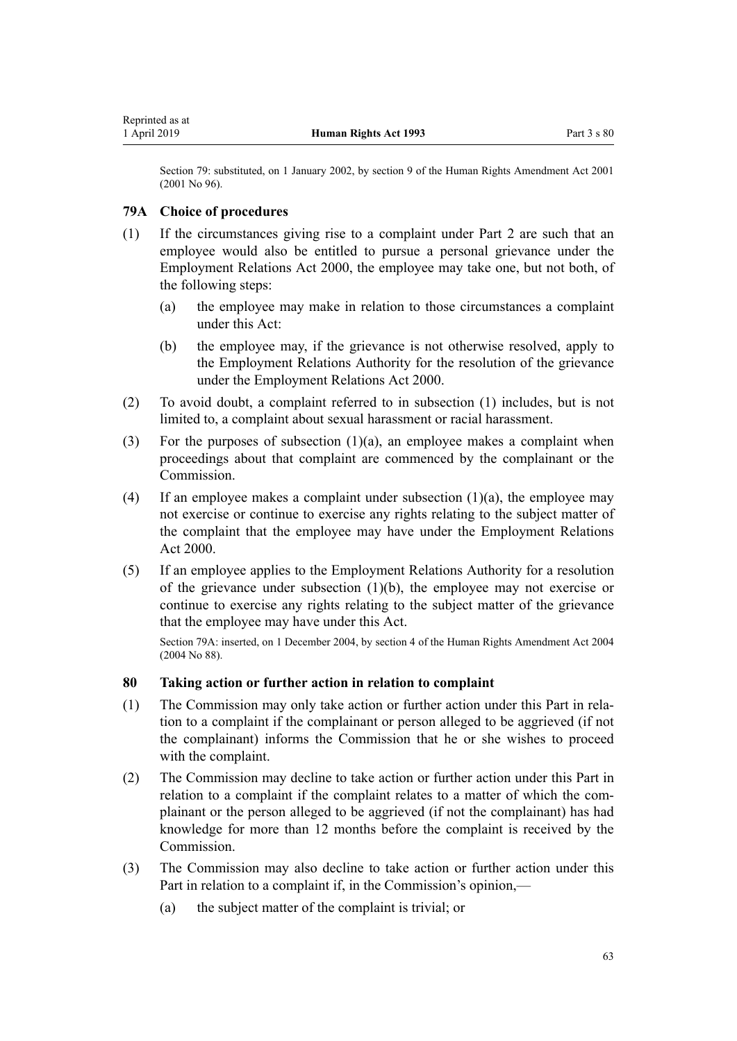<span id="page-62-0"></span>Section 79: substituted, on 1 January 2002, by [section 9](http://legislation.govt.nz/pdflink.aspx?id=DLM121897) of the Human Rights Amendment Act 2001 (2001 No 96).

## **79A Choice of procedures**

- (1) If the circumstances giving rise to a complaint under [Part 2](#page-28-0) are such that an employee would also be entitled to pursue a personal grievance under the [Employment Relations Act 2000](http://legislation.govt.nz/pdflink.aspx?id=DLM58316), the employee may take one, but not both, of the following steps:
	- (a) the employee may make in relation to those circumstances a complaint under this Act:
	- (b) the employee may, if the grievance is not otherwise resolved, apply to the Employment Relations Authority for the resolution of the grievance under the [Employment Relations Act 2000](http://legislation.govt.nz/pdflink.aspx?id=DLM58316).
- (2) To avoid doubt, a complaint referred to in subsection (1) includes, but is not limited to, a complaint about sexual harassment or racial harassment.
- (3) For the purposes of subsection  $(1)(a)$ , an employee makes a complaint when proceedings about that complaint are commenced by the complainant or the Commission.
- (4) If an employee makes a complaint under subsection (1)(a), the employee may not exercise or continue to exercise any rights relating to the subject matter of the complaint that the employee may have under the [Employment Relations](http://legislation.govt.nz/pdflink.aspx?id=DLM58316) [Act 2000.](http://legislation.govt.nz/pdflink.aspx?id=DLM58316)
- (5) If an employee applies to the Employment Relations Authority for a resolution of the grievance under subsection (1)(b), the employee may not exercise or continue to exercise any rights relating to the subject matter of the grievance that the employee may have under this Act.

Section 79A: inserted, on 1 December 2004, by [section 4](http://legislation.govt.nz/pdflink.aspx?id=DLM316652) of the Human Rights Amendment Act 2004 (2004 No 88).

#### **80 Taking action or further action in relation to complaint**

- (1) The Commission may only take action or further action under this Part in relation to a complaint if the complainant or person alleged to be aggrieved (if not the complainant) informs the Commission that he or she wishes to proceed with the complaint.
- (2) The Commission may decline to take action or further action under this Part in relation to a complaint if the complaint relates to a matter of which the complainant or the person alleged to be aggrieved (if not the complainant) has had knowledge for more than 12 months before the complaint is received by the Commission.
- (3) The Commission may also decline to take action or further action under this Part in relation to a complaint if, in the Commission's opinion,—
	- (a) the subject matter of the complaint is trivial; or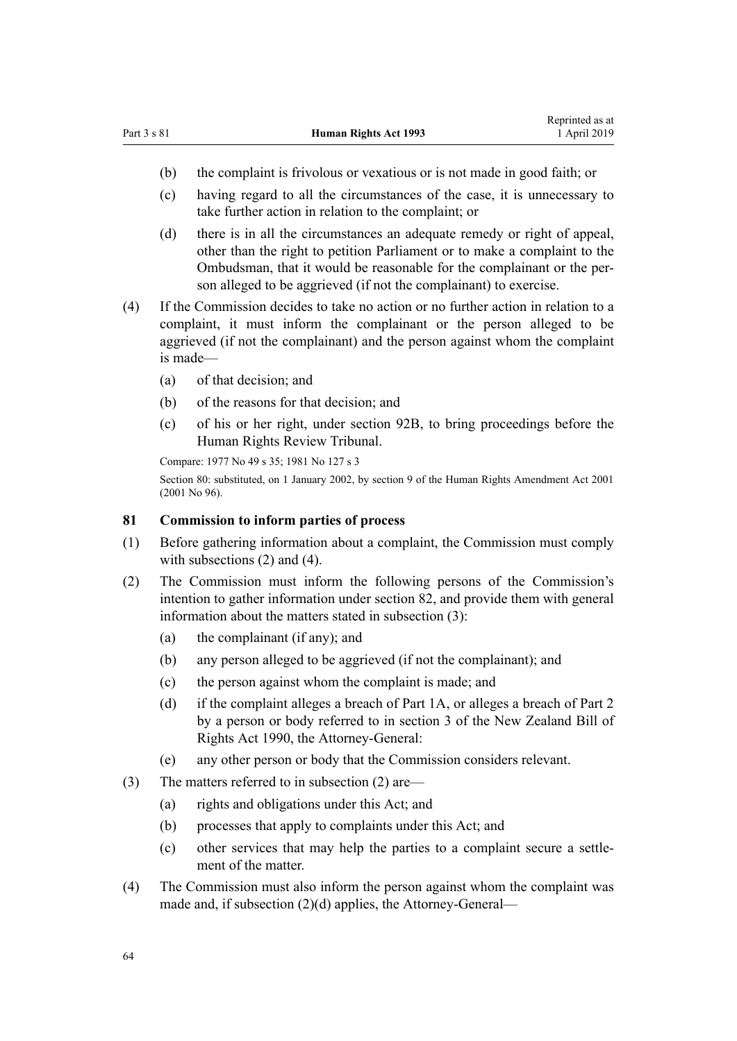- <span id="page-63-0"></span>(b) the complaint is frivolous or vexatious or is not made in good faith; or
- (c) having regard to all the circumstances of the case, it is unnecessary to take further action in relation to the complaint; or
- (d) there is in all the circumstances an adequate remedy or right of appeal, other than the right to petition Parliament or to make a complaint to the Ombudsman, that it would be reasonable for the complainant or the person alleged to be aggrieved (if not the complainant) to exercise.
- (4) If the Commission decides to take no action or no further action in relation to a complaint, it must inform the complainant or the person alleged to be aggrieved (if not the complainant) and the person against whom the complaint is made—
	- (a) of that decision; and
	- (b) of the reasons for that decision; and
	- (c) of his or her right, under [section 92B](#page-70-0), to bring proceedings before the Human Rights Review Tribunal.

Compare: 1977 No 49 s 35; 1981 No 127 s 3

Section 80: substituted, on 1 January 2002, by [section 9](http://legislation.govt.nz/pdflink.aspx?id=DLM121897) of the Human Rights Amendment Act 2001 (2001 No 96).

## **81 Commission to inform parties of process**

- (1) Before gathering information about a complaint, the Commission must comply with subsections (2) and (4).
- (2) The Commission must inform the following persons of the Commission's intention to gather information under [section 82,](#page-64-0) and provide them with general information about the matters stated in subsection (3):
	- (a) the complainant (if any); and
	- (b) any person alleged to be aggrieved (if not the complainant); and
	- (c) the person against whom the complaint is made; and
	- (d) if the complaint alleges a breach of [Part 1A,](#page-26-0) or alleges a breach of [Part 2](#page-28-0) by a person or body referred to in [section 3](http://legislation.govt.nz/pdflink.aspx?id=DLM224799) of the New Zealand Bill of Rights Act 1990, the Attorney-General:
	- (e) any other person or body that the Commission considers relevant.
- (3) The matters referred to in subsection (2) are—
	- (a) rights and obligations under this Act; and
	- (b) processes that apply to complaints under this Act; and
	- (c) other services that may help the parties to a complaint secure a settlement of the matter.
- (4) The Commission must also inform the person against whom the complaint was made and, if subsection (2)(d) applies, the Attorney-General—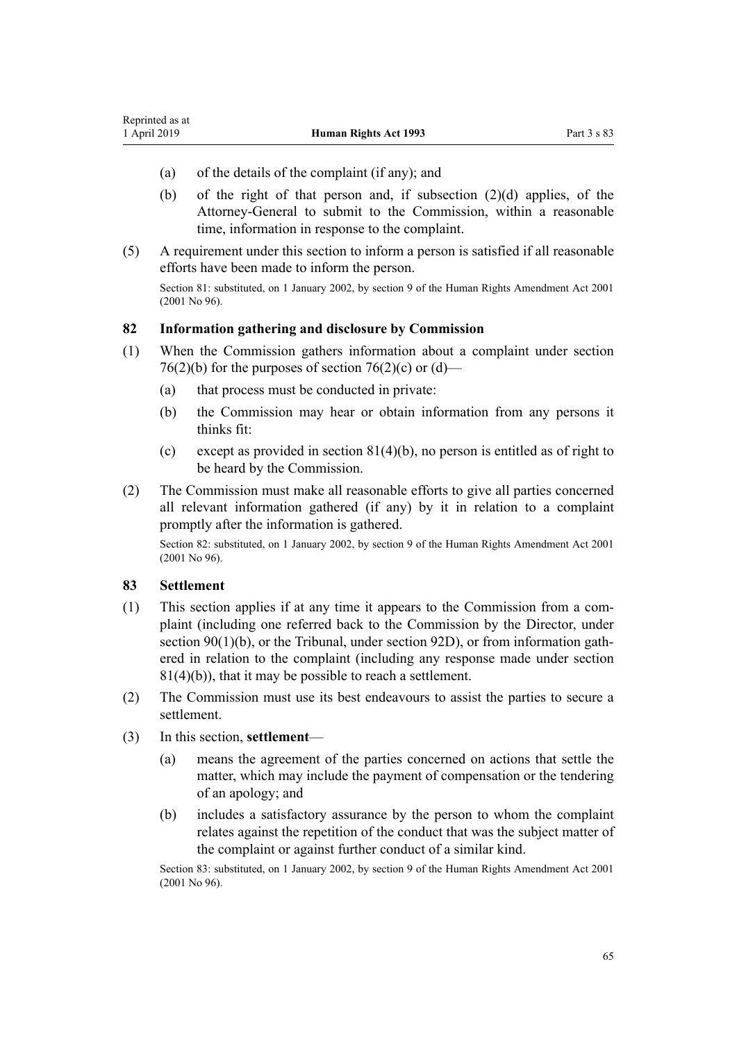- <span id="page-64-0"></span>(a) of the details of the complaint (if any); and
- (b) of the right of that person and, if subsection  $(2)(d)$  applies, of the Attorney-General to submit to the Commission, within a reasonable time, information in response to the complaint.
- (5) A requirement under this section to inform a person is satisfied if all reasonable efforts have been made to inform the person.

Section 81: substituted, on 1 January 2002, by [section 9](http://legislation.govt.nz/pdflink.aspx?id=DLM121897) of the Human Rights Amendment Act 2001 (2001 No 96).

#### **82 Information gathering and disclosure by Commission**

- (1) When the Commission gathers information about a complaint under [section](#page-59-0) [76\(2\)\(b\)](#page-59-0) for the purposes of [section 76\(2\)\(c\) or \(d\)—](#page-59-0)
	- (a) that process must be conducted in private:
	- (b) the Commission may hear or obtain information from any persons it thinks fit:
	- (c) except as provided in [section 81\(4\)\(b\),](#page-63-0) no person is entitled as of right to be heard by the Commission.
- (2) The Commission must make all reasonable efforts to give all parties concerned all relevant information gathered (if any) by it in relation to a complaint promptly after the information is gathered.

Section 82: substituted, on 1 January 2002, by [section 9](http://legislation.govt.nz/pdflink.aspx?id=DLM121897) of the Human Rights Amendment Act 2001 (2001 No 96).

#### **83 Settlement**

- (1) This section applies if at any time it appears to the Commission from a complaint (including one referred back to the Commission by the Director, under [section 90\(1\)\(b\)](#page-67-0), or the Tribunal, under [section 92D\)](#page-72-0), or from information gathered in relation to the complaint (including any response made under [section](#page-63-0) [81\(4\)\(b\)\)](#page-63-0), that it may be possible to reach a settlement.
- (2) The Commission must use its best endeavours to assist the parties to secure a settlement.
- (3) In this section, **settlement**
	- (a) means the agreement of the parties concerned on actions that settle the matter, which may include the payment of compensation or the tendering of an apology; and
	- (b) includes a satisfactory assurance by the person to whom the complaint relates against the repetition of the conduct that was the subject matter of the complaint or against further conduct of a similar kind.

Section 83: substituted, on 1 January 2002, by [section 9](http://legislation.govt.nz/pdflink.aspx?id=DLM121897) of the Human Rights Amendment Act 2001 (2001 No 96).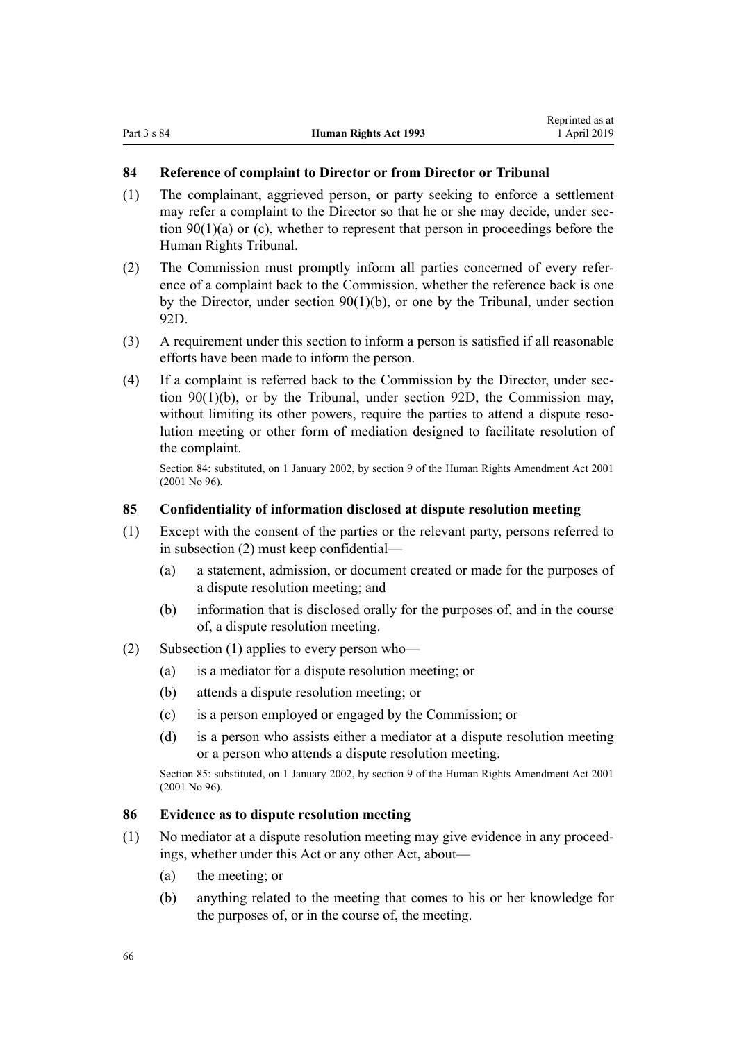# <span id="page-65-0"></span>**84 Reference of complaint to Director or from Director or Tribunal**

- (1) The complainant, aggrieved person, or party seeking to enforce a settlement may refer a complaint to the Director so that he or she may decide, under [sec](#page-67-0)[tion 90\(1\)\(a\) or \(c\),](#page-67-0) whether to represent that person in proceedings before the Human Rights Tribunal.
- (2) The Commission must promptly inform all parties concerned of every reference of a complaint back to the Commission, whether the reference back is one by the Director, under [section 90\(1\)\(b\),](#page-67-0) or one by the Tribunal, under [section](#page-72-0) [92D](#page-72-0).
- (3) A requirement under this section to inform a person is satisfied if all reasonable efforts have been made to inform the person.
- (4) If a complaint is referred back to the Commission by the Director, under [sec](#page-67-0)[tion 90\(1\)\(b\)](#page-67-0), or by the Tribunal, under [section 92D](#page-72-0), the Commission may, without limiting its other powers, require the parties to attend a dispute resolution meeting or other form of mediation designed to facilitate resolution of the complaint.

Section 84: substituted, on 1 January 2002, by [section 9](http://legislation.govt.nz/pdflink.aspx?id=DLM121897) of the Human Rights Amendment Act 2001 (2001 No 96).

## **85 Confidentiality of information disclosed at dispute resolution meeting**

- (1) Except with the consent of the parties or the relevant party, persons referred to in subsection (2) must keep confidential—
	- (a) a statement, admission, or document created or made for the purposes of a dispute resolution meeting; and
	- (b) information that is disclosed orally for the purposes of, and in the course of, a dispute resolution meeting.
- (2) Subsection (1) applies to every person who—
	- (a) is a mediator for a dispute resolution meeting; or
	- (b) attends a dispute resolution meeting; or
	- (c) is a person employed or engaged by the Commission; or
	- (d) is a person who assists either a mediator at a dispute resolution meeting or a person who attends a dispute resolution meeting.

Section 85: substituted, on 1 January 2002, by [section 9](http://legislation.govt.nz/pdflink.aspx?id=DLM121897) of the Human Rights Amendment Act 2001 (2001 No 96).

#### **86 Evidence as to dispute resolution meeting**

- (1) No mediator at a dispute resolution meeting may give evidence in any proceedings, whether under this Act or any other Act, about—
	- (a) the meeting; or
	- (b) anything related to the meeting that comes to his or her knowledge for the purposes of, or in the course of, the meeting.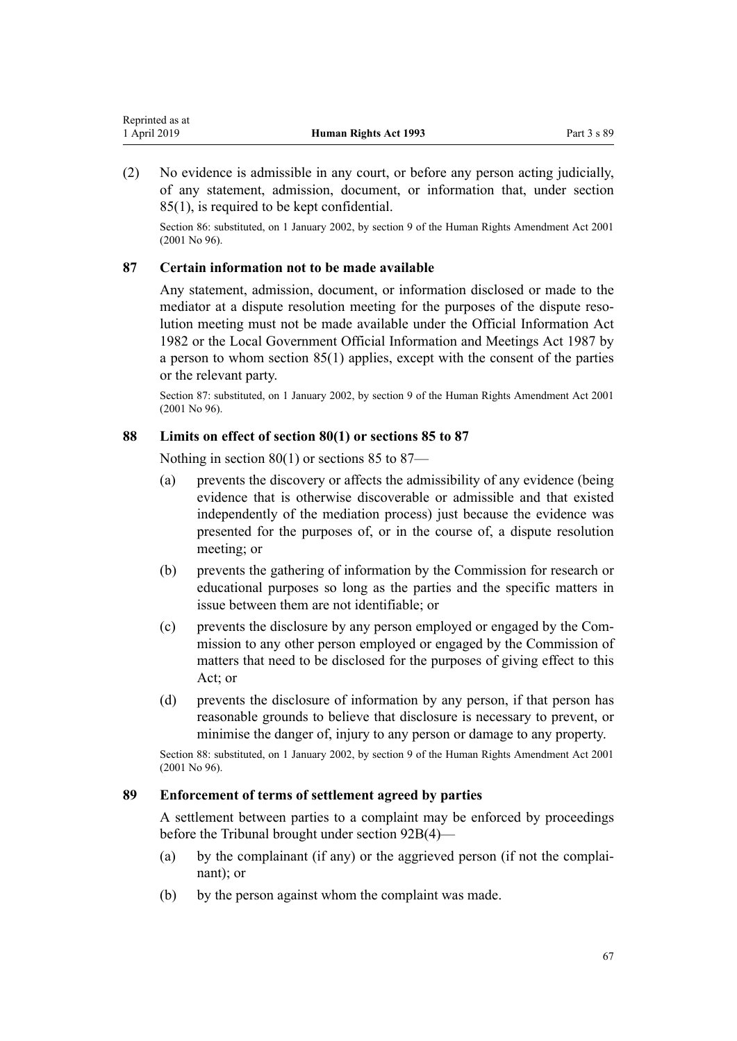| Reprinted as at |                       |             |
|-----------------|-----------------------|-------------|
| 1 April 2019    | Human Rights Act 1993 | Part 3 s 89 |

(2) No evidence is admissible in any court, or before any person acting judicially, of any statement, admission, document, or information that, under [section](#page-65-0) [85\(1\)](#page-65-0), is required to be kept confidential.

Section 86: substituted, on 1 January 2002, by [section 9](http://legislation.govt.nz/pdflink.aspx?id=DLM121897) of the Human Rights Amendment Act 2001 (2001 No 96).

#### **87 Certain information not to be made available**

Any statement, admission, document, or information disclosed or made to the mediator at a dispute resolution meeting for the purposes of the dispute resolution meeting must not be made available under the [Official Information Act](http://legislation.govt.nz/pdflink.aspx?id=DLM64784) [1982](http://legislation.govt.nz/pdflink.aspx?id=DLM64784) or the [Local Government Official Information and Meetings Act 1987](http://legislation.govt.nz/pdflink.aspx?id=DLM122241) by a person to whom [section 85\(1\)](#page-65-0) applies, except with the consent of the parties or the relevant party.

Section 87: substituted, on 1 January 2002, by [section 9](http://legislation.govt.nz/pdflink.aspx?id=DLM121897) of the Human Rights Amendment Act 2001 (2001 No 96).

#### **88 Limits on effect of section 80(1) or sections 85 to 87**

Nothing in [section 80\(1\)](#page-62-0) or [sections 85 to 87—](#page-65-0)

- (a) prevents the discovery or affects the admissibility of any evidence (being evidence that is otherwise discoverable or admissible and that existed independently of the mediation process) just because the evidence was presented for the purposes of, or in the course of, a dispute resolution meeting; or
- (b) prevents the gathering of information by the Commission for research or educational purposes so long as the parties and the specific matters in issue between them are not identifiable; or
- (c) prevents the disclosure by any person employed or engaged by the Commission to any other person employed or engaged by the Commission of matters that need to be disclosed for the purposes of giving effect to this Act; or
- (d) prevents the disclosure of information by any person, if that person has reasonable grounds to believe that disclosure is necessary to prevent, or minimise the danger of, injury to any person or damage to any property.

Section 88: substituted, on 1 January 2002, by [section 9](http://legislation.govt.nz/pdflink.aspx?id=DLM121897) of the Human Rights Amendment Act 2001 (2001 No 96).

#### **89 Enforcement of terms of settlement agreed by parties**

A settlement between parties to a complaint may be enforced by proceedings before the Tribunal brought under [section 92B\(4\)](#page-70-0)—

- (a) by the complainant (if any) or the aggrieved person (if not the complainant); or
- (b) by the person against whom the complaint was made.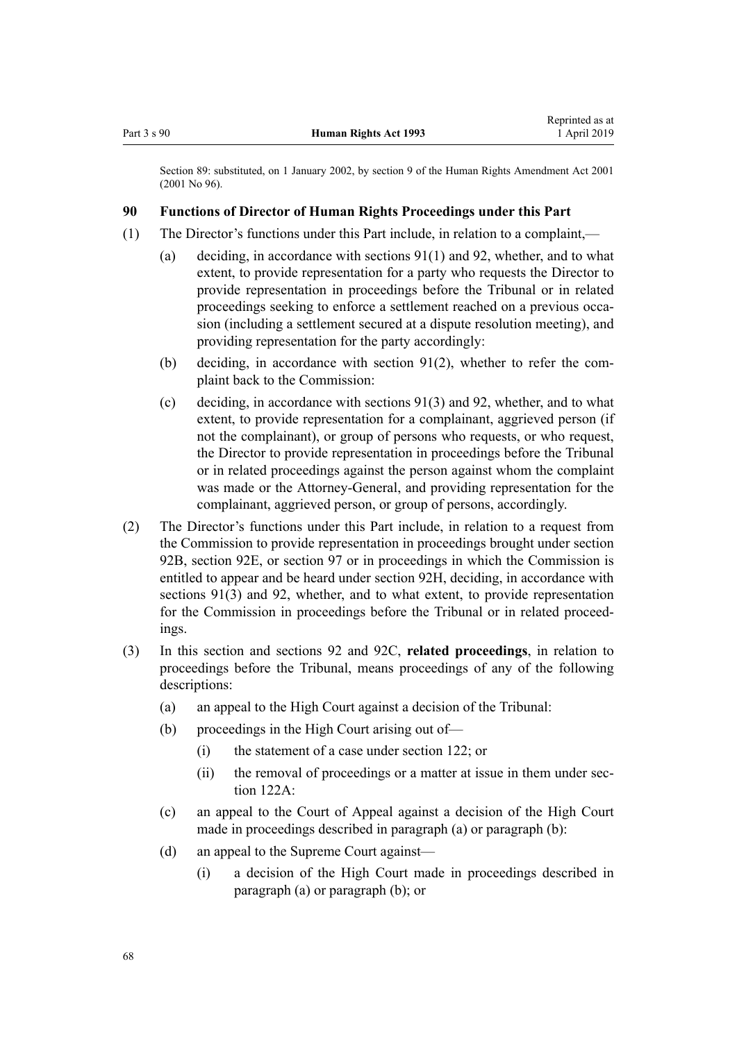<span id="page-67-0"></span>Section 89: substituted, on 1 January 2002, by [section 9](http://legislation.govt.nz/pdflink.aspx?id=DLM121897) of the Human Rights Amendment Act 2001 (2001 No 96).

## **90 Functions of Director of Human Rights Proceedings under this Part**

- (1) The Director's functions under this Part include, in relation to a complaint,—
	- (a) deciding, in accordance with [sections 91\(1\)](#page-68-0) and [92,](#page-68-0) whether, and to what extent, to provide representation for a party who requests the Director to provide representation in proceedings before the Tribunal or in related proceedings seeking to enforce a settlement reached on a previous occasion (including a settlement secured at a dispute resolution meeting), and providing representation for the party accordingly:
	- (b) deciding, in accordance with [section 91\(2\)](#page-68-0), whether to refer the complaint back to the Commission:
	- (c) deciding, in accordance with [sections 91\(3\)](#page-68-0) and [92,](#page-68-0) whether, and to what extent, to provide representation for a complainant, aggrieved person (if not the complainant), or group of persons who requests, or who request, the Director to provide representation in proceedings before the Tribunal or in related proceedings against the person against whom the complaint was made or the Attorney-General, and providing representation for the complainant, aggrieved person, or group of persons, accordingly.
- (2) The Director's functions under this Part include, in relation to a request from the Commission to provide representation in proceedings brought under [section](#page-70-0) [92B](#page-70-0), [section 92E](#page-73-0), or [section 97](#page-85-0) or in proceedings in which the Commission is entitled to appear and be heard under [section 92H](#page-74-0), deciding, in accordance with [sections 91\(3\)](#page-68-0) and [92,](#page-68-0) whether, and to what extent, to provide representation for the Commission in proceedings before the Tribunal or in related proceedings.
- (3) In this section and [sections 92](#page-68-0) and [92C](#page-71-0), **related proceedings**, in relation to proceedings before the Tribunal, means proceedings of any of the following descriptions:
	- (a) an appeal to the High Court against a decision of the Tribunal:
	- (b) proceedings in the High Court arising out of—
		- (i) the statement of a case under [section 122;](#page-100-0) or
		- (ii) the removal of proceedings or a matter at issue in them under [sec](#page-100-0)[tion 122A:](#page-100-0)
	- (c) an appeal to the Court of Appeal against a decision of the High Court made in proceedings described in paragraph (a) or paragraph (b):
	- (d) an appeal to the Supreme Court against—
		- (i) a decision of the High Court made in proceedings described in paragraph (a) or paragraph (b); or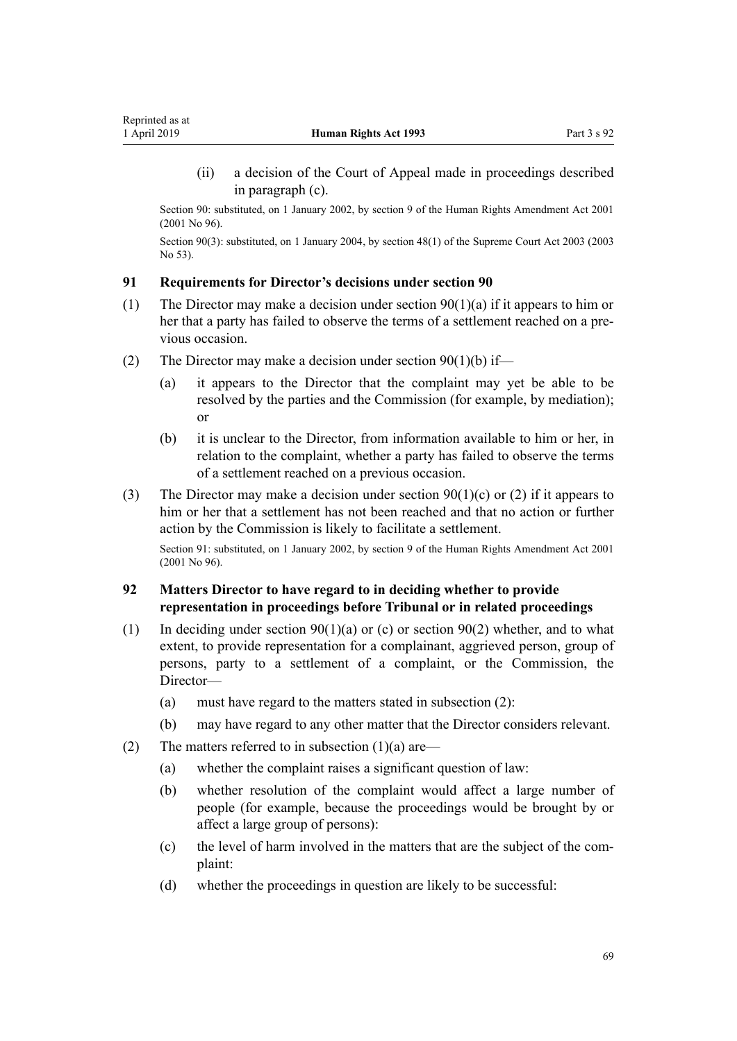<span id="page-68-0"></span>(ii) a decision of the Court of Appeal made in proceedings described in paragraph (c).

Section 90: substituted, on 1 January 2002, by [section 9](http://legislation.govt.nz/pdflink.aspx?id=DLM121897) of the Human Rights Amendment Act 2001 (2001 No 96).

Section 90(3): substituted, on 1 January 2004, by [section 48\(1\)](http://legislation.govt.nz/pdflink.aspx?id=DLM214522) of the Supreme Court Act 2003 (2003 No 53).

#### **91 Requirements for Director's decisions under section 90**

- (1) The Director may make a decision under [section 90\(1\)\(a\)](#page-67-0) if it appears to him or her that a party has failed to observe the terms of a settlement reached on a previous occasion.
- (2) The Director may make a decision under section  $90(1)(b)$  if—
	- (a) it appears to the Director that the complaint may yet be able to be resolved by the parties and the Commission (for example, by mediation); or
	- (b) it is unclear to the Director, from information available to him or her, in relation to the complaint, whether a party has failed to observe the terms of a settlement reached on a previous occasion.
- (3) The Director may make a decision under section  $90(1)(c)$  or (2) if it appears to him or her that a settlement has not been reached and that no action or further action by the Commission is likely to facilitate a settlement.

Section 91: substituted, on 1 January 2002, by [section 9](http://legislation.govt.nz/pdflink.aspx?id=DLM121897) of the Human Rights Amendment Act 2001 (2001 No 96).

## **92 Matters Director to have regard to in deciding whether to provide representation in proceedings before Tribunal or in related proceedings**

- (1) In deciding under section  $90(1)(a)$  or (c) or section  $90(2)$  whether, and to what extent, to provide representation for a complainant, aggrieved person, group of persons, party to a settlement of a complaint, or the Commission, the Director—
	- (a) must have regard to the matters stated in subsection (2):
	- (b) may have regard to any other matter that the Director considers relevant.
- (2) The matters referred to in subsection  $(1)(a)$  are—
	- (a) whether the complaint raises a significant question of law:
	- (b) whether resolution of the complaint would affect a large number of people (for example, because the proceedings would be brought by or affect a large group of persons):
	- (c) the level of harm involved in the matters that are the subject of the complaint:
	- (d) whether the proceedings in question are likely to be successful: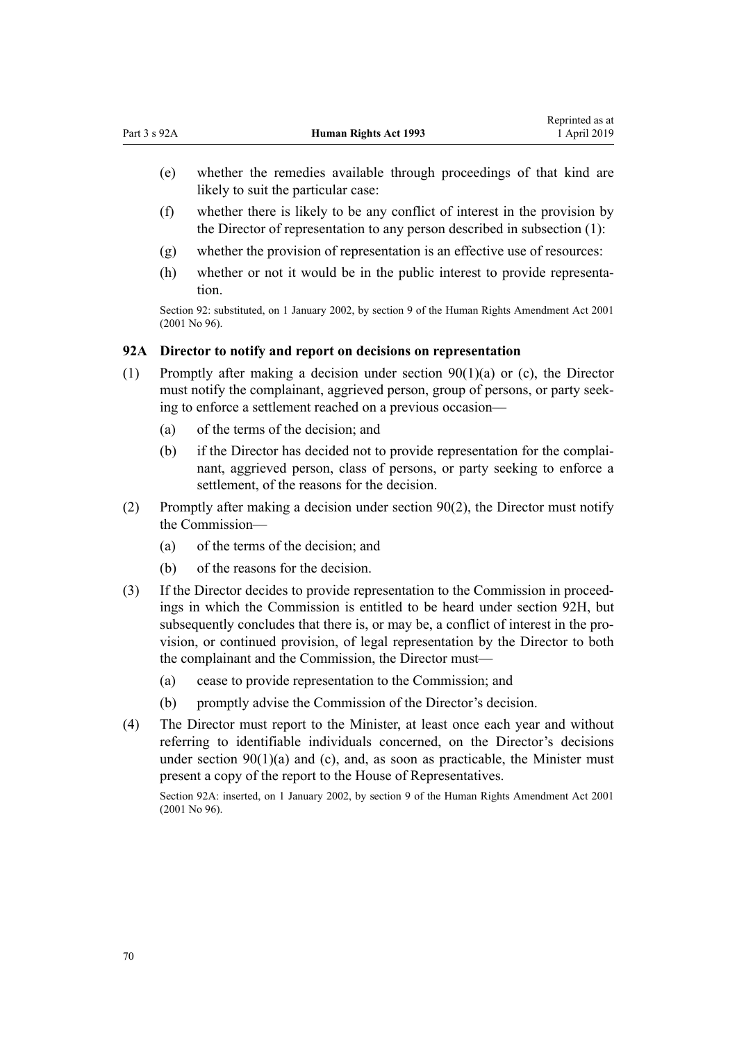- (e) whether the remedies available through proceedings of that kind are likely to suit the particular case:
- (f) whether there is likely to be any conflict of interest in the provision by the Director of representation to any person described in subsection (1):
- (g) whether the provision of representation is an effective use of resources:
- (h) whether or not it would be in the public interest to provide representation.

Section 92: substituted, on 1 January 2002, by [section 9](http://legislation.govt.nz/pdflink.aspx?id=DLM121897) of the Human Rights Amendment Act 2001 (2001 No 96).

#### **92A Director to notify and report on decisions on representation**

- (1) Promptly after making a decision under section  $90(1)(a)$  or (c), the Director must notify the complainant, aggrieved person, group of persons, or party seeking to enforce a settlement reached on a previous occasion—
	- (a) of the terms of the decision; and
	- (b) if the Director has decided not to provide representation for the complainant, aggrieved person, class of persons, or party seeking to enforce a settlement, of the reasons for the decision.
- (2) Promptly after making a decision under [section 90\(2\),](#page-67-0) the Director must notify the Commission—
	- (a) of the terms of the decision; and
	- (b) of the reasons for the decision.
- (3) If the Director decides to provide representation to the Commission in proceedings in which the Commission is entitled to be heard under [section 92H](#page-74-0), but subsequently concludes that there is, or may be, a conflict of interest in the provision, or continued provision, of legal representation by the Director to both the complainant and the Commission, the Director must—
	- (a) cease to provide representation to the Commission; and
	- (b) promptly advise the Commission of the Director's decision.
- (4) The Director must report to the Minister, at least once each year and without referring to identifiable individuals concerned, on the Director's decisions under section  $90(1)(a)$  and (c), and, as soon as practicable, the Minister must present a copy of the report to the House of Representatives.

Section 92A: inserted, on 1 January 2002, by [section 9](http://legislation.govt.nz/pdflink.aspx?id=DLM121897) of the Human Rights Amendment Act 2001 (2001 No 96).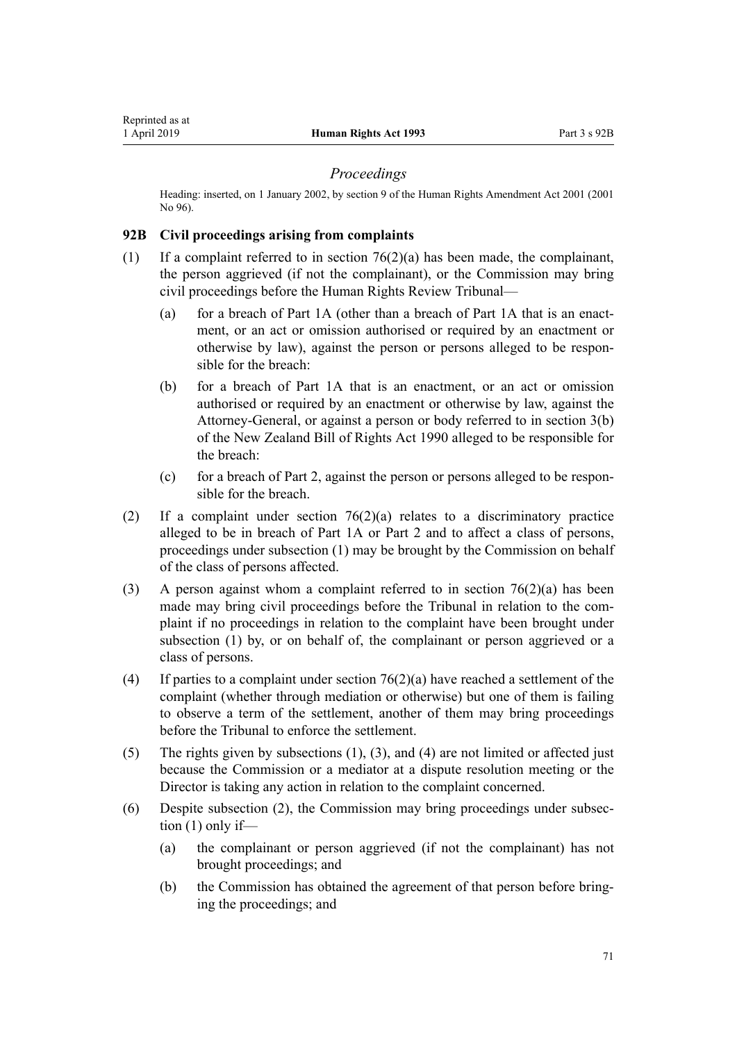#### *Proceedings*

<span id="page-70-0"></span>Heading: inserted, on 1 January 2002, by [section 9](http://legislation.govt.nz/pdflink.aspx?id=DLM121897) of the Human Rights Amendment Act 2001 (2001 No 96).

#### **92B Civil proceedings arising from complaints**

- (1) If a complaint referred to in [section 76\(2\)\(a\)](#page-59-0) has been made, the complainant, the person aggrieved (if not the complainant), or the Commission may bring civil proceedings before the Human Rights Review Tribunal—
	- (a) for a breach of [Part 1A](#page-26-0) (other than a breach of Part 1A that is an enactment, or an act or omission authorised or required by an enactment or otherwise by law), against the person or persons alleged to be responsible for the breach:
	- (b) for a breach of [Part 1A](#page-26-0) that is an enactment, or an act or omission authorised or required by an enactment or otherwise by law, against the Attorney-General, or against a person or body referred to in [section 3\(b\)](http://legislation.govt.nz/pdflink.aspx?id=DLM224799) of the New Zealand Bill of Rights Act 1990 alleged to be responsible for the breach:
	- (c) for a breach of [Part 2](#page-28-0), against the person or persons alleged to be responsible for the breach.
- (2) If a complaint under section  $76(2)(a)$  relates to a discriminatory practice alleged to be in breach of [Part 1A](#page-26-0) or [Part 2](#page-28-0) and to affect a class of persons, proceedings under subsection (1) may be brought by the Commission on behalf of the class of persons affected.
- (3) A person against whom a complaint referred to in section  $76(2)(a)$  has been made may bring civil proceedings before the Tribunal in relation to the complaint if no proceedings in relation to the complaint have been brought under subsection (1) by, or on behalf of, the complainant or person aggrieved or a class of persons.
- (4) If parties to a complaint under section  $76(2)(a)$  have reached a settlement of the complaint (whether through mediation or otherwise) but one of them is failing to observe a term of the settlement, another of them may bring proceedings before the Tribunal to enforce the settlement.
- (5) The rights given by subsections (1), (3), and (4) are not limited or affected just because the Commission or a mediator at a dispute resolution meeting or the Director is taking any action in relation to the complaint concerned.
- (6) Despite subsection (2), the Commission may bring proceedings under subsection  $(1)$  only if—
	- (a) the complainant or person aggrieved (if not the complainant) has not brought proceedings; and
	- (b) the Commission has obtained the agreement of that person before bringing the proceedings; and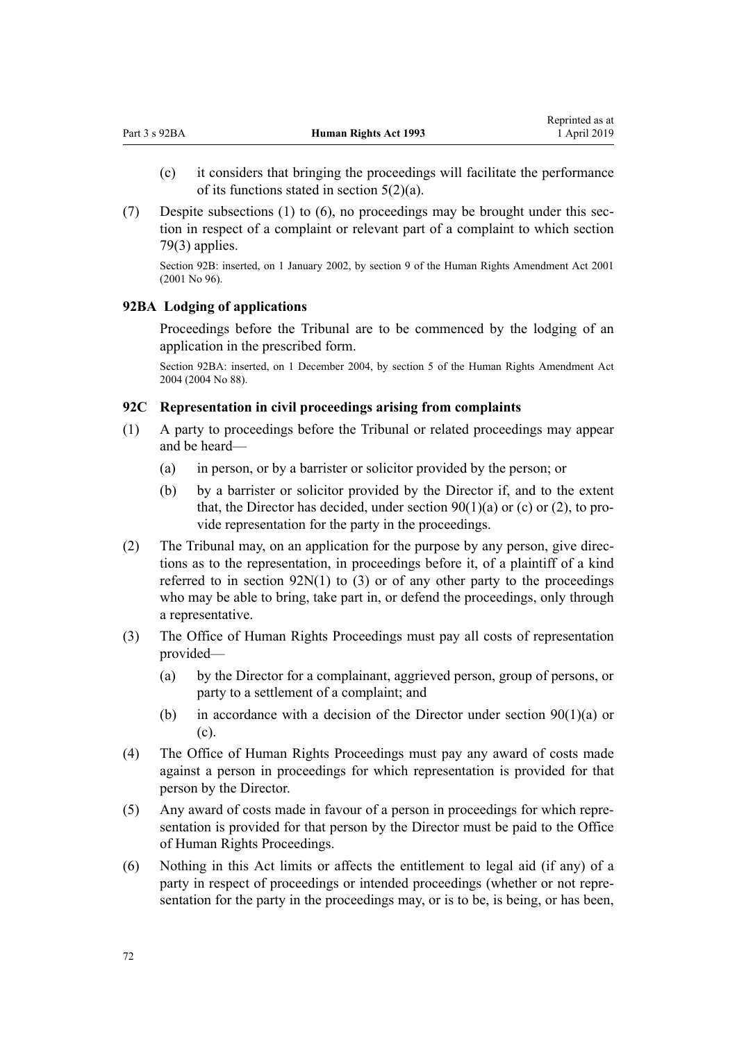- <span id="page-71-0"></span>(c) it considers that bringing the proceedings will facilitate the performance of its functions stated in [section 5\(2\)\(a\).](#page-12-0)
- (7) Despite subsections (1) to (6), no proceedings may be brought under this section in respect of a complaint or relevant part of a complaint to which [section](#page-61-0) [79\(3\)](#page-61-0) applies.

Section 92B: inserted, on 1 January 2002, by [section 9](http://legislation.govt.nz/pdflink.aspx?id=DLM121897) of the Human Rights Amendment Act 2001 (2001 No 96).

#### **92BA Lodging of applications**

Proceedings before the Tribunal are to be commenced by the lodging of an application in the prescribed form.

Section 92BA: inserted, on 1 December 2004, by [section 5](http://legislation.govt.nz/pdflink.aspx?id=DLM316654) of the Human Rights Amendment Act 2004 (2004 No 88).

#### **92C Representation in civil proceedings arising from complaints**

- (1) A party to proceedings before the Tribunal or related proceedings may appear and be heard—
	- (a) in person, or by a barrister or solicitor provided by the person; or
	- (b) by a barrister or solicitor provided by the Director if, and to the extent that, the Director has decided, under section  $90(1)(a)$  or (c) or (2), to provide representation for the party in the proceedings.
- (2) The Tribunal may, on an application for the purpose by any person, give directions as to the representation, in proceedings before it, of a plaintiff of a kind referred to in section  $92N(1)$  to (3) or of any other party to the proceedings who may be able to bring, take part in, or defend the proceedings, only through a representative.
- (3) The Office of Human Rights Proceedings must pay all costs of representation provided—
	- (a) by the Director for a complainant, aggrieved person, group of persons, or party to a settlement of a complaint; and
	- (b) in accordance with a decision of the Director under section  $90(1)(a)$  or [\(c\).](#page-67-0)
- (4) The Office of Human Rights Proceedings must pay any award of costs made against a person in proceedings for which representation is provided for that person by the Director.
- (5) Any award of costs made in favour of a person in proceedings for which representation is provided for that person by the Director must be paid to the Office of Human Rights Proceedings.
- (6) Nothing in this Act limits or affects the entitlement to legal aid (if any) of a party in respect of proceedings or intended proceedings (whether or not representation for the party in the proceedings may, or is to be, is being, or has been,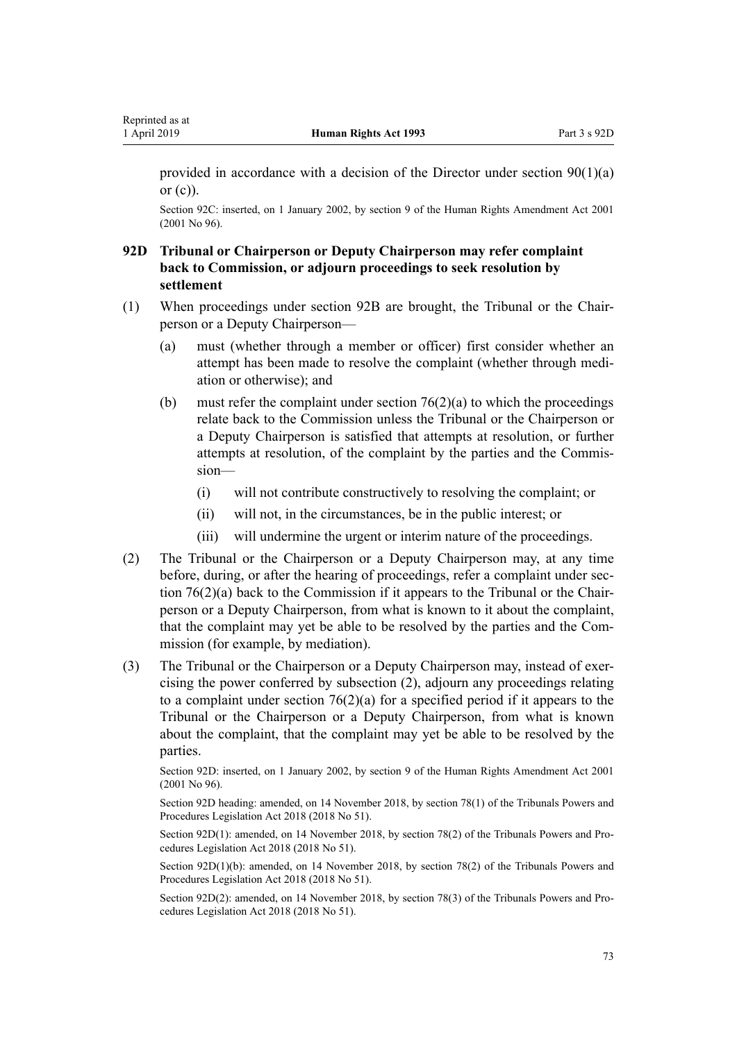provided in accordance with a decision of the Director under section  $90(1)(a)$ or  $(c)$ ).

Section 92C: inserted, on 1 January 2002, by [section 9](http://legislation.govt.nz/pdflink.aspx?id=DLM121897) of the Human Rights Amendment Act 2001 (2001 No 96).

# **92D Tribunal or Chairperson or Deputy Chairperson may refer complaint back to Commission, or adjourn proceedings to seek resolution by settlement**

- (1) When proceedings under [section 92B](#page-70-0) are brought, the Tribunal or the Chairperson or a Deputy Chairperson—
	- (a) must (whether through a member or officer) first consider whether an attempt has been made to resolve the complaint (whether through mediation or otherwise); and
	- (b) must refer the complaint under section  $76(2)(a)$  to which the proceedings relate back to the Commission unless the Tribunal or the Chairperson or a Deputy Chairperson is satisfied that attempts at resolution, or further attempts at resolution, of the complaint by the parties and the Commission—
		- (i) will not contribute constructively to resolving the complaint; or
		- (ii) will not, in the circumstances, be in the public interest; or
		- (iii) will undermine the urgent or interim nature of the proceedings.
- (2) The Tribunal or the Chairperson or a Deputy Chairperson may, at any time before, during, or after the hearing of proceedings, refer a complaint under [sec](#page-59-0)[tion 76\(2\)\(a\)](#page-59-0) back to the Commission if it appears to the Tribunal or the Chairperson or a Deputy Chairperson, from what is known to it about the complaint, that the complaint may yet be able to be resolved by the parties and the Commission (for example, by mediation).
- (3) The Tribunal or the Chairperson or a Deputy Chairperson may, instead of exercising the power conferred by subsection (2), adjourn any proceedings relating to a complaint under section  $76(2)(a)$  for a specified period if it appears to the Tribunal or the Chairperson or a Deputy Chairperson, from what is known about the complaint, that the complaint may yet be able to be resolved by the parties.

Section 92D: inserted, on 1 January 2002, by [section 9](http://legislation.govt.nz/pdflink.aspx?id=DLM121897) of the Human Rights Amendment Act 2001 (2001 No 96).

Section 92D heading: amended, on 14 November 2018, by [section 78\(1\)](http://legislation.govt.nz/pdflink.aspx?id=LMS18536) of the Tribunals Powers and Procedures Legislation Act 2018 (2018 No 51).

Section 92D(1): amended, on 14 November 2018, by [section 78\(2\)](http://legislation.govt.nz/pdflink.aspx?id=LMS18536) of the Tribunals Powers and Procedures Legislation Act 2018 (2018 No 51).

Section 92D(1)(b): amended, on 14 November 2018, by [section 78\(2\)](http://legislation.govt.nz/pdflink.aspx?id=LMS18536) of the Tribunals Powers and Procedures Legislation Act 2018 (2018 No 51).

Section 92D(2): amended, on 14 November 2018, by [section 78\(3\)](http://legislation.govt.nz/pdflink.aspx?id=LMS18536) of the Tribunals Powers and Procedures Legislation Act 2018 (2018 No 51).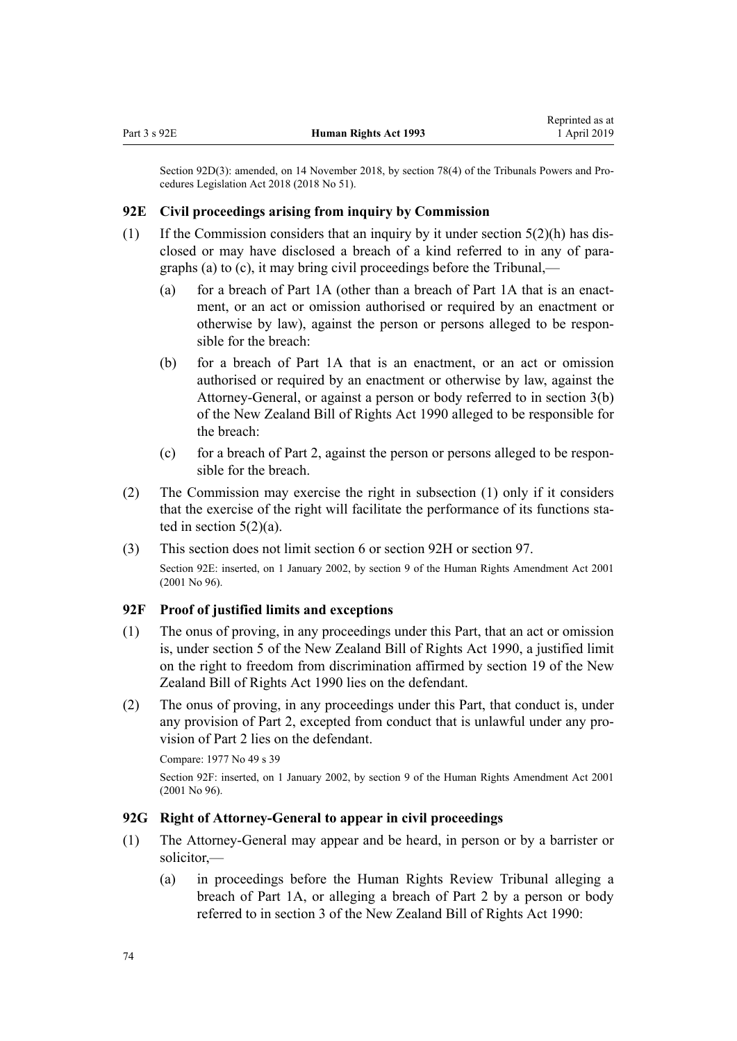<span id="page-73-0"></span>Section 92D(3): amended, on 14 November 2018, by [section 78\(4\)](http://legislation.govt.nz/pdflink.aspx?id=LMS18536) of the Tribunals Powers and Procedures Legislation Act 2018 (2018 No 51).

# **92E Civil proceedings arising from inquiry by Commission**

- (1) If the Commission considers that an inquiry by it under section  $5(2)(h)$  has disclosed or may have disclosed a breach of a kind referred to in any of paragraphs (a) to (c), it may bring civil proceedings before the Tribunal,—
	- (a) for a breach of [Part 1A](#page-26-0) (other than a breach of Part 1A that is an enactment, or an act or omission authorised or required by an enactment or otherwise by law), against the person or persons alleged to be responsible for the breach:
	- (b) for a breach of [Part 1A](#page-26-0) that is an enactment, or an act or omission authorised or required by an enactment or otherwise by law, against the Attorney-General, or against a person or body referred to in [section 3\(b\)](http://legislation.govt.nz/pdflink.aspx?id=DLM224799) of the New Zealand Bill of Rights Act 1990 alleged to be responsible for the breach:
	- (c) for a breach of [Part 2](#page-28-0), against the person or persons alleged to be responsible for the breach.
- (2) The Commission may exercise the right in subsection (1) only if it considers that the exercise of the right will facilitate the performance of its functions stated in section  $5(2)(a)$ .
- (3) This section does not limit [section 6](#page-15-0) or [section 92H](#page-74-0) or [section 97](#page-85-0).

Section 92E: inserted, on 1 January 2002, by [section 9](http://legislation.govt.nz/pdflink.aspx?id=DLM121897) of the Human Rights Amendment Act 2001 (2001 No 96).

# **92F Proof of justified limits and exceptions**

- (1) The onus of proving, in any proceedings under this Part, that an act or omission is, under [section 5](http://legislation.govt.nz/pdflink.aspx?id=DLM225501) of the New Zealand Bill of Rights Act 1990, a justified limit on the right to freedom from discrimination affirmed by [section 19](http://legislation.govt.nz/pdflink.aspx?id=DLM225519) of the New Zealand Bill of Rights Act 1990 lies on the defendant.
- (2) The onus of proving, in any proceedings under this Part, that conduct is, under any provision of [Part 2](#page-28-0), excepted from conduct that is unlawful under any provision of Part 2 lies on the defendant.

Compare: 1977 No 49 s 39

Section 92F: inserted, on 1 January 2002, by [section 9](http://legislation.govt.nz/pdflink.aspx?id=DLM121897) of the Human Rights Amendment Act 2001 (2001 No 96).

# **92G Right of Attorney-General to appear in civil proceedings**

- (1) The Attorney-General may appear and be heard, in person or by a barrister or solicitor,—
	- (a) in proceedings before the Human Rights Review Tribunal alleging a breach of [Part 1A](#page-26-0), or alleging a breach of [Part 2](#page-28-0) by a person or body referred to in [section 3](http://legislation.govt.nz/pdflink.aspx?id=DLM224799) of the New Zealand Bill of Rights Act 1990: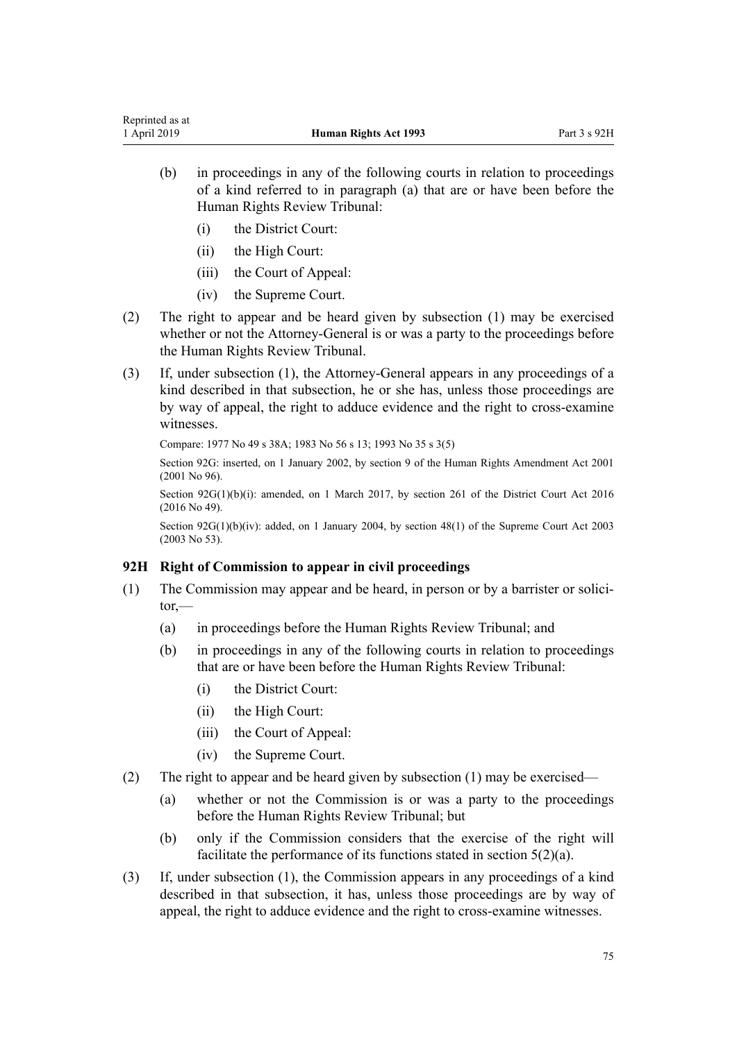- <span id="page-74-0"></span>(b) in proceedings in any of the following courts in relation to proceedings of a kind referred to in paragraph (a) that are or have been before the Human Rights Review Tribunal:
	- (i) the District Court:
	- (ii) the High Court:
	- (iii) the Court of Appeal:
	- (iv) the Supreme Court.
- (2) The right to appear and be heard given by subsection (1) may be exercised whether or not the Attorney-General is or was a party to the proceedings before the Human Rights Review Tribunal.
- (3) If, under subsection (1), the Attorney-General appears in any proceedings of a kind described in that subsection, he or she has, unless those proceedings are by way of appeal, the right to adduce evidence and the right to cross-examine witnesses.

Compare: 1977 No 49 s 38A; 1983 No 56 s 13; 1993 No 35 s 3(5)

Section 92G: inserted, on 1 January 2002, by [section 9](http://legislation.govt.nz/pdflink.aspx?id=DLM121897) of the Human Rights Amendment Act 2001 (2001 No 96).

Section 92G(1)(b)(i): amended, on 1 March 2017, by [section 261](http://legislation.govt.nz/pdflink.aspx?id=DLM6942680) of the District Court Act 2016 (2016 No 49).

Section 92G(1)(b)(iv): added, on 1 January 2004, by [section 48\(1\)](http://legislation.govt.nz/pdflink.aspx?id=DLM214522) of the Supreme Court Act 2003 (2003 No 53).

# **92H Right of Commission to appear in civil proceedings**

- (1) The Commission may appear and be heard, in person or by a barrister or solicitor,—
	- (a) in proceedings before the Human Rights Review Tribunal; and
	- (b) in proceedings in any of the following courts in relation to proceedings that are or have been before the Human Rights Review Tribunal:
		- (i) the District Court:
		- (ii) the High Court:
		- (iii) the Court of Appeal:
		- (iv) the Supreme Court.
- (2) The right to appear and be heard given by subsection (1) may be exercised—
	- (a) whether or not the Commission is or was a party to the proceedings before the Human Rights Review Tribunal; but
	- (b) only if the Commission considers that the exercise of the right will facilitate the performance of its functions stated in section  $5(2)(a)$ .
- (3) If, under subsection (1), the Commission appears in any proceedings of a kind described in that subsection, it has, unless those proceedings are by way of appeal, the right to adduce evidence and the right to cross-examine witnesses.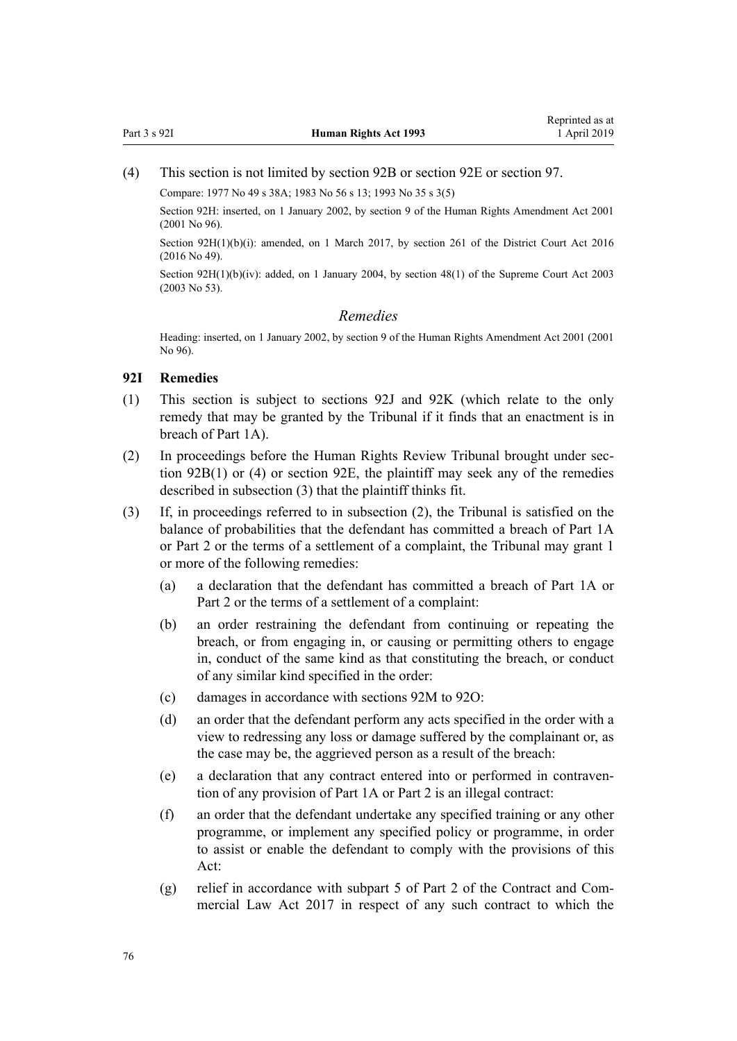### <span id="page-75-0"></span>(4) This section is not limited by [section 92B](#page-70-0) or [section 92E](#page-73-0) or [section 97](#page-85-0).

Compare: 1977 No 49 s 38A; 1983 No 56 s 13; 1993 No 35 s 3(5)

Section 92H: inserted, on 1 January 2002, by [section 9](http://legislation.govt.nz/pdflink.aspx?id=DLM121897) of the Human Rights Amendment Act 2001 (2001 No 96).

Section 92H(1)(b)(i): amended, on 1 March 2017, by [section 261](http://legislation.govt.nz/pdflink.aspx?id=DLM6942680) of the District Court Act 2016 (2016 No 49).

Section 92H(1)(b)(iv): added, on 1 January 2004, by [section 48\(1\)](http://legislation.govt.nz/pdflink.aspx?id=DLM214522) of the Supreme Court Act 2003 (2003 No 53).

### *Remedies*

Heading: inserted, on 1 January 2002, by [section 9](http://legislation.govt.nz/pdflink.aspx?id=DLM121897) of the Human Rights Amendment Act 2001 (2001 No 96).

#### **92I Remedies**

- (1) This section is subject to [sections 92J](#page-76-0) and [92K](#page-76-0) (which relate to the only remedy that may be granted by the Tribunal if it finds that an enactment is in breach of Part [1A\)](#page-26-0).
- (2) In proceedings before the Human Rights Review Tribunal brought under [sec](#page-70-0)[tion 92B\(1\) or \(4\)](#page-70-0) or [section 92E,](#page-73-0) the plaintiff may seek any of the remedies described in subsection (3) that the plaintiff thinks fit.
- (3) If, in proceedings referred to in subsection (2), the Tribunal is satisfied on the balance of probabilities that the defendant has committed a breach of [Part 1A](#page-26-0) or [Part 2](#page-28-0) or the terms of a settlement of a complaint, the Tribunal may grant 1 or more of the following remedies:
	- (a) a declaration that the defendant has committed a breach of [Part 1A](#page-26-0) or [Part 2](#page-28-0) or the terms of a settlement of a complaint:
	- (b) an order restraining the defendant from continuing or repeating the breach, or from engaging in, or causing or permitting others to engage in, conduct of the same kind as that constituting the breach, or conduct of any similar kind specified in the order:
	- (c) damages in accordance with [sections 92M to 92O](#page-77-0):
	- (d) an order that the defendant perform any acts specified in the order with a view to redressing any loss or damage suffered by the complainant or, as the case may be, the aggrieved person as a result of the breach:
	- (e) a declaration that any contract entered into or performed in contravention of any provision of [Part 1A](#page-26-0) or [Part 2](#page-28-0) is an illegal contract:
	- (f) an order that the defendant undertake any specified training or any other programme, or implement any specified policy or programme, in order to assist or enable the defendant to comply with the provisions of this Act:
	- (g) relief in accordance with [subpart 5](http://legislation.govt.nz/pdflink.aspx?id=DLM6844158) of Part 2 of the Contract and Commercial Law Act 2017 in respect of any such contract to which the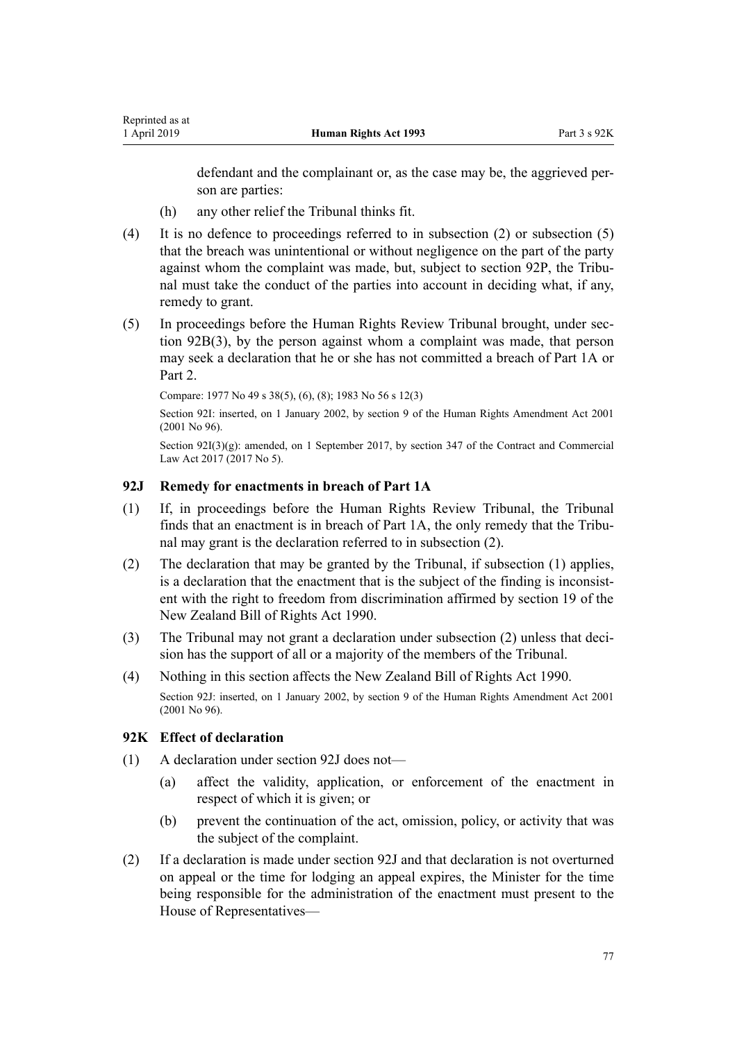<span id="page-76-0"></span>defendant and the complainant or, as the case may be, the aggrieved person are parties:

- (h) any other relief the Tribunal thinks fit.
- (4) It is no defence to proceedings referred to in subsection (2) or subsection (5) that the breach was unintentional or without negligence on the part of the party against whom the complaint was made, but, subject to [section 92P,](#page-80-0) the Tribunal must take the conduct of the parties into account in deciding what, if any, remedy to grant.
- (5) In proceedings before the Human Rights Review Tribunal brought, under [sec](#page-70-0)[tion 92B\(3\),](#page-70-0) by the person against whom a complaint was made, that person may seek a declaration that he or she has not committed a breach of [Part 1A](#page-26-0) or [Part 2](#page-28-0).

Compare: 1977 No 49 s 38(5), (6), (8); 1983 No 56 s 12(3)

Section 92I: inserted, on 1 January 2002, by [section 9](http://legislation.govt.nz/pdflink.aspx?id=DLM121897) of the Human Rights Amendment Act 2001 (2001 No 96).

Section 92I(3)(g): amended, on 1 September 2017, by [section 347](http://legislation.govt.nz/pdflink.aspx?id=DLM6844761) of the Contract and Commercial Law Act 2017 (2017 No 5).

# **92J Remedy for enactments in breach of Part 1A**

- (1) If, in proceedings before the Human Rights Review Tribunal, the Tribunal finds that an enactment is in breach of [Part 1A](#page-26-0), the only remedy that the Tribunal may grant is the declaration referred to in subsection (2).
- (2) The declaration that may be granted by the Tribunal, if subsection (1) applies, is a declaration that the enactment that is the subject of the finding is inconsistent with the right to freedom from discrimination affirmed by [section 19](http://legislation.govt.nz/pdflink.aspx?id=DLM225519) of the New Zealand Bill of Rights Act 1990.
- (3) The Tribunal may not grant a declaration under subsection (2) unless that decision has the support of all or a majority of the members of the Tribunal.
- (4) Nothing in this section affects the [New Zealand Bill of Rights Act 1990](http://legislation.govt.nz/pdflink.aspx?id=DLM224791). Section 92J: inserted, on 1 January 2002, by [section 9](http://legislation.govt.nz/pdflink.aspx?id=DLM121897) of the Human Rights Amendment Act 2001 (2001 No 96).

# **92K Effect of declaration**

- (1) A declaration under section 92J does not—
	- (a) affect the validity, application, or enforcement of the enactment in respect of which it is given; or
	- (b) prevent the continuation of the act, omission, policy, or activity that was the subject of the complaint.
- (2) If a declaration is made under section 92J and that declaration is not overturned on appeal or the time for lodging an appeal expires, the Minister for the time being responsible for the administration of the enactment must present to the House of Representatives—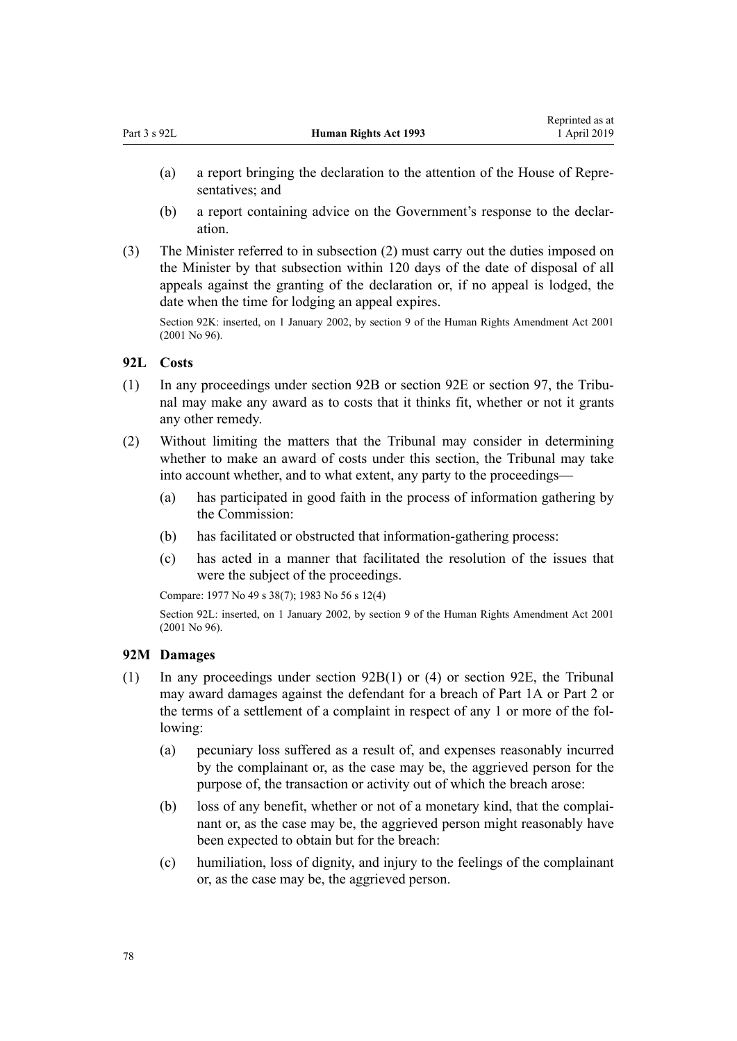- <span id="page-77-0"></span>(a) a report bringing the declaration to the attention of the House of Representatives; and
- (b) a report containing advice on the Government's response to the declaration.
- (3) The Minister referred to in subsection (2) must carry out the duties imposed on the Minister by that subsection within 120 days of the date of disposal of all appeals against the granting of the declaration or, if no appeal is lodged, the date when the time for lodging an appeal expires.

Section 92K: inserted, on 1 January 2002, by [section 9](http://legislation.govt.nz/pdflink.aspx?id=DLM121897) of the Human Rights Amendment Act 2001 (2001 No 96).

## **92L Costs**

- (1) In any proceedings under [section 92B](#page-70-0) or [section 92E](#page-73-0) or [section 97,](#page-85-0) the Tribunal may make any award as to costs that it thinks fit, whether or not it grants any other remedy.
- (2) Without limiting the matters that the Tribunal may consider in determining whether to make an award of costs under this section, the Tribunal may take into account whether, and to what extent, any party to the proceedings—
	- (a) has participated in good faith in the process of information gathering by the Commission:
	- (b) has facilitated or obstructed that information-gathering process:
	- (c) has acted in a manner that facilitated the resolution of the issues that were the subject of the proceedings.

Compare: 1977 No 49 s 38(7); 1983 No 56 s 12(4)

Section 92L: inserted, on 1 January 2002, by [section 9](http://legislation.govt.nz/pdflink.aspx?id=DLM121897) of the Human Rights Amendment Act 2001 (2001 No 96).

### **92M Damages**

- (1) In any proceedings under [section 92B\(1\) or \(4\)](#page-70-0) or [section 92E,](#page-73-0) the Tribunal may award damages against the defendant for a breach of [Part 1A](#page-26-0) or [Part 2](#page-28-0) or the terms of a settlement of a complaint in respect of any 1 or more of the following:
	- (a) pecuniary loss suffered as a result of, and expenses reasonably incurred by the complainant or, as the case may be, the aggrieved person for the purpose of, the transaction or activity out of which the breach arose:
	- (b) loss of any benefit, whether or not of a monetary kind, that the complainant or, as the case may be, the aggrieved person might reasonably have been expected to obtain but for the breach:
	- (c) humiliation, loss of dignity, and injury to the feelings of the complainant or, as the case may be, the aggrieved person.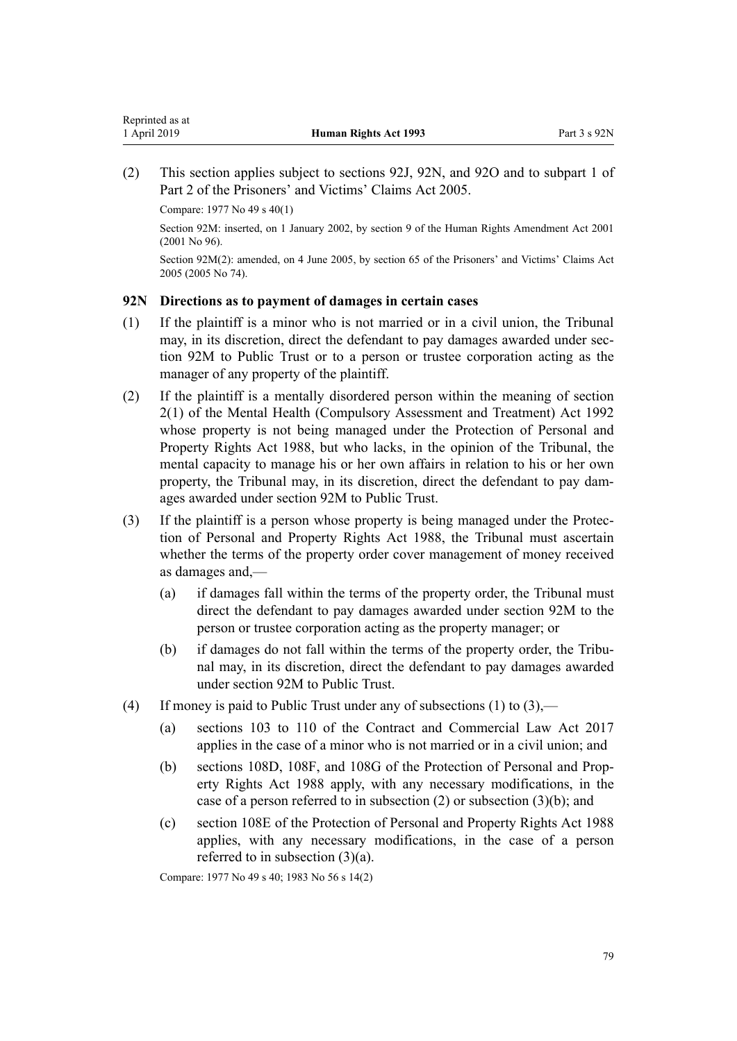(2) This section applies subject to [sections 92J,](#page-76-0) 92N, and [92O](#page-79-0) and to [subpart 1](http://legislation.govt.nz/pdflink.aspx?id=DLM351424) of Part 2 of the Prisoners' and Victims' Claims Act 2005.

Compare: 1977 No 49 s 40(1)

Section 92M: inserted, on 1 January 2002, by [section 9](http://legislation.govt.nz/pdflink.aspx?id=DLM121897) of the Human Rights Amendment Act 2001 (2001 No 96).

Section 92M(2): amended, on 4 June 2005, by section 65 of the Prisoners' and Victims' Claims Act 2005 (2005 No 74).

#### **92N Directions as to payment of damages in certain cases**

- (1) If the plaintiff is a minor who is not married or in a civil union, the Tribunal may, in its discretion, direct the defendant to pay damages awarded under [sec](#page-77-0)[tion 92M](#page-77-0) to Public Trust or to a person or trustee corporation acting as the manager of any property of the plaintiff.
- (2) If the plaintiff is a mentally disordered person within the meaning of [section](http://legislation.govt.nz/pdflink.aspx?id=DLM262181) [2\(1\)](http://legislation.govt.nz/pdflink.aspx?id=DLM262181) of the Mental Health (Compulsory Assessment and Treatment) Act 1992 whose property is not being managed under the [Protection of Personal and](http://legislation.govt.nz/pdflink.aspx?id=DLM126527) [Property Rights Act 1988](http://legislation.govt.nz/pdflink.aspx?id=DLM126527), but who lacks, in the opinion of the Tribunal, the mental capacity to manage his or her own affairs in relation to his or her own property, the Tribunal may, in its discretion, direct the defendant to pay damages awarded under [section 92M](#page-77-0) to Public Trust.
- (3) If the plaintiff is a person whose property is being managed under the [Protec](http://legislation.govt.nz/pdflink.aspx?id=DLM126527)[tion of Personal and Property Rights Act 1988,](http://legislation.govt.nz/pdflink.aspx?id=DLM126527) the Tribunal must ascertain whether the terms of the property order cover management of money received as damages and,—
	- (a) if damages fall within the terms of the property order, the Tribunal must direct the defendant to pay damages awarded under [section 92M](#page-77-0) to the person or trustee corporation acting as the property manager; or
	- (b) if damages do not fall within the terms of the property order, the Tribunal may, in its discretion, direct the defendant to pay damages awarded under [section 92M](#page-77-0) to Public Trust.
- (4) If money is paid to Public Trust under any of subsections (1) to (3),—
	- (a) [sections 103 to 110](http://legislation.govt.nz/pdflink.aspx?id=DLM6844224) of the Contract and Commercial Law Act 2017 applies in the case of a minor who is not married or in a civil union; and
	- (b) [sections 108D](http://legislation.govt.nz/pdflink.aspx?id=DLM127586), [108F,](http://legislation.govt.nz/pdflink.aspx?id=DLM127590) and [108G](http://legislation.govt.nz/pdflink.aspx?id=DLM127592) of the Protection of Personal and Property Rights Act 1988 apply, with any necessary modifications, in the case of a person referred to in subsection (2) or subsection (3)(b); and
	- (c) [section 108E](http://legislation.govt.nz/pdflink.aspx?id=DLM127588) of the Protection of Personal and Property Rights Act 1988 applies, with any necessary modifications, in the case of a person referred to in subsection (3)(a).

Compare: 1977 No 49 s 40; 1983 No 56 s 14(2)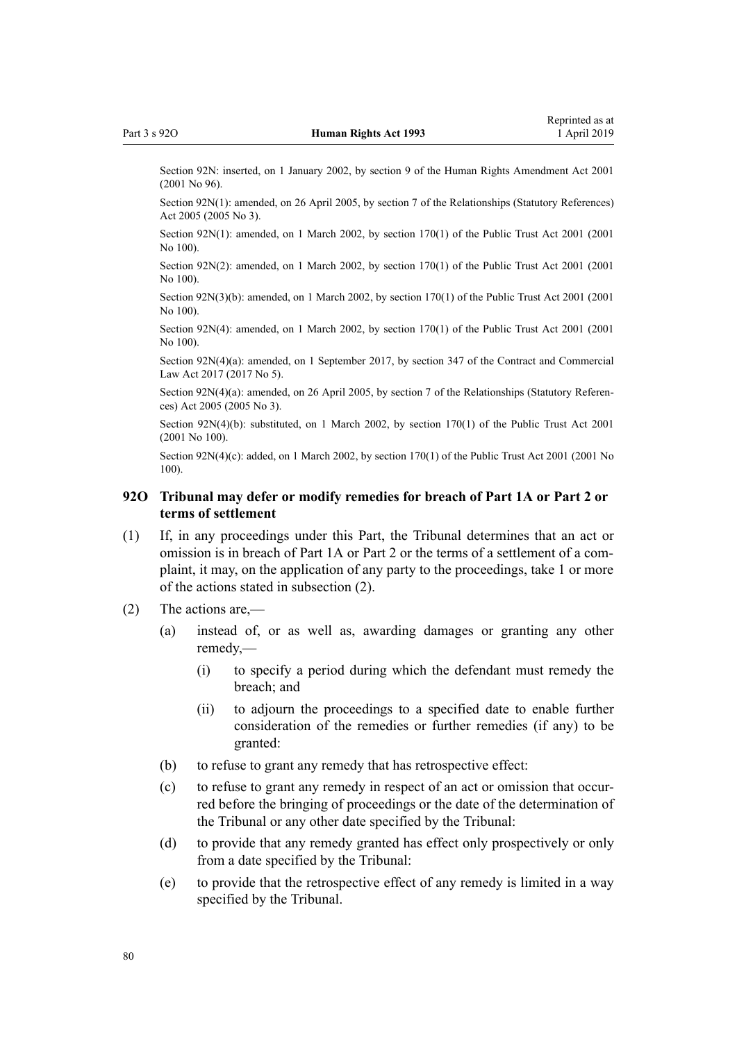<span id="page-79-0"></span>Section 92N: inserted, on 1 January 2002, by [section 9](http://legislation.govt.nz/pdflink.aspx?id=DLM121897) of the Human Rights Amendment Act 2001 (2001 No 96).

Section 92N(1): amended, on 26 April 2005, by [section 7](http://legislation.govt.nz/pdflink.aspx?id=DLM333795) of the Relationships (Statutory References) Act 2005 (2005 No 3).

Section 92N(1): amended, on 1 March 2002, by [section 170\(1\)](http://legislation.govt.nz/pdflink.aspx?id=DLM124529) of the Public Trust Act 2001 (2001 No 100).

Section 92N(2): amended, on 1 March 2002, by [section 170\(1\)](http://legislation.govt.nz/pdflink.aspx?id=DLM124529) of the Public Trust Act 2001 (2001) No 100).

Section 92N(3)(b): amended, on 1 March 2002, by [section 170\(1\)](http://legislation.govt.nz/pdflink.aspx?id=DLM124529) of the Public Trust Act 2001 (2001 No 100).

Section 92N(4): amended, on 1 March 2002, by [section 170\(1\)](http://legislation.govt.nz/pdflink.aspx?id=DLM124529) of the Public Trust Act 2001 (2001 No 100).

Section 92N(4)(a): amended, on 1 September 2017, by [section 347](http://legislation.govt.nz/pdflink.aspx?id=DLM6844761) of the Contract and Commercial Law Act 2017 (2017 No 5).

Section 92N(4)(a): amended, on 26 April 2005, by [section 7](http://legislation.govt.nz/pdflink.aspx?id=DLM333795) of the Relationships (Statutory References) Act 2005 (2005 No 3).

Section 92N(4)(b): substituted, on 1 March 2002, by [section 170\(1\)](http://legislation.govt.nz/pdflink.aspx?id=DLM124529) of the Public Trust Act 2001 (2001 No 100).

Section 92N(4)(c): added, on 1 March 2002, by [section 170\(1\)](http://legislation.govt.nz/pdflink.aspx?id=DLM124529) of the Public Trust Act 2001 (2001 No 100).

### **92O Tribunal may defer or modify remedies for breach of Part 1A or Part 2 or terms of settlement**

- (1) If, in any proceedings under this Part, the Tribunal determines that an act or omission is in breach of [Part 1A](#page-26-0) or [Part 2](#page-28-0) or the terms of a settlement of a complaint, it may, on the application of any party to the proceedings, take 1 or more of the actions stated in subsection (2).
- (2) The actions are,—
	- (a) instead of, or as well as, awarding damages or granting any other remedy,—
		- (i) to specify a period during which the defendant must remedy the breach; and
		- (ii) to adjourn the proceedings to a specified date to enable further consideration of the remedies or further remedies (if any) to be granted:
	- (b) to refuse to grant any remedy that has retrospective effect:
	- (c) to refuse to grant any remedy in respect of an act or omission that occurred before the bringing of proceedings or the date of the determination of the Tribunal or any other date specified by the Tribunal:
	- (d) to provide that any remedy granted has effect only prospectively or only from a date specified by the Tribunal:
	- (e) to provide that the retrospective effect of any remedy is limited in a way specified by the Tribunal.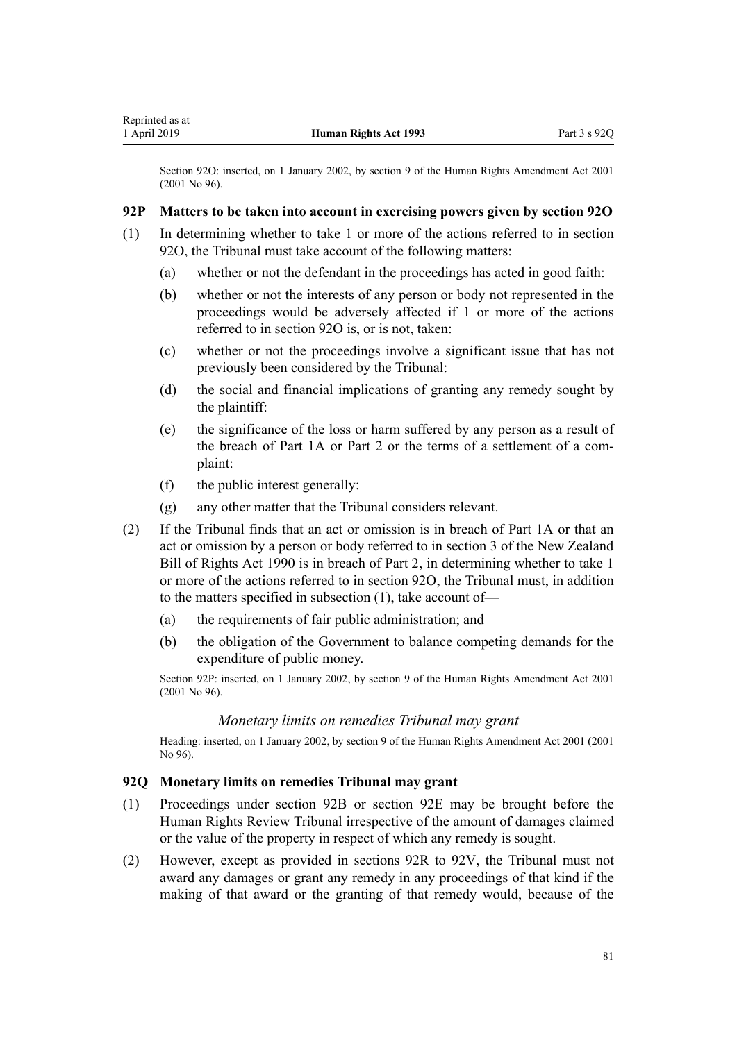<span id="page-80-0"></span>Section 92O: inserted, on 1 January 2002, by [section 9](http://legislation.govt.nz/pdflink.aspx?id=DLM121897) of the Human Rights Amendment Act 2001 (2001 No 96).

# **92P Matters to be taken into account in exercising powers given by section 92O**

- (1) In determining whether to take 1 or more of the actions referred to in [section](#page-79-0) [92O](#page-79-0), the Tribunal must take account of the following matters:
	- (a) whether or not the defendant in the proceedings has acted in good faith:
	- (b) whether or not the interests of any person or body not represented in the proceedings would be adversely affected if 1 or more of the actions referred to in [section 92O](#page-79-0) is, or is not, taken:
	- (c) whether or not the proceedings involve a significant issue that has not previously been considered by the Tribunal:
	- (d) the social and financial implications of granting any remedy sought by the plaintiff:
	- (e) the significance of the loss or harm suffered by any person as a result of the breach of [Part 1A](#page-26-0) or [Part 2](#page-28-0) or the terms of a settlement of a complaint:
	- (f) the public interest generally:
	- (g) any other matter that the Tribunal considers relevant.
- (2) If the Tribunal finds that an act or omission is in breach of [Part 1A](#page-26-0) or that an act or omission by a person or body referred to in [section 3](http://legislation.govt.nz/pdflink.aspx?id=DLM224799) of the New Zealand Bill of Rights Act 1990 is in breach of [Part 2,](#page-28-0) in determining whether to take 1 or more of the actions referred to in [section 92O,](#page-79-0) the Tribunal must, in addition to the matters specified in subsection (1), take account of—
	- (a) the requirements of fair public administration; and
	- (b) the obligation of the Government to balance competing demands for the expenditure of public money.

Section 92P: inserted, on 1 January 2002, by [section 9](http://legislation.govt.nz/pdflink.aspx?id=DLM121897) of the Human Rights Amendment Act 2001 (2001 No 96).

### *Monetary limits on remedies Tribunal may grant*

Heading: inserted, on 1 January 2002, by [section 9](http://legislation.govt.nz/pdflink.aspx?id=DLM121897) of the Human Rights Amendment Act 2001 (2001 No 96).

### **92Q Monetary limits on remedies Tribunal may grant**

- (1) Proceedings under [section 92B](#page-70-0) or [section 92E](#page-73-0) may be brought before the Human Rights Review Tribunal irrespective of the amount of damages claimed or the value of the property in respect of which any remedy is sought.
- (2) However, except as provided in [sections 92R to 92V,](#page-81-0) the Tribunal must not award any damages or grant any remedy in any proceedings of that kind if the making of that award or the granting of that remedy would, because of the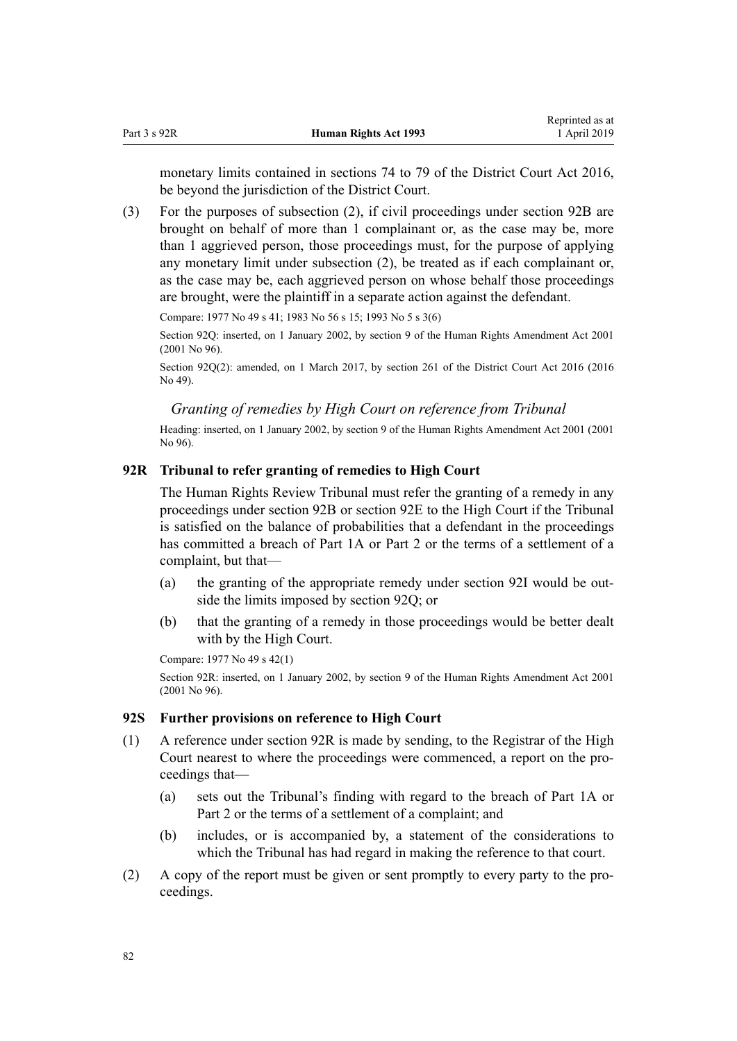<span id="page-81-0"></span>monetary limits contained in [sections 74 to 79](http://legislation.govt.nz/pdflink.aspx?id=DLM6942370) of the District Court Act 2016, be beyond the jurisdiction of the District Court.

(3) For the purposes of subsection (2), if civil proceedings under [section 92B](#page-70-0) are brought on behalf of more than 1 complainant or, as the case may be, more than 1 aggrieved person, those proceedings must, for the purpose of applying any monetary limit under subsection (2), be treated as if each complainant or, as the case may be, each aggrieved person on whose behalf those proceedings are brought, were the plaintiff in a separate action against the defendant.

Compare: 1977 No 49 s 41; 1983 No 56 s 15; 1993 No 5 s 3(6)

Section 92Q: inserted, on 1 January 2002, by [section 9](http://legislation.govt.nz/pdflink.aspx?id=DLM121897) of the Human Rights Amendment Act 2001 (2001 No 96).

Section 92Q(2): amended, on 1 March 2017, by [section 261](http://legislation.govt.nz/pdflink.aspx?id=DLM6942680) of the District Court Act 2016 (2016 No 49).

*Granting of remedies by High Court on reference from Tribunal*

Heading: inserted, on 1 January 2002, by [section 9](http://legislation.govt.nz/pdflink.aspx?id=DLM121897) of the Human Rights Amendment Act 2001 (2001 No 96).

#### **92R Tribunal to refer granting of remedies to High Court**

The Human Rights Review Tribunal must refer the granting of a remedy in any proceedings under [section 92B](#page-70-0) or [section 92E](#page-73-0) to the High Court if the Tribunal is satisfied on the balance of probabilities that a defendant in the proceedings has committed a breach of [Part 1A](#page-26-0) or [Part 2](#page-28-0) or the terms of a settlement of a complaint, but that—

- (a) the granting of the appropriate remedy under [section 92I](#page-75-0) would be outside the limits imposed by [section 92Q](#page-80-0); or
- (b) that the granting of a remedy in those proceedings would be better dealt with by the High Court.

Compare: 1977 No 49 s 42(1)

Section 92R: inserted, on 1 January 2002, by [section 9](http://legislation.govt.nz/pdflink.aspx?id=DLM121897) of the Human Rights Amendment Act 2001 (2001 No 96).

#### **92S Further provisions on reference to High Court**

- (1) A reference under section 92R is made by sending, to the Registrar of the High Court nearest to where the proceedings were commenced, a report on the proceedings that—
	- (a) sets out the Tribunal's finding with regard to the breach of [Part 1A](#page-26-0) or [Part 2](#page-28-0) or the terms of a settlement of a complaint; and
	- (b) includes, or is accompanied by, a statement of the considerations to which the Tribunal has had regard in making the reference to that court.
- (2) A copy of the report must be given or sent promptly to every party to the proceedings.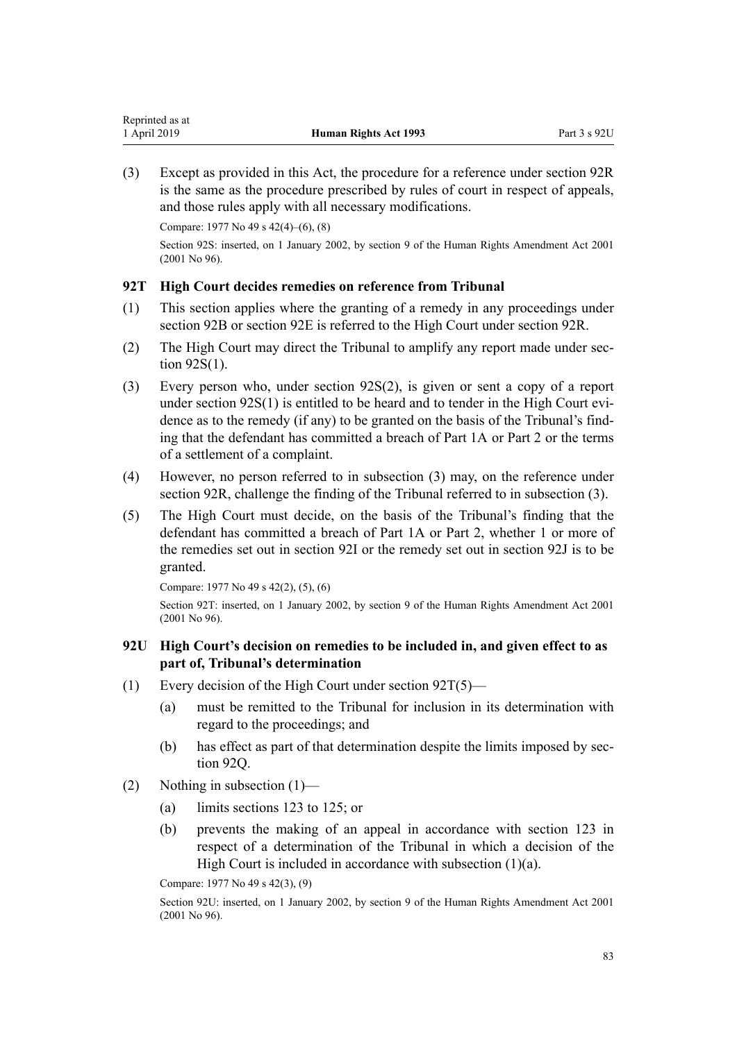<span id="page-82-0"></span>(3) Except as provided in this Act, the procedure for a reference under [section 92R](#page-81-0) is the same as the procedure prescribed by rules of court in respect of appeals, and those rules apply with all necessary modifications.

Compare: 1977 No 49 s 42(4)–(6), (8)

Section 92S: inserted, on 1 January 2002, by [section 9](http://legislation.govt.nz/pdflink.aspx?id=DLM121897) of the Human Rights Amendment Act 2001 (2001 No 96).

## **92T High Court decides remedies on reference from Tribunal**

- (1) This section applies where the granting of a remedy in any proceedings under [section 92B](#page-70-0) or [section 92E](#page-73-0) is referred to the High Court under [section 92R](#page-81-0).
- (2) The High Court may direct the Tribunal to amplify any report made under [sec](#page-81-0)[tion 92S\(1\)](#page-81-0).
- (3) Every person who, under [section 92S\(2\)](#page-81-0), is given or sent a copy of a report under [section 92S\(1\)](#page-81-0) is entitled to be heard and to tender in the High Court evidence as to the remedy (if any) to be granted on the basis of the Tribunal's finding that the defendant has committed a breach of [Part 1A](#page-26-0) or [Part 2](#page-28-0) or the terms of a settlement of a complaint.
- (4) However, no person referred to in subsection (3) may, on the reference under [section 92R,](#page-81-0) challenge the finding of the Tribunal referred to in subsection (3).
- (5) The High Court must decide, on the basis of the Tribunal's finding that the defendant has committed a breach of [Part 1A](#page-26-0) or [Part 2,](#page-28-0) whether 1 or more of the remedies set out in [section 92I](#page-75-0) or the remedy set out in [section 92J](#page-76-0) is to be granted.

Compare: 1977 No 49 s 42(2), (5), (6)

Section 92T: inserted, on 1 January 2002, by [section 9](http://legislation.govt.nz/pdflink.aspx?id=DLM121897) of the Human Rights Amendment Act 2001 (2001 No 96).

## **92U High Court's decision on remedies to be included in, and given effect to as part of, Tribunal's determination**

- (1) Every decision of the High Court under section 92T(5)—
	- (a) must be remitted to the Tribunal for inclusion in its determination with regard to the proceedings; and
	- (b) has effect as part of that determination despite the limits imposed by [sec](#page-80-0)[tion 92Q.](#page-80-0)
- (2) Nothing in subsection (1)—
	- (a) limits [sections 123 to 125](#page-102-0); or
	- (b) prevents the making of an appeal in accordance with [section 123](#page-102-0) in respect of a determination of the Tribunal in which a decision of the High Court is included in accordance with subsection (1)(a).

Compare: 1977 No 49 s 42(3), (9)

Section 92U: inserted, on 1 January 2002, by [section 9](http://legislation.govt.nz/pdflink.aspx?id=DLM121897) of the Human Rights Amendment Act 2001 (2001 No 96).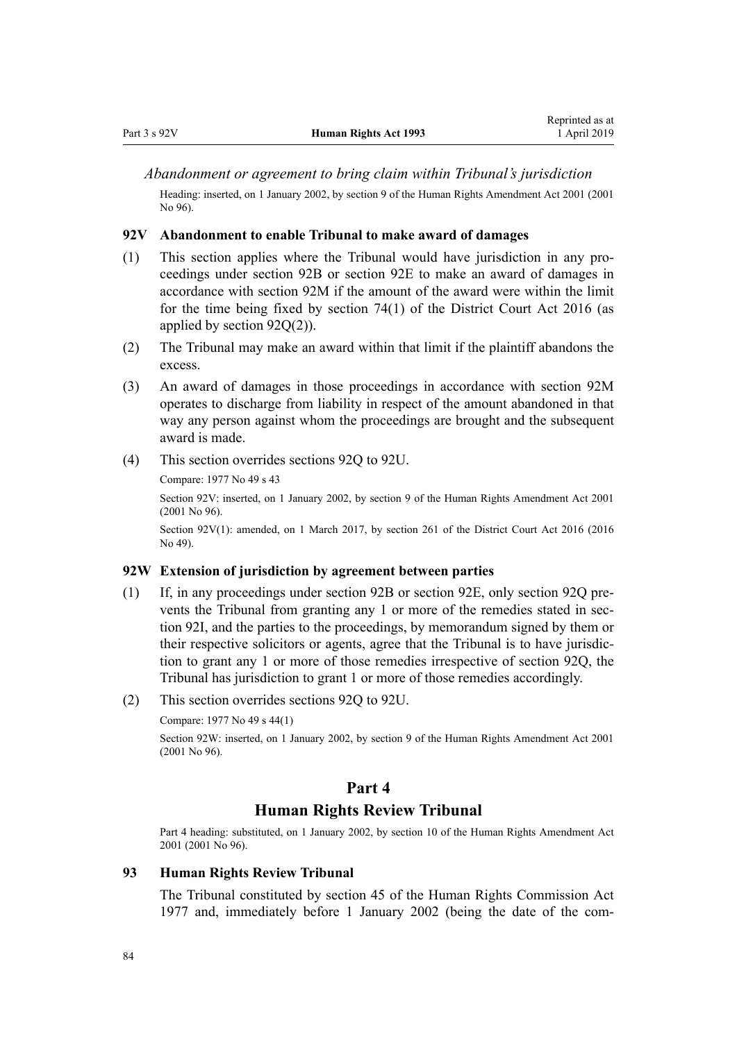#### *Abandonment or agreement to bring claim within Tribunal's jurisdiction*

Heading: inserted, on 1 January 2002, by [section 9](http://legislation.govt.nz/pdflink.aspx?id=DLM121897) of the Human Rights Amendment Act 2001 (2001 No 96).

#### **92V Abandonment to enable Tribunal to make award of damages**

- (1) This section applies where the Tribunal would have jurisdiction in any proceedings under [section 92B](#page-70-0) or [section 92E](#page-73-0) to make an award of damages in accordance with [section 92M](#page-77-0) if the amount of the award were within the limit for the time being fixed by [section 74\(1\)](http://legislation.govt.nz/pdflink.aspx?id=DLM6942370) of the District Court Act 2016 (as applied by [section 92Q\(2\)\)](#page-80-0).
- (2) The Tribunal may make an award within that limit if the plaintiff abandons the excess.
- (3) An award of damages in those proceedings in accordance with [section 92M](#page-77-0) operates to discharge from liability in respect of the amount abandoned in that way any person against whom the proceedings are brought and the subsequent award is made.
- (4) This section overrides [sections 92Q to 92U.](#page-80-0)

Compare: 1977 No 49 s 43

Section 92V: inserted, on 1 January 2002, by [section 9](http://legislation.govt.nz/pdflink.aspx?id=DLM121897) of the Human Rights Amendment Act 2001 (2001 No 96).

Section 92V(1): amended, on 1 March 2017, by [section 261](http://legislation.govt.nz/pdflink.aspx?id=DLM6942680) of the District Court Act 2016 (2016 No 49).

### **92W Extension of jurisdiction by agreement between parties**

- (1) If, in any proceedings under [section 92B](#page-70-0) or [section 92E,](#page-73-0) only [section 92Q](#page-80-0) prevents the Tribunal from granting any 1 or more of the remedies stated in [sec](#page-75-0)[tion 92I](#page-75-0), and the parties to the proceedings, by memorandum signed by them or their respective solicitors or agents, agree that the Tribunal is to have jurisdiction to grant any 1 or more of those remedies irrespective of section 92Q, the Tribunal has jurisdiction to grant 1 or more of those remedies accordingly.
- (2) This section overrides [sections 92Q to 92U.](#page-80-0)

Compare: 1977 No 49 s 44(1)

Section 92W: inserted, on 1 January 2002, by [section 9](http://legislation.govt.nz/pdflink.aspx?id=DLM121897) of the Human Rights Amendment Act 2001 (2001 No 96).

# **Part 4**

# **Human Rights Review Tribunal**

Part 4 heading: substituted, on 1 January 2002, by [section 10](http://legislation.govt.nz/pdflink.aspx?id=DLM122148) of the Human Rights Amendment Act 2001 (2001 No 96).

### **93 Human Rights Review Tribunal**

The Tribunal constituted by section 45 of the Human Rights Commission Act 1977 and, immediately before 1 January 2002 (being the date of the com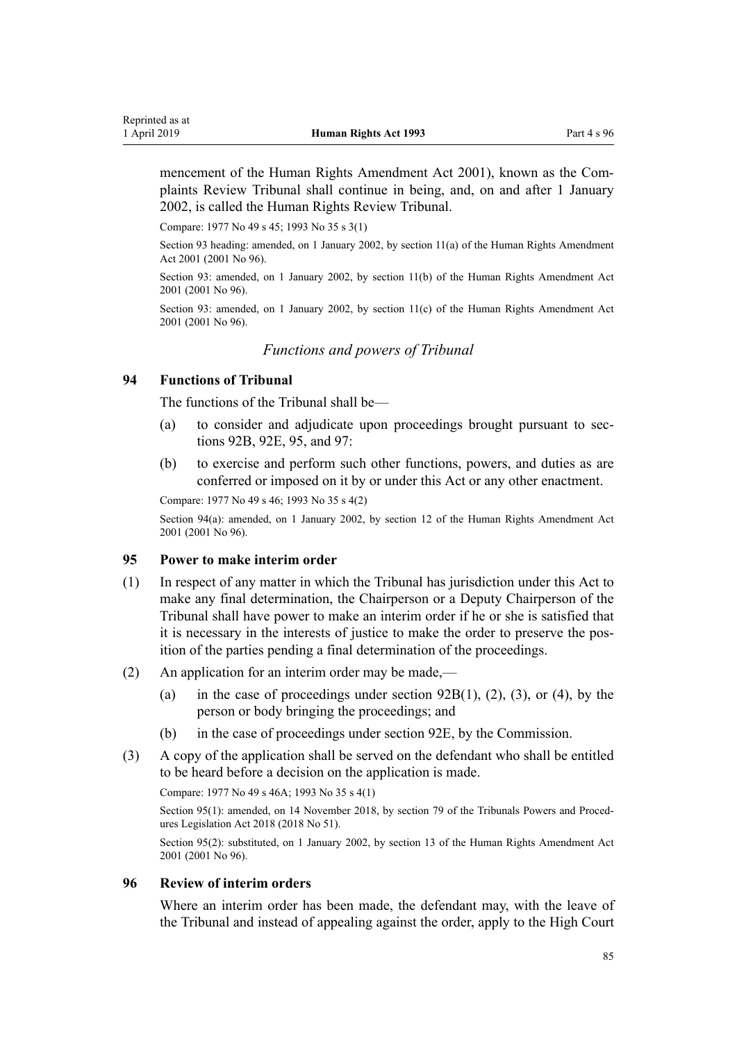<span id="page-84-0"></span>mencement of the [Human Rights Amendment Act 2001\)](http://legislation.govt.nz/pdflink.aspx?id=DLM121284), known as the Complaints Review Tribunal shall continue in being, and, on and after 1 January 2002, is called the Human Rights Review Tribunal.

Compare: 1977 No 49 s 45; 1993 No 35 s 3(1)

Section 93 heading: amended, on 1 January 2002, by [section 11\(a\)](http://legislation.govt.nz/pdflink.aspx?id=DLM122150) of the Human Rights Amendment Act 2001 (2001 No 96).

Section 93: amended, on 1 January 2002, by [section 11\(b\)](http://legislation.govt.nz/pdflink.aspx?id=DLM122150) of the Human Rights Amendment Act 2001 (2001 No 96).

Section 93: amended, on 1 January 2002, by [section 11\(c\)](http://legislation.govt.nz/pdflink.aspx?id=DLM122150) of the Human Rights Amendment Act 2001 (2001 No 96).

#### *Functions and powers of Tribunal*

#### **94 Functions of Tribunal**

The functions of the Tribunal shall be—

- (a) to consider and adjudicate upon proceedings brought pursuant to [sec](#page-70-0)[tions 92B,](#page-70-0) [92E,](#page-73-0) 95, and [97:](#page-85-0)
- (b) to exercise and perform such other functions, powers, and duties as are conferred or imposed on it by or under this Act or any other enactment.

Compare: 1977 No 49 s 46; 1993 No 35 s 4(2)

Section 94(a): amended, on 1 January 2002, by [section 12](http://legislation.govt.nz/pdflink.aspx?id=DLM122151) of the Human Rights Amendment Act 2001 (2001 No 96).

#### **95 Power to make interim order**

- (1) In respect of any matter in which the Tribunal has jurisdiction under this Act to make any final determination, the Chairperson or a Deputy Chairperson of the Tribunal shall have power to make an interim order if he or she is satisfied that it is necessary in the interests of justice to make the order to preserve the position of the parties pending a final determination of the proceedings.
- (2) An application for an interim order may be made,—
	- (a) in the case of proceedings under section  $92B(1)$ ,  $(2)$ ,  $(3)$ , or  $(4)$ , by the person or body bringing the proceedings; and
	- (b) in the case of proceedings under [section 92E,](#page-73-0) by the Commission.
- (3) A copy of the application shall be served on the defendant who shall be entitled to be heard before a decision on the application is made.

Compare: 1977 No 49 s 46A; 1993 No 35 s 4(1)

Section 95(1): amended, on 14 November 2018, by [section 79](http://legislation.govt.nz/pdflink.aspx?id=LMS18397) of the Tribunals Powers and Procedures Legislation Act 2018 (2018 No 51).

Section 95(2): substituted, on 1 January 2002, by [section 13](http://legislation.govt.nz/pdflink.aspx?id=DLM122152) of the Human Rights Amendment Act 2001 (2001 No 96).

### **96 Review of interim orders**

Where an interim order has been made, the defendant may, with the leave of the Tribunal and instead of appealing against the order, apply to the High Court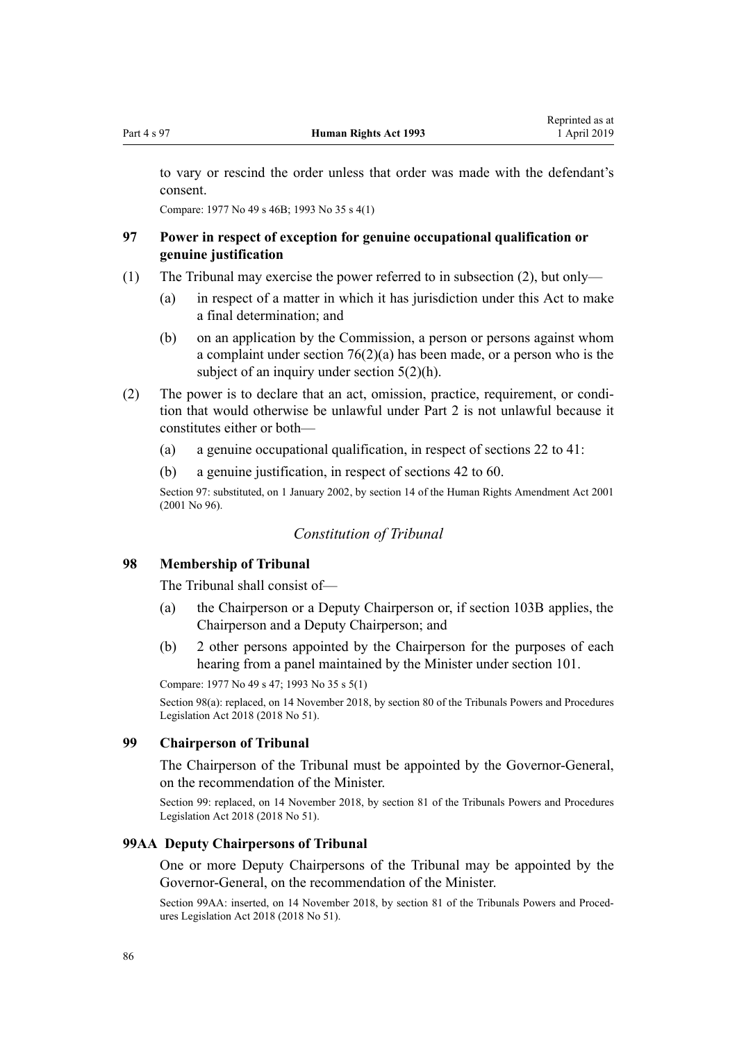<span id="page-85-0"></span>to vary or rescind the order unless that order was made with the defendant's consent.

Compare: 1977 No 49 s 46B; 1993 No 35 s 4(1)

# **97 Power in respect of exception for genuine occupational qualification or genuine justification**

- (1) The Tribunal may exercise the power referred to in subsection (2), but only—
	- (a) in respect of a matter in which it has jurisdiction under this Act to make a final determination; and
	- (b) on an application by the Commission, a person or persons against whom a complaint under [section 76\(2\)\(a\)](#page-59-0) has been made, or a person who is the subject of an inquiry under section  $5(2)(h)$ .
- (2) The power is to declare that an act, omission, practice, requirement, or condition that would otherwise be unlawful under [Part 2](#page-28-0) is not unlawful because it constitutes either or both—
	- (a) a genuine occupational qualification, in respect of [sections 22 to 41](#page-31-0):
	- (b) a genuine justification, in respect of [sections 42 to 60](#page-42-0).

Section 97: substituted, on 1 January 2002, by [section 14](http://legislation.govt.nz/pdflink.aspx?id=DLM122153) of the Human Rights Amendment Act 2001 (2001 No 96).

### *Constitution of Tribunal*

## **98 Membership of Tribunal**

The Tribunal shall consist of—

- (a) the Chairperson or a Deputy Chairperson or, if [section 103B](#page-91-0) applies, the Chairperson and a Deputy Chairperson; and
- (b) 2 other persons appointed by the Chairperson for the purposes of each hearing from a panel maintained by the Minister under [section 101](#page-87-0).

Compare: 1977 No 49 s 47; 1993 No 35 s 5(1)

Section 98(a): replaced, on 14 November 2018, by [section 80](http://legislation.govt.nz/pdflink.aspx?id=LMS11266) of the Tribunals Powers and Procedures Legislation Act 2018 (2018 No 51).

### **99 Chairperson of Tribunal**

The Chairperson of the Tribunal must be appointed by the Governor-General, on the recommendation of the Minister.

Section 99: replaced, on 14 November 2018, by [section 81](http://legislation.govt.nz/pdflink.aspx?id=LMS18414) of the Tribunals Powers and Procedures Legislation Act 2018 (2018 No 51).

#### **99AA Deputy Chairpersons of Tribunal**

One or more Deputy Chairpersons of the Tribunal may be appointed by the Governor-General, on the recommendation of the Minister.

Section 99AA: inserted, on 14 November 2018, by [section 81](http://legislation.govt.nz/pdflink.aspx?id=LMS18414) of the Tribunals Powers and Procedures Legislation Act 2018 (2018 No 51).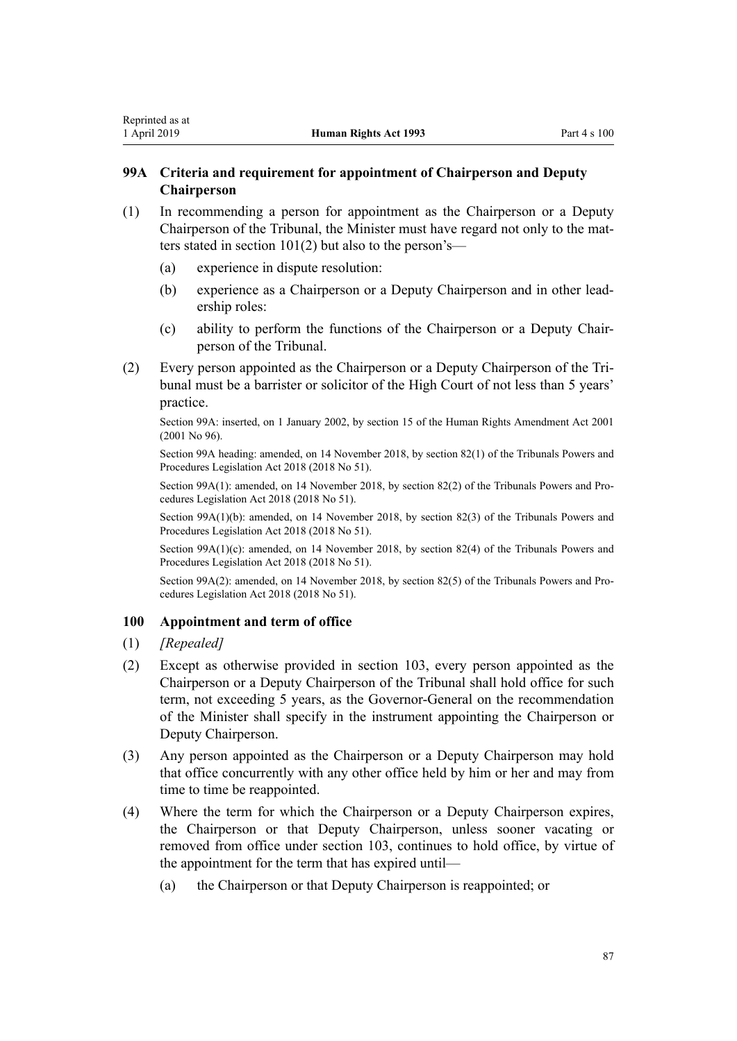## <span id="page-86-0"></span>**99A Criteria and requirement for appointment of Chairperson and Deputy Chairperson**

- (1) In recommending a person for appointment as the Chairperson or a Deputy Chairperson of the Tribunal, the Minister must have regard not only to the matters stated in [section 101\(2\)](#page-87-0) but also to the person's—
	- (a) experience in dispute resolution:
	- (b) experience as a Chairperson or a Deputy Chairperson and in other leadership roles:
	- (c) ability to perform the functions of the Chairperson or a Deputy Chairperson of the Tribunal.
- (2) Every person appointed as the Chairperson or a Deputy Chairperson of the Tribunal must be a barrister or solicitor of the High Court of not less than 5 years' practice.

Section 99A: inserted, on 1 January 2002, by [section 15](http://legislation.govt.nz/pdflink.aspx?id=DLM122155) of the Human Rights Amendment Act 2001 (2001 No 96).

Section 99A heading: amended, on 14 November 2018, by [section 82\(1\)](http://legislation.govt.nz/pdflink.aspx?id=LMS18473) of the Tribunals Powers and Procedures Legislation Act 2018 (2018 No 51).

Section 99A(1): amended, on 14 November 2018, by [section 82\(2\)](http://legislation.govt.nz/pdflink.aspx?id=LMS18473) of the Tribunals Powers and Procedures Legislation Act 2018 (2018 No 51).

Section 99A(1)(b): amended, on 14 November 2018, by [section 82\(3\)](http://legislation.govt.nz/pdflink.aspx?id=LMS18473) of the Tribunals Powers and Procedures Legislation Act 2018 (2018 No 51).

Section 99A(1)(c): amended, on 14 November 2018, by [section 82\(4\)](http://legislation.govt.nz/pdflink.aspx?id=LMS18473) of the Tribunals Powers and Procedures Legislation Act 2018 (2018 No 51).

Section 99A(2): amended, on 14 November 2018, by [section 82\(5\)](http://legislation.govt.nz/pdflink.aspx?id=LMS18473) of the Tribunals Powers and Procedures Legislation Act 2018 (2018 No 51).

### **100 Appointment and term of office**

- (1) *[Repealed]*
- (2) Except as otherwise provided in [section 103,](#page-90-0) every person appointed as the Chairperson or a Deputy Chairperson of the Tribunal shall hold office for such term, not exceeding 5 years, as the Governor-General on the recommendation of the Minister shall specify in the instrument appointing the Chairperson or Deputy Chairperson.
- (3) Any person appointed as the Chairperson or a Deputy Chairperson may hold that office concurrently with any other office held by him or her and may from time to time be reappointed.
- (4) Where the term for which the Chairperson or a Deputy Chairperson expires, the Chairperson or that Deputy Chairperson, unless sooner vacating or removed from office under [section 103](#page-90-0), continues to hold office, by virtue of the appointment for the term that has expired until—
	- (a) the Chairperson or that Deputy Chairperson is reappointed; or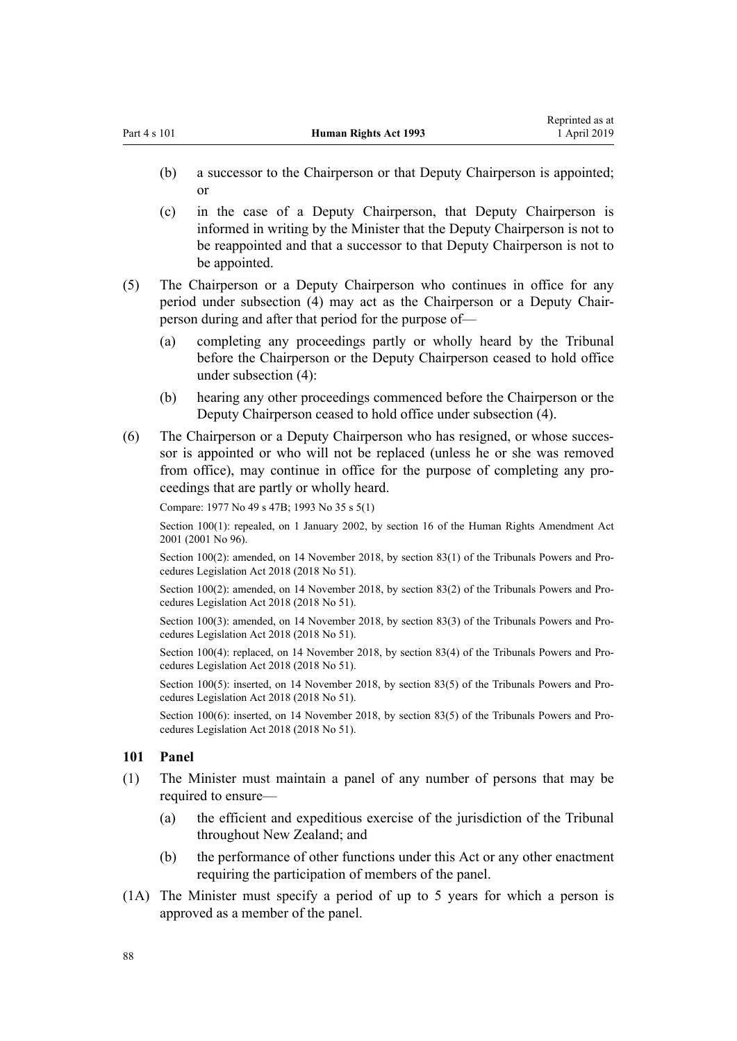- <span id="page-87-0"></span>(b) a successor to the Chairperson or that Deputy Chairperson is appointed; or
- (c) in the case of a Deputy Chairperson, that Deputy Chairperson is informed in writing by the Minister that the Deputy Chairperson is not to be reappointed and that a successor to that Deputy Chairperson is not to be appointed.
- (5) The Chairperson or a Deputy Chairperson who continues in office for any period under subsection (4) may act as the Chairperson or a Deputy Chairperson during and after that period for the purpose of—
	- (a) completing any proceedings partly or wholly heard by the Tribunal before the Chairperson or the Deputy Chairperson ceased to hold office under subsection (4):
	- (b) hearing any other proceedings commenced before the Chairperson or the Deputy Chairperson ceased to hold office under subsection (4).
- (6) The Chairperson or a Deputy Chairperson who has resigned, or whose successor is appointed or who will not be replaced (unless he or she was removed from office), may continue in office for the purpose of completing any proceedings that are partly or wholly heard.

Compare: 1977 No 49 s 47B; 1993 No 35 s 5(1)

Section 100(1): repealed, on 1 January 2002, by [section 16](http://legislation.govt.nz/pdflink.aspx?id=DLM122157) of the Human Rights Amendment Act 2001 (2001 No 96).

Section 100(2): amended, on 14 November 2018, by [section 83\(1\)](http://legislation.govt.nz/pdflink.aspx?id=DLM7374288) of the Tribunals Powers and Procedures Legislation Act 2018 (2018 No 51).

Section 100(2): amended, on 14 November 2018, by [section 83\(2\)](http://legislation.govt.nz/pdflink.aspx?id=DLM7374288) of the Tribunals Powers and Procedures Legislation Act 2018 (2018 No 51).

Section 100(3): amended, on 14 November 2018, by [section 83\(3\)](http://legislation.govt.nz/pdflink.aspx?id=DLM7374288) of the Tribunals Powers and Procedures Legislation Act 2018 (2018 No 51).

Section 100(4): replaced, on 14 November 2018, by [section 83\(4\)](http://legislation.govt.nz/pdflink.aspx?id=DLM7374288) of the Tribunals Powers and Procedures Legislation Act 2018 (2018 No 51).

Section 100(5): inserted, on 14 November 2018, by [section 83\(5\)](http://legislation.govt.nz/pdflink.aspx?id=DLM7374288) of the Tribunals Powers and Procedures Legislation Act 2018 (2018 No 51).

Section 100(6): inserted, on 14 November 2018, by [section 83\(5\)](http://legislation.govt.nz/pdflink.aspx?id=DLM7374288) of the Tribunals Powers and Procedures Legislation Act 2018 (2018 No 51).

# **101 Panel**

- (1) The Minister must maintain a panel of any number of persons that may be required to ensure—
	- (a) the efficient and expeditious exercise of the jurisdiction of the Tribunal throughout New Zealand; and
	- (b) the performance of other functions under this Act or any other enactment requiring the participation of members of the panel.
- (1A) The Minister must specify a period of up to 5 years for which a person is approved as a member of the panel.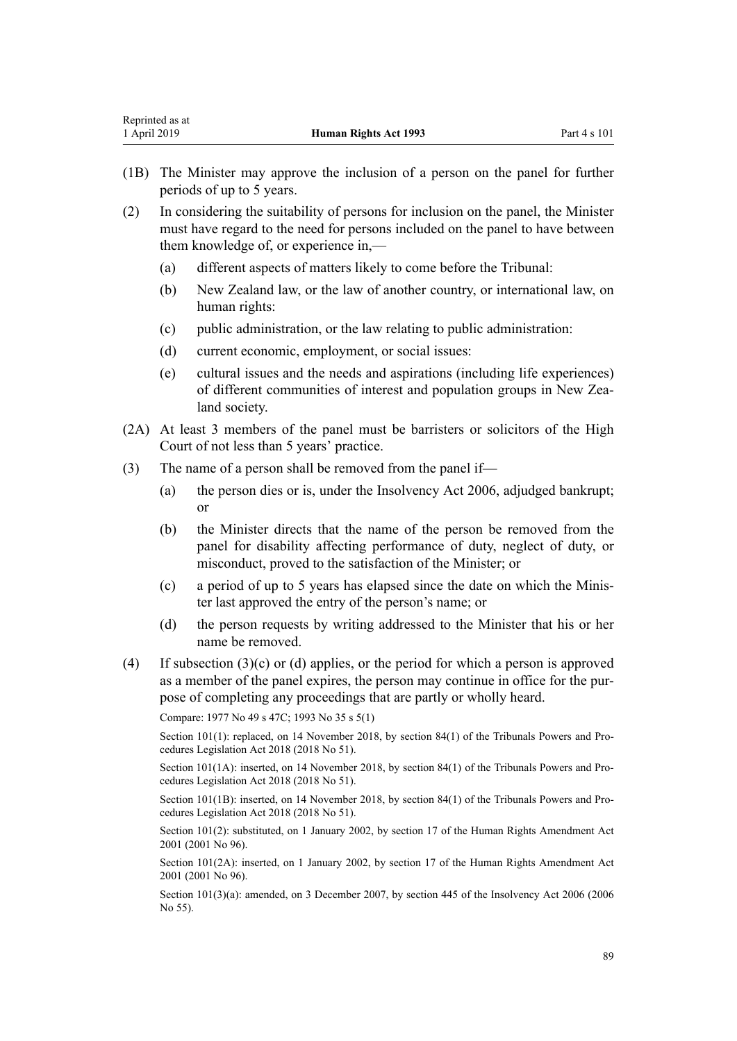- (1B) The Minister may approve the inclusion of a person on the panel for further periods of up to 5 years.
- (2) In considering the suitability of persons for inclusion on the panel, the Minister must have regard to the need for persons included on the panel to have between them knowledge of, or experience in,—
	- (a) different aspects of matters likely to come before the Tribunal:
	- (b) New Zealand law, or the law of another country, or international law, on human rights:
	- (c) public administration, or the law relating to public administration:
	- (d) current economic, employment, or social issues:
	- (e) cultural issues and the needs and aspirations (including life experiences) of different communities of interest and population groups in New Zealand society.
- (2A) At least 3 members of the panel must be barristers or solicitors of the High Court of not less than 5 years' practice.
- (3) The name of a person shall be removed from the panel if—
	- (a) the person dies or is, under the Insolvency Act 2006, adjudged bankrupt; or
	- (b) the Minister directs that the name of the person be removed from the panel for disability affecting performance of duty, neglect of duty, or misconduct, proved to the satisfaction of the Minister; or
	- (c) a period of up to 5 years has elapsed since the date on which the Minister last approved the entry of the person's name; or
	- (d) the person requests by writing addressed to the Minister that his or her name be removed.
- (4) If subsection (3)(c) or (d) applies, or the period for which a person is approved as a member of the panel expires, the person may continue in office for the purpose of completing any proceedings that are partly or wholly heard.

Compare: 1977 No 49 s 47C; 1993 No 35 s 5(1)

Section 101(1): replaced, on 14 November 2018, by [section 84\(1\)](http://legislation.govt.nz/pdflink.aspx?id=DLM7374289) of the Tribunals Powers and Procedures Legislation Act 2018 (2018 No 51).

Section 101(1A): inserted, on 14 November 2018, by [section 84\(1\)](http://legislation.govt.nz/pdflink.aspx?id=DLM7374289) of the Tribunals Powers and Procedures Legislation Act 2018 (2018 No 51).

Section 101(1B): inserted, on 14 November 2018, by [section 84\(1\)](http://legislation.govt.nz/pdflink.aspx?id=DLM7374289) of the Tribunals Powers and Procedures Legislation Act 2018 (2018 No 51).

Section 101(2): substituted, on 1 January 2002, by [section 17](http://legislation.govt.nz/pdflink.aspx?id=DLM122158) of the Human Rights Amendment Act 2001 (2001 No 96).

Section 101(2A): inserted, on 1 January 2002, by [section 17](http://legislation.govt.nz/pdflink.aspx?id=DLM122158) of the Human Rights Amendment Act 2001 (2001 No 96).

Section 101(3)(a): amended, on 3 December 2007, by [section 445](http://legislation.govt.nz/pdflink.aspx?id=DLM387857) of the Insolvency Act 2006 (2006 No 55).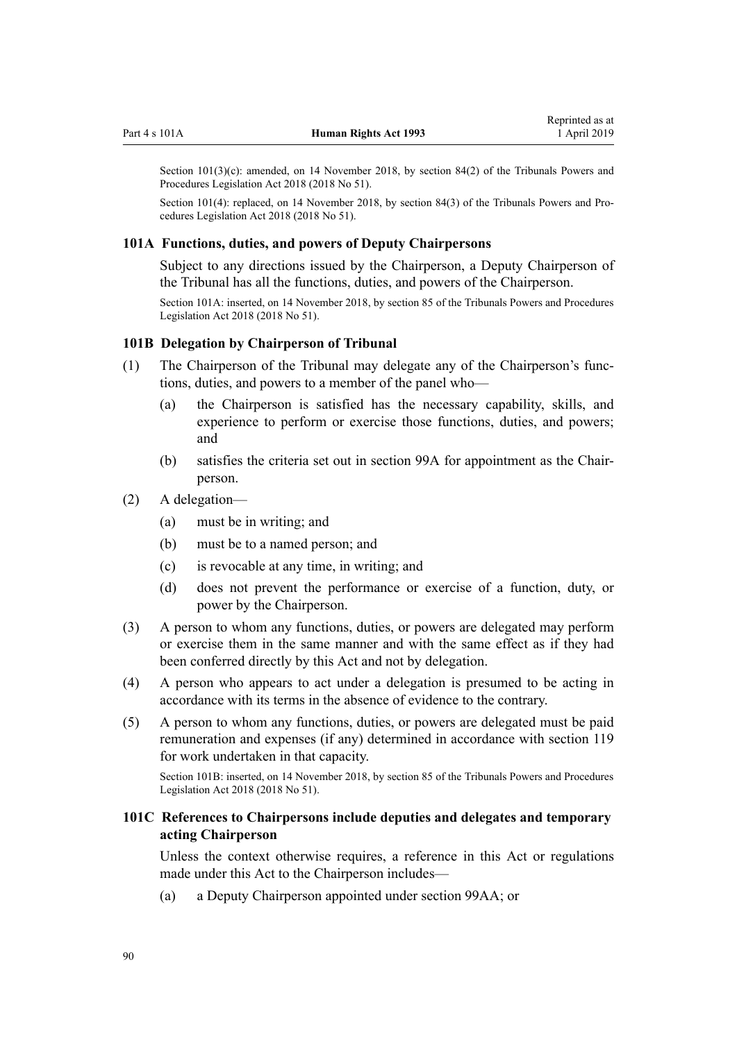<span id="page-89-0"></span>Section 101(3)(c): amended, on 14 November 2018, by [section 84\(2\)](http://legislation.govt.nz/pdflink.aspx?id=DLM7374289) of the Tribunals Powers and Procedures Legislation Act 2018 (2018 No 51).

Section 101(4): replaced, on 14 November 2018, by [section 84\(3\)](http://legislation.govt.nz/pdflink.aspx?id=DLM7374289) of the Tribunals Powers and Procedures Legislation Act 2018 (2018 No 51).

## **101A Functions, duties, and powers of Deputy Chairpersons**

Subject to any directions issued by the Chairperson, a Deputy Chairperson of the Tribunal has all the functions, duties, and powers of the Chairperson.

Section 101A: inserted, on 14 November 2018, by [section 85](http://legislation.govt.nz/pdflink.aspx?id=DLM7374290) of the Tribunals Powers and Procedures Legislation Act 2018 (2018 No 51).

### **101B Delegation by Chairperson of Tribunal**

- (1) The Chairperson of the Tribunal may delegate any of the Chairperson's functions, duties, and powers to a member of the panel who—
	- (a) the Chairperson is satisfied has the necessary capability, skills, and experience to perform or exercise those functions, duties, and powers; and
	- (b) satisfies the criteria set out in [section 99A](#page-86-0) for appointment as the Chairperson.
- (2) A delegation—
	- (a) must be in writing; and
	- (b) must be to a named person; and
	- (c) is revocable at any time, in writing; and
	- (d) does not prevent the performance or exercise of a function, duty, or power by the Chairperson.
- (3) A person to whom any functions, duties, or powers are delegated may perform or exercise them in the same manner and with the same effect as if they had been conferred directly by this Act and not by delegation.
- (4) A person who appears to act under a delegation is presumed to be acting in accordance with its terms in the absence of evidence to the contrary.
- (5) A person to whom any functions, duties, or powers are delegated must be paid remuneration and expenses (if any) determined in accordance with [section 119](#page-98-0) for work undertaken in that capacity.

Section 101B: inserted, on 14 November 2018, by [section 85](http://legislation.govt.nz/pdflink.aspx?id=DLM7374290) of the Tribunals Powers and Procedures Legislation Act 2018 (2018 No 51).

## **101C References to Chairpersons include deputies and delegates and temporary acting Chairperson**

Unless the context otherwise requires, a reference in this Act or regulations made under this Act to the Chairperson includes—

(a) a Deputy Chairperson appointed under [section 99AA;](#page-85-0) or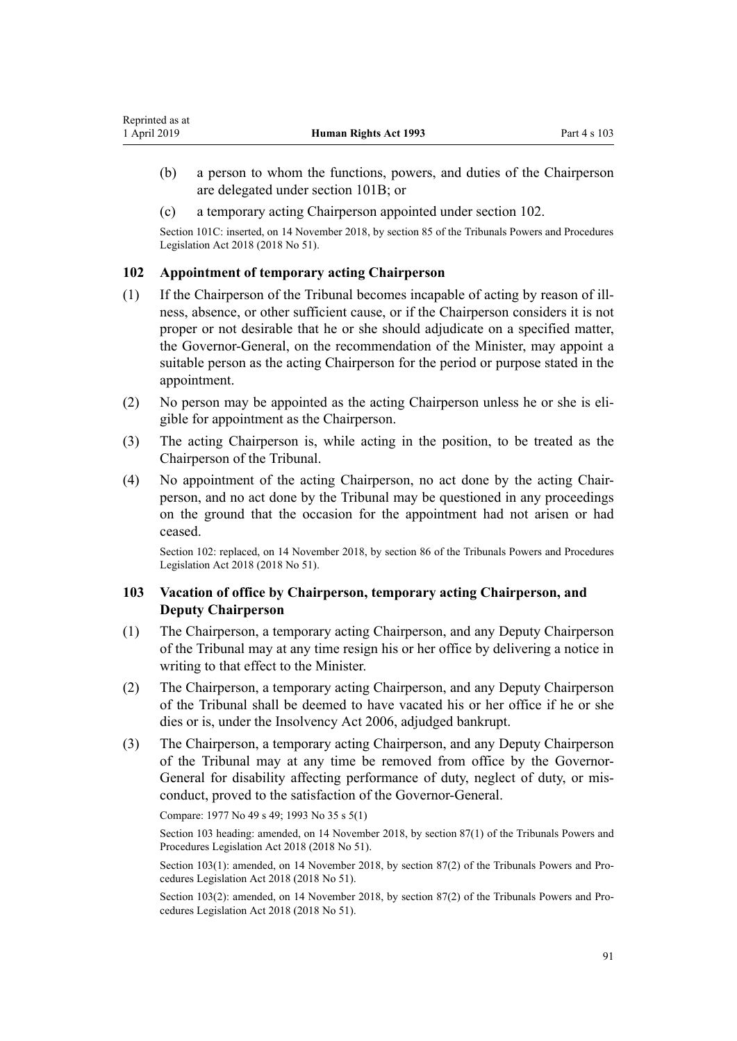- <span id="page-90-0"></span>(b) a person to whom the functions, powers, and duties of the Chairperson are delegated under [section 101B](#page-89-0); or
- (c) a temporary acting Chairperson appointed under section 102.

Section 101C: inserted, on 14 November 2018, by [section 85](http://legislation.govt.nz/pdflink.aspx?id=DLM7374290) of the Tribunals Powers and Procedures Legislation Act 2018 (2018 No 51).

### **102 Appointment of temporary acting Chairperson**

- (1) If the Chairperson of the Tribunal becomes incapable of acting by reason of illness, absence, or other sufficient cause, or if the Chairperson considers it is not proper or not desirable that he or she should adjudicate on a specified matter, the Governor-General, on the recommendation of the Minister, may appoint a suitable person as the acting Chairperson for the period or purpose stated in the appointment.
- (2) No person may be appointed as the acting Chairperson unless he or she is eligible for appointment as the Chairperson.
- (3) The acting Chairperson is, while acting in the position, to be treated as the Chairperson of the Tribunal.
- (4) No appointment of the acting Chairperson, no act done by the acting Chairperson, and no act done by the Tribunal may be questioned in any proceedings on the ground that the occasion for the appointment had not arisen or had ceased.

Section 102: replaced, on 14 November 2018, by [section 86](http://legislation.govt.nz/pdflink.aspx?id=DLM7374292) of the Tribunals Powers and Procedures Legislation Act 2018 (2018 No 51).

## **103 Vacation of office by Chairperson, temporary acting Chairperson, and Deputy Chairperson**

- (1) The Chairperson, a temporary acting Chairperson, and any Deputy Chairperson of the Tribunal may at any time resign his or her office by delivering a notice in writing to that effect to the Minister.
- (2) The Chairperson, a temporary acting Chairperson, and any Deputy Chairperson of the Tribunal shall be deemed to have vacated his or her office if he or she dies or is, under the Insolvency Act 2006, adjudged bankrupt.
- (3) The Chairperson, a temporary acting Chairperson, and any Deputy Chairperson of the Tribunal may at any time be removed from office by the Governor-General for disability affecting performance of duty, neglect of duty, or misconduct, proved to the satisfaction of the Governor-General.

Compare: 1977 No 49 s 49; 1993 No 35 s 5(1)

Section 103 heading: amended, on 14 November 2018, by [section 87\(1\)](http://legislation.govt.nz/pdflink.aspx?id=LMS35558) of the Tribunals Powers and Procedures Legislation Act 2018 (2018 No 51).

Section 103(1): amended, on 14 November 2018, by [section 87\(2\)](http://legislation.govt.nz/pdflink.aspx?id=LMS35558) of the Tribunals Powers and Procedures Legislation Act 2018 (2018 No 51).

Section 103(2): amended, on 14 November 2018, by [section 87\(2\)](http://legislation.govt.nz/pdflink.aspx?id=LMS35558) of the Tribunals Powers and Procedures Legislation Act 2018 (2018 No 51).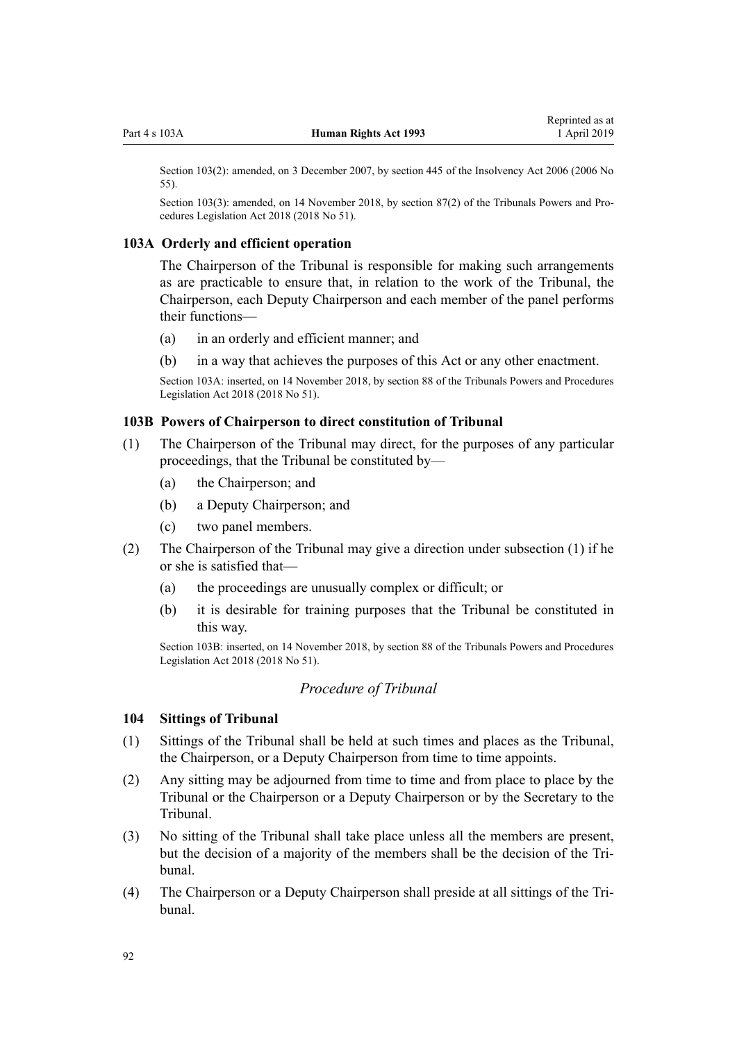<span id="page-91-0"></span>Section 103(2): amended, on 3 December 2007, by [section 445](http://legislation.govt.nz/pdflink.aspx?id=DLM387857) of the Insolvency Act 2006 (2006 No 55).

Section 103(3): amended, on 14 November 2018, by [section 87\(2\)](http://legislation.govt.nz/pdflink.aspx?id=LMS35558) of the Tribunals Powers and Procedures Legislation Act 2018 (2018 No 51).

#### **103A Orderly and efficient operation**

The Chairperson of the Tribunal is responsible for making such arrangements as are practicable to ensure that, in relation to the work of the Tribunal, the Chairperson, each Deputy Chairperson and each member of the panel performs their functions—

- (a) in an orderly and efficient manner; and
- (b) in a way that achieves the purposes of this Act or any other enactment.

Section 103A: inserted, on 14 November 2018, by [section 88](http://legislation.govt.nz/pdflink.aspx?id=DLM7374295) of the Tribunals Powers and Procedures Legislation Act 2018 (2018 No 51).

### **103B Powers of Chairperson to direct constitution of Tribunal**

- (1) The Chairperson of the Tribunal may direct, for the purposes of any particular proceedings, that the Tribunal be constituted by—
	- (a) the Chairperson; and
	- (b) a Deputy Chairperson; and
	- (c) two panel members.
- (2) The Chairperson of the Tribunal may give a direction under subsection (1) if he or she is satisfied that—
	- (a) the proceedings are unusually complex or difficult; or
	- (b) it is desirable for training purposes that the Tribunal be constituted in this way.

Section 103B: inserted, on 14 November 2018, by [section 88](http://legislation.govt.nz/pdflink.aspx?id=DLM7374295) of the Tribunals Powers and Procedures Legislation Act 2018 (2018 No 51).

### *Procedure of Tribunal*

#### **104 Sittings of Tribunal**

- (1) Sittings of the Tribunal shall be held at such times and places as the Tribunal, the Chairperson, or a Deputy Chairperson from time to time appoints.
- (2) Any sitting may be adjourned from time to time and from place to place by the Tribunal or the Chairperson or a Deputy Chairperson or by the Secretary to the Tribunal.
- (3) No sitting of the Tribunal shall take place unless all the members are present, but the decision of a majority of the members shall be the decision of the Tribunal.
- (4) The Chairperson or a Deputy Chairperson shall preside at all sittings of the Tribunal.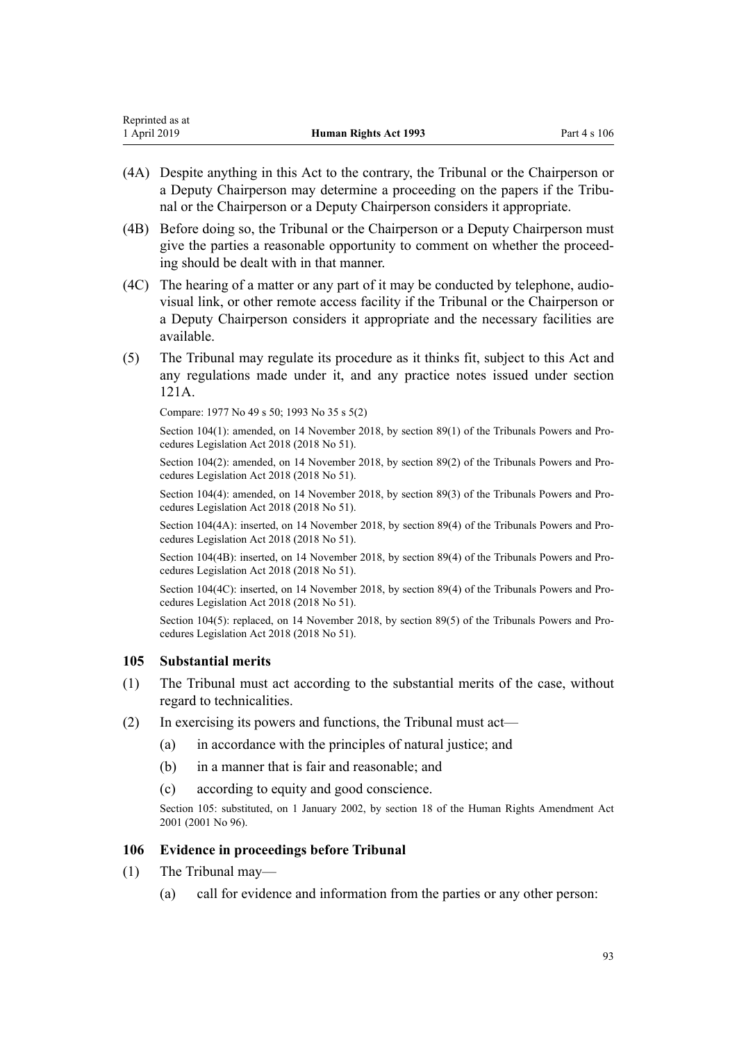<span id="page-92-0"></span>

| Reprinted as at |                              |              |
|-----------------|------------------------------|--------------|
| 1 April 2019    | <b>Human Rights Act 1993</b> | Part 4 s 106 |

- (4A) Despite anything in this Act to the contrary, the Tribunal or the Chairperson or a Deputy Chairperson may determine a proceeding on the papers if the Tribunal or the Chairperson or a Deputy Chairperson considers it appropriate.
- (4B) Before doing so, the Tribunal or the Chairperson or a Deputy Chairperson must give the parties a reasonable opportunity to comment on whether the proceeding should be dealt with in that manner.
- (4C) The hearing of a matter or any part of it may be conducted by telephone, audiovisual link, or other remote access facility if the Tribunal or the Chairperson or a Deputy Chairperson considers it appropriate and the necessary facilities are available.
- (5) The Tribunal may regulate its procedure as it thinks fit, subject to this Act and any regulations made under it, and any practice notes issued under [section](#page-100-0) [121A.](#page-100-0)

Compare: 1977 No 49 s 50; 1993 No 35 s 5(2)

Section 104(1): amended, on 14 November 2018, by [section 89\(1\)](http://legislation.govt.nz/pdflink.aspx?id=DLM7374297) of the Tribunals Powers and Procedures Legislation Act 2018 (2018 No 51).

Section 104(2): amended, on 14 November 2018, by [section 89\(2\)](http://legislation.govt.nz/pdflink.aspx?id=DLM7374297) of the Tribunals Powers and Procedures Legislation Act 2018 (2018 No 51).

Section 104(4): amended, on 14 November 2018, by [section 89\(3\)](http://legislation.govt.nz/pdflink.aspx?id=DLM7374297) of the Tribunals Powers and Procedures Legislation Act 2018 (2018 No 51).

Section 104(4A): inserted, on 14 November 2018, by [section 89\(4\)](http://legislation.govt.nz/pdflink.aspx?id=DLM7374297) of the Tribunals Powers and Procedures Legislation Act 2018 (2018 No 51).

Section 104(4B): inserted, on 14 November 2018, by [section 89\(4\)](http://legislation.govt.nz/pdflink.aspx?id=DLM7374297) of the Tribunals Powers and Procedures Legislation Act 2018 (2018 No 51).

Section 104(4C): inserted, on 14 November 2018, by [section 89\(4\)](http://legislation.govt.nz/pdflink.aspx?id=DLM7374297) of the Tribunals Powers and Procedures Legislation Act 2018 (2018 No 51).

Section 104(5): replaced, on 14 November 2018, by [section 89\(5\)](http://legislation.govt.nz/pdflink.aspx?id=DLM7374297) of the Tribunals Powers and Procedures Legislation Act 2018 (2018 No 51).

#### **105 Substantial merits**

- (1) The Tribunal must act according to the substantial merits of the case, without regard to technicalities.
- (2) In exercising its powers and functions, the Tribunal must act—
	- (a) in accordance with the principles of natural justice; and
	- (b) in a manner that is fair and reasonable; and
	- (c) according to equity and good conscience.

Section 105: substituted, on 1 January 2002, by [section 18](http://legislation.govt.nz/pdflink.aspx?id=DLM122159) of the Human Rights Amendment Act 2001 (2001 No 96).

#### **106 Evidence in proceedings before Tribunal**

- (1) The Tribunal may—
	- (a) call for evidence and information from the parties or any other person: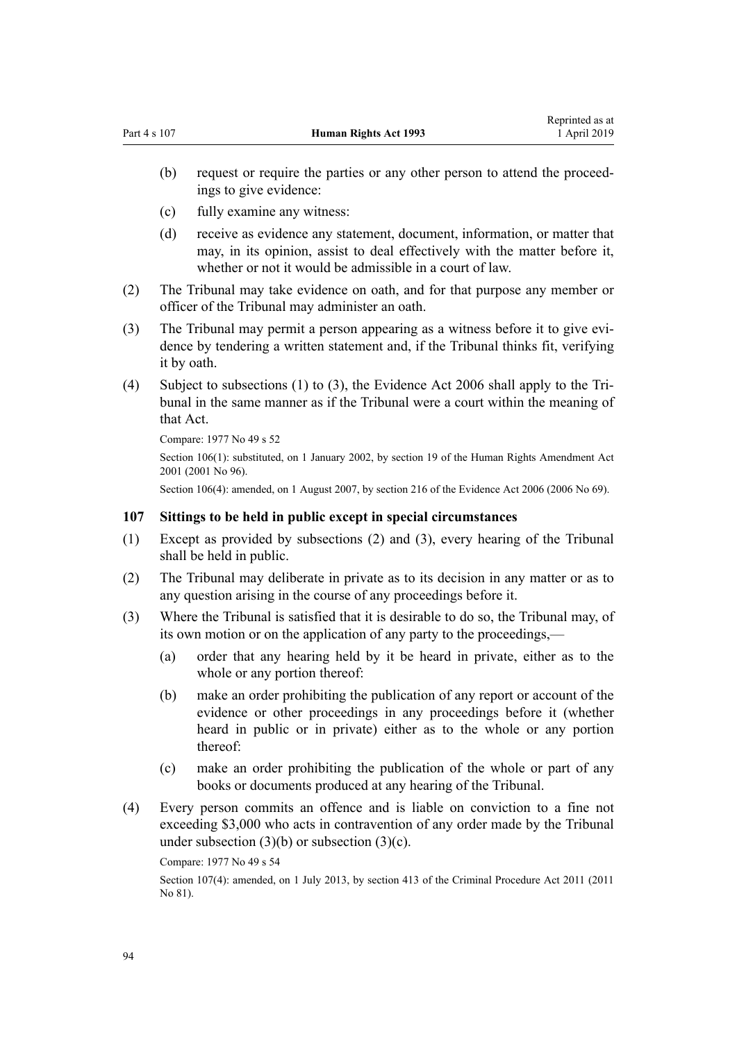- (b) request or require the parties or any other person to attend the proceedings to give evidence:
- (c) fully examine any witness:
- (d) receive as evidence any statement, document, information, or matter that may, in its opinion, assist to deal effectively with the matter before it, whether or not it would be admissible in a court of law.
- (2) The Tribunal may take evidence on oath, and for that purpose any member or officer of the Tribunal may administer an oath.
- (3) The Tribunal may permit a person appearing as a witness before it to give evidence by tendering a written statement and, if the Tribunal thinks fit, verifying it by oath.
- (4) Subject to subsections (1) to (3), the [Evidence Act 2006](http://legislation.govt.nz/pdflink.aspx?id=DLM393462) shall apply to the Tribunal in the same manner as if the Tribunal were a court within the meaning of that Act.

Compare: 1977 No 49 s 52

Section 106(1): substituted, on 1 January 2002, by [section 19](http://legislation.govt.nz/pdflink.aspx?id=DLM122161) of the Human Rights Amendment Act 2001 (2001 No 96).

Section 106(4): amended, on 1 August 2007, by [section 216](http://legislation.govt.nz/pdflink.aspx?id=DLM394552) of the Evidence Act 2006 (2006 No 69).

#### **107 Sittings to be held in public except in special circumstances**

- (1) Except as provided by subsections (2) and (3), every hearing of the Tribunal shall be held in public.
- (2) The Tribunal may deliberate in private as to its decision in any matter or as to any question arising in the course of any proceedings before it.
- (3) Where the Tribunal is satisfied that it is desirable to do so, the Tribunal may, of its own motion or on the application of any party to the proceedings,—
	- (a) order that any hearing held by it be heard in private, either as to the whole or any portion thereof:
	- (b) make an order prohibiting the publication of any report or account of the evidence or other proceedings in any proceedings before it (whether heard in public or in private) either as to the whole or any portion thereof:
	- (c) make an order prohibiting the publication of the whole or part of any books or documents produced at any hearing of the Tribunal.
- (4) Every person commits an offence and is liable on conviction to a fine not exceeding \$3,000 who acts in contravention of any order made by the Tribunal under subsection  $(3)(b)$  or subsection  $(3)(c)$ .

#### Compare: 1977 No 49 s 54

Section 107(4): amended, on 1 July 2013, by [section 413](http://legislation.govt.nz/pdflink.aspx?id=DLM3360714) of the Criminal Procedure Act 2011 (2011) No 81).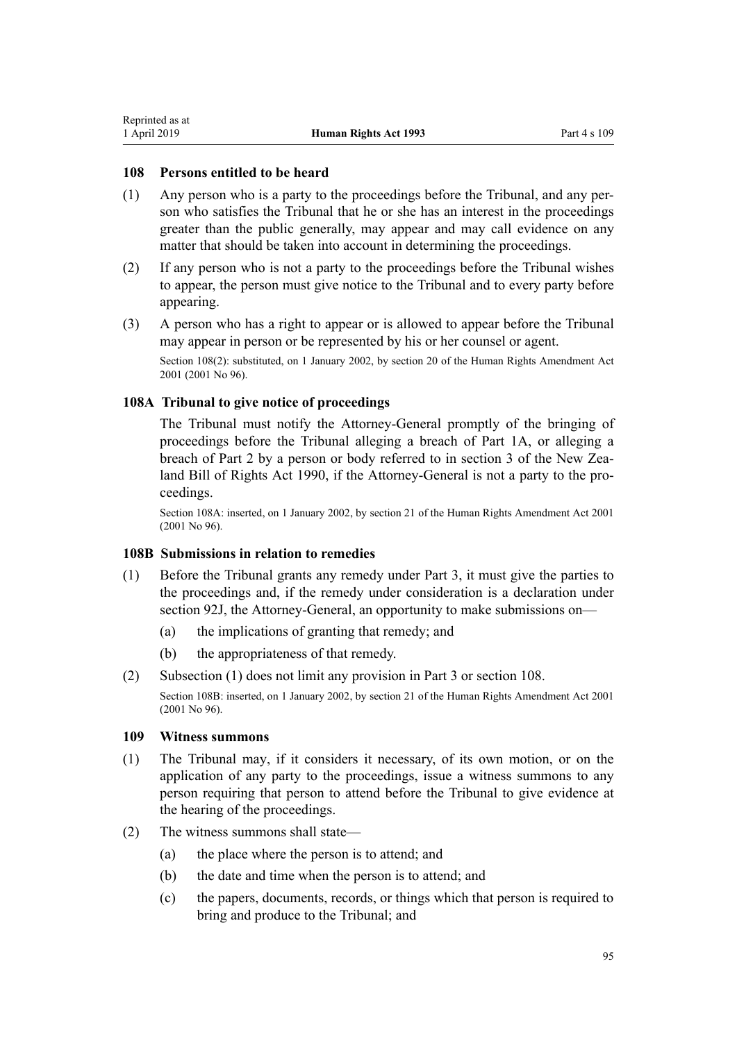### <span id="page-94-0"></span>**108 Persons entitled to be heard**

- (1) Any person who is a party to the proceedings before the Tribunal, and any person who satisfies the Tribunal that he or she has an interest in the proceedings greater than the public generally, may appear and may call evidence on any matter that should be taken into account in determining the proceedings.
- (2) If any person who is not a party to the proceedings before the Tribunal wishes to appear, the person must give notice to the Tribunal and to every party before appearing.
- (3) A person who has a right to appear or is allowed to appear before the Tribunal may appear in person or be represented by his or her counsel or agent.

Section 108(2): substituted, on 1 January 2002, by [section 20](http://legislation.govt.nz/pdflink.aspx?id=DLM122162) of the Human Rights Amendment Act 2001 (2001 No 96).

### **108A Tribunal to give notice of proceedings**

The Tribunal must notify the Attorney-General promptly of the bringing of proceedings before the Tribunal alleging a breach of [Part 1A,](#page-26-0) or alleging a breach of [Part 2](#page-28-0) by a person or body referred to in [section 3](http://legislation.govt.nz/pdflink.aspx?id=DLM224799) of the New Zealand Bill of Rights Act 1990, if the Attorney-General is not a party to the proceedings.

Section 108A: inserted, on 1 January 2002, by [section 21](http://legislation.govt.nz/pdflink.aspx?id=DLM122163) of the Human Rights Amendment Act 2001 (2001 No 96).

### **108B Submissions in relation to remedies**

- (1) Before the Tribunal grants any remedy under [Part 3,](#page-59-0) it must give the parties to the proceedings and, if the remedy under consideration is a declaration under [section 92J,](#page-76-0) the Attorney-General, an opportunity to make submissions on—
	- (a) the implications of granting that remedy; and
	- (b) the appropriateness of that remedy.
- (2) Subsection (1) does not limit any provision in [Part 3](#page-59-0) or section 108.

Section 108B: inserted, on 1 January 2002, by [section 21](http://legislation.govt.nz/pdflink.aspx?id=DLM122163) of the Human Rights Amendment Act 2001 (2001 No 96).

#### **109 Witness summons**

- (1) The Tribunal may, if it considers it necessary, of its own motion, or on the application of any party to the proceedings, issue a witness summons to any person requiring that person to attend before the Tribunal to give evidence at the hearing of the proceedings.
- (2) The witness summons shall state—
	- (a) the place where the person is to attend; and
	- (b) the date and time when the person is to attend; and
	- (c) the papers, documents, records, or things which that person is required to bring and produce to the Tribunal; and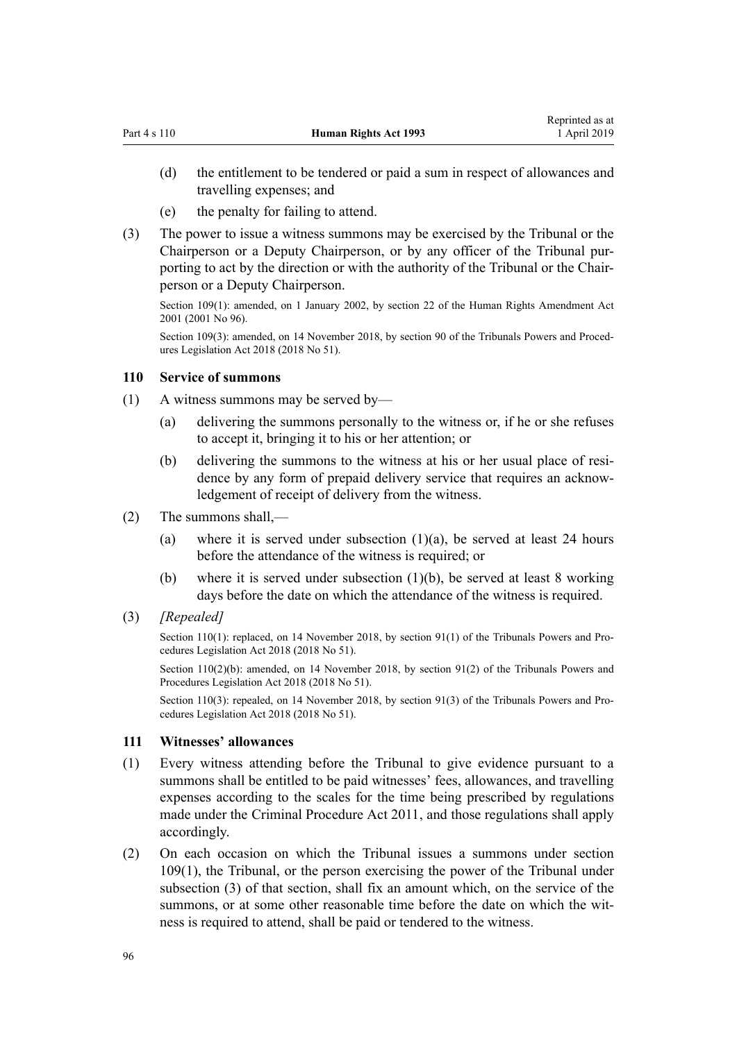- <span id="page-95-0"></span>(d) the entitlement to be tendered or paid a sum in respect of allowances and travelling expenses; and
- (e) the penalty for failing to attend.
- (3) The power to issue a witness summons may be exercised by the Tribunal or the Chairperson or a Deputy Chairperson, or by any officer of the Tribunal purporting to act by the direction or with the authority of the Tribunal or the Chairperson or a Deputy Chairperson.

Section 109(1): amended, on 1 January 2002, by [section 22](http://legislation.govt.nz/pdflink.aspx?id=DLM122166) of the Human Rights Amendment Act 2001 (2001 No 96).

Section 109(3): amended, on 14 November 2018, by [section 90](http://legislation.govt.nz/pdflink.aspx?id=LMS18534) of the Tribunals Powers and Procedures Legislation Act 2018 (2018 No 51).

#### **110 Service of summons**

- (1) A witness summons may be served by—
	- (a) delivering the summons personally to the witness or, if he or she refuses to accept it, bringing it to his or her attention; or
	- (b) delivering the summons to the witness at his or her usual place of residence by any form of prepaid delivery service that requires an acknowledgement of receipt of delivery from the witness.
- (2) The summons shall,—
	- (a) where it is served under subsection  $(1)(a)$ , be served at least 24 hours before the attendance of the witness is required; or
	- (b) where it is served under subsection (1)(b), be served at least 8 working days before the date on which the attendance of the witness is required.
- (3) *[Repealed]*

Section 110(1): replaced, on 14 November 2018, by [section 91\(1\)](http://legislation.govt.nz/pdflink.aspx?id=DLM7374298) of the Tribunals Powers and Procedures Legislation Act 2018 (2018 No 51).

Section 110(2)(b): amended, on 14 November 2018, by [section 91\(2\)](http://legislation.govt.nz/pdflink.aspx?id=DLM7374298) of the Tribunals Powers and Procedures Legislation Act 2018 (2018 No 51).

Section 110(3): repealed, on 14 November 2018, by [section 91\(3\)](http://legislation.govt.nz/pdflink.aspx?id=DLM7374298) of the Tribunals Powers and Procedures Legislation Act 2018 (2018 No 51).

#### **111 Witnesses' allowances**

- (1) Every witness attending before the Tribunal to give evidence pursuant to a summons shall be entitled to be paid witnesses' fees, allowances, and travelling expenses according to the scales for the time being prescribed by regulations made under the [Criminal Procedure Act 2011,](http://legislation.govt.nz/pdflink.aspx?id=DLM3359902) and those regulations shall apply accordingly.
- (2) On each occasion on which the Tribunal issues a summons under [section](#page-94-0) [109\(1\),](#page-94-0) the Tribunal, or the person exercising the power of the Tribunal under subsection (3) of that section, shall fix an amount which, on the service of the summons, or at some other reasonable time before the date on which the witness is required to attend, shall be paid or tendered to the witness.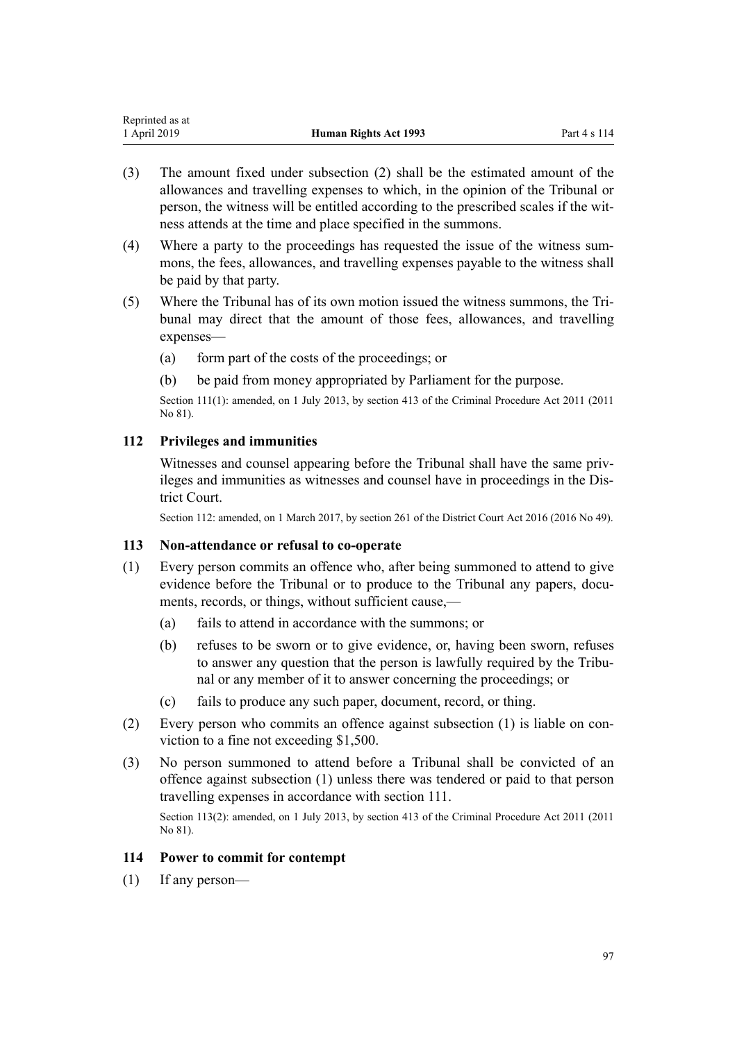| Reprinted as at |                       |              |
|-----------------|-----------------------|--------------|
| 1 April 2019    | Human Rights Act 1993 | Part 4 s 114 |

- (3) The amount fixed under subsection (2) shall be the estimated amount of the allowances and travelling expenses to which, in the opinion of the Tribunal or person, the witness will be entitled according to the prescribed scales if the witness attends at the time and place specified in the summons.
- (4) Where a party to the proceedings has requested the issue of the witness summons, the fees, allowances, and travelling expenses payable to the witness shall be paid by that party.
- (5) Where the Tribunal has of its own motion issued the witness summons, the Tribunal may direct that the amount of those fees, allowances, and travelling expenses—
	- (a) form part of the costs of the proceedings; or
	- (b) be paid from money appropriated by Parliament for the purpose.

Section 111(1): amended, on 1 July 2013, by [section 413](http://legislation.govt.nz/pdflink.aspx?id=DLM3360714) of the Criminal Procedure Act 2011 (2011) No 81).

## **112 Privileges and immunities**

Witnesses and counsel appearing before the Tribunal shall have the same privileges and immunities as witnesses and counsel have in proceedings in the District Court.

Section 112: amended, on 1 March 2017, by [section 261](http://legislation.govt.nz/pdflink.aspx?id=DLM6942680) of the District Court Act 2016 (2016 No 49).

### **113 Non-attendance or refusal to co-operate**

- (1) Every person commits an offence who, after being summoned to attend to give evidence before the Tribunal or to produce to the Tribunal any papers, documents, records, or things, without sufficient cause,—
	- (a) fails to attend in accordance with the summons; or
	- (b) refuses to be sworn or to give evidence, or, having been sworn, refuses to answer any question that the person is lawfully required by the Tribunal or any member of it to answer concerning the proceedings; or
	- (c) fails to produce any such paper, document, record, or thing.
- (2) Every person who commits an offence against subsection (1) is liable on conviction to a fine not exceeding \$1,500.
- (3) No person summoned to attend before a Tribunal shall be convicted of an offence against subsection (1) unless there was tendered or paid to that person travelling expenses in accordance with [section 111](#page-95-0).

Section 113(2): amended, on 1 July 2013, by [section 413](http://legislation.govt.nz/pdflink.aspx?id=DLM3360714) of the Criminal Procedure Act 2011 (2011 No 81).

## **114 Power to commit for contempt**

(1) If any person—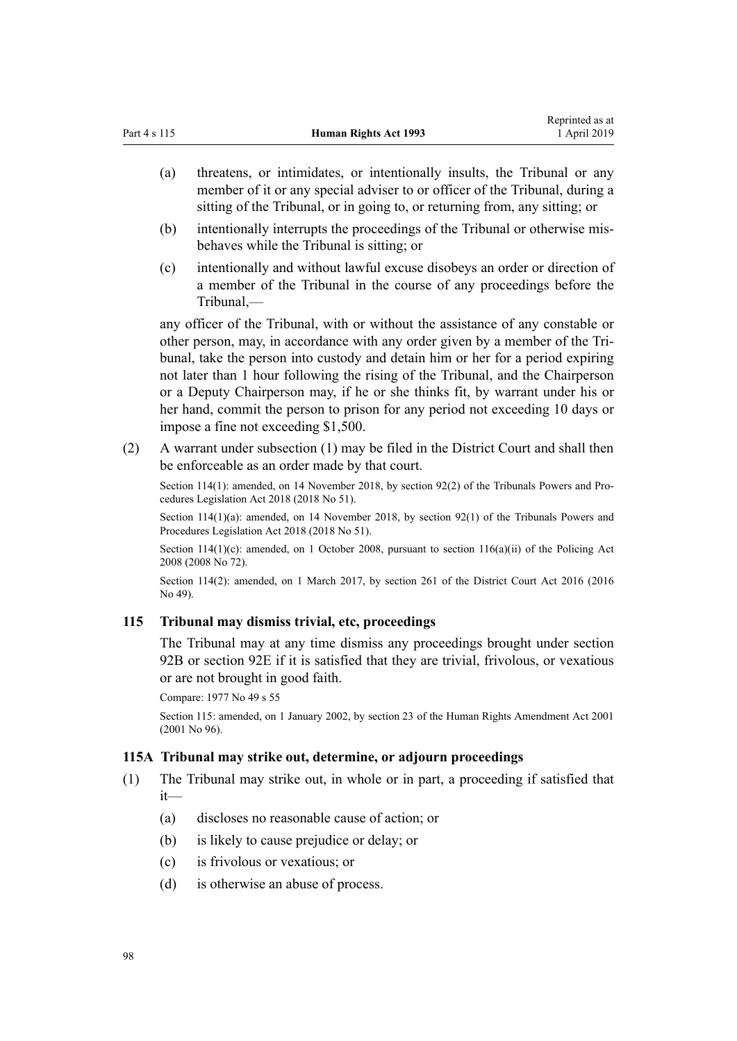- (a) threatens, or intimidates, or intentionally insults, the Tribunal or any member of it or any special adviser to or officer of the Tribunal, during a sitting of the Tribunal, or in going to, or returning from, any sitting; or
- (b) intentionally interrupts the proceedings of the Tribunal or otherwise misbehaves while the Tribunal is sitting; or
- (c) intentionally and without lawful excuse disobeys an order or direction of a member of the Tribunal in the course of any proceedings before the Tribunal,—

any officer of the Tribunal, with or without the assistance of any constable or other person, may, in accordance with any order given by a member of the Tribunal, take the person into custody and detain him or her for a period expiring not later than 1 hour following the rising of the Tribunal, and the Chairperson or a Deputy Chairperson may, if he or she thinks fit, by warrant under his or her hand, commit the person to prison for any period not exceeding 10 days or impose a fine not exceeding \$1,500.

(2) A warrant under subsection (1) may be filed in the District Court and shall then be enforceable as an order made by that court.

Section 114(1): amended, on 14 November 2018, by [section 92\(2\)](http://legislation.govt.nz/pdflink.aspx?id=LMS11267) of the Tribunals Powers and Procedures Legislation Act 2018 (2018 No 51).

Section 114(1)(a): amended, on 14 November 2018, by [section 92\(1\)](http://legislation.govt.nz/pdflink.aspx?id=LMS11267) of the Tribunals Powers and Procedures Legislation Act 2018 (2018 No 51).

Section  $114(1)(c)$ : amended, on 1 October 2008, pursuant to section  $116(a)(ii)$  of the Policing Act 2008 (2008 No 72).

Section 114(2): amended, on 1 March 2017, by [section 261](http://legislation.govt.nz/pdflink.aspx?id=DLM6942680) of the District Court Act 2016 (2016) No 49).

### **115 Tribunal may dismiss trivial, etc, proceedings**

The Tribunal may at any time dismiss any proceedings brought under [section](#page-70-0) [92B](#page-70-0) or [section 92E](#page-73-0) if it is satisfied that they are trivial, frivolous, or vexatious or are not brought in good faith.

Compare: 1977 No 49 s 55

Section 115: amended, on 1 January 2002, by [section 23](http://legislation.govt.nz/pdflink.aspx?id=DLM122167) of the Human Rights Amendment Act 2001 (2001 No 96).

### **115A Tribunal may strike out, determine, or adjourn proceedings**

- (1) The Tribunal may strike out, in whole or in part, a proceeding if satisfied that it—
	- (a) discloses no reasonable cause of action; or
	- (b) is likely to cause prejudice or delay; or
	- (c) is frivolous or vexatious; or
	- (d) is otherwise an abuse of process.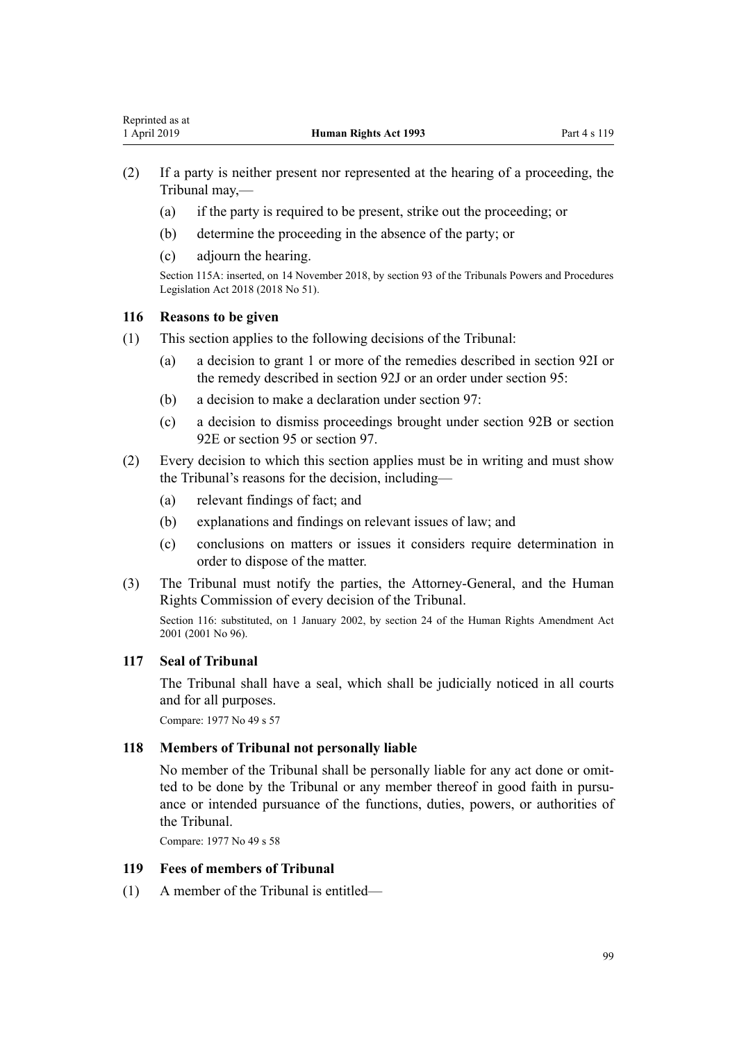- <span id="page-98-0"></span>(2) If a party is neither present nor represented at the hearing of a proceeding, the Tribunal may,—
	- (a) if the party is required to be present, strike out the proceeding; or
	- (b) determine the proceeding in the absence of the party; or
	- (c) adjourn the hearing.

Section 115A: inserted, on 14 November 2018, by [section 93](http://legislation.govt.nz/pdflink.aspx?id=DLM7374299) of the Tribunals Powers and Procedures Legislation Act 2018 (2018 No 51).

## **116 Reasons to be given**

- (1) This section applies to the following decisions of the Tribunal:
	- (a) a decision to grant 1 or more of the remedies described in [section 92I](#page-75-0) or the remedy described in [section 92J](#page-76-0) or an order under [section 95:](#page-84-0)
	- (b) a decision to make a declaration under [section 97:](#page-85-0)
	- (c) a decision to dismiss proceedings brought under [section 92B](#page-70-0) or [section](#page-73-0) [92E](#page-73-0) or [section 95](#page-84-0) or [section 97](#page-85-0).
- (2) Every decision to which this section applies must be in writing and must show the Tribunal's reasons for the decision, including—
	- (a) relevant findings of fact; and
	- (b) explanations and findings on relevant issues of law; and
	- (c) conclusions on matters or issues it considers require determination in order to dispose of the matter.
- (3) The Tribunal must notify the parties, the Attorney-General, and the Human Rights Commission of every decision of the Tribunal.

Section 116: substituted, on 1 January 2002, by [section 24](http://legislation.govt.nz/pdflink.aspx?id=DLM122168) of the Human Rights Amendment Act 2001 (2001 No 96).

# **117 Seal of Tribunal**

The Tribunal shall have a seal, which shall be judicially noticed in all courts and for all purposes.

Compare: 1977 No 49 s 57

# **118 Members of Tribunal not personally liable**

No member of the Tribunal shall be personally liable for any act done or omitted to be done by the Tribunal or any member thereof in good faith in pursuance or intended pursuance of the functions, duties, powers, or authorities of the Tribunal.

Compare: 1977 No 49 s 58

### **119 Fees of members of Tribunal**

(1) A member of the Tribunal is entitled—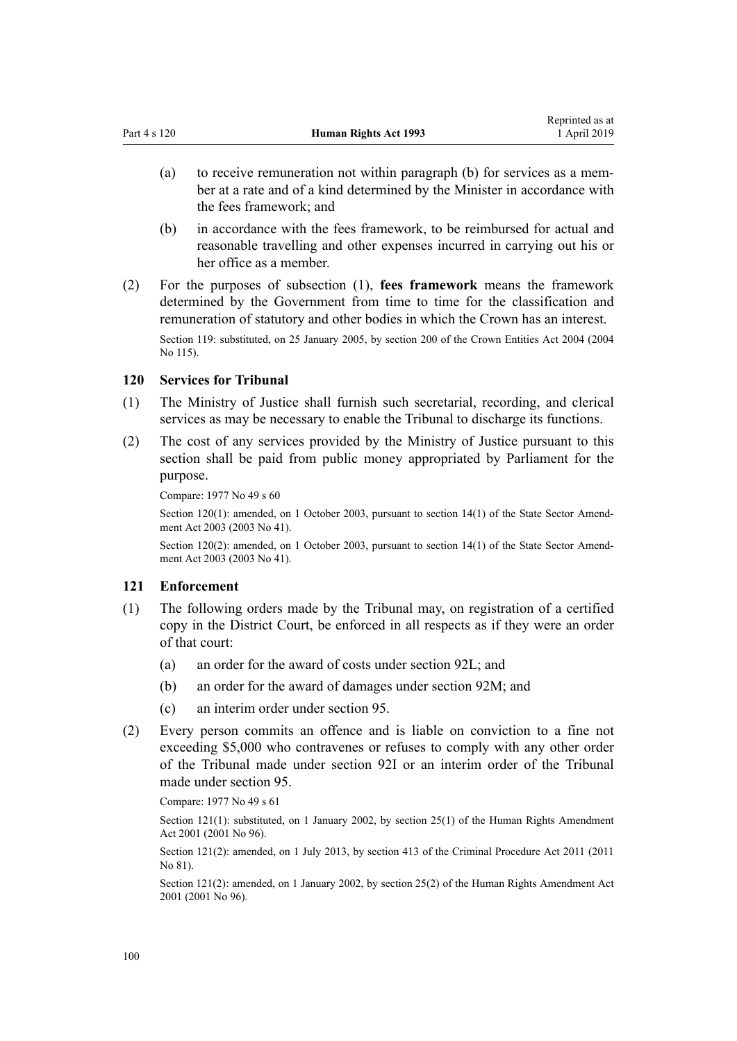- (a) to receive remuneration not within paragraph (b) for services as a member at a rate and of a kind determined by the Minister in accordance with the fees framework; and
- (b) in accordance with the fees framework, to be reimbursed for actual and reasonable travelling and other expenses incurred in carrying out his or her office as a member.
- (2) For the purposes of subsection (1), **fees framework** means the framework determined by the Government from time to time for the classification and remuneration of statutory and other bodies in which the Crown has an interest. Section 119: substituted, on 25 January 2005, by [section 200](http://legislation.govt.nz/pdflink.aspx?id=DLM331111) of the Crown Entities Act 2004 (2004 No 115).

# **120 Services for Tribunal**

- (1) The Ministry of Justice shall furnish such secretarial, recording, and clerical services as may be necessary to enable the Tribunal to discharge its functions.
- (2) The cost of any services provided by the Ministry of Justice pursuant to this section shall be paid from public money appropriated by Parliament for the purpose.

Compare: 1977 No 49 s 60

Section 120(1): amended, on 1 October 2003, pursuant to [section 14\(1\)](http://legislation.govt.nz/pdflink.aspx?id=DLM201378) of the State Sector Amendment Act 2003 (2003 No 41).

Section 120(2): amended, on 1 October 2003, pursuant to [section 14\(1\)](http://legislation.govt.nz/pdflink.aspx?id=DLM201378) of the State Sector Amendment Act 2003 (2003 No 41).

### **121 Enforcement**

- (1) The following orders made by the Tribunal may, on registration of a certified copy in the District Court, be enforced in all respects as if they were an order of that court:
	- (a) an order for the award of costs under [section 92L;](#page-77-0) and
	- (b) an order for the award of damages under [section 92M](#page-77-0); and
	- (c) an interim order under [section 95](#page-84-0).
- (2) Every person commits an offence and is liable on conviction to a fine not exceeding \$5,000 who contravenes or refuses to comply with any other order of the Tribunal made under [section 92I](#page-75-0) or an interim order of the Tribunal made under [section 95.](#page-84-0)

Compare: 1977 No 49 s 61

Section 121(1): substituted, on 1 January 2002, by [section 25\(1\)](http://legislation.govt.nz/pdflink.aspx?id=DLM122170) of the Human Rights Amendment Act 2001 (2001 No 96).

Section 121(2): amended, on 1 July 2013, by [section 413](http://legislation.govt.nz/pdflink.aspx?id=DLM3360714) of the Criminal Procedure Act 2011 (2011 No 81).

Section 121(2): amended, on 1 January 2002, by [section 25\(2\)](http://legislation.govt.nz/pdflink.aspx?id=DLM122170) of the Human Rights Amendment Act 2001 (2001 No 96).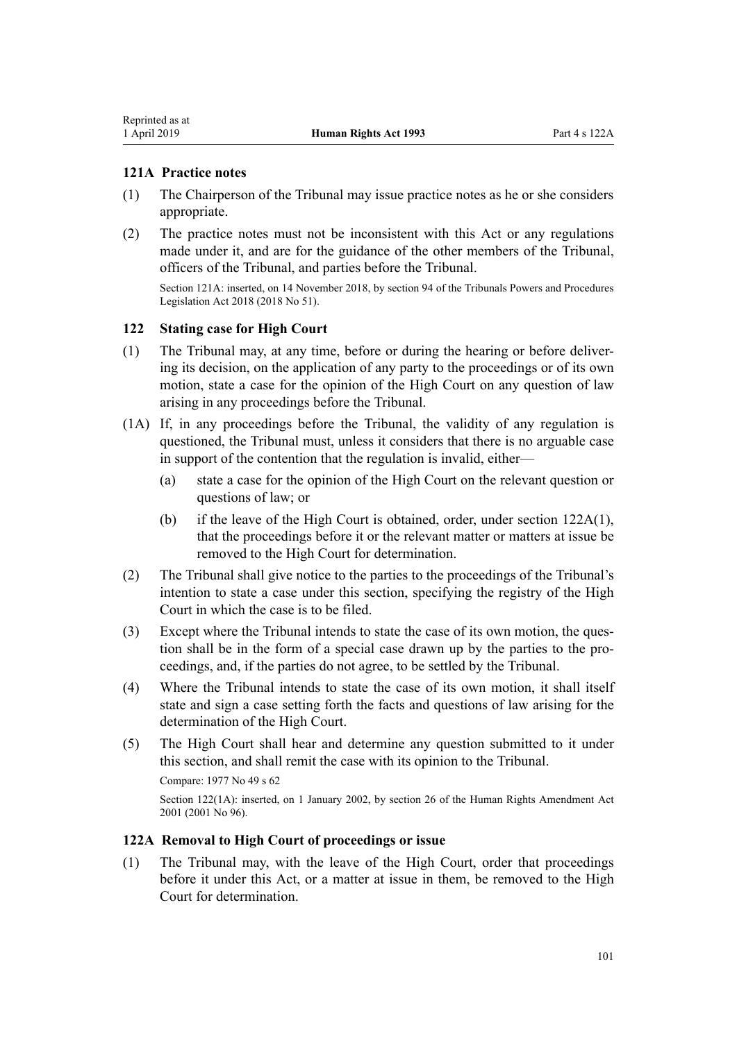### <span id="page-100-0"></span>**121A Practice notes**

- (1) The Chairperson of the Tribunal may issue practice notes as he or she considers appropriate.
- (2) The practice notes must not be inconsistent with this Act or any regulations made under it, and are for the guidance of the other members of the Tribunal, officers of the Tribunal, and parties before the Tribunal.

Section 121A: inserted, on 14 November 2018, by [section 94](http://legislation.govt.nz/pdflink.aspx?id=DLM7374301) of the Tribunals Powers and Procedures Legislation Act 2018 (2018 No 51).

#### **122 Stating case for High Court**

- (1) The Tribunal may, at any time, before or during the hearing or before delivering its decision, on the application of any party to the proceedings or of its own motion, state a case for the opinion of the High Court on any question of law arising in any proceedings before the Tribunal.
- (1A) If, in any proceedings before the Tribunal, the validity of any regulation is questioned, the Tribunal must, unless it considers that there is no arguable case in support of the contention that the regulation is invalid, either—
	- (a) state a case for the opinion of the High Court on the relevant question or questions of law; or
	- (b) if the leave of the High Court is obtained, order, under section  $122A(1)$ , that the proceedings before it or the relevant matter or matters at issue be removed to the High Court for determination.
- (2) The Tribunal shall give notice to the parties to the proceedings of the Tribunal's intention to state a case under this section, specifying the registry of the High Court in which the case is to be filed.
- (3) Except where the Tribunal intends to state the case of its own motion, the question shall be in the form of a special case drawn up by the parties to the proceedings, and, if the parties do not agree, to be settled by the Tribunal.
- (4) Where the Tribunal intends to state the case of its own motion, it shall itself state and sign a case setting forth the facts and questions of law arising for the determination of the High Court.
- (5) The High Court shall hear and determine any question submitted to it under this section, and shall remit the case with its opinion to the Tribunal.

Compare: 1977 No 49 s 62

Section 122(1A): inserted, on 1 January 2002, by [section 26](http://legislation.govt.nz/pdflink.aspx?id=DLM122171) of the Human Rights Amendment Act 2001 (2001 No 96).

## **122A Removal to High Court of proceedings or issue**

(1) The Tribunal may, with the leave of the High Court, order that proceedings before it under this Act, or a matter at issue in them, be removed to the High Court for determination.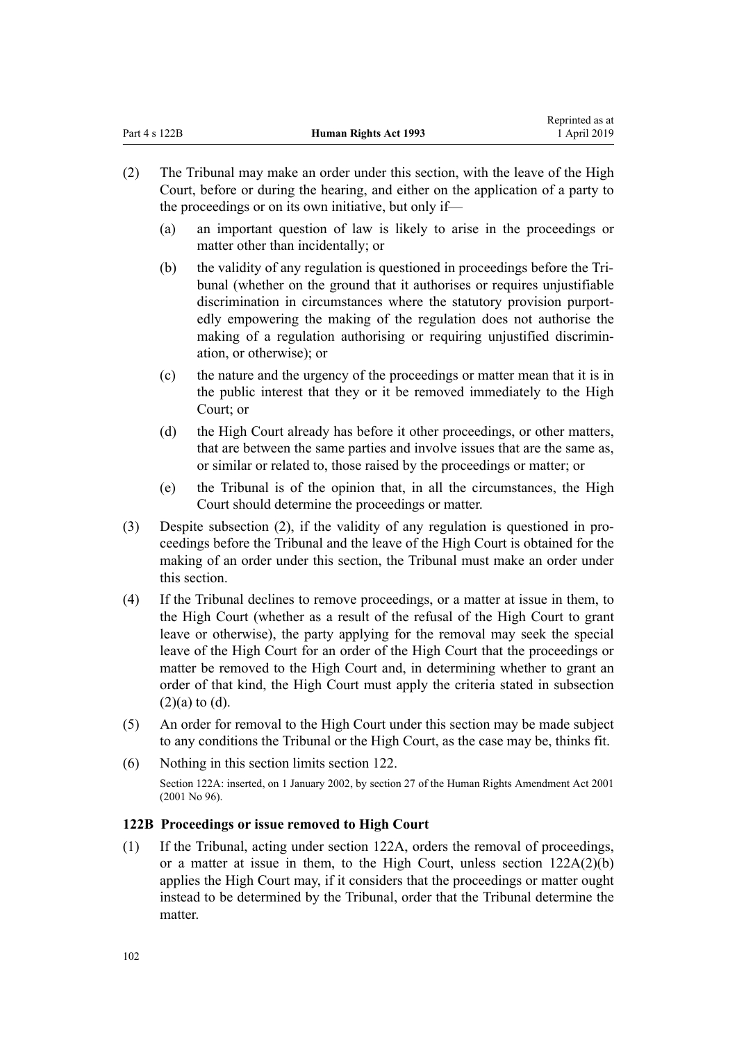|               |                              | Reprinted as at |
|---------------|------------------------------|-----------------|
| Part 4 s 122B | <b>Human Rights Act 1993</b> | 1 April 2019    |

- (2) The Tribunal may make an order under this section, with the leave of the High Court, before or during the hearing, and either on the application of a party to the proceedings or on its own initiative, but only if—
	- (a) an important question of law is likely to arise in the proceedings or matter other than incidentally; or
	- (b) the validity of any regulation is questioned in proceedings before the Tribunal (whether on the ground that it authorises or requires unjustifiable discrimination in circumstances where the statutory provision purportedly empowering the making of the regulation does not authorise the making of a regulation authorising or requiring unjustified discrimination, or otherwise); or
	- (c) the nature and the urgency of the proceedings or matter mean that it is in the public interest that they or it be removed immediately to the High Court; or
	- (d) the High Court already has before it other proceedings, or other matters, that are between the same parties and involve issues that are the same as, or similar or related to, those raised by the proceedings or matter; or
	- (e) the Tribunal is of the opinion that, in all the circumstances, the High Court should determine the proceedings or matter.
- (3) Despite subsection (2), if the validity of any regulation is questioned in proceedings before the Tribunal and the leave of the High Court is obtained for the making of an order under this section, the Tribunal must make an order under this section.
- (4) If the Tribunal declines to remove proceedings, or a matter at issue in them, to the High Court (whether as a result of the refusal of the High Court to grant leave or otherwise), the party applying for the removal may seek the special leave of the High Court for an order of the High Court that the proceedings or matter be removed to the High Court and, in determining whether to grant an order of that kind, the High Court must apply the criteria stated in subsection  $(2)(a)$  to  $(d)$ .
- (5) An order for removal to the High Court under this section may be made subject to any conditions the Tribunal or the High Court, as the case may be, thinks fit.
- (6) Nothing in this section limits [section 122](#page-100-0).

Section 122A: inserted, on 1 January 2002, by [section 27](http://legislation.govt.nz/pdflink.aspx?id=DLM122172) of the Human Rights Amendment Act 2001 (2001 No 96).

# **122B Proceedings or issue removed to High Court**

(1) If the Tribunal, acting under [section 122A,](#page-100-0) orders the removal of proceedings, or a matter at issue in them, to the High Court, unless [section 122A\(2\)\(b\)](#page-100-0) applies the High Court may, if it considers that the proceedings or matter ought instead to be determined by the Tribunal, order that the Tribunal determine the matter.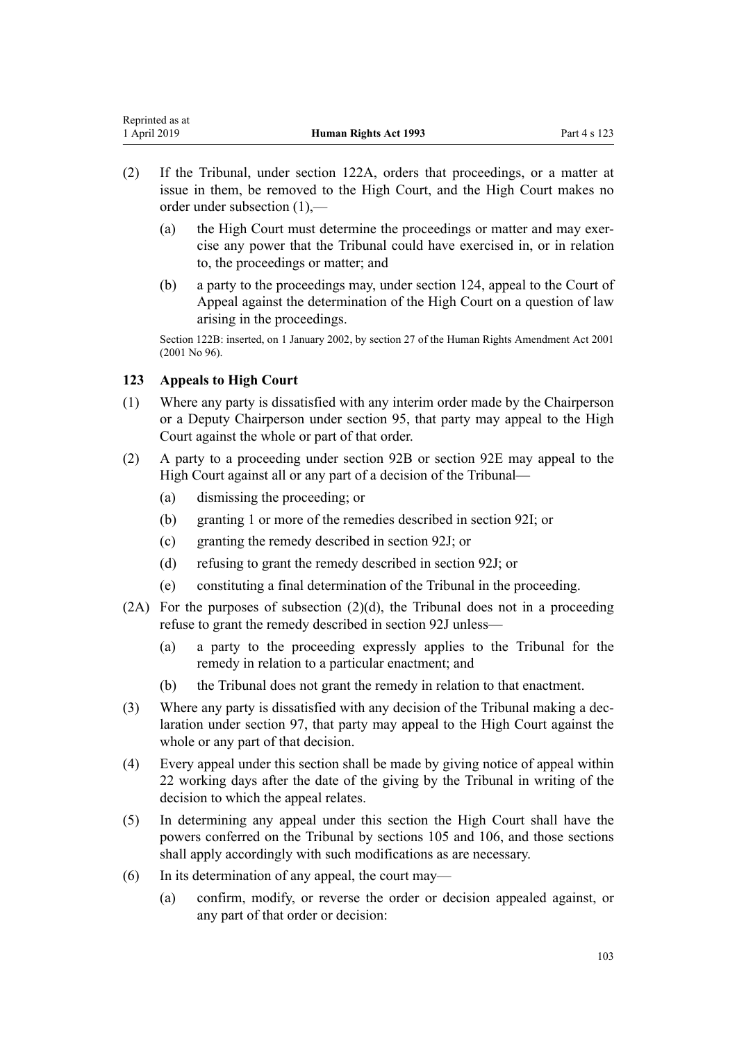- <span id="page-102-0"></span>(2) If the Tribunal, under [section 122A,](#page-100-0) orders that proceedings, or a matter at issue in them, be removed to the High Court, and the High Court makes no order under subsection (1),—
	- (a) the High Court must determine the proceedings or matter and may exercise any power that the Tribunal could have exercised in, or in relation to, the proceedings or matter; and
	- (b) a party to the proceedings may, under [section 124](#page-103-0), appeal to the Court of Appeal against the determination of the High Court on a question of law arising in the proceedings.

Section 122B: inserted, on 1 January 2002, by [section 27](http://legislation.govt.nz/pdflink.aspx?id=DLM122172) of the Human Rights Amendment Act 2001 (2001 No 96).

# **123 Appeals to High Court**

- (1) Where any party is dissatisfied with any interim order made by the Chairperson or a Deputy Chairperson under section [95](#page-84-0), that party may appeal to the High Court against the whole or part of that order.
- (2) A party to a proceeding under [section 92B](#page-70-0) or [section 92E](#page-73-0) may appeal to the High Court against all or any part of a decision of the Tribunal—
	- (a) dismissing the proceeding; or
	- (b) granting 1 or more of the remedies described in [section 92I](#page-75-0); or
	- (c) granting the remedy described in [section 92J;](#page-76-0) or
	- (d) refusing to grant the remedy described in [section 92J;](#page-76-0) or
	- (e) constituting a final determination of the Tribunal in the proceeding.
- (2A) For the purposes of subsection (2)(d), the Tribunal does not in a proceeding refuse to grant the remedy described in [section 92J](#page-76-0) unless—
	- (a) a party to the proceeding expressly applies to the Tribunal for the remedy in relation to a particular enactment; and
	- (b) the Tribunal does not grant the remedy in relation to that enactment.
- (3) Where any party is dissatisfied with any decision of the Tribunal making a declaration under [section 97,](#page-85-0) that party may appeal to the High Court against the whole or any part of that decision.
- (4) Every appeal under this section shall be made by giving notice of appeal within 22 working days after the date of the giving by the Tribunal in writing of the decision to which the appeal relates.
- (5) In determining any appeal under this section the High Court shall have the powers conferred on the Tribunal by [sections 105](#page-92-0) and [106](#page-92-0), and those sections shall apply accordingly with such modifications as are necessary.
- (6) In its determination of any appeal, the court may—
	- (a) confirm, modify, or reverse the order or decision appealed against, or any part of that order or decision: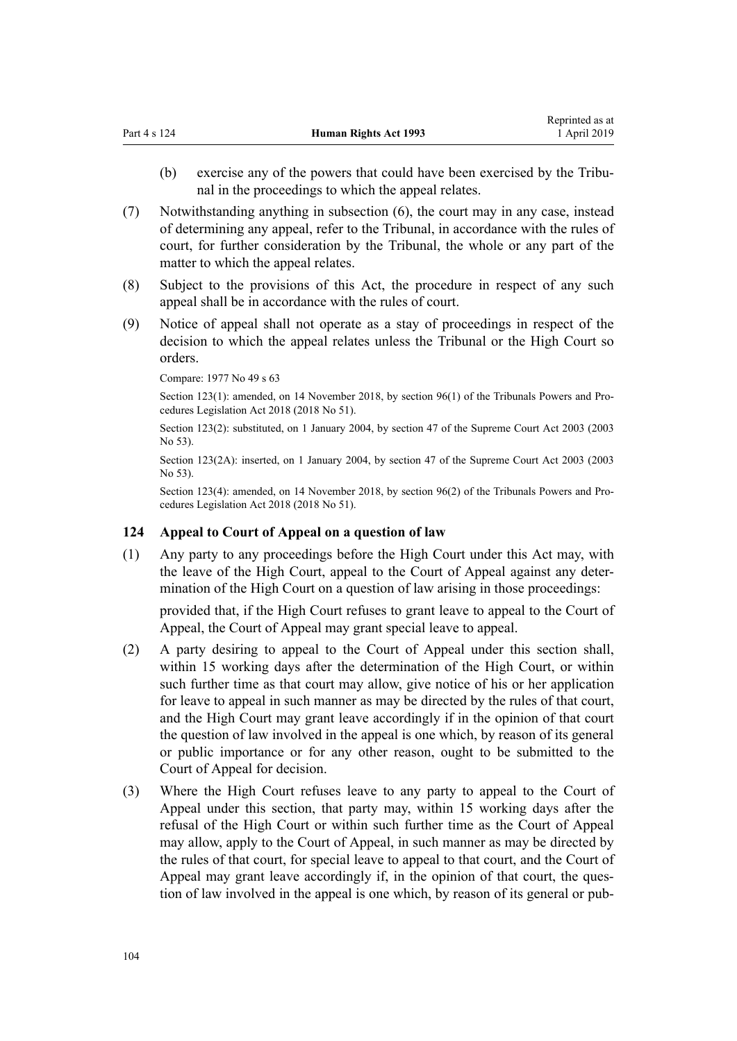<span id="page-103-0"></span>

| Part 4 s 124 | <b>Human Rights Act 1993</b> | $\mathbf{r}$<br>1 April 2019 |
|--------------|------------------------------|------------------------------|
|              |                              |                              |

(b) exercise any of the powers that could have been exercised by the Tribunal in the proceedings to which the appeal relates.

Reprinted as at

- (7) Notwithstanding anything in subsection (6), the court may in any case, instead of determining any appeal, refer to the Tribunal, in accordance with the rules of court, for further consideration by the Tribunal, the whole or any part of the matter to which the appeal relates.
- (8) Subject to the provisions of this Act, the procedure in respect of any such appeal shall be in accordance with the rules of court.
- (9) Notice of appeal shall not operate as a stay of proceedings in respect of the decision to which the appeal relates unless the Tribunal or the High Court so orders.

Compare: 1977 No 49 s 63

Section 123(1): amended, on 14 November 2018, by [section 96\(1\)](http://legislation.govt.nz/pdflink.aspx?id=LMS40343) of the Tribunals Powers and Procedures Legislation Act 2018 (2018 No 51).

Section 123(2): substituted, on 1 January 2004, by [section 47](http://legislation.govt.nz/pdflink.aspx?id=DLM214520) of the Supreme Court Act 2003 (2003 No 53).

Section 123(2A): inserted, on 1 January 2004, by [section 47](http://legislation.govt.nz/pdflink.aspx?id=DLM214520) of the Supreme Court Act 2003 (2003 No 53).

Section 123(4): amended, on 14 November 2018, by [section 96\(2\)](http://legislation.govt.nz/pdflink.aspx?id=LMS40343) of the Tribunals Powers and Procedures Legislation Act 2018 (2018 No 51).

### **124 Appeal to Court of Appeal on a question of law**

(1) Any party to any proceedings before the High Court under this Act may, with the leave of the High Court, appeal to the Court of Appeal against any determination of the High Court on a question of law arising in those proceedings:

provided that, if the High Court refuses to grant leave to appeal to the Court of Appeal, the Court of Appeal may grant special leave to appeal.

- (2) A party desiring to appeal to the Court of Appeal under this section shall, within 15 working days after the determination of the High Court, or within such further time as that court may allow, give notice of his or her application for leave to appeal in such manner as may be directed by the rules of that court, and the High Court may grant leave accordingly if in the opinion of that court the question of law involved in the appeal is one which, by reason of its general or public importance or for any other reason, ought to be submitted to the Court of Appeal for decision.
- (3) Where the High Court refuses leave to any party to appeal to the Court of Appeal under this section, that party may, within 15 working days after the refusal of the High Court or within such further time as the Court of Appeal may allow, apply to the Court of Appeal, in such manner as may be directed by the rules of that court, for special leave to appeal to that court, and the Court of Appeal may grant leave accordingly if, in the opinion of that court, the question of law involved in the appeal is one which, by reason of its general or pub-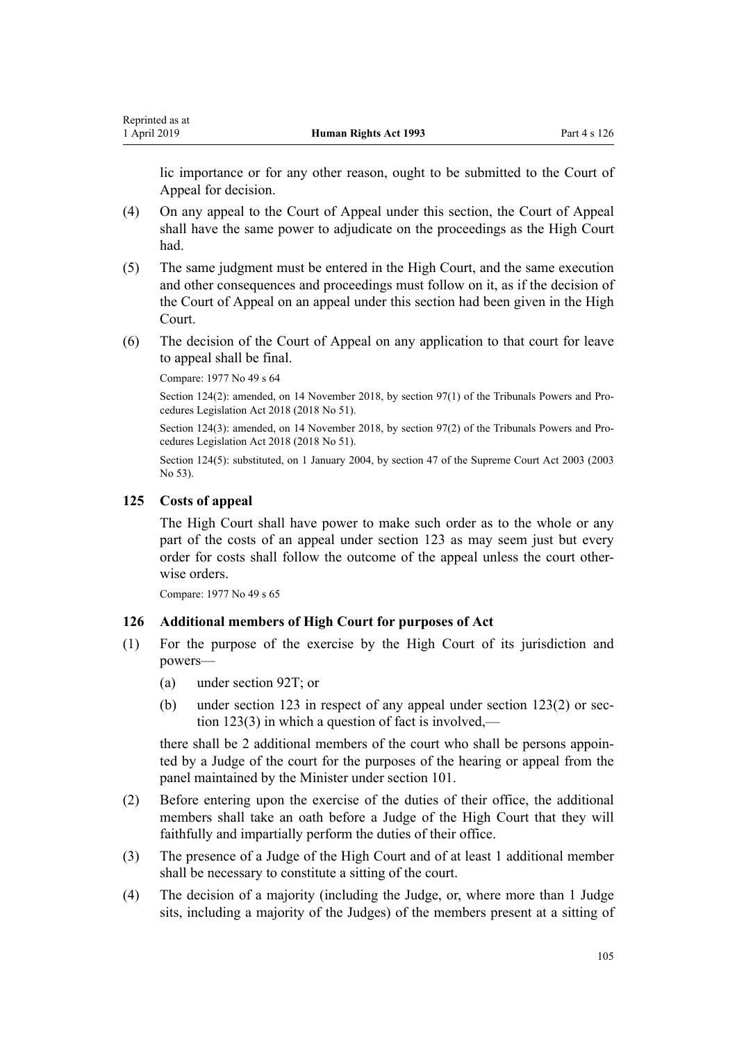lic importance or for any other reason, ought to be submitted to the Court of Appeal for decision.

- (4) On any appeal to the Court of Appeal under this section, the Court of Appeal shall have the same power to adjudicate on the proceedings as the High Court had.
- (5) The same judgment must be entered in the High Court, and the same execution and other consequences and proceedings must follow on it, as if the decision of the Court of Appeal on an appeal under this section had been given in the High Court.
- (6) The decision of the Court of Appeal on any application to that court for leave to appeal shall be final.

Compare: 1977 No 49 s 64

Section 124(2): amended, on 14 November 2018, by [section 97\(1\)](http://legislation.govt.nz/pdflink.aspx?id=LMS40345) of the Tribunals Powers and Procedures Legislation Act 2018 (2018 No 51).

Section 124(3): amended, on 14 November 2018, by [section 97\(2\)](http://legislation.govt.nz/pdflink.aspx?id=LMS40345) of the Tribunals Powers and Procedures Legislation Act 2018 (2018 No 51).

Section 124(5): substituted, on 1 January 2004, by [section 47](http://legislation.govt.nz/pdflink.aspx?id=DLM214520) of the Supreme Court Act 2003 (2003 No 53).

#### **125 Costs of appeal**

The High Court shall have power to make such order as to the whole or any part of the costs of an appeal under [section 123](#page-102-0) as may seem just but every order for costs shall follow the outcome of the appeal unless the court otherwise orders.

Compare: 1977 No 49 s 65

### **126 Additional members of High Court for purposes of Act**

- (1) For the purpose of the exercise by the High Court of its jurisdiction and powers—
	- (a) under [section 92T](#page-82-0); or
	- (b) under [section 123](#page-102-0) in respect of any appeal under section 123(2) or section 123(3) in which a question of fact is involved,—

there shall be 2 additional members of the court who shall be persons appointed by a Judge of the court for the purposes of the hearing or appeal from the panel maintained by the Minister under [section 101.](#page-87-0)

- (2) Before entering upon the exercise of the duties of their office, the additional members shall take an oath before a Judge of the High Court that they will faithfully and impartially perform the duties of their office.
- (3) The presence of a Judge of the High Court and of at least 1 additional member shall be necessary to constitute a sitting of the court.
- (4) The decision of a majority (including the Judge, or, where more than 1 Judge sits, including a majority of the Judges) of the members present at a sitting of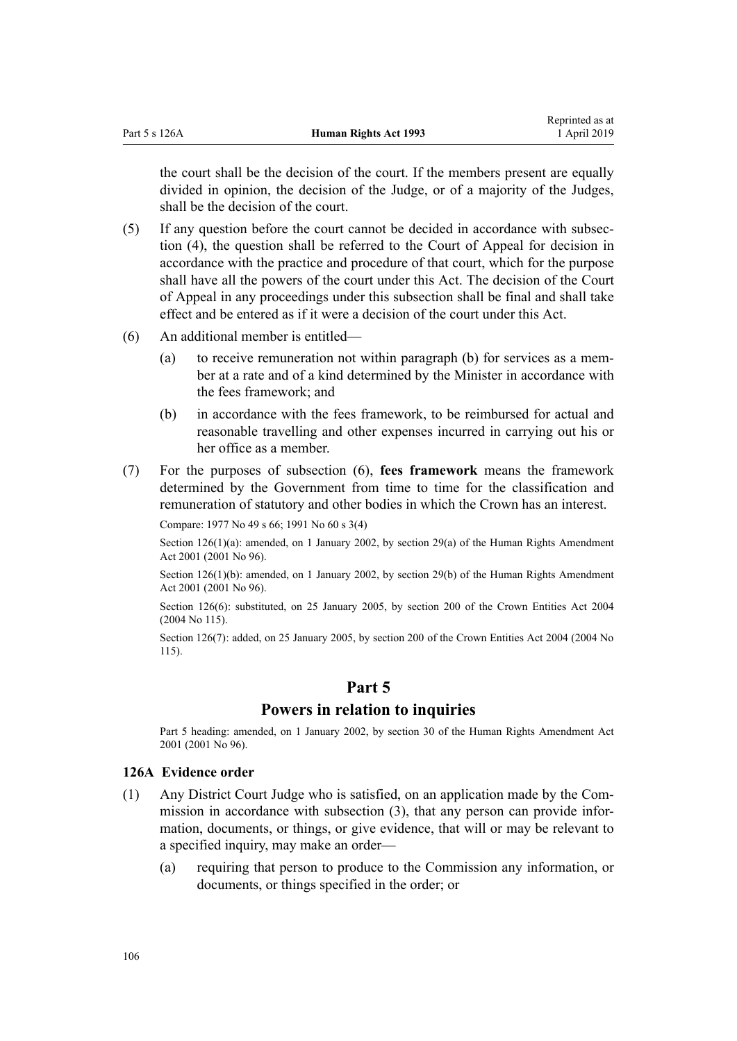<span id="page-105-0"></span>the court shall be the decision of the court. If the members present are equally divided in opinion, the decision of the Judge, or of a majority of the Judges, shall be the decision of the court.

- (5) If any question before the court cannot be decided in accordance with subsection (4), the question shall be referred to the Court of Appeal for decision in accordance with the practice and procedure of that court, which for the purpose shall have all the powers of the court under this Act. The decision of the Court of Appeal in any proceedings under this subsection shall be final and shall take effect and be entered as if it were a decision of the court under this Act.
- (6) An additional member is entitled—
	- (a) to receive remuneration not within paragraph (b) for services as a member at a rate and of a kind determined by the Minister in accordance with the fees framework; and
	- (b) in accordance with the fees framework, to be reimbursed for actual and reasonable travelling and other expenses incurred in carrying out his or her office as a member.
- (7) For the purposes of subsection (6), **fees framework** means the framework determined by the Government from time to time for the classification and remuneration of statutory and other bodies in which the Crown has an interest.

Compare: 1977 No 49 s 66; 1991 No 60 [s 3\(4\)](http://legislation.govt.nz/pdflink.aspx?id=DLM230219)

Section 126(1)(a): amended, on 1 January 2002, by [section 29\(a\)](http://legislation.govt.nz/pdflink.aspx?id=DLM122176) of the Human Rights Amendment Act 2001 (2001 No 96).

Section 126(1)(b): amended, on 1 January 2002, by [section 29\(b\)](http://legislation.govt.nz/pdflink.aspx?id=DLM122176) of the Human Rights Amendment Act 2001 (2001 No 96).

Section 126(6): substituted, on 25 January 2005, by [section 200](http://legislation.govt.nz/pdflink.aspx?id=DLM331111) of the Crown Entities Act 2004 (2004 No 115).

Section 126(7): added, on 25 January 2005, by [section 200](http://legislation.govt.nz/pdflink.aspx?id=DLM331111) of the Crown Entities Act 2004 (2004 No 115).

# **Part 5**

### **Powers in relation to inquiries**

Part 5 heading: amended, on 1 January 2002, by [section 30](http://legislation.govt.nz/pdflink.aspx?id=DLM122178) of the Human Rights Amendment Act 2001 (2001 No 96).

#### **126A Evidence order**

- (1) Any District Court Judge who is satisfied, on an application made by the Commission in accordance with subsection (3), that any person can provide information, documents, or things, or give evidence, that will or may be relevant to a specified inquiry, may make an order—
	- (a) requiring that person to produce to the Commission any information, or documents, or things specified in the order; or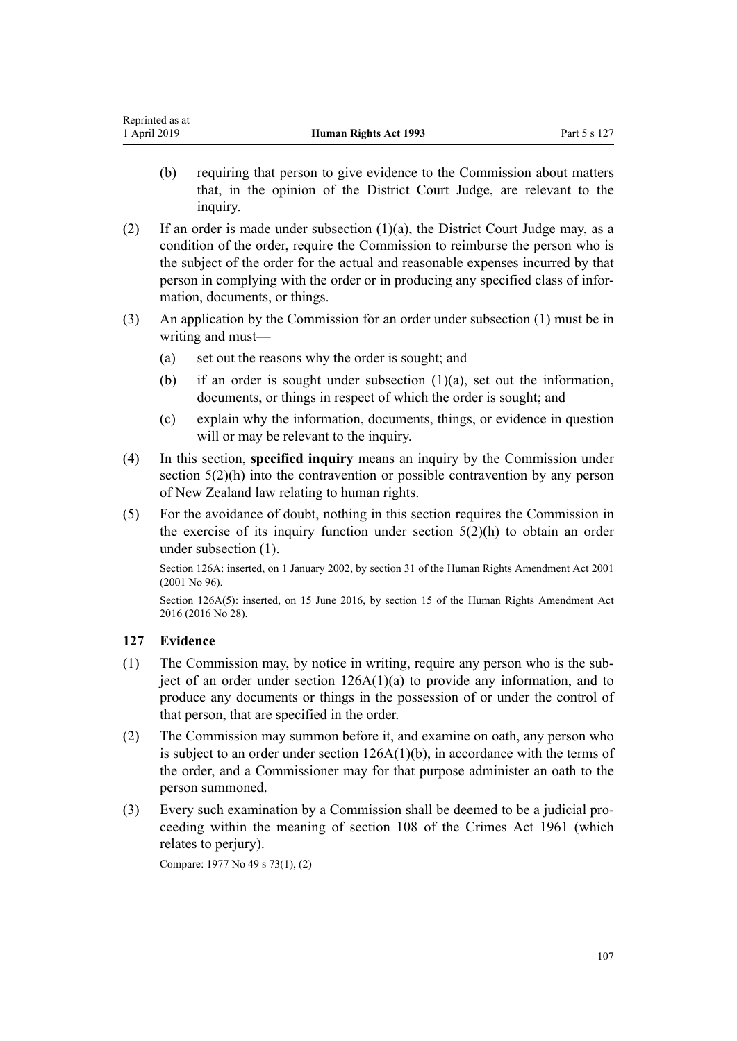| Reprinted as at |                              |              |
|-----------------|------------------------------|--------------|
| 1 April 2019    | <b>Human Rights Act 1993</b> | Part 5 s 127 |

- (b) requiring that person to give evidence to the Commission about matters that, in the opinion of the District Court Judge, are relevant to the inquiry.
- (2) If an order is made under subsection (1)(a), the District Court Judge may, as a condition of the order, require the Commission to reimburse the person who is the subject of the order for the actual and reasonable expenses incurred by that person in complying with the order or in producing any specified class of information, documents, or things.
- (3) An application by the Commission for an order under subsection (1) must be in writing and must—
	- (a) set out the reasons why the order is sought; and
	- (b) if an order is sought under subsection  $(1)(a)$ , set out the information, documents, or things in respect of which the order is sought; and
	- (c) explain why the information, documents, things, or evidence in question will or may be relevant to the inquiry.
- (4) In this section, **specified inquiry** means an inquiry by the Commission under [section 5\(2\)\(h\)](#page-12-0) into the contravention or possible contravention by any person of New Zealand law relating to human rights.
- (5) For the avoidance of doubt, nothing in this section requires the Commission in the exercise of its inquiry function under section  $5(2)(h)$  to obtain an order under subsection (1).

Section 126A: inserted, on 1 January 2002, by [section 31](http://legislation.govt.nz/pdflink.aspx?id=DLM122179) of the Human Rights Amendment Act 2001 (2001 No 96).

Section 126A(5): inserted, on 15 June 2016, by [section 15](http://legislation.govt.nz/pdflink.aspx?id=DLM4097529) of the Human Rights Amendment Act 2016 (2016 No 28).

# **127 Evidence**

<span id="page-106-0"></span>Representative as a set of the set of the set of the set of the set of the set of the set of the set of the set of the set of the set of the set of the set of the set of the set of the set of the set of the set of the set

- (1) The Commission may, by notice in writing, require any person who is the subject of an order under section  $126A(1)(a)$  to provide any information, and to produce any documents or things in the possession of or under the control of that person, that are specified in the order.
- (2) The Commission may summon before it, and examine on oath, any person who is subject to an order under [section 126A\(1\)\(b\)](#page-105-0), in accordance with the terms of the order, and a Commissioner may for that purpose administer an oath to the person summoned.
- (3) Every such examination by a Commission shall be deemed to be a judicial proceeding within the meaning of [section 108](http://legislation.govt.nz/pdflink.aspx?id=DLM328793) of the Crimes Act 1961 (which relates to perjury).

Compare: 1977 No 49 s 73(1), (2)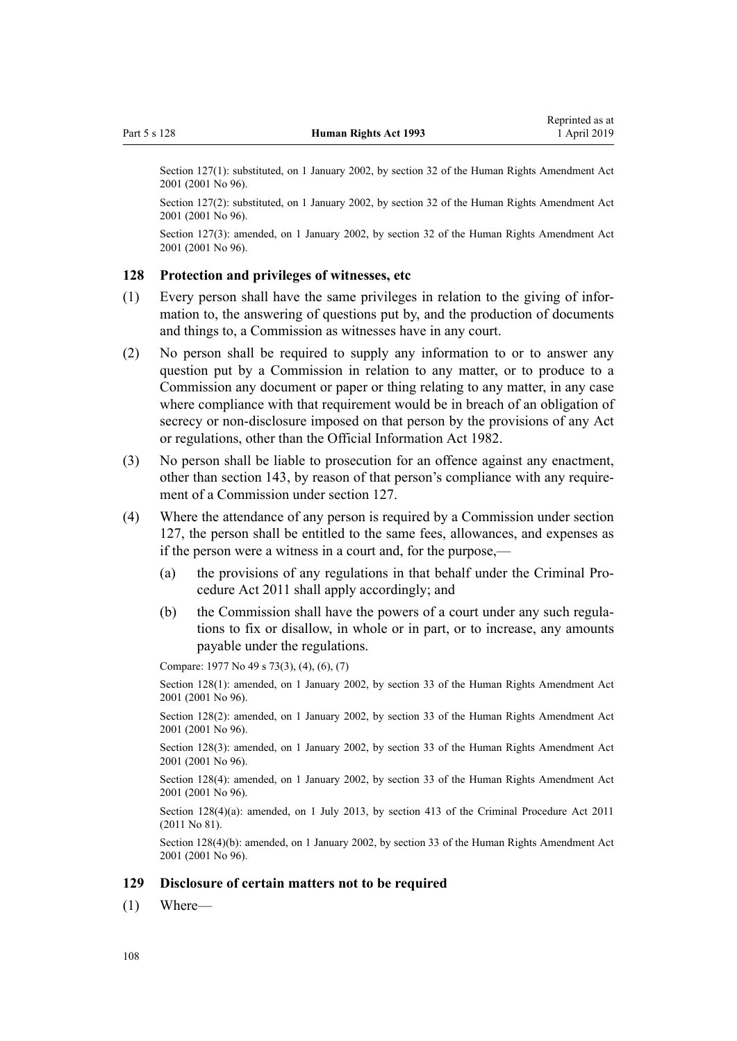Section 127(1): substituted, on 1 January 2002, by [section 32](http://legislation.govt.nz/pdflink.aspx?id=DLM122182) of the Human Rights Amendment Act 2001 (2001 No 96).

Section 127(2): substituted, on 1 January 2002, by [section 32](http://legislation.govt.nz/pdflink.aspx?id=DLM122182) of the Human Rights Amendment Act 2001 (2001 No 96).

Section 127(3): amended, on 1 January 2002, by [section 32](http://legislation.govt.nz/pdflink.aspx?id=DLM122182) of the Human Rights Amendment Act 2001 (2001 No 96).

#### **128 Protection and privileges of witnesses, etc**

- (1) Every person shall have the same privileges in relation to the giving of information to, the answering of questions put by, and the production of documents and things to, a Commission as witnesses have in any court.
- (2) No person shall be required to supply any information to or to answer any question put by a Commission in relation to any matter, or to produce to a Commission any document or paper or thing relating to any matter, in any case where compliance with that requirement would be in breach of an obligation of secrecy or non-disclosure imposed on that person by the provisions of any Act or regulations, other than the [Official Information Act 1982](http://legislation.govt.nz/pdflink.aspx?id=DLM64784).
- (3) No person shall be liable to prosecution for an offence against any enactment, other than [section 143,](#page-114-0) by reason of that person's compliance with any requirement of a Commission under [section 127](#page-106-0).
- (4) Where the attendance of any person is required by a Commission under [section](#page-106-0) [127](#page-106-0), the person shall be entitled to the same fees, allowances, and expenses as if the person were a witness in a court and, for the purpose,—
	- (a) the provisions of any regulations in that behalf under the [Criminal Pro](http://legislation.govt.nz/pdflink.aspx?id=DLM3359902)[cedure Act 2011](http://legislation.govt.nz/pdflink.aspx?id=DLM3359902) shall apply accordingly; and
	- (b) the Commission shall have the powers of a court under any such regulations to fix or disallow, in whole or in part, or to increase, any amounts payable under the regulations.

Compare: 1977 No 49 s 73(3), (4), (6), (7)

Section 128(1): amended, on 1 January 2002, by [section 33](http://legislation.govt.nz/pdflink.aspx?id=DLM122183) of the Human Rights Amendment Act 2001 (2001 No 96).

Section 128(2): amended, on 1 January 2002, by [section 33](http://legislation.govt.nz/pdflink.aspx?id=DLM122183) of the Human Rights Amendment Act 2001 (2001 No 96).

Section 128(3): amended, on 1 January 2002, by [section 33](http://legislation.govt.nz/pdflink.aspx?id=DLM122183) of the Human Rights Amendment Act 2001 (2001 No 96).

Section 128(4): amended, on 1 January 2002, by [section 33](http://legislation.govt.nz/pdflink.aspx?id=DLM122183) of the Human Rights Amendment Act 2001 (2001 No 96).

Section 128(4)(a): amended, on 1 July 2013, by [section 413](http://legislation.govt.nz/pdflink.aspx?id=DLM3360714) of the Criminal Procedure Act 2011 (2011 No 81).

Section 128(4)(b): amended, on 1 January 2002, by [section 33](http://legislation.govt.nz/pdflink.aspx?id=DLM122183) of the Human Rights Amendment Act 2001 (2001 No 96).

#### **129 Disclosure of certain matters not to be required**

(1) Where—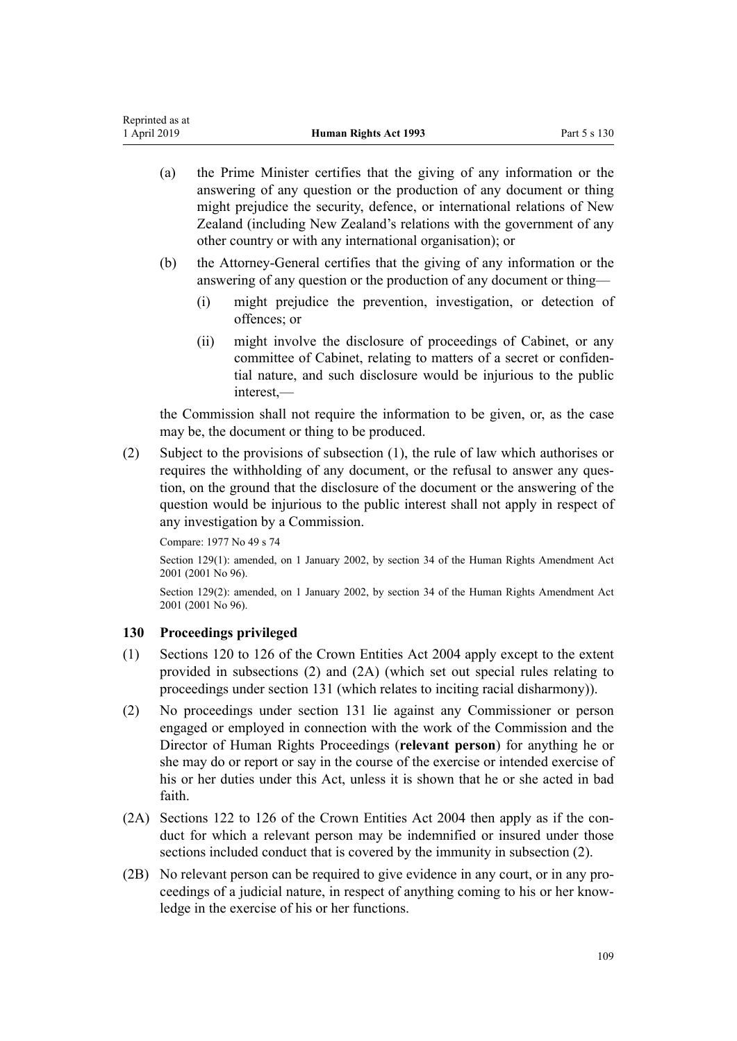- (a) the Prime Minister certifies that the giving of any information or the answering of any question or the production of any document or thing might prejudice the security, defence, or international relations of New Zealand (including New Zealand's relations with the government of any other country or with any international organisation); or
- (b) the Attorney-General certifies that the giving of any information or the answering of any question or the production of any document or thing—
	- (i) might prejudice the prevention, investigation, or detection of offences; or
	- (ii) might involve the disclosure of proceedings of Cabinet, or any committee of Cabinet, relating to matters of a secret or confidential nature, and such disclosure would be injurious to the public interest,—

the Commission shall not require the information to be given, or, as the case may be, the document or thing to be produced.

(2) Subject to the provisions of subsection (1), the rule of law which authorises or requires the withholding of any document, or the refusal to answer any question, on the ground that the disclosure of the document or the answering of the question would be injurious to the public interest shall not apply in respect of any investigation by a Commission.

Compare: 1977 No 49 s 74

Section 129(1): amended, on 1 January 2002, by [section 34](http://legislation.govt.nz/pdflink.aspx?id=DLM122184) of the Human Rights Amendment Act 2001 (2001 No 96).

Section 129(2): amended, on 1 January 2002, by [section 34](http://legislation.govt.nz/pdflink.aspx?id=DLM122184) of the Human Rights Amendment Act 2001 (2001 No 96).

# **130 Proceedings privileged**

- (1) [Sections 120 to 126](http://legislation.govt.nz/pdflink.aspx?id=DLM330372) of the Crown Entities Act 2004 apply except to the extent provided in subsections (2) and (2A) (which set out special rules relating to proceedings under [section 131](#page-109-0) (which relates to inciting racial disharmony)).
- (2) No proceedings under [section 131](#page-109-0) lie against any Commissioner or person engaged or employed in connection with the work of the Commission and the Director of Human Rights Proceedings (**relevant person**) for anything he or she may do or report or say in the course of the exercise or intended exercise of his or her duties under this Act, unless it is shown that he or she acted in bad faith.
- (2A) [Sections 122 to 126](http://legislation.govt.nz/pdflink.aspx?id=DLM330374) of the Crown Entities Act 2004 then apply as if the conduct for which a relevant person may be indemnified or insured under those sections included conduct that is covered by the immunity in subsection (2).
- (2B) No relevant person can be required to give evidence in any court, or in any proceedings of a judicial nature, in respect of anything coming to his or her knowledge in the exercise of his or her functions.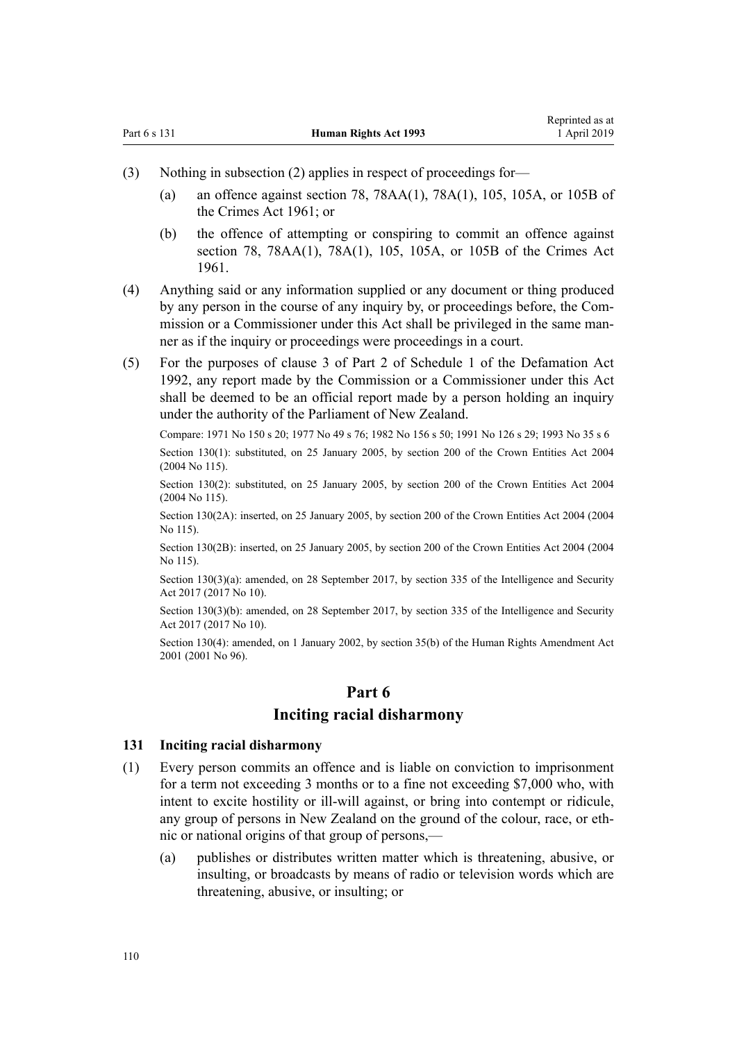- <span id="page-109-0"></span>(3) Nothing in subsection (2) applies in respect of proceedings for—
	- (a) an offence against [section 78](http://legislation.govt.nz/pdflink.aspx?id=DLM328526), [78AA\(1\)](http://legislation.govt.nz/pdflink.aspx?id=DLM7453603), [78A\(1\),](http://legislation.govt.nz/pdflink.aspx?id=DLM328528) [105](http://legislation.govt.nz/pdflink.aspx?id=DLM328753), [105A](http://legislation.govt.nz/pdflink.aspx?id=DLM328755), or [105B](http://legislation.govt.nz/pdflink.aspx?id=DLM328758) of the Crimes Act 1961; or
	- (b) the offence of attempting or conspiring to commit an offence against [section 78](http://legislation.govt.nz/pdflink.aspx?id=DLM328526), [78AA\(1\)](http://legislation.govt.nz/pdflink.aspx?id=DLM7453603), [78A\(1\)](http://legislation.govt.nz/pdflink.aspx?id=DLM328528), [105](http://legislation.govt.nz/pdflink.aspx?id=DLM328753), [105A](http://legislation.govt.nz/pdflink.aspx?id=DLM328755), or [105B](http://legislation.govt.nz/pdflink.aspx?id=DLM328758) of the Crimes Act 1961.
- (4) Anything said or any information supplied or any document or thing produced by any person in the course of any inquiry by, or proceedings before, the Commission or a Commissioner under this Act shall be privileged in the same manner as if the inquiry or proceedings were proceedings in a court.
- (5) For the purposes of [clause 3](http://legislation.govt.nz/pdflink.aspx?id=DLM281290) of Part 2 of Schedule 1 of the Defamation Act 1992, any report made by the Commission or a Commissioner under this Act shall be deemed to be an official report made by a person holding an inquiry under the authority of the Parliament of New Zealand.

Compare: 1971 No 150 s 20; 1977 No 49 s 76; 1982 No 156 [s 50;](http://legislation.govt.nz/pdflink.aspx?id=DLM65915) 1991 No 126 s 29; 1993 No 35 s 6 Section 130(1): substituted, on 25 January 2005, by [section 200](http://legislation.govt.nz/pdflink.aspx?id=DLM331111) of the Crown Entities Act 2004 (2004 No 115).

Section 130(2): substituted, on 25 January 2005, by [section 200](http://legislation.govt.nz/pdflink.aspx?id=DLM331111) of the Crown Entities Act 2004 (2004 No 115).

Section 130(2A): inserted, on 25 January 2005, by [section 200](http://legislation.govt.nz/pdflink.aspx?id=DLM331111) of the Crown Entities Act 2004 (2004 No 115).

Section 130(2B): inserted, on 25 January 2005, by [section 200](http://legislation.govt.nz/pdflink.aspx?id=DLM331111) of the Crown Entities Act 2004 (2004 No 115).

Section 130(3)(a): amended, on 28 September 2017, by [section 335](http://legislation.govt.nz/pdflink.aspx?id=DLM6921475) of the Intelligence and Security Act 2017 (2017 No 10).

Section 130(3)(b): amended, on 28 September 2017, by [section 335](http://legislation.govt.nz/pdflink.aspx?id=DLM6921475) of the Intelligence and Security Act 2017 (2017 No 10).

Section 130(4): amended, on 1 January 2002, by [section 35\(b\)](http://legislation.govt.nz/pdflink.aspx?id=DLM122185) of the Human Rights Amendment Act 2001 (2001 No 96).

# **Part 6 Inciting racial disharmony**

## **131 Inciting racial disharmony**

- (1) Every person commits an offence and is liable on conviction to imprisonment for a term not exceeding 3 months or to a fine not exceeding \$7,000 who, with intent to excite hostility or ill-will against, or bring into contempt or ridicule, any group of persons in New Zealand on the ground of the colour, race, or ethnic or national origins of that group of persons,—
	- (a) publishes or distributes written matter which is threatening, abusive, or insulting, or broadcasts by means of radio or television words which are threatening, abusive, or insulting; or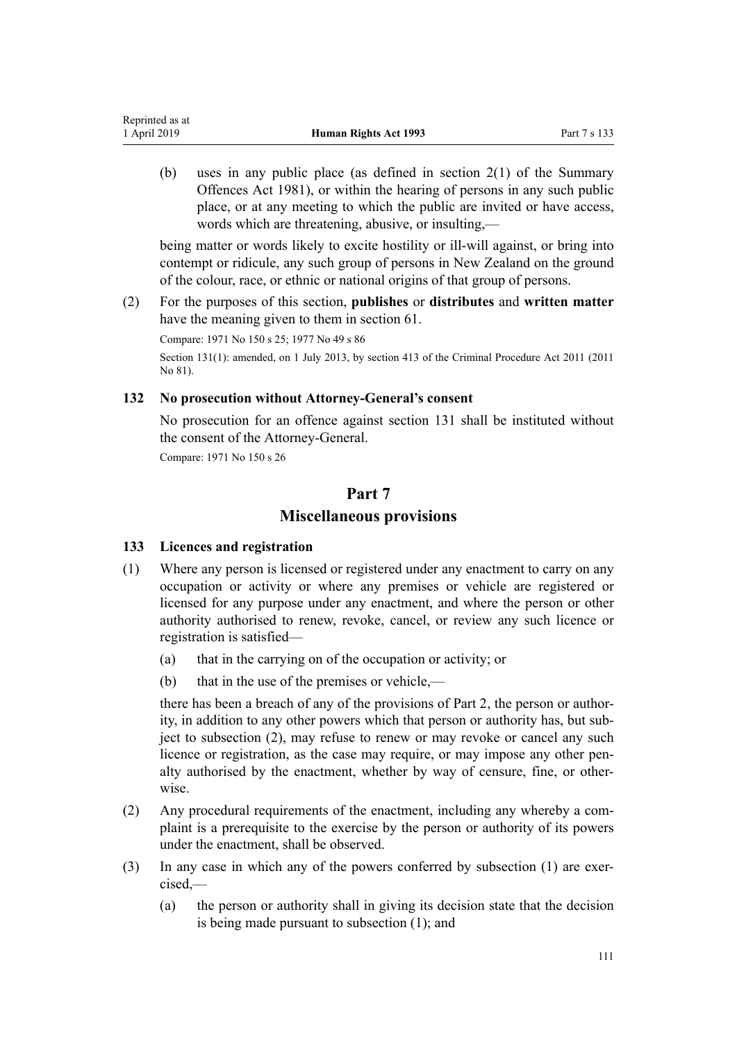(b) uses in any public place (as defined in [section 2\(1\)](http://legislation.govt.nz/pdflink.aspx?id=DLM53353) of the Summary Offences Act 1981), or within the hearing of persons in any such public place, or at any meeting to which the public are invited or have access, words which are threatening, abusive, or insulting,—

being matter or words likely to excite hostility or ill-will against, or bring into contempt or ridicule, any such group of persons in New Zealand on the ground of the colour, race, or ethnic or national origins of that group of persons.

(2) For the purposes of this section, **publishes** or **distributes** and **written matter** have the meaning given to them in [section 61](#page-49-0).

Compare: 1971 No 150 s 25; 1977 No 49 s 86

Section 131(1): amended, on 1 July 2013, by [section 413](http://legislation.govt.nz/pdflink.aspx?id=DLM3360714) of the Criminal Procedure Act 2011 (2011 No 81).

## **132 No prosecution without Attorney-General's consent**

No prosecution for an offence against [section 131](#page-109-0) shall be instituted without the consent of the Attorney-General.

Compare: 1971 No 150 s 26

## **Part 7**

## **Miscellaneous provisions**

## **133 Licences and registration**

- (1) Where any person is licensed or registered under any enactment to carry on any occupation or activity or where any premises or vehicle are registered or licensed for any purpose under any enactment, and where the person or other authority authorised to renew, revoke, cancel, or review any such licence or registration is satisfied—
	- (a) that in the carrying on of the occupation or activity; or
	- (b) that in the use of the premises or vehicle,—

there has been a breach of any of the provisions of [Part 2,](#page-28-0) the person or authority, in addition to any other powers which that person or authority has, but subject to subsection (2), may refuse to renew or may revoke or cancel any such licence or registration, as the case may require, or may impose any other penalty authorised by the enactment, whether by way of censure, fine, or otherwise.

- (2) Any procedural requirements of the enactment, including any whereby a complaint is a prerequisite to the exercise by the person or authority of its powers under the enactment, shall be observed.
- (3) In any case in which any of the powers conferred by subsection (1) are exercised,—
	- (a) the person or authority shall in giving its decision state that the decision is being made pursuant to subsection (1); and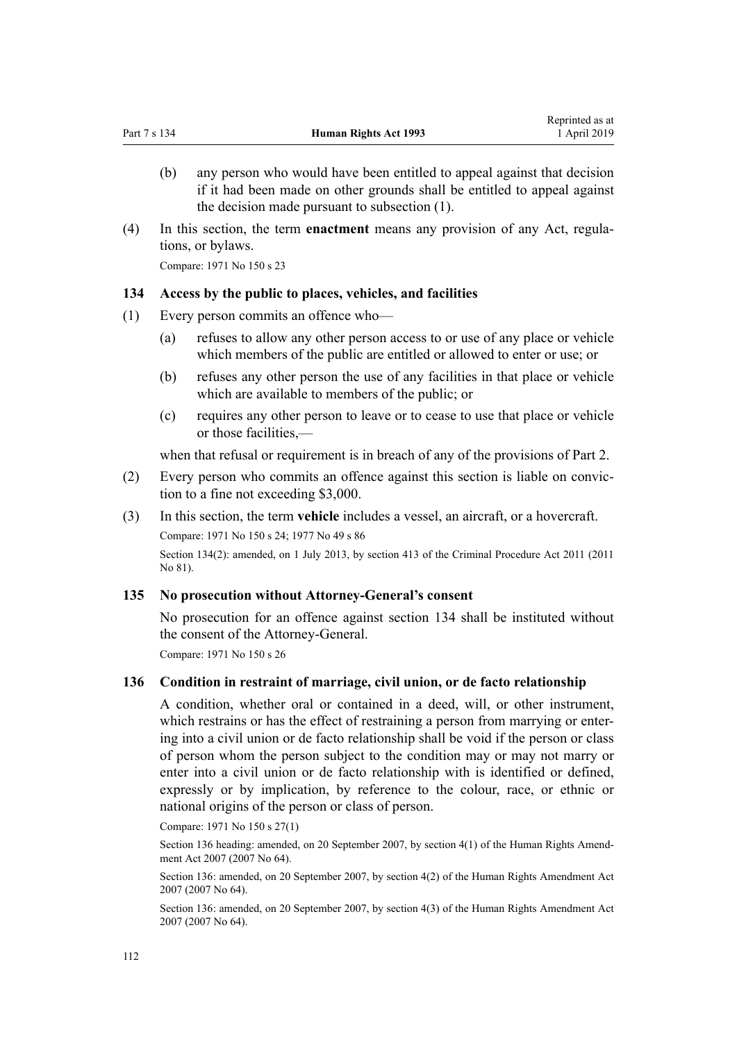- (b) any person who would have been entitled to appeal against that decision if it had been made on other grounds shall be entitled to appeal against the decision made pursuant to subsection (1).
- (4) In this section, the term **enactment** means any provision of any Act, regulations, or bylaws.

Compare: 1971 No 150 s 23

## **134 Access by the public to places, vehicles, and facilities**

- (1) Every person commits an offence who—
	- (a) refuses to allow any other person access to or use of any place or vehicle which members of the public are entitled or allowed to enter or use; or
	- (b) refuses any other person the use of any facilities in that place or vehicle which are available to members of the public; or
	- (c) requires any other person to leave or to cease to use that place or vehicle or those facilities,—

when that refusal or requirement is in breach of any of the provisions of [Part 2.](#page-28-0)

- (2) Every person who commits an offence against this section is liable on conviction to a fine not exceeding \$3,000.
- (3) In this section, the term **vehicle** includes a vessel, an aircraft, or a hovercraft. Compare: 1971 No 150 s 24; 1977 No 49 s 86 Section 134(2): amended, on 1 July 2013, by [section 413](http://legislation.govt.nz/pdflink.aspx?id=DLM3360714) of the Criminal Procedure Act 2011 (2011 No 81).

## **135 No prosecution without Attorney-General's consent**

No prosecution for an offence against section 134 shall be instituted without the consent of the Attorney-General.

Compare: 1971 No 150 s 26

## **136 Condition in restraint of marriage, civil union, or de facto relationship**

A condition, whether oral or contained in a deed, will, or other instrument, which restrains or has the effect of restraining a person from marrying or entering into a civil union or de facto relationship shall be void if the person or class of person whom the person subject to the condition may or may not marry or enter into a civil union or de facto relationship with is identified or defined, expressly or by implication, by reference to the colour, race, or ethnic or national origins of the person or class of person.

Compare: 1971 No 150 s 27(1)

Section 136 heading: amended, on 20 September 2007, by [section 4\(1\)](http://legislation.govt.nz/pdflink.aspx?id=DLM968354) of the Human Rights Amendment Act 2007 (2007 No 64).

Section 136: amended, on 20 September 2007, by [section 4\(2\)](http://legislation.govt.nz/pdflink.aspx?id=DLM968354) of the Human Rights Amendment Act 2007 (2007 No 64).

Section 136: amended, on 20 September 2007, by [section 4\(3\)](http://legislation.govt.nz/pdflink.aspx?id=DLM968354) of the Human Rights Amendment Act 2007 (2007 No 64).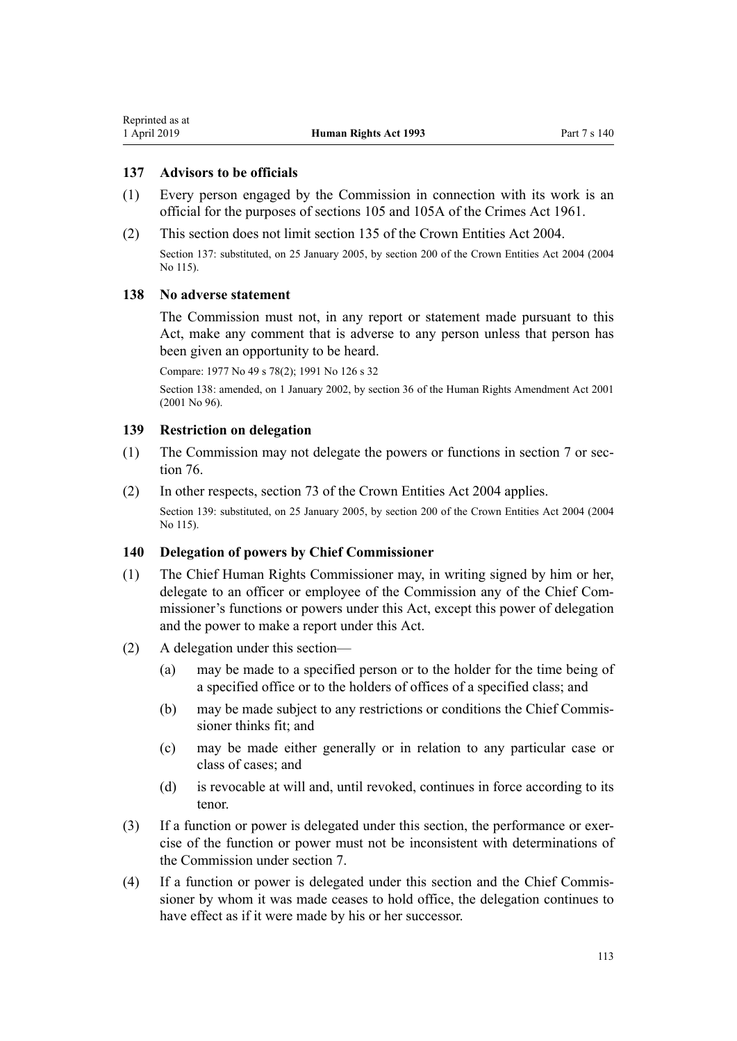## **137 Advisors to be officials**

- (1) Every person engaged by the Commission in connection with its work is an official for the purposes of [sections 105](http://legislation.govt.nz/pdflink.aspx?id=DLM328753) and [105A](http://legislation.govt.nz/pdflink.aspx?id=DLM328755) of the Crimes Act 1961.
- (2) This section does not limit [section 135](http://legislation.govt.nz/pdflink.aspx?id=DLM330503) of the Crown Entities Act 2004.

Section 137: substituted, on 25 January 2005, by [section 200](http://legislation.govt.nz/pdflink.aspx?id=DLM331111) of the Crown Entities Act 2004 (2004 No 115).

## **138 No adverse statement**

The Commission must not, in any report or statement made pursuant to this Act, make any comment that is adverse to any person unless that person has been given an opportunity to be heard.

Compare: 1977 No 49 s 78(2); 1991 No 126 s 32

Section 138: amended, on 1 January 2002, by [section 36](http://legislation.govt.nz/pdflink.aspx?id=DLM122187) of the Human Rights Amendment Act 2001 (2001 No 96).

#### **139 Restriction on delegation**

- (1) The Commission may not delegate the powers or functions in [section 7](#page-15-0) or [sec](#page-59-0)[tion 76](#page-59-0).
- (2) In other respects, [section 73](http://legislation.govt.nz/pdflink.aspx?id=DLM330308) of the Crown Entities Act 2004 applies.

Section 139: substituted, on 25 January 2005, by [section 200](http://legislation.govt.nz/pdflink.aspx?id=DLM331111) of the Crown Entities Act 2004 (2004 No 115).

## **140 Delegation of powers by Chief Commissioner**

- (1) The Chief Human Rights Commissioner may, in writing signed by him or her, delegate to an officer or employee of the Commission any of the Chief Commissioner's functions or powers under this Act, except this power of delegation and the power to make a report under this Act.
- (2) A delegation under this section—
	- (a) may be made to a specified person or to the holder for the time being of a specified office or to the holders of offices of a specified class; and
	- (b) may be made subject to any restrictions or conditions the Chief Commissioner thinks fit; and
	- (c) may be made either generally or in relation to any particular case or class of cases; and
	- (d) is revocable at will and, until revoked, continues in force according to its tenor.
- (3) If a function or power is delegated under this section, the performance or exercise of the function or power must not be inconsistent with determinations of the Commission under [section 7](#page-15-0).
- (4) If a function or power is delegated under this section and the Chief Commissioner by whom it was made ceases to hold office, the delegation continues to have effect as if it were made by his or her successor.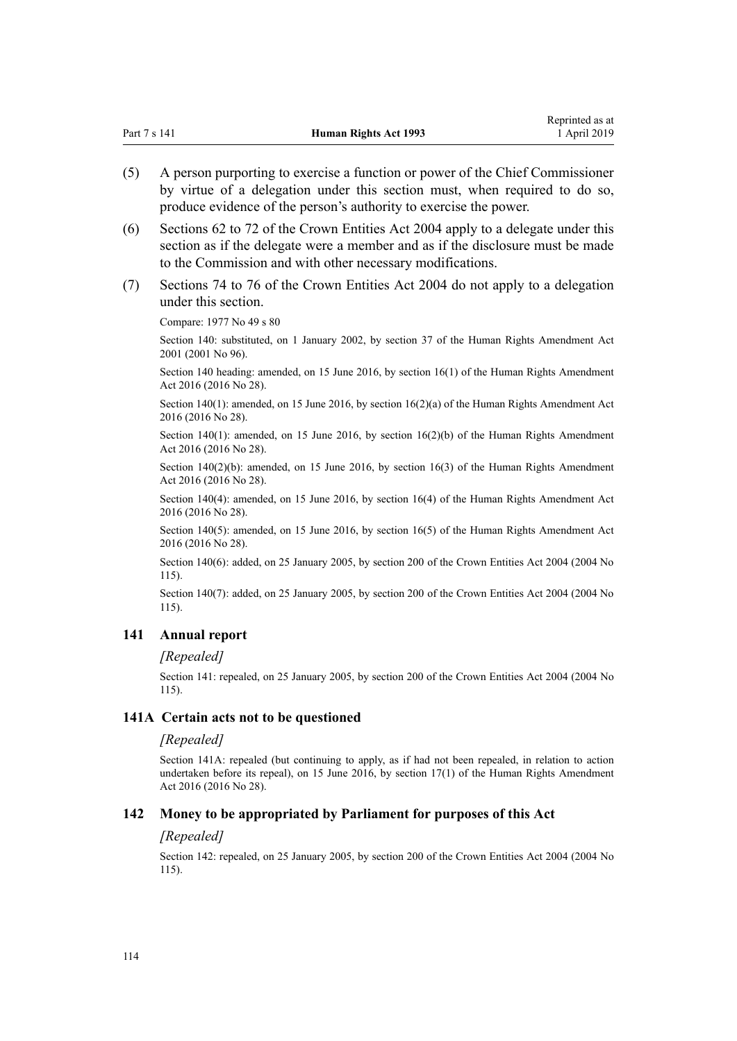| (5) | A person purporting to exercise a function or power of the Chief Commissioner<br>by virtue of a delegation under this section must, when required to do so,<br>produce evidence of the person's authority to exercise the power. |
|-----|----------------------------------------------------------------------------------------------------------------------------------------------------------------------------------------------------------------------------------|
| (6) | Sections 62 to 72 of the Crown Entities Act 2004 apply to a delegate under this<br>section as if the delegate were a member and as if the disclosure must be made<br>to the Commission and with other necessary modifications.   |
| (7) | Sections 74 to 76 of the Crown Entities Act 2004 do not apply to a delegation<br>under this section.                                                                                                                             |
|     | Compare: 1977 No 49 s 80                                                                                                                                                                                                         |
|     | Section 140: substituted, on 1 January 2002, by section 37 of the Human Rights Amendment Act<br>2001 (2001 No 96).                                                                                                               |
|     | Section 140 heading: amended, on 15 June 2016, by section 16(1) of the Human Rights Amendment<br>Act 2016 (2016 No 28).                                                                                                          |
|     | Section 140(1): amended, on 15 June 2016, by section $16(2)(a)$ of the Human Rights Amendment Act<br>2016 (2016 No 28).                                                                                                          |
|     | Section $140(1)$ : amended, on 15 June 2016, by section $16(2)(b)$ of the Human Rights Amendment<br>Act 2016 (2016 No 28).                                                                                                       |
|     | Section $140(2)(b)$ : amended, on 15 June 2016, by section $16(3)$ of the Human Rights Amendment<br>Act 2016 (2016 No 28).                                                                                                       |

Reprinted as at 1 April 2019

Part 7 s 141 **Human Rights Act 1993**

Section 140(4): amended, on 15 June 2016, by [section 16\(4\)](http://legislation.govt.nz/pdflink.aspx?id=DLM4097530) of the Human Rights Amendment Act 2016 (2016 No 28).

Section 140(5): amended, on 15 June 2016, by [section 16\(5\)](http://legislation.govt.nz/pdflink.aspx?id=DLM4097530) of the Human Rights Amendment Act 2016 (2016 No 28).

Section 140(6): added, on 25 January 2005, by [section 200](http://legislation.govt.nz/pdflink.aspx?id=DLM331111) of the Crown Entities Act 2004 (2004 No 115).

Section 140(7): added, on 25 January 2005, by [section 200](http://legislation.govt.nz/pdflink.aspx?id=DLM331111) of the Crown Entities Act 2004 (2004 No 115).

## **141 Annual report**

#### *[Repealed]*

Section 141: repealed, on 25 January 2005, by [section 200](http://legislation.govt.nz/pdflink.aspx?id=DLM331111) of the Crown Entities Act 2004 (2004 No 115).

#### **141A Certain acts not to be questioned**

#### *[Repealed]*

Section 141A: repealed (but continuing to apply, as if had not been repealed, in relation to action undertaken before its repeal), on 15 June 2016, by [section 17\(1\)](http://legislation.govt.nz/pdflink.aspx?id=DLM4097531) of the Human Rights Amendment Act 2016 (2016 No 28).

#### **142 Money to be appropriated by Parliament for purposes of this Act**

#### *[Repealed]*

Section 142: repealed, on 25 January 2005, by [section 200](http://legislation.govt.nz/pdflink.aspx?id=DLM331111) of the Crown Entities Act 2004 (2004 No 115).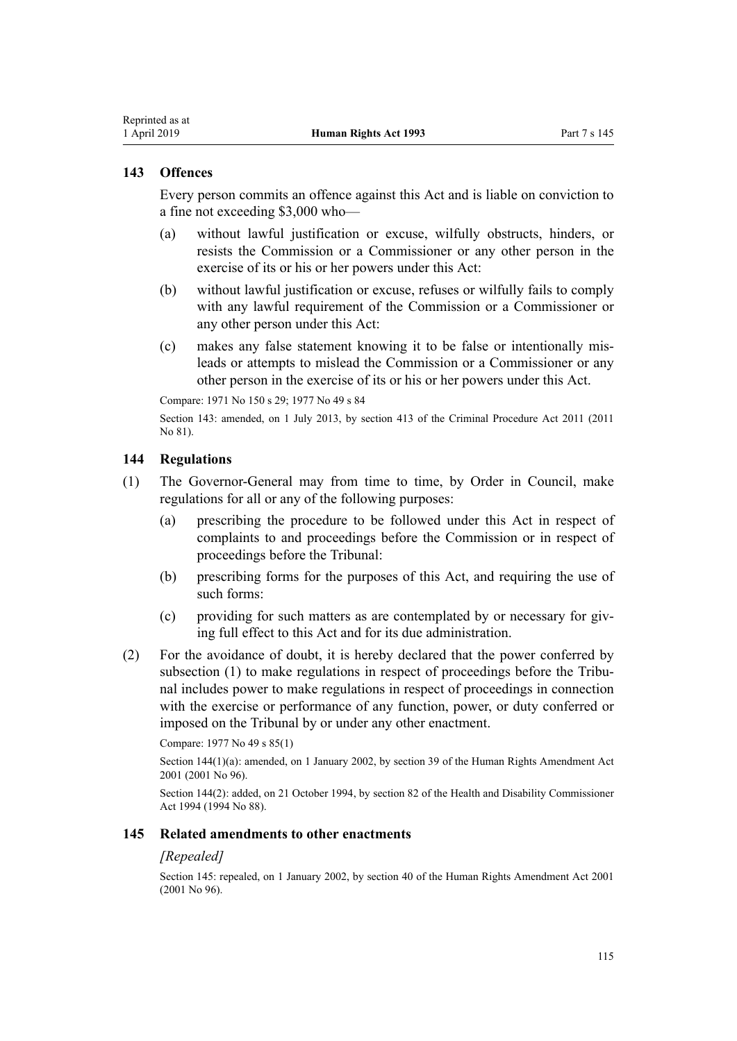Reprinted as at

Every person commits an offence against this Act and is liable on conviction to a fine not exceeding \$3,000 who—

- (a) without lawful justification or excuse, wilfully obstructs, hinders, or resists the Commission or a Commissioner or any other person in the exercise of its or his or her powers under this Act:
- (b) without lawful justification or excuse, refuses or wilfully fails to comply with any lawful requirement of the Commission or a Commissioner or any other person under this Act:
- (c) makes any false statement knowing it to be false or intentionally misleads or attempts to mislead the Commission or a Commissioner or any other person in the exercise of its or his or her powers under this Act.

Compare: 1971 No 150 s 29; 1977 No 49 s 84

Section 143: amended, on 1 July 2013, by [section 413](http://legislation.govt.nz/pdflink.aspx?id=DLM3360714) of the Criminal Procedure Act 2011 (2011 No 81).

## **144 Regulations**

- (1) The Governor-General may from time to time, by Order in Council, make regulations for all or any of the following purposes:
	- (a) prescribing the procedure to be followed under this Act in respect of complaints to and proceedings before the Commission or in respect of proceedings before the Tribunal:
	- (b) prescribing forms for the purposes of this Act, and requiring the use of such forms:
	- (c) providing for such matters as are contemplated by or necessary for giving full effect to this Act and for its due administration.
- (2) For the avoidance of doubt, it is hereby declared that the power conferred by subsection (1) to make regulations in respect of proceedings before the Tribunal includes power to make regulations in respect of proceedings in connection with the exercise or performance of any function, power, or duty conferred or imposed on the Tribunal by or under any other enactment.

Compare: 1977 No 49 s 85(1)

Section 144(1)(a): amended, on 1 January 2002, by [section 39](http://legislation.govt.nz/pdflink.aspx?id=DLM122193) of the Human Rights Amendment Act 2001 (2001 No 96).

Section 144(2): added, on 21 October 1994, by [section 82](http://legislation.govt.nz/pdflink.aspx?id=DLM334188) of the Health and Disability Commissioner Act 1994 (1994 No 88).

## **145 Related amendments to other enactments**

#### *[Repealed]*

Section 145: repealed, on 1 January 2002, by [section 40](http://legislation.govt.nz/pdflink.aspx?id=DLM122194) of the Human Rights Amendment Act 2001 (2001 No 96).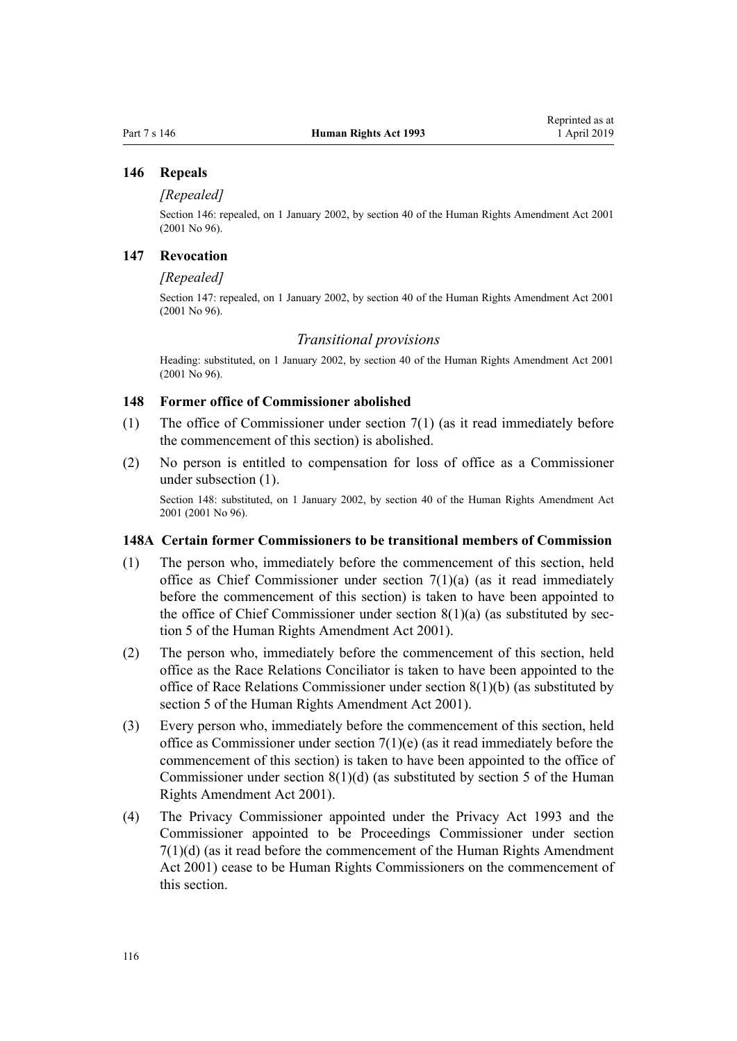#### <span id="page-115-0"></span>**146 Repeals**

#### *[Repealed]*

Section 146: repealed, on 1 January 2002, by [section 40](http://legislation.govt.nz/pdflink.aspx?id=DLM122194) of the Human Rights Amendment Act 2001 (2001 No 96).

#### **147 Revocation**

#### *[Repealed]*

Section 147: repealed, on 1 January 2002, by [section 40](http://legislation.govt.nz/pdflink.aspx?id=DLM122194) of the Human Rights Amendment Act 2001 (2001 No 96).

#### *Transitional provisions*

Heading: substituted, on 1 January 2002, by [section 40](http://legislation.govt.nz/pdflink.aspx?id=DLM122194) of the Human Rights Amendment Act 2001 (2001 No 96).

## **148 Former office of Commissioner abolished**

- (1) The office of Commissioner under [section 7\(1\)](#page-15-0) (as it read immediately before the commencement of this section) is abolished.
- (2) No person is entitled to compensation for loss of office as a Commissioner under subsection (1).

Section 148: substituted, on 1 January 2002, by [section 40](http://legislation.govt.nz/pdflink.aspx?id=DLM122194) of the Human Rights Amendment Act 2001 (2001 No 96).

#### **148A Certain former Commissioners to be transitional members of Commission**

- (1) The person who, immediately before the commencement of this section, held office as Chief Commissioner under section  $7(1)(a)$  (as it read immediately before the commencement of this section) is taken to have been appointed to the office of Chief Commissioner under section  $8(1)(a)$  (as substituted by [sec](http://legislation.govt.nz/pdflink.aspx?id=DLM121843)[tion 5](http://legislation.govt.nz/pdflink.aspx?id=DLM121843) of the Human Rights Amendment Act 2001).
- (2) The person who, immediately before the commencement of this section, held office as the Race Relations Conciliator is taken to have been appointed to the office of Race Relations Commissioner under [section 8\(1\)\(b\)](#page-15-0) (as substituted by [section 5](http://legislation.govt.nz/pdflink.aspx?id=DLM121843) of the Human Rights Amendment Act 2001).
- (3) Every person who, immediately before the commencement of this section, held office as Commissioner under [section 7\(1\)\(e\)](#page-15-0) (as it read immediately before the commencement of this section) is taken to have been appointed to the office of Commissioner under section  $8(1)(d)$  (as substituted by [section 5](http://legislation.govt.nz/pdflink.aspx?id=DLM121843) of the Human Rights Amendment Act 2001).
- (4) The Privacy Commissioner appointed under the [Privacy Act 1993](http://legislation.govt.nz/pdflink.aspx?id=DLM296638) and the Commissioner appointed to be Proceedings Commissioner under [section](#page-15-0) [7\(1\)\(d\)](#page-15-0) (as it read before the commencement of the [Human Rights Amendment](http://legislation.govt.nz/pdflink.aspx?id=DLM121284) [Act 2001](http://legislation.govt.nz/pdflink.aspx?id=DLM121284)) cease to be Human Rights Commissioners on the commencement of this section.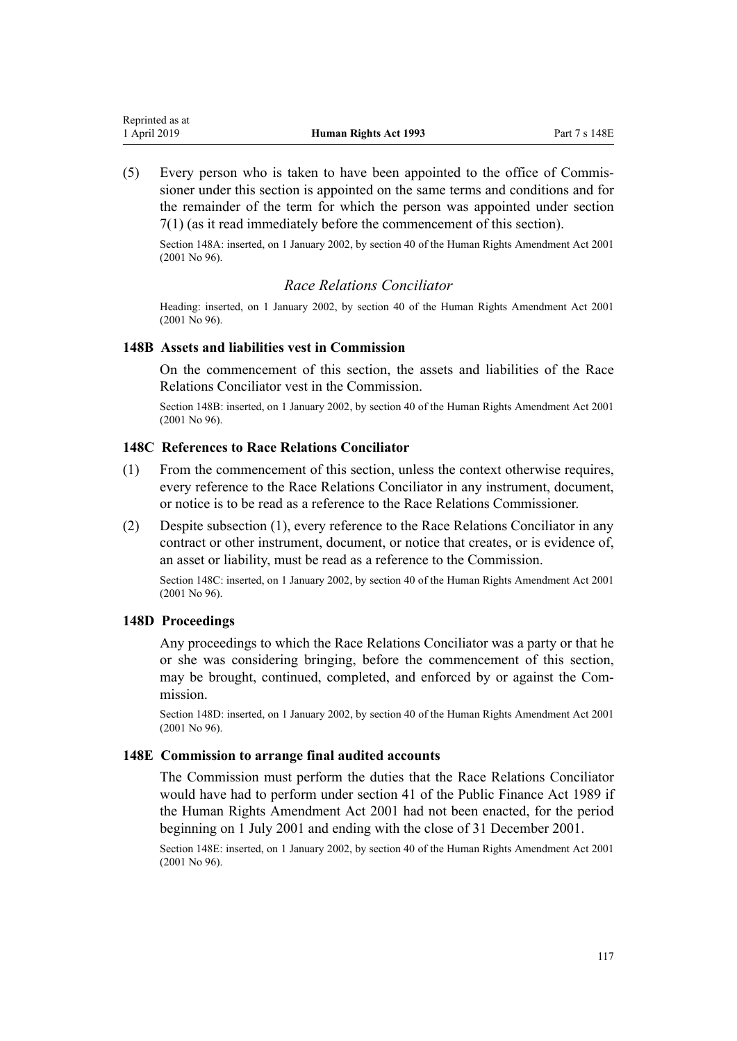(5) Every person who is taken to have been appointed to the office of Commissioner under this section is appointed on the same terms and conditions and for the remainder of the term for which the person was appointed under [section](#page-15-0) [7\(1\)](#page-15-0) (as it read immediately before the commencement of this section).

Section 148A: inserted, on 1 January 2002, by [section 40](http://legislation.govt.nz/pdflink.aspx?id=DLM122194) of the Human Rights Amendment Act 2001 (2001 No 96).

## *Race Relations Conciliator*

Heading: inserted, on 1 January 2002, by [section 40](http://legislation.govt.nz/pdflink.aspx?id=DLM122194) of the Human Rights Amendment Act 2001 (2001 No 96).

#### **148B Assets and liabilities vest in Commission**

On the commencement of this section, the assets and liabilities of the Race Relations Conciliator vest in the Commission.

Section 148B: inserted, on 1 January 2002, by [section 40](http://legislation.govt.nz/pdflink.aspx?id=DLM122194) of the Human Rights Amendment Act 2001 (2001 No 96).

#### **148C References to Race Relations Conciliator**

- (1) From the commencement of this section, unless the context otherwise requires, every reference to the Race Relations Conciliator in any instrument, document, or notice is to be read as a reference to the Race Relations Commissioner.
- (2) Despite subsection (1), every reference to the Race Relations Conciliator in any contract or other instrument, document, or notice that creates, or is evidence of, an asset or liability, must be read as a reference to the Commission.

Section 148C: inserted, on 1 January 2002, by [section 40](http://legislation.govt.nz/pdflink.aspx?id=DLM122194) of the Human Rights Amendment Act 2001 (2001 No 96).

## **148D Proceedings**

Any proceedings to which the Race Relations Conciliator was a party or that he or she was considering bringing, before the commencement of this section, may be brought, continued, completed, and enforced by or against the Commission.

Section 148D: inserted, on 1 January 2002, by [section 40](http://legislation.govt.nz/pdflink.aspx?id=DLM122194) of the Human Rights Amendment Act 2001 (2001 No 96).

#### **148E Commission to arrange final audited accounts**

The Commission must perform the duties that the Race Relations Conciliator would have had to perform under [section 41](http://legislation.govt.nz/pdflink.aspx?id=DLM162420) of the Public Finance Act 1989 if the [Human Rights Amendment Act 2001](http://legislation.govt.nz/pdflink.aspx?id=DLM121284) had not been enacted, for the period beginning on 1 July 2001 and ending with the close of 31 December 2001.

Section 148E: inserted, on 1 January 2002, by [section 40](http://legislation.govt.nz/pdflink.aspx?id=DLM122194) of the Human Rights Amendment Act 2001 (2001 No 96).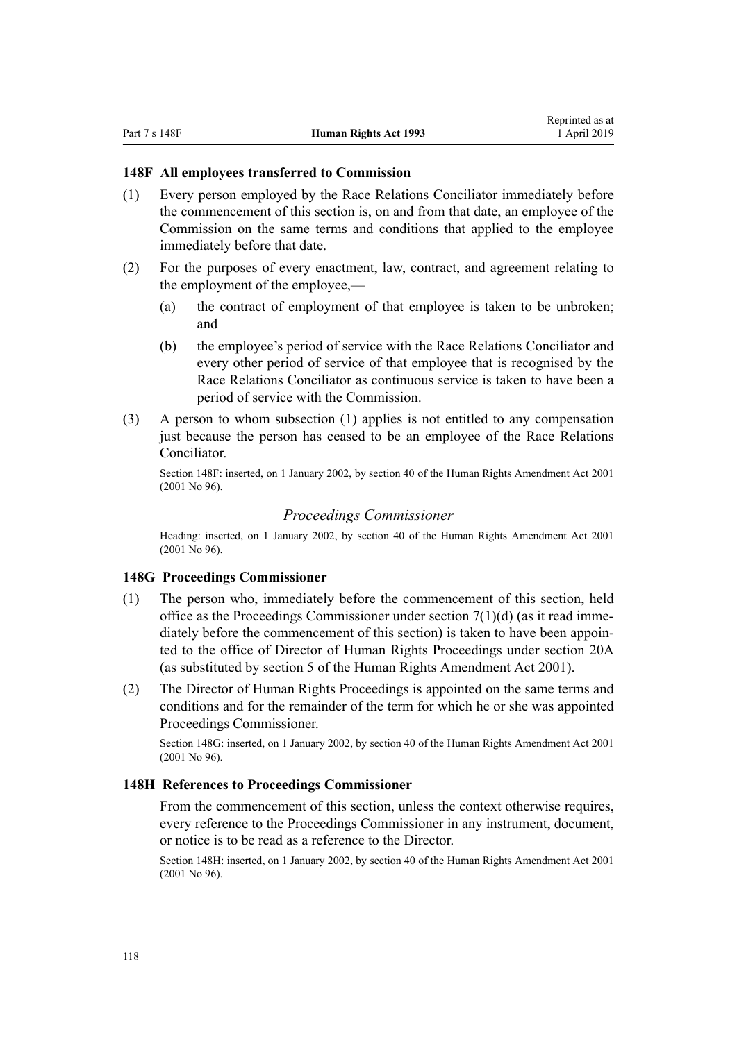#### **148F All employees transferred to Commission**

- (1) Every person employed by the Race Relations Conciliator immediately before the commencement of this section is, on and from that date, an employee of the Commission on the same terms and conditions that applied to the employee immediately before that date.
- (2) For the purposes of every enactment, law, contract, and agreement relating to the employment of the employee,—
	- (a) the contract of employment of that employee is taken to be unbroken; and
	- (b) the employee's period of service with the Race Relations Conciliator and every other period of service of that employee that is recognised by the Race Relations Conciliator as continuous service is taken to have been a period of service with the Commission.
- (3) A person to whom subsection (1) applies is not entitled to any compensation just because the person has ceased to be an employee of the Race Relations Conciliator.

Section 148F: inserted, on 1 January 2002, by [section 40](http://legislation.govt.nz/pdflink.aspx?id=DLM122194) of the Human Rights Amendment Act 2001 (2001 No 96).

# *Proceedings Commissioner*

Heading: inserted, on 1 January 2002, by [section 40](http://legislation.govt.nz/pdflink.aspx?id=DLM122194) of the Human Rights Amendment Act 2001 (2001 No 96).

## **148G Proceedings Commissioner**

- (1) The person who, immediately before the commencement of this section, held office as the Proceedings Commissioner under [section 7\(1\)\(d\)](#page-15-0) (as it read immediately before the commencement of this section) is taken to have been appointed to the office of Director of Human Rights Proceedings under [section 20A](#page-23-0) (as substituted by [section 5](http://legislation.govt.nz/pdflink.aspx?id=DLM121843) of the Human Rights Amendment Act 2001).
- (2) The Director of Human Rights Proceedings is appointed on the same terms and conditions and for the remainder of the term for which he or she was appointed Proceedings Commissioner.

Section 148G: inserted, on 1 January 2002, by [section 40](http://legislation.govt.nz/pdflink.aspx?id=DLM122194) of the Human Rights Amendment Act 2001 (2001 No 96).

#### **148H References to Proceedings Commissioner**

From the commencement of this section, unless the context otherwise requires, every reference to the Proceedings Commissioner in any instrument, document, or notice is to be read as a reference to the Director.

Section 148H: inserted, on 1 January 2002, by [section 40](http://legislation.govt.nz/pdflink.aspx?id=DLM122194) of the Human Rights Amendment Act 2001 (2001 No 96).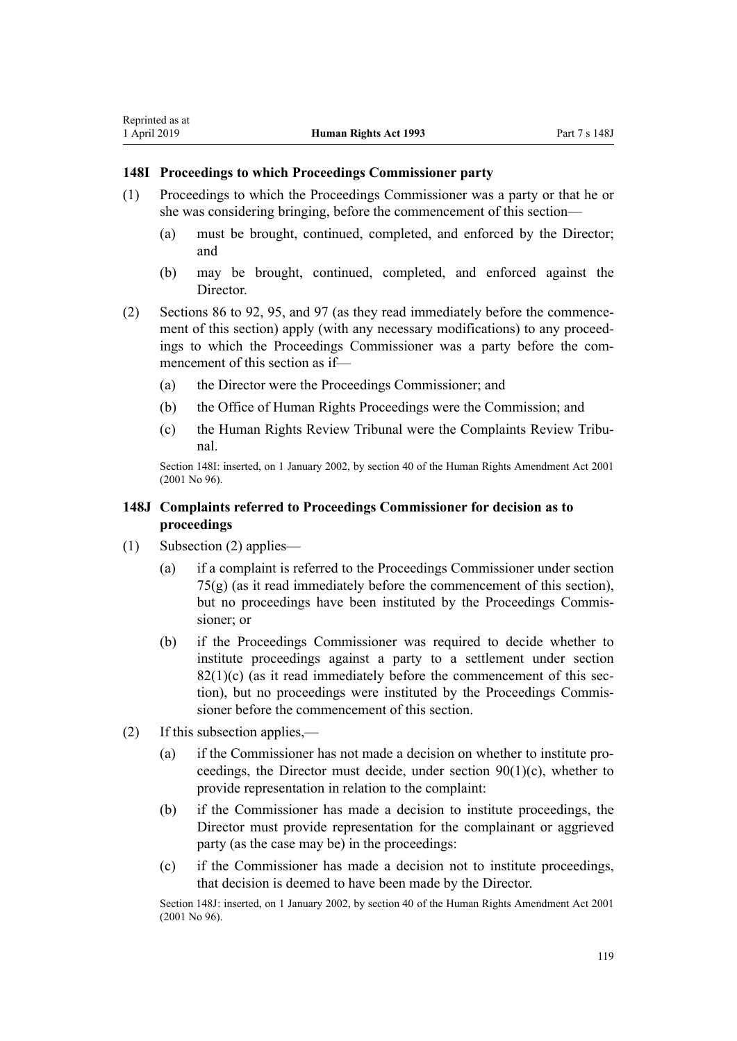#### **148I Proceedings to which Proceedings Commissioner party**

- (1) Proceedings to which the Proceedings Commissioner was a party or that he or she was considering bringing, before the commencement of this section—
	- (a) must be brought, continued, completed, and enforced by the Director; and
	- (b) may be brought, continued, completed, and enforced against the Director.
- (2) [Sections 86 to 92](#page-65-0), [95,](#page-84-0) and [97](#page-85-0) (as they read immediately before the commencement of this section) apply (with any necessary modifications) to any proceedings to which the Proceedings Commissioner was a party before the commencement of this section as if—
	- (a) the Director were the Proceedings Commissioner; and
	- (b) the Office of Human Rights Proceedings were the Commission; and
	- (c) the Human Rights Review Tribunal were the Complaints Review Tribunal.

Section 148I: inserted, on 1 January 2002, by [section 40](http://legislation.govt.nz/pdflink.aspx?id=DLM122194) of the Human Rights Amendment Act 2001 (2001 No 96).

# **148J Complaints referred to Proceedings Commissioner for decision as to proceedings**

- (1) Subsection (2) applies—
	- (a) if a complaint is referred to the Proceedings Commissioner under [section](#page-59-0)  $75(g)$  (as it read immediately before the commencement of this section), but no proceedings have been instituted by the Proceedings Commissioner; or
	- (b) if the Proceedings Commissioner was required to decide whether to institute proceedings against a party to a settlement under [section](#page-64-0)  $82(1)(c)$  (as it read immediately before the commencement of this section), but no proceedings were instituted by the Proceedings Commissioner before the commencement of this section.
- (2) If this subsection applies,—
	- (a) if the Commissioner has not made a decision on whether to institute proceedings, the Director must decide, under [section 90\(1\)\(c\)](#page-67-0), whether to provide representation in relation to the complaint:
	- (b) if the Commissioner has made a decision to institute proceedings, the Director must provide representation for the complainant or aggrieved party (as the case may be) in the proceedings:
	- (c) if the Commissioner has made a decision not to institute proceedings, that decision is deemed to have been made by the Director.

Section 148J: inserted, on 1 January 2002, by [section 40](http://legislation.govt.nz/pdflink.aspx?id=DLM122194) of the Human Rights Amendment Act 2001 (2001 No 96).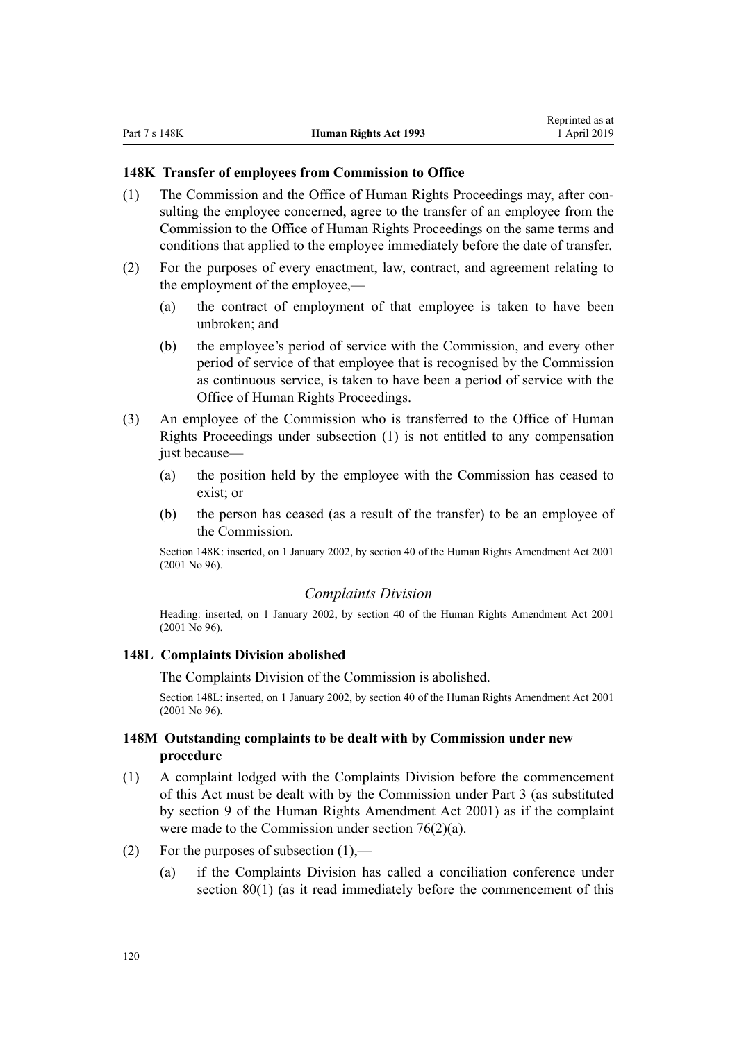## **148K Transfer of employees from Commission to Office**

- (1) The Commission and the Office of Human Rights Proceedings may, after consulting the employee concerned, agree to the transfer of an employee from the Commission to the Office of Human Rights Proceedings on the same terms and conditions that applied to the employee immediately before the date of transfer.
- (2) For the purposes of every enactment, law, contract, and agreement relating to the employment of the employee,—
	- (a) the contract of employment of that employee is taken to have been unbroken; and
	- (b) the employee's period of service with the Commission, and every other period of service of that employee that is recognised by the Commission as continuous service, is taken to have been a period of service with the Office of Human Rights Proceedings.
- (3) An employee of the Commission who is transferred to the Office of Human Rights Proceedings under subsection (1) is not entitled to any compensation just because—
	- (a) the position held by the employee with the Commission has ceased to exist; or
	- (b) the person has ceased (as a result of the transfer) to be an employee of the Commission.

Section 148K: inserted, on 1 January 2002, by [section 40](http://legislation.govt.nz/pdflink.aspx?id=DLM122194) of the Human Rights Amendment Act 2001 (2001 No 96).

## *Complaints Division*

Heading: inserted, on 1 January 2002, by [section 40](http://legislation.govt.nz/pdflink.aspx?id=DLM122194) of the Human Rights Amendment Act 2001 (2001 No 96).

## **148L Complaints Division abolished**

The Complaints Division of the Commission is abolished.

Section 148L: inserted, on 1 January 2002, by [section 40](http://legislation.govt.nz/pdflink.aspx?id=DLM122194) of the Human Rights Amendment Act 2001 (2001 No 96).

# **148M Outstanding complaints to be dealt with by Commission under new procedure**

- (1) A complaint lodged with the Complaints Division before the commencement of this Act must be dealt with by the Commission under [Part 3](#page-59-0) (as substituted by [section 9](http://legislation.govt.nz/pdflink.aspx?id=DLM121897) of the Human Rights Amendment Act 2001) as if the complaint were made to the Commission under [section 76\(2\)\(a\)](#page-59-0).
- (2) For the purposes of subsection (1),—
	- (a) if the Complaints Division has called a conciliation conference under [section 80\(1\)](#page-62-0) (as it read immediately before the commencement of this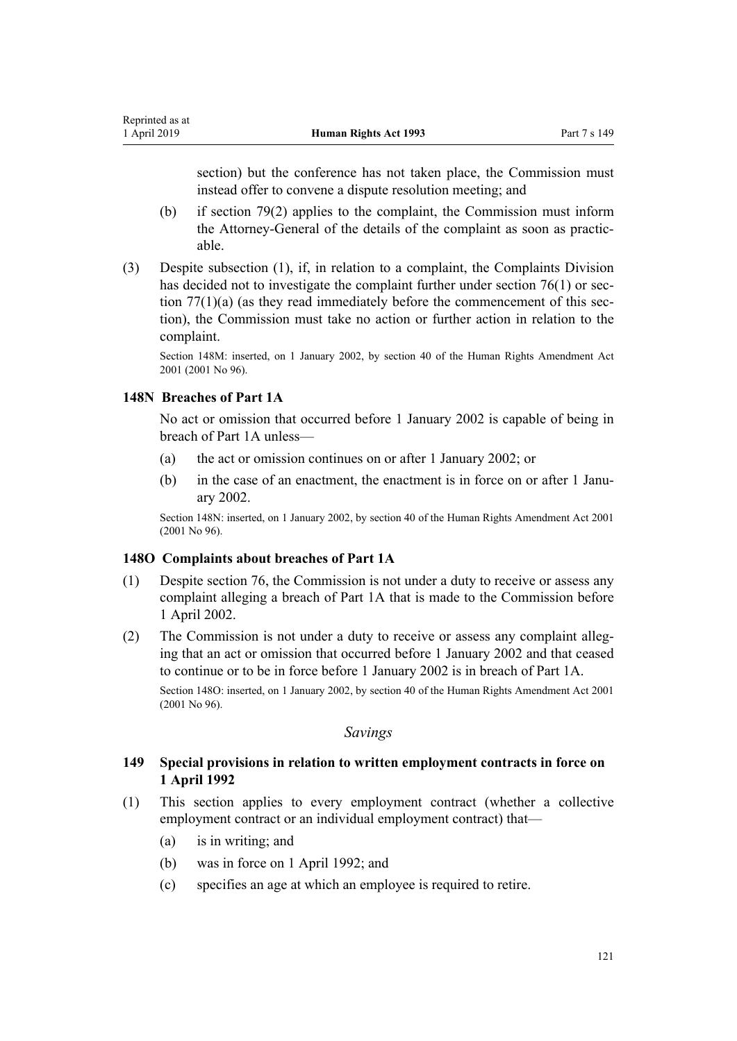section) but the conference has not taken place, the Commission must instead offer to convene a dispute resolution meeting; and

- (b) if [section 79\(2\)](#page-61-0) applies to the complaint, the Commission must inform the Attorney-General of the details of the complaint as soon as practicable.
- (3) Despite subsection (1), if, in relation to a complaint, the Complaints Division has decided not to investigate the complaint further under [section 76\(1\)](#page-59-0) or [sec](#page-60-0)[tion 77\(1\)\(a\)](#page-60-0) (as they read immediately before the commencement of this section), the Commission must take no action or further action in relation to the complaint.

Section 148M: inserted, on 1 January 2002, by [section 40](http://legislation.govt.nz/pdflink.aspx?id=DLM122194) of the Human Rights Amendment Act 2001 (2001 No 96).

## **148N Breaches of Part 1A**

No act or omission that occurred before 1 January 2002 is capable of being in breach of [Part 1A](#page-26-0) unless—

- (a) the act or omission continues on or after 1 January 2002; or
- (b) in the case of an enactment, the enactment is in force on or after 1 January 2002.

Section 148N: inserted, on 1 January 2002, by [section 40](http://legislation.govt.nz/pdflink.aspx?id=DLM122194) of the Human Rights Amendment Act 2001 (2001 No 96).

#### **148O Complaints about breaches of Part 1A**

- (1) Despite [section 76](#page-59-0), the Commission is not under a duty to receive or assess any complaint alleging a breach of [Part 1A](#page-26-0) that is made to the Commission before 1 April 2002.
- (2) The Commission is not under a duty to receive or assess any complaint alleging that an act or omission that occurred before 1 January 2002 and that ceased to continue or to be in force before 1 January 2002 is in breach of [Part 1A](#page-26-0). Section 148O: inserted, on 1 January 2002, by [section 40](http://legislation.govt.nz/pdflink.aspx?id=DLM122194) of the Human Rights Amendment Act 2001 (2001 No 96).

## *Savings*

## **149 Special provisions in relation to written employment contracts in force on 1 April 1992**

- (1) This section applies to every employment contract (whether a collective employment contract or an individual employment contract) that—
	- (a) is in writing; and
	- (b) was in force on 1 April 1992; and
	- (c) specifies an age at which an employee is required to retire.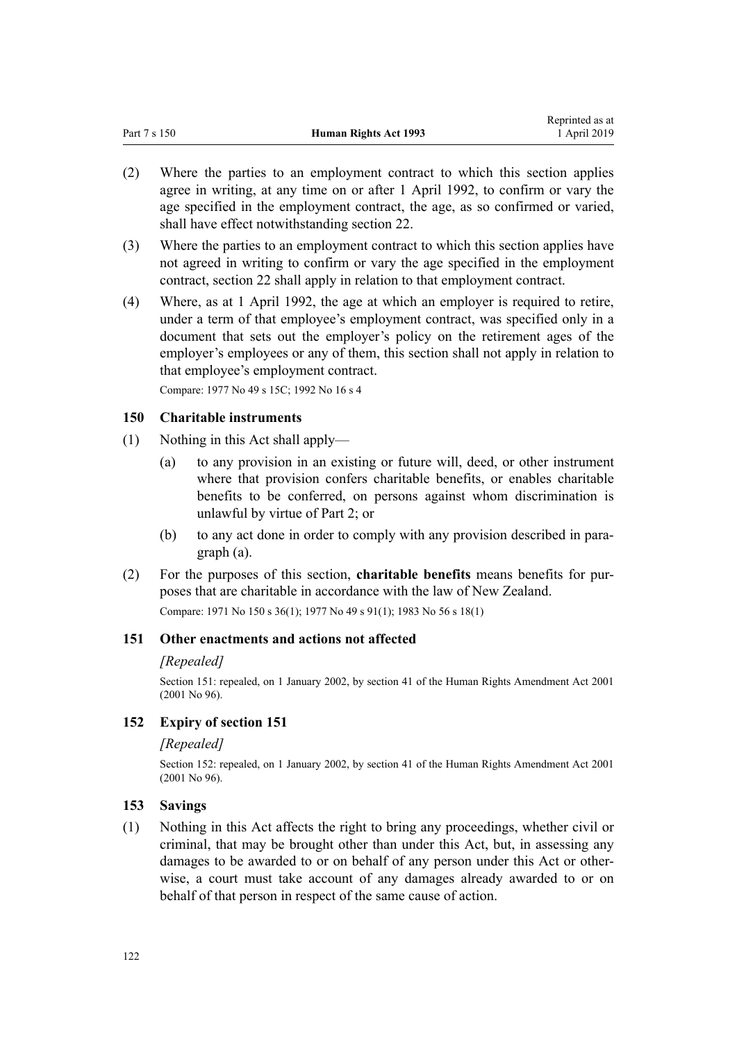| Part 7 s 150 | <b>Human Rights Act 1993</b> | wephinted as a<br>1 April 2019 |
|--------------|------------------------------|--------------------------------|
|              |                              |                                |

Reprinted as at

- (2) Where the parties to an employment contract to which this section applies agree in writing, at any time on or after 1 April 1992, to confirm or vary the age specified in the employment contract, the age, as so confirmed or varied, shall have effect notwithstanding [section 22](#page-31-0).
- (3) Where the parties to an employment contract to which this section applies have not agreed in writing to confirm or vary the age specified in the employment contract, [section 22](#page-31-0) shall apply in relation to that employment contract.
- (4) Where, as at 1 April 1992, the age at which an employer is required to retire, under a term of that employee's employment contract, was specified only in a document that sets out the employer's policy on the retirement ages of the employer's employees or any of them, this section shall not apply in relation to that employee's employment contract.

Compare: 1977 No 49 s 15C; 1992 No 16 s 4

## **150 Charitable instruments**

- (1) Nothing in this Act shall apply—
	- (a) to any provision in an existing or future will, deed, or other instrument where that provision confers charitable benefits, or enables charitable benefits to be conferred, on persons against whom discrimination is unlawful by virtue of [Part 2;](#page-28-0) or
	- (b) to any act done in order to comply with any provision described in paragraph (a).
- (2) For the purposes of this section, **charitable benefits** means benefits for purposes that are charitable in accordance with the law of New Zealand.

Compare: 1971 No 150 s 36(1); 1977 No 49 s 91(1); 1983 No 56 s 18(1)

## **151 Other enactments and actions not affected**

#### *[Repealed]*

Section 151: repealed, on 1 January 2002, by [section 41](http://legislation.govt.nz/pdflink.aspx?id=DLM122515) of the Human Rights Amendment Act 2001 (2001 No 96).

## **152 Expiry of section 151**

#### *[Repealed]*

Section 152: repealed, on 1 January 2002, by [section 41](http://legislation.govt.nz/pdflink.aspx?id=DLM122515) of the Human Rights Amendment Act 2001 (2001 No 96).

## **153 Savings**

(1) Nothing in this Act affects the right to bring any proceedings, whether civil or criminal, that may be brought other than under this Act, but, in assessing any damages to be awarded to or on behalf of any person under this Act or otherwise, a court must take account of any damages already awarded to or on behalf of that person in respect of the same cause of action.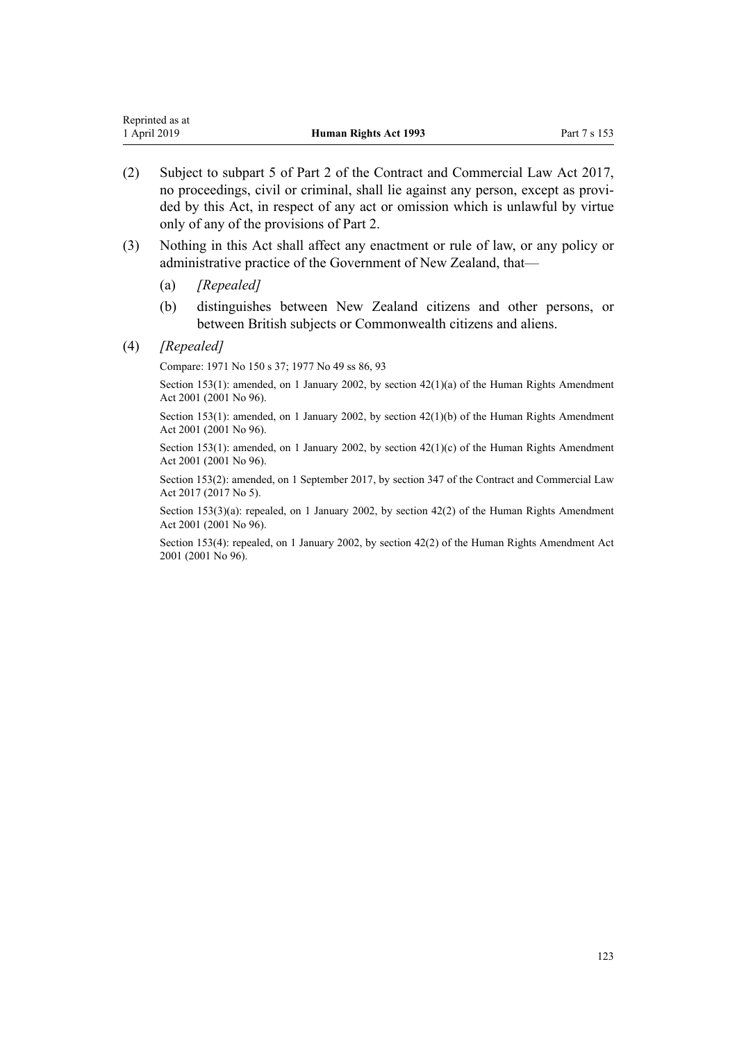| Reprinted as at |                       |              |
|-----------------|-----------------------|--------------|
| 1 April 2019    | Human Rights Act 1993 | Part 7 s 153 |

- (2) Subject to [subpart 5](http://legislation.govt.nz/pdflink.aspx?id=DLM6844158) of Part 2 of the Contract and Commercial Law Act 2017, no proceedings, civil or criminal, shall lie against any person, except as provided by this Act, in respect of any act or omission which is unlawful by virtue only of any of the provisions of [Part 2](#page-28-0).
- (3) Nothing in this Act shall affect any enactment or rule of law, or any policy or administrative practice of the Government of New Zealand, that—
	- (a) *[Repealed]*
	- (b) distinguishes between New Zealand citizens and other persons, or between British subjects or Commonwealth citizens and aliens.
- (4) *[Repealed]*

Compare: 1971 No 150 s 37; 1977 No 49 ss 86, 93

Section 153(1): amended, on 1 January 2002, by section  $42(1)(a)$  of the Human Rights Amendment Act 2001 (2001 No 96).

Section 153(1): amended, on 1 January 2002, by [section 42\(1\)\(b\)](http://legislation.govt.nz/pdflink.aspx?id=DLM122516) of the Human Rights Amendment Act 2001 (2001 No 96).

Section 153(1): amended, on 1 January 2002, by section  $42(1)(c)$  of the Human Rights Amendment Act 2001 (2001 No 96).

Section 153(2): amended, on 1 September 2017, by [section 347](http://legislation.govt.nz/pdflink.aspx?id=DLM6844761) of the Contract and Commercial Law Act 2017 (2017 No 5).

Section 153(3)(a): repealed, on 1 January 2002, by [section 42\(2\)](http://legislation.govt.nz/pdflink.aspx?id=DLM122516) of the Human Rights Amendment Act 2001 (2001 No 96).

Section 153(4): repealed, on 1 January 2002, by [section 42\(2\)](http://legislation.govt.nz/pdflink.aspx?id=DLM122516) of the Human Rights Amendment Act 2001 (2001 No 96).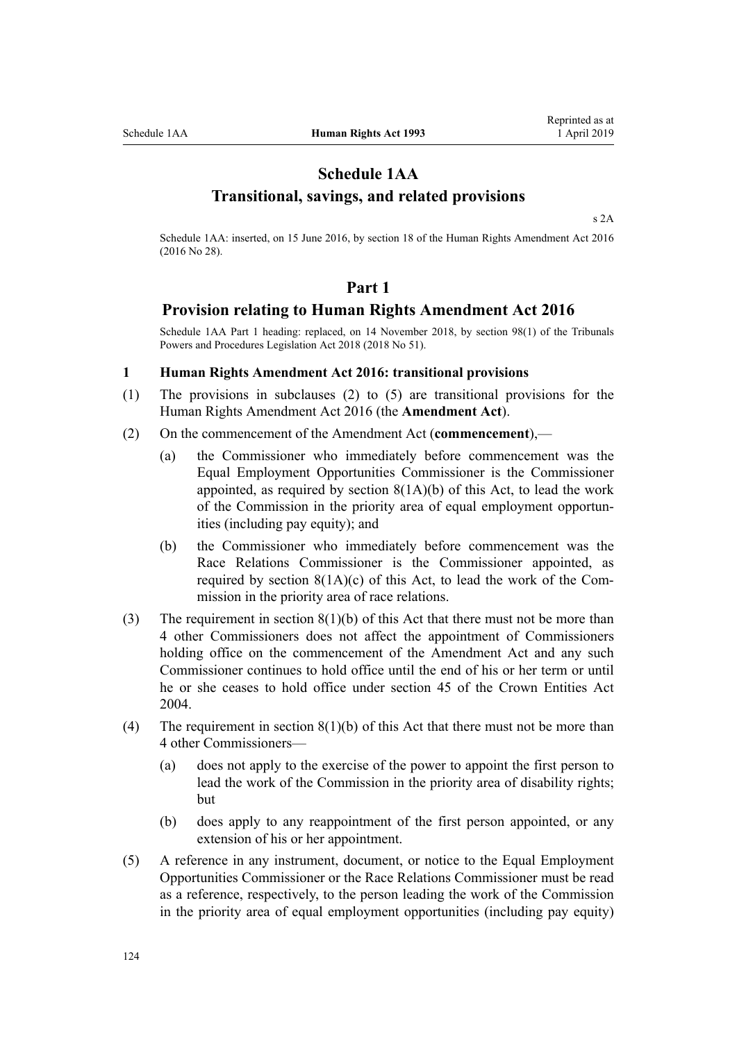# **Schedule 1AA**

# **Transitional, savings, and related provisions**

[s 2A](#page-11-0)

Schedule 1AA: inserted, on 15 June 2016, by [section 18](http://legislation.govt.nz/pdflink.aspx?id=DLM6069203) of the Human Rights Amendment Act 2016 (2016 No 28).

# **Part 1**

# **Provision relating to Human Rights Amendment Act 2016**

Schedule 1AA Part 1 heading: replaced, on 14 November 2018, by [section 98\(1\)](http://legislation.govt.nz/pdflink.aspx?id=LMS37546) of the Tribunals Powers and Procedures Legislation Act 2018 (2018 No 51).

## **1 Human Rights Amendment Act 2016: transitional provisions**

- (1) The provisions in subclauses (2) to (5) are transitional provisions for the [Human Rights Amendment Act 2016](http://legislation.govt.nz/pdflink.aspx?id=DLM4097502) (the **Amendment Act**).
- (2) On the commencement of the Amendment Act (**commencement**),—
	- (a) the Commissioner who immediately before commencement was the Equal Employment Opportunities Commissioner is the Commissioner appointed, as required by section  $8(1A)(b)$  of this Act, to lead the work of the Commission in the priority area of equal employment opportunities (including pay equity); and
	- (b) the Commissioner who immediately before commencement was the Race Relations Commissioner is the Commissioner appointed, as required by section  $8(1A)(c)$  of this Act, to lead the work of the Commission in the priority area of race relations.
- (3) The requirement in section  $8(1)(b)$  of this Act that there must not be more than 4 other Commissioners does not affect the appointment of Commissioners holding office on the commencement of the Amendment Act and any such Commissioner continues to hold office until the end of his or her term or until he or she ceases to hold office under [section 45](http://legislation.govt.nz/pdflink.aspx?id=DLM329972) of the Crown Entities Act 2004.
- (4) The requirement in section  $8(1)(b)$  of this Act that there must not be more than 4 other Commissioners—
	- (a) does not apply to the exercise of the power to appoint the first person to lead the work of the Commission in the priority area of disability rights; but
	- (b) does apply to any reappointment of the first person appointed, or any extension of his or her appointment.
- (5) A reference in any instrument, document, or notice to the Equal Employment Opportunities Commissioner or the Race Relations Commissioner must be read as a reference, respectively, to the person leading the work of the Commission in the priority area of equal employment opportunities (including pay equity)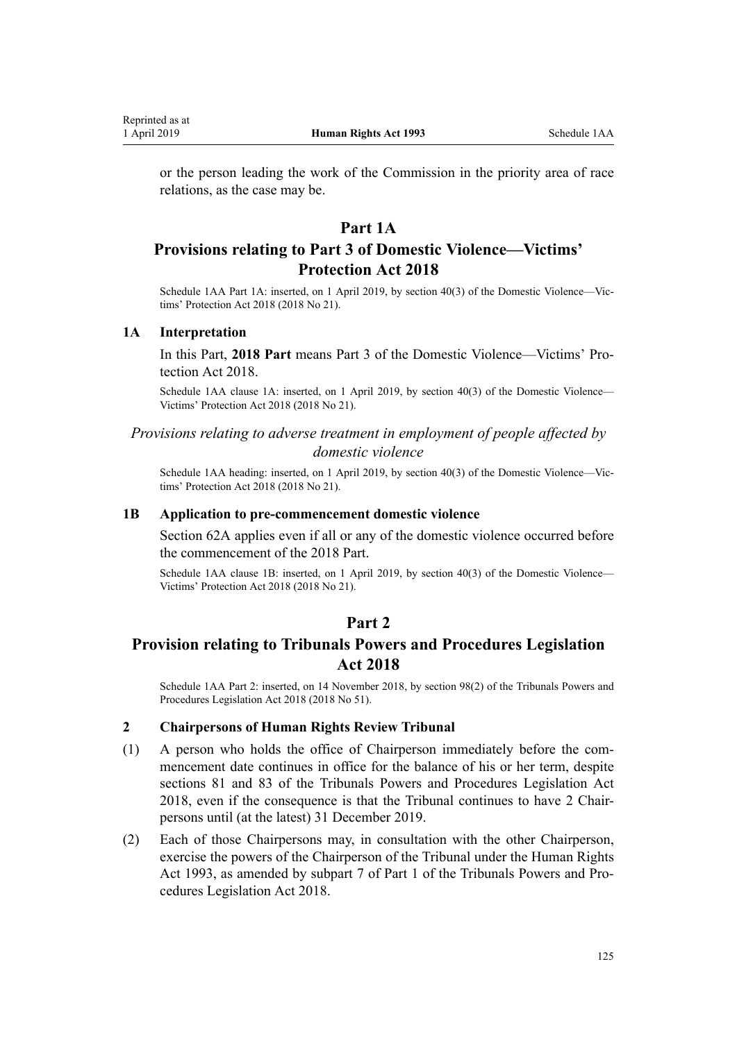or the person leading the work of the Commission in the priority area of race relations, as the case may be.

# **Part 1A**

# **Provisions relating to Part 3 of Domestic Violence—Victims' Protection Act 2018**

Schedule 1AA Part 1A: inserted, on 1 April 2019, by [section 40\(3\)](http://legislation.govt.nz/pdflink.aspx?id=DLM7374228) of the Domestic Violence—Victims' Protection Act 2018 (2018 No 21).

#### **1A Interpretation**

In this Part, **2018 Part** means [Part 3](http://legislation.govt.nz/pdflink.aspx?id=DLM7054379) of the Domestic Violence—Victims' Protection Act 2018.

Schedule 1AA clause 1A: inserted, on 1 April 2019, by [section 40\(3\)](http://legislation.govt.nz/pdflink.aspx?id=DLM7374228) of the Domestic Violence— Victims' Protection Act 2018 (2018 No 21).

## *Provisions relating to adverse treatment in employment of people affected by domestic violence*

Schedule 1AA heading: inserted, on 1 April 2019, by [section 40\(3\)](http://legislation.govt.nz/pdflink.aspx?id=DLM7374228) of the Domestic Violence—Victims' Protection Act 2018 (2018 No 21).

#### **1B Application to pre-commencement domestic violence**

[Section 62A](#page-51-0) applies even if all or any of the domestic violence occurred before the commencement of the 2018 Part.

Schedule 1AA clause 1B: inserted, on 1 April 2019, by [section 40\(3\)](http://legislation.govt.nz/pdflink.aspx?id=DLM7374228) of the Domestic Violence— Victims' Protection Act 2018 (2018 No 21).

# **Part 2**

# **Provision relating to Tribunals Powers and Procedures Legislation Act 2018**

Schedule 1AA Part 2: inserted, on 14 November 2018, by [section 98\(2\)](http://legislation.govt.nz/pdflink.aspx?id=LMS37546) of the Tribunals Powers and Procedures Legislation Act 2018 (2018 No 51).

#### **2 Chairpersons of Human Rights Review Tribunal**

- (1) A person who holds the office of Chairperson immediately before the commencement date continues in office for the balance of his or her term, despite [sections 81](http://legislation.govt.nz/pdflink.aspx?id=LMS18414) and [83](http://legislation.govt.nz/pdflink.aspx?id=DLM7374288) of the Tribunals Powers and Procedures Legislation Act 2018, even if the consequence is that the Tribunal continues to have 2 Chairpersons until (at the latest) 31 December 2019.
- (2) Each of those Chairpersons may, in consultation with the other Chairperson, exercise the powers of the Chairperson of the Tribunal under the Human Rights Act 1993, as amended by [subpart 7 of Part 1](http://legislation.govt.nz/pdflink.aspx?id=DLM7374284) of the Tribunals Powers and Procedures Legislation Act 2018.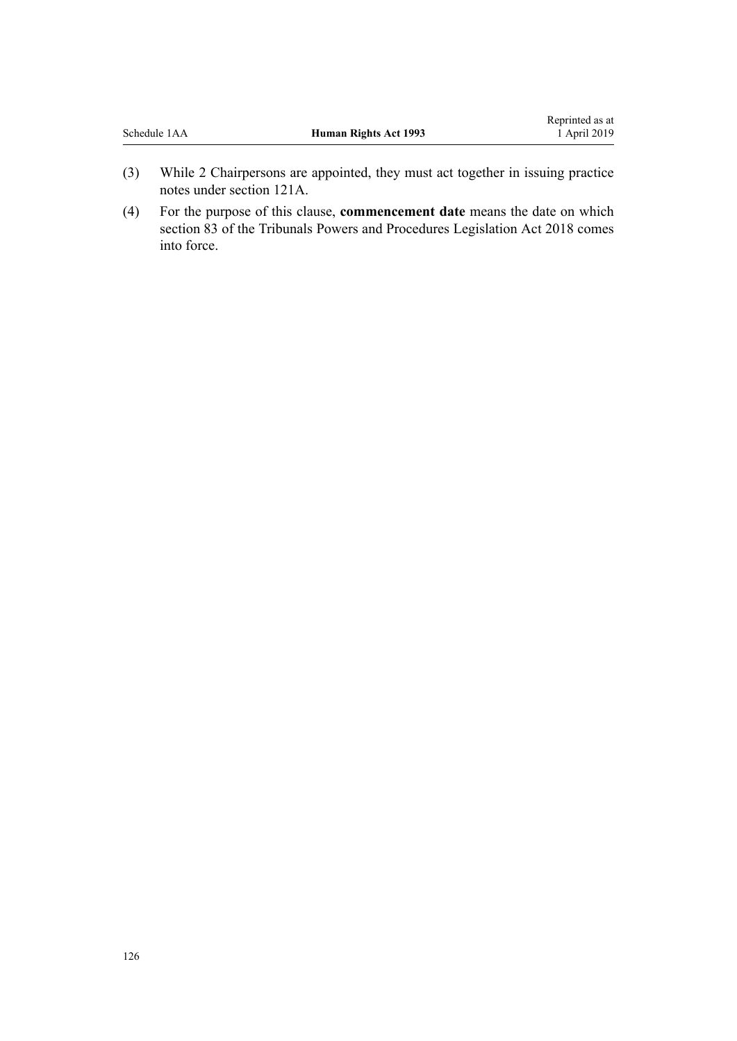| Schedule 1AA | <b>Human Rights Act 1993</b> | Reprinted as at<br>1 April 2019 |
|--------------|------------------------------|---------------------------------|
|              |                              |                                 |

- (3) While 2 Chairpersons are appointed, they must act together in issuing practice notes under [section 121A](#page-100-0).
- (4) For the purpose of this clause, **commencement date** means the date on which [section 83](http://legislation.govt.nz/pdflink.aspx?id=DLM7374288) of the Tribunals Powers and Procedures Legislation Act 2018 comes into force.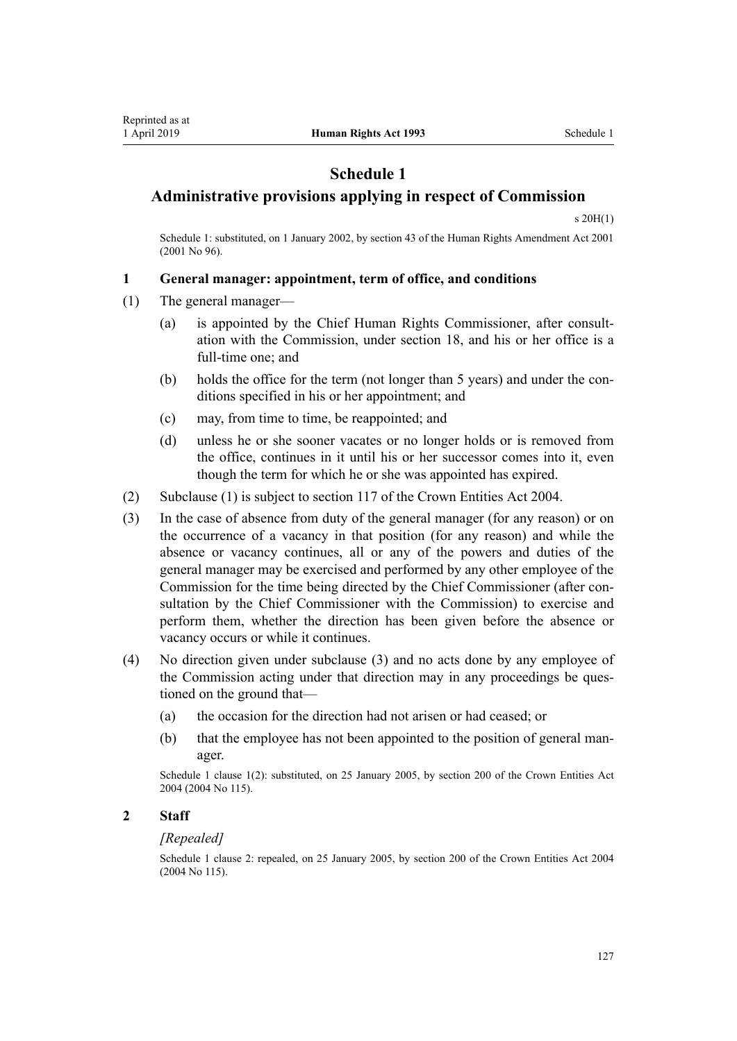# **Schedule 1**

# **Administrative provisions applying in respect of Commission**

[s 20H\(1\)](#page-26-0)

Schedule 1: substituted, on 1 January 2002, by [section 43](http://legislation.govt.nz/pdflink.aspx?id=DLM122517) of the Human Rights Amendment Act 2001 (2001 No 96).

# **1 General manager: appointment, term of office, and conditions**

- (1) The general manager—
	- (a) is appointed by the Chief Human Rights Commissioner, after consultation with the Commission, under [section 18,](#page-22-0) and his or her office is a full-time one; and
	- (b) holds the office for the term (not longer than 5 years) and under the conditions specified in his or her appointment; and
	- (c) may, from time to time, be reappointed; and
	- (d) unless he or she sooner vacates or no longer holds or is removed from the office, continues in it until his or her successor comes into it, even though the term for which he or she was appointed has expired.
- (2) Subclause (1) is subject to [section 117](http://legislation.govt.nz/pdflink.aspx?id=DLM330367) of the Crown Entities Act 2004.
- (3) In the case of absence from duty of the general manager (for any reason) or on the occurrence of a vacancy in that position (for any reason) and while the absence or vacancy continues, all or any of the powers and duties of the general manager may be exercised and performed by any other employee of the Commission for the time being directed by the Chief Commissioner (after consultation by the Chief Commissioner with the Commission) to exercise and perform them, whether the direction has been given before the absence or vacancy occurs or while it continues.
- (4) No direction given under subclause (3) and no acts done by any employee of the Commission acting under that direction may in any proceedings be questioned on the ground that—
	- (a) the occasion for the direction had not arisen or had ceased; or
	- (b) that the employee has not been appointed to the position of general manager.

Schedule 1 clause 1(2): substituted, on 25 January 2005, by [section 200](http://legislation.govt.nz/pdflink.aspx?id=DLM331111) of the Crown Entities Act 2004 (2004 No 115).

# **2 Staff**

## *[Repealed]*

Schedule 1 clause 2: repealed, on 25 January 2005, by [section 200](http://legislation.govt.nz/pdflink.aspx?id=DLM331111) of the Crown Entities Act 2004 (2004 No 115).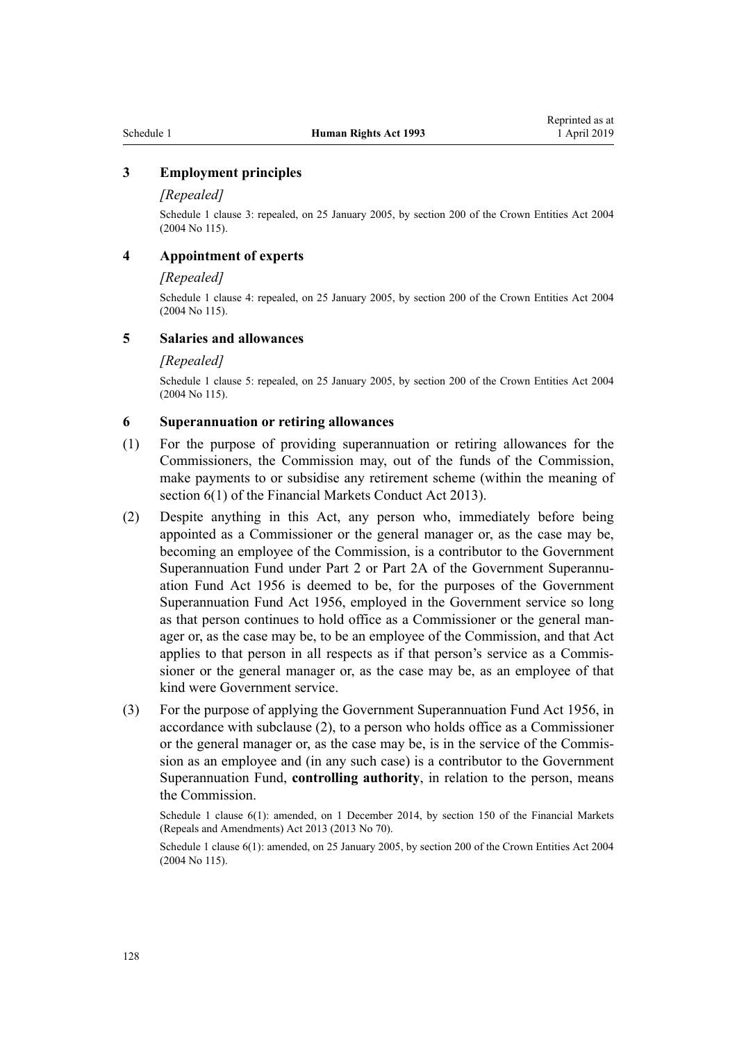# **3 Employment principles**

#### *[Repealed]*

Schedule 1 clause 3: repealed, on 25 January 2005, by [section 200](http://legislation.govt.nz/pdflink.aspx?id=DLM331111) of the Crown Entities Act 2004 (2004 No 115).

#### **4 Appointment of experts**

#### *[Repealed]*

Schedule 1 clause 4: repealed, on 25 January 2005, by [section 200](http://legislation.govt.nz/pdflink.aspx?id=DLM331111) of the Crown Entities Act 2004 (2004 No 115).

## **5 Salaries and allowances**

#### *[Repealed]*

Schedule 1 clause 5: repealed, on 25 January 2005, by [section 200](http://legislation.govt.nz/pdflink.aspx?id=DLM331111) of the Crown Entities Act 2004 (2004 No 115).

#### **6 Superannuation or retiring allowances**

- (1) For the purpose of providing superannuation or retiring allowances for the Commissioners, the Commission may, out of the funds of the Commission, make payments to or subsidise any retirement scheme (within the meaning of [section 6\(1\)](http://legislation.govt.nz/pdflink.aspx?id=DLM4090590) of the Financial Markets Conduct Act 2013).
- (2) Despite anything in this Act, any person who, immediately before being appointed as a Commissioner or the general manager or, as the case may be, becoming an employee of the Commission, is a contributor to the Government Superannuation Fund under [Part 2](http://legislation.govt.nz/pdflink.aspx?id=DLM446395) or [Part 2A](http://legislation.govt.nz/pdflink.aspx?id=DLM446842) of the Government Superannuation Fund Act 1956 is deemed to be, for the purposes of the [Government](http://legislation.govt.nz/pdflink.aspx?id=DLM446000) [Superannuation Fund Act 1956](http://legislation.govt.nz/pdflink.aspx?id=DLM446000), employed in the Government service so long as that person continues to hold office as a Commissioner or the general manager or, as the case may be, to be an employee of the Commission, and that Act applies to that person in all respects as if that person's service as a Commissioner or the general manager or, as the case may be, as an employee of that kind were Government service.
- (3) For the purpose of applying the [Government Superannuation Fund Act 1956](http://legislation.govt.nz/pdflink.aspx?id=DLM446000), in accordance with subclause (2), to a person who holds office as a Commissioner or the general manager or, as the case may be, is in the service of the Commission as an employee and (in any such case) is a contributor to the Government Superannuation Fund, **controlling authority**, in relation to the person, means the Commission.

Schedule 1 clause 6(1): amended, on 1 December 2014, by [section 150](http://legislation.govt.nz/pdflink.aspx?id=DLM5561603) of the Financial Markets (Repeals and Amendments) Act 2013 (2013 No 70).

Schedule 1 clause 6(1): amended, on 25 January 2005, by [section 200](http://legislation.govt.nz/pdflink.aspx?id=DLM331111) of the Crown Entities Act 2004 (2004 No 115).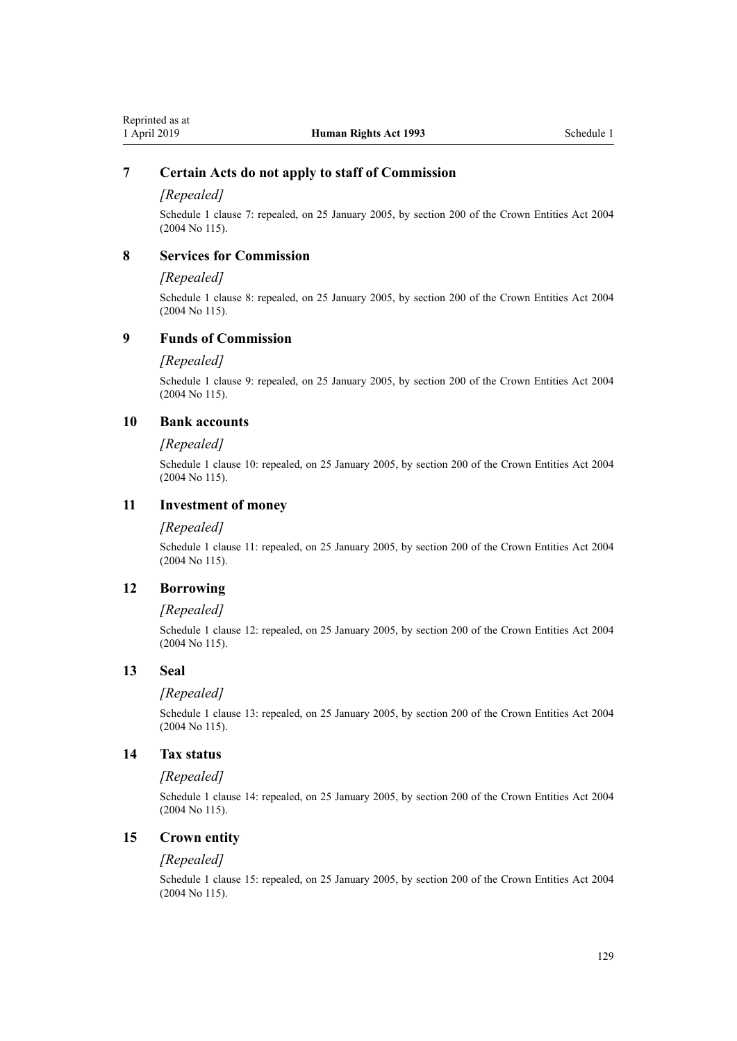# **7 Certain Acts do not apply to staff of Commission**

## *[Repealed]*

Schedule 1 clause 7: repealed, on 25 January 2005, by [section 200](http://legislation.govt.nz/pdflink.aspx?id=DLM331111) of the Crown Entities Act 2004 (2004 No 115).

#### **8 Services for Commission**

#### *[Repealed]*

Schedule 1 clause 8: repealed, on 25 January 2005, by [section 200](http://legislation.govt.nz/pdflink.aspx?id=DLM331111) of the Crown Entities Act 2004 (2004 No 115).

#### **9 Funds of Commission**

#### *[Repealed]*

Schedule 1 clause 9: repealed, on 25 January 2005, by [section 200](http://legislation.govt.nz/pdflink.aspx?id=DLM331111) of the Crown Entities Act 2004 (2004 No 115).

## **10 Bank accounts**

#### *[Repealed]*

Schedule 1 clause 10: repealed, on 25 January 2005, by [section 200](http://legislation.govt.nz/pdflink.aspx?id=DLM331111) of the Crown Entities Act 2004 (2004 No 115).

#### **11 Investment of money**

#### *[Repealed]*

Schedule 1 clause 11: repealed, on 25 January 2005, by [section 200](http://legislation.govt.nz/pdflink.aspx?id=DLM331111) of the Crown Entities Act 2004 (2004 No 115).

#### **12 Borrowing**

#### *[Repealed]*

Schedule 1 clause 12: repealed, on 25 January 2005, by [section 200](http://legislation.govt.nz/pdflink.aspx?id=DLM331111) of the Crown Entities Act 2004 (2004 No 115).

#### **13 Seal**

#### *[Repealed]*

Schedule 1 clause 13: repealed, on 25 January 2005, by [section 200](http://legislation.govt.nz/pdflink.aspx?id=DLM331111) of the Crown Entities Act 2004 (2004 No 115).

## **14 Tax status**

#### *[Repealed]*

Schedule 1 clause 14: repealed, on 25 January 2005, by [section 200](http://legislation.govt.nz/pdflink.aspx?id=DLM331111) of the Crown Entities Act 2004 (2004 No 115).

## **15 Crown entity**

#### *[Repealed]*

Schedule 1 clause 15: repealed, on 25 January 2005, by [section 200](http://legislation.govt.nz/pdflink.aspx?id=DLM331111) of the Crown Entities Act 2004 (2004 No 115).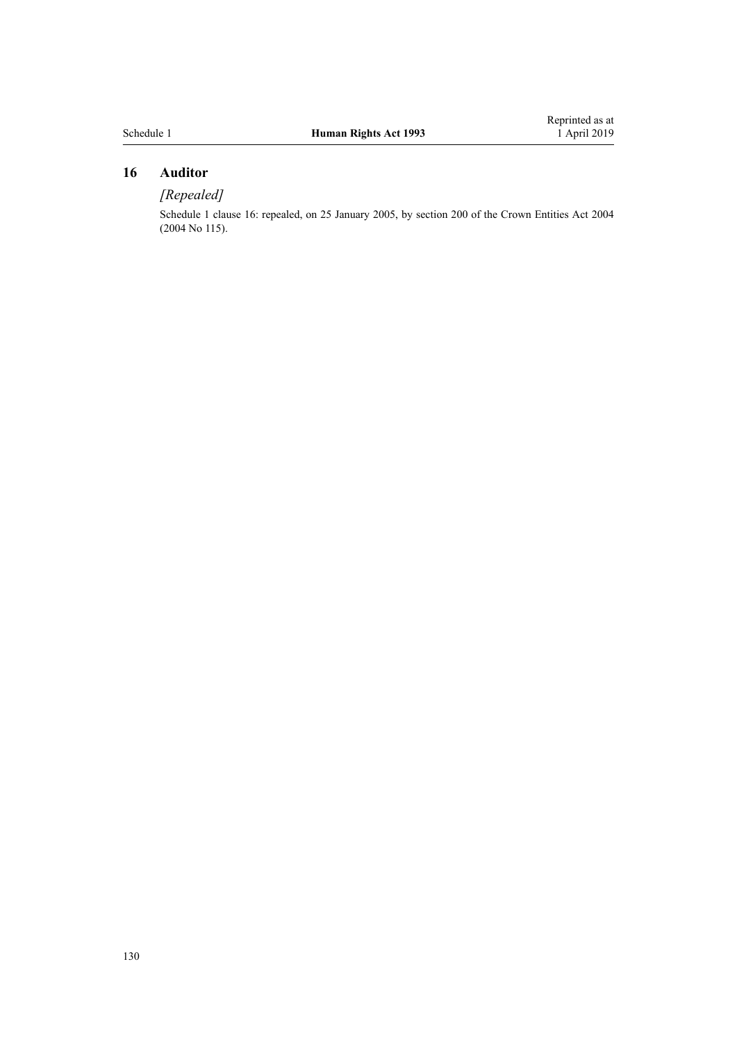# **16 Auditor**

# *[Repealed]*

Schedule 1 clause 16: repealed, on 25 January 2005, by [section 200](http://legislation.govt.nz/pdflink.aspx?id=DLM331111) of the Crown Entities Act 2004 (2004 No 115).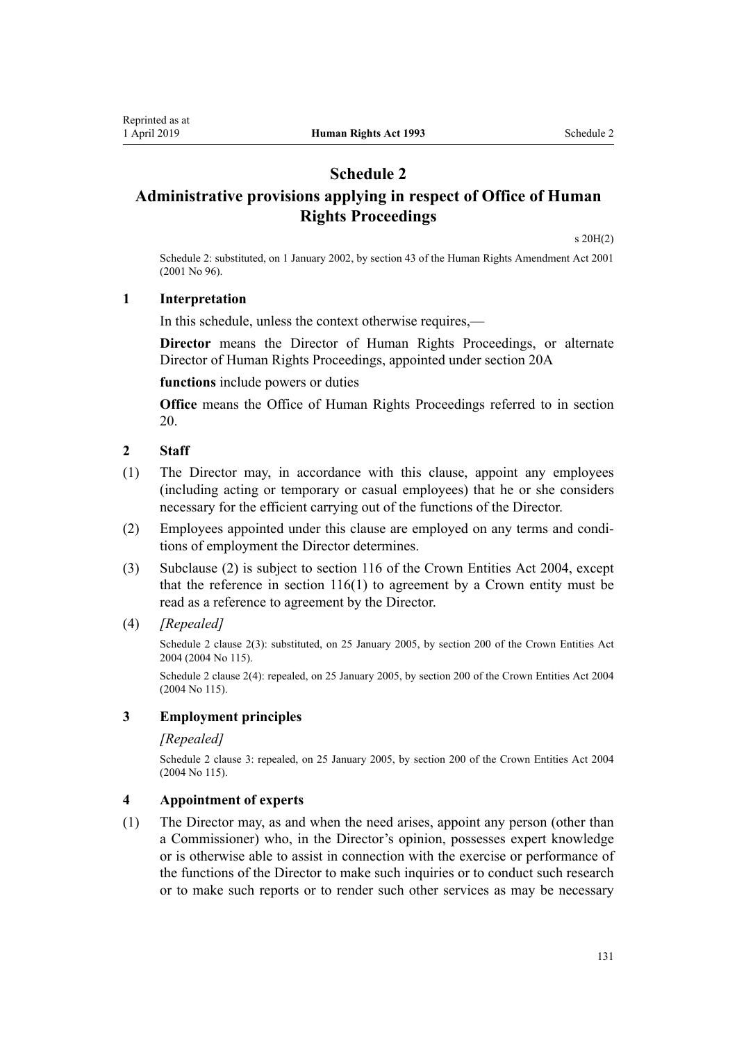# **Schedule 2**

# **Administrative provisions applying in respect of Office of Human Rights Proceedings**

[s 20H\(2\)](#page-26-0)

Schedule 2: substituted, on 1 January 2002, by [section 43](http://legislation.govt.nz/pdflink.aspx?id=DLM122517) of the Human Rights Amendment Act 2001 (2001 No 96).

## **1 Interpretation**

In this schedule, unless the context otherwise requires,—

**Director** means the Director of Human Rights Proceedings, or alternate Director of Human Rights Proceedings, appointed under [section 20A](#page-23-0)

**functions** include powers or duties

**Office** means the Office of Human Rights Proceedings referred to in [section](#page-23-0) [20.](#page-23-0)

# **2 Staff**

- (1) The Director may, in accordance with this clause, appoint any employees (including acting or temporary or casual employees) that he or she considers necessary for the efficient carrying out of the functions of the Director.
- (2) Employees appointed under this clause are employed on any terms and conditions of employment the Director determines.
- (3) Subclause (2) is subject to [section 116](http://legislation.govt.nz/pdflink.aspx?id=DLM330366) of the Crown Entities Act 2004, except that the reference in section  $116(1)$  to agreement by a Crown entity must be read as a reference to agreement by the Director.
- (4) *[Repealed]*

Schedule 2 clause 2(3): substituted, on 25 January 2005, by [section 200](http://legislation.govt.nz/pdflink.aspx?id=DLM331111) of the Crown Entities Act 2004 (2004 No 115).

Schedule 2 clause 2(4): repealed, on 25 January 2005, by [section 200](http://legislation.govt.nz/pdflink.aspx?id=DLM331111) of the Crown Entities Act 2004 (2004 No 115).

# **3 Employment principles**

## *[Repealed]*

Schedule 2 clause 3: repealed, on 25 January 2005, by [section 200](http://legislation.govt.nz/pdflink.aspx?id=DLM331111) of the Crown Entities Act 2004 (2004 No 115).

# **4 Appointment of experts**

(1) The Director may, as and when the need arises, appoint any person (other than a Commissioner) who, in the Director's opinion, possesses expert knowledge or is otherwise able to assist in connection with the exercise or performance of the functions of the Director to make such inquiries or to conduct such research or to make such reports or to render such other services as may be necessary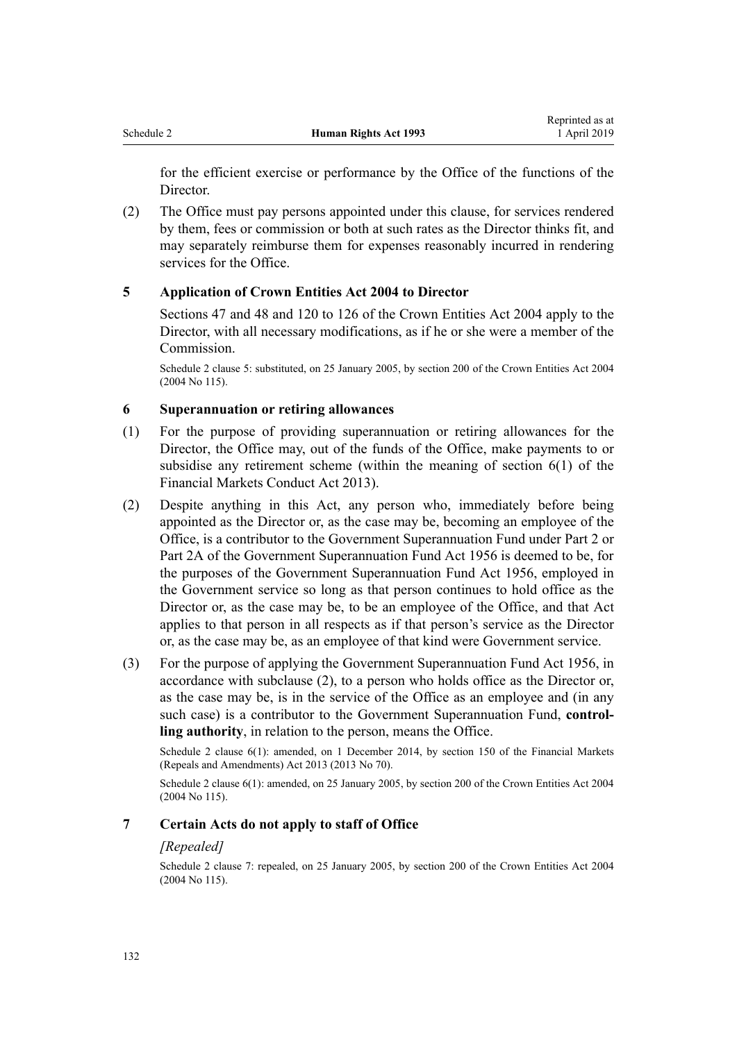for the efficient exercise or performance by the Office of the functions of the Director.

(2) The Office must pay persons appointed under this clause, for services rendered by them, fees or commission or both at such rates as the Director thinks fit, and may separately reimburse them for expenses reasonably incurred in rendering services for the Office.

#### **5 Application of Crown Entities Act 2004 to Director**

[Sections 47](http://legislation.govt.nz/pdflink.aspx?id=DLM329975) and [48](http://legislation.govt.nz/pdflink.aspx?id=DLM329976) and [120 to 126](http://legislation.govt.nz/pdflink.aspx?id=DLM330372) of the Crown Entities Act 2004 apply to the Director, with all necessary modifications, as if he or she were a member of the Commission.

Schedule 2 clause 5: substituted, on 25 January 2005, by [section 200](http://legislation.govt.nz/pdflink.aspx?id=DLM331111) of the Crown Entities Act 2004 (2004 No 115).

#### **6 Superannuation or retiring allowances**

- (1) For the purpose of providing superannuation or retiring allowances for the Director, the Office may, out of the funds of the Office, make payments to or subsidise any retirement scheme (within the meaning of [section 6\(1\)](http://legislation.govt.nz/pdflink.aspx?id=DLM4090590) of the Financial Markets Conduct Act 2013).
- (2) Despite anything in this Act, any person who, immediately before being appointed as the Director or, as the case may be, becoming an employee of the Office, is a contributor to the Government Superannuation Fund under [Part 2](http://legislation.govt.nz/pdflink.aspx?id=DLM446395) or [Part 2A](http://legislation.govt.nz/pdflink.aspx?id=DLM446842) of the Government Superannuation Fund Act 1956 is deemed to be, for the purposes of the [Government Superannuation Fund Act 1956](http://legislation.govt.nz/pdflink.aspx?id=DLM446000), employed in the Government service so long as that person continues to hold office as the Director or, as the case may be, to be an employee of the Office, and that Act applies to that person in all respects as if that person's service as the Director or, as the case may be, as an employee of that kind were Government service.
- (3) For the purpose of applying the [Government Superannuation Fund Act 1956](http://legislation.govt.nz/pdflink.aspx?id=DLM446000), in accordance with subclause (2), to a person who holds office as the Director or, as the case may be, is in the service of the Office as an employee and (in any such case) is a contributor to the Government Superannuation Fund, **controlling authority**, in relation to the person, means the Office.

Schedule 2 clause 6(1): amended, on 1 December 2014, by [section 150](http://legislation.govt.nz/pdflink.aspx?id=DLM5561603) of the Financial Markets (Repeals and Amendments) Act 2013 (2013 No 70).

Schedule 2 clause 6(1): amended, on 25 January 2005, by [section 200](http://legislation.govt.nz/pdflink.aspx?id=DLM331111) of the Crown Entities Act 2004 (2004 No 115).

#### **7 Certain Acts do not apply to staff of Office**

#### *[Repealed]*

Schedule 2 clause 7: repealed, on 25 January 2005, by [section 200](http://legislation.govt.nz/pdflink.aspx?id=DLM331111) of the Crown Entities Act 2004 (2004 No 115).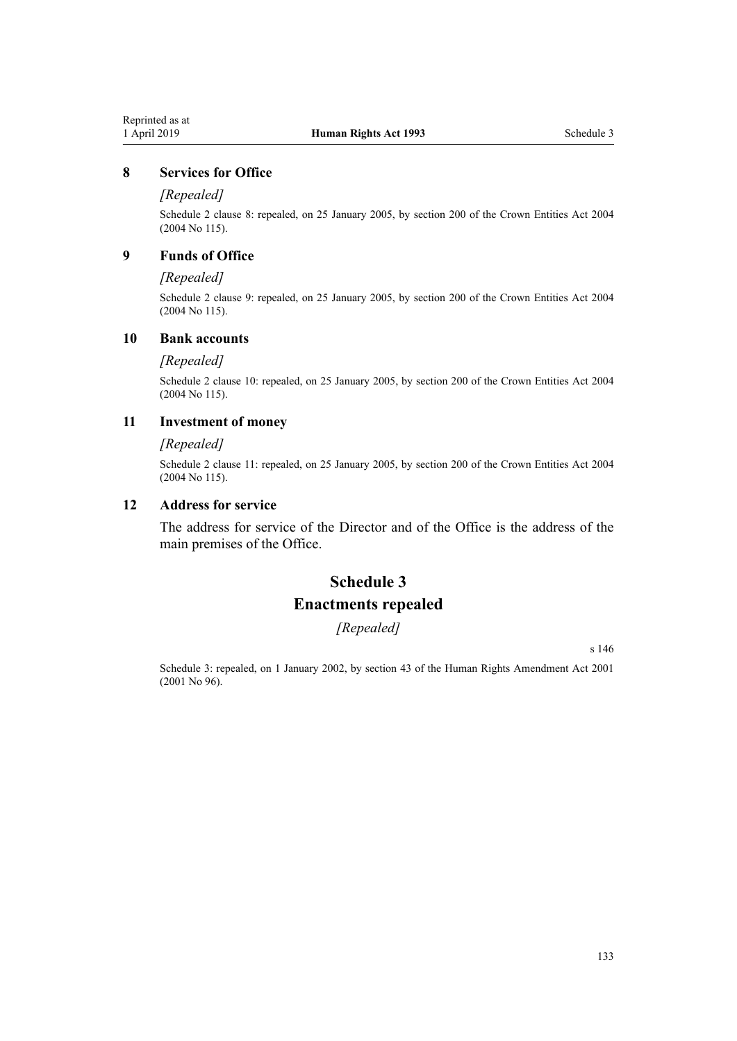# **8 Services for Office**

#### *[Repealed]*

Schedule 2 clause 8: repealed, on 25 January 2005, by [section 200](http://legislation.govt.nz/pdflink.aspx?id=DLM331111) of the Crown Entities Act 2004 (2004 No 115).

## **9 Funds of Office**

## *[Repealed]*

Schedule 2 clause 9: repealed, on 25 January 2005, by [section 200](http://legislation.govt.nz/pdflink.aspx?id=DLM331111) of the Crown Entities Act 2004 (2004 No 115).

#### **10 Bank accounts**

#### *[Repealed]*

Schedule 2 clause 10: repealed, on 25 January 2005, by [section 200](http://legislation.govt.nz/pdflink.aspx?id=DLM331111) of the Crown Entities Act 2004 (2004 No 115).

## **11 Investment of money**

#### *[Repealed]*

Schedule 2 clause 11: repealed, on 25 January 2005, by [section 200](http://legislation.govt.nz/pdflink.aspx?id=DLM331111) of the Crown Entities Act 2004 (2004 No 115).

#### **12 Address for service**

The address for service of the Director and of the Office is the address of the main premises of the Office.

# **Schedule 3**

#### **Enactments repealed**

*[Repealed]*

[s 146](#page-115-0)

Schedule 3: repealed, on 1 January 2002, by [section 43](http://legislation.govt.nz/pdflink.aspx?id=DLM122517) of the Human Rights Amendment Act 2001 (2001 No 96).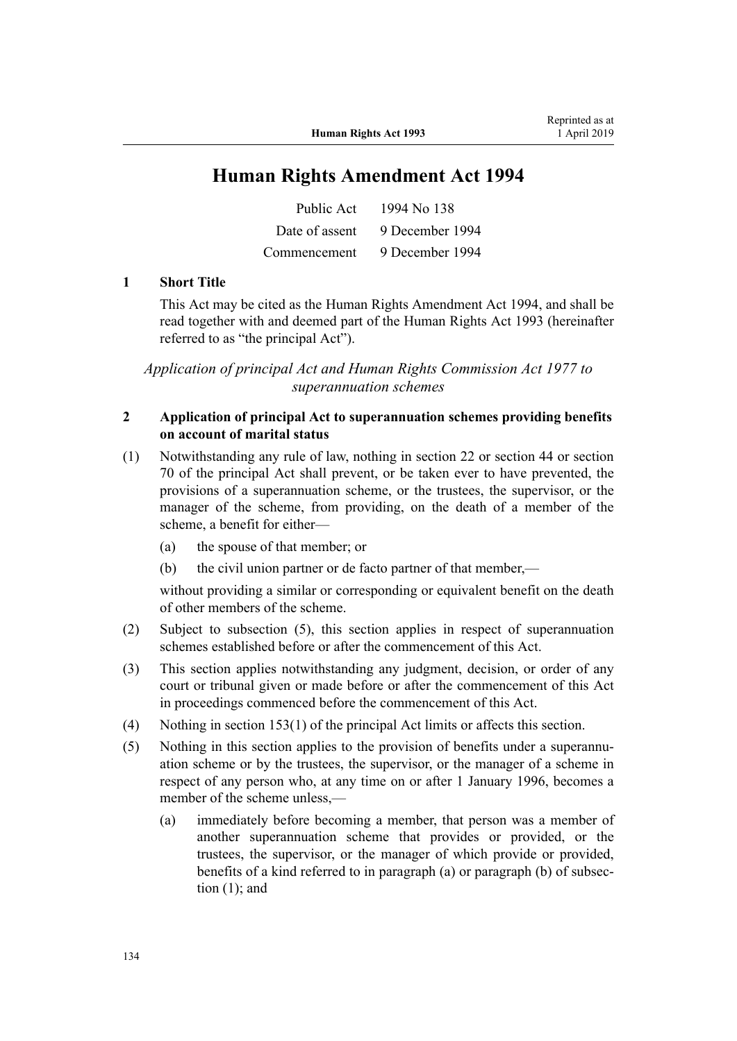# **Human Rights Amendment Act 1994**

| Public Act     | 1994 No 138     |
|----------------|-----------------|
| Date of assent | 9 December 1994 |
| Commencement   | 9 December 1994 |

#### **1 Short Title**

This Act may be cited as the [Human Rights Amendment Act 1994](http://legislation.govt.nz/pdflink.aspx?id=DLM345299), and shall be read together with and deemed part of the Human Rights Act 1993 (hereinafter referred to as "the principal Act").

*Application of principal Act and Human Rights Commission Act 1977 to superannuation schemes*

# **2 Application of principal Act to superannuation schemes providing benefits on account of marital status**

- (1) Notwithstanding any rule of law, nothing in section 22 or section 44 or section 70 of the principal Act shall prevent, or be taken ever to have prevented, the provisions of a superannuation scheme, or the trustees, the supervisor, or the manager of the scheme, from providing, on the death of a member of the scheme, a benefit for either-
	- (a) the spouse of that member; or
	- (b) the civil union partner or de facto partner of that member,—

without providing a similar or corresponding or equivalent benefit on the death of other members of the scheme.

- (2) Subject to subsection (5), this section applies in respect of superannuation schemes established before or after the commencement of this Act.
- (3) This section applies notwithstanding any judgment, decision, or order of any court or tribunal given or made before or after the commencement of this Act in proceedings commenced before the commencement of this Act.
- (4) Nothing in section 153(1) of the principal Act limits or affects this section.
- (5) Nothing in this section applies to the provision of benefits under a superannuation scheme or by the trustees, the supervisor, or the manager of a scheme in respect of any person who, at any time on or after 1 January 1996, becomes a member of the scheme unless,—
	- (a) immediately before becoming a member, that person was a member of another superannuation scheme that provides or provided, or the trustees, the supervisor, or the manager of which provide or provided, benefits of a kind referred to in paragraph (a) or paragraph (b) of subsection  $(1)$ ; and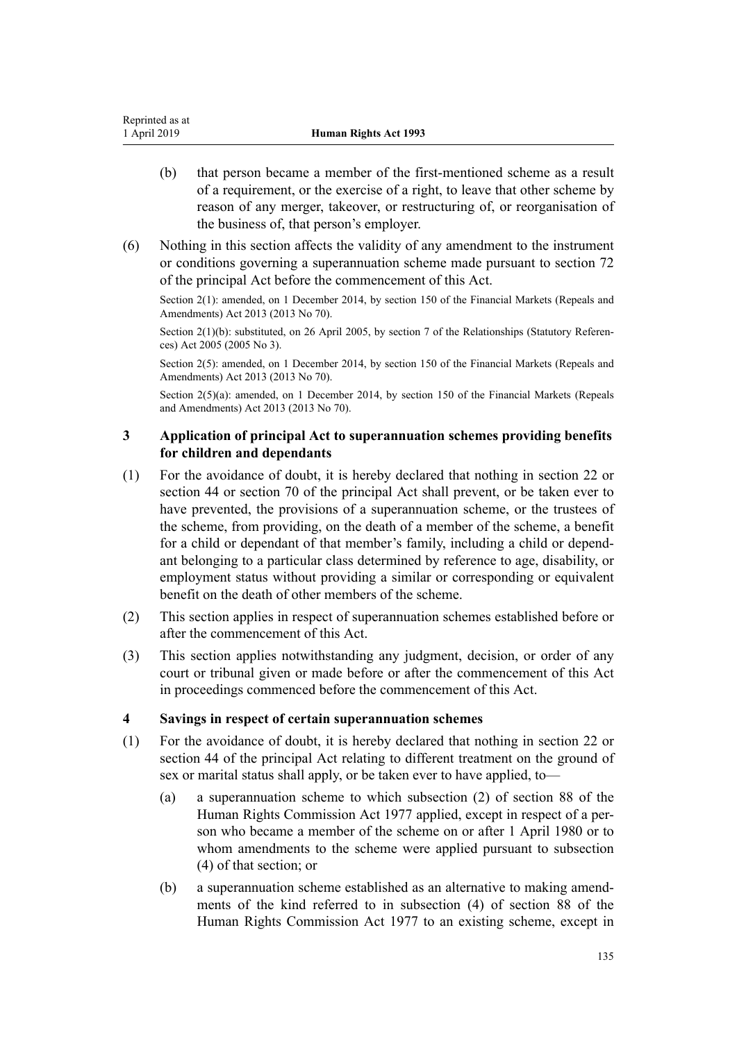- (b) that person became a member of the first-mentioned scheme as a result of a requirement, or the exercise of a right, to leave that other scheme by reason of any merger, takeover, or restructuring of, or reorganisation of the business of, that person's employer.
- (6) Nothing in this section affects the validity of any amendment to the instrument or conditions governing a superannuation scheme made pursuant to section 72 of the principal Act before the commencement of this Act.

Section 2(1): amended, on 1 December 2014, by [section 150](http://legislation.govt.nz/pdflink.aspx?id=DLM5561603) of the Financial Markets (Repeals and Amendments) Act 2013 (2013 No 70).

Section 2(1)(b): substituted, on 26 April 2005, by [section 7](http://legislation.govt.nz/pdflink.aspx?id=DLM333795) of the Relationships (Statutory References) Act 2005 (2005 No 3).

Section 2(5): amended, on 1 December 2014, by [section 150](http://legislation.govt.nz/pdflink.aspx?id=DLM5561603) of the Financial Markets (Repeals and Amendments) Act 2013 (2013 No 70).

Section 2(5)(a): amended, on 1 December 2014, by [section 150](http://legislation.govt.nz/pdflink.aspx?id=DLM5561603) of the Financial Markets (Repeals and Amendments) Act 2013 (2013 No 70).

# **3 Application of principal Act to superannuation schemes providing benefits for children and dependants**

- (1) For the avoidance of doubt, it is hereby declared that nothing in section 22 or section 44 or section 70 of the principal Act shall prevent, or be taken ever to have prevented, the provisions of a superannuation scheme, or the trustees of the scheme, from providing, on the death of a member of the scheme, a benefit for a child or dependant of that member's family, including a child or dependant belonging to a particular class determined by reference to age, disability, or employment status without providing a similar or corresponding or equivalent benefit on the death of other members of the scheme.
- (2) This section applies in respect of superannuation schemes established before or after the commencement of this Act.
- (3) This section applies notwithstanding any judgment, decision, or order of any court or tribunal given or made before or after the commencement of this Act in proceedings commenced before the commencement of this Act.

# **4 Savings in respect of certain superannuation schemes**

- (1) For the avoidance of doubt, it is hereby declared that nothing in section 22 or section 44 of the principal Act relating to different treatment on the ground of sex or marital status shall apply, or be taken ever to have applied, to—
	- (a) a superannuation scheme to which subsection (2) of section 88 of the Human Rights Commission Act 1977 applied, except in respect of a person who became a member of the scheme on or after 1 April 1980 or to whom amendments to the scheme were applied pursuant to subsection (4) of that section; or
	- (b) a superannuation scheme established as an alternative to making amendments of the kind referred to in subsection (4) of section 88 of the Human Rights Commission Act 1977 to an existing scheme, except in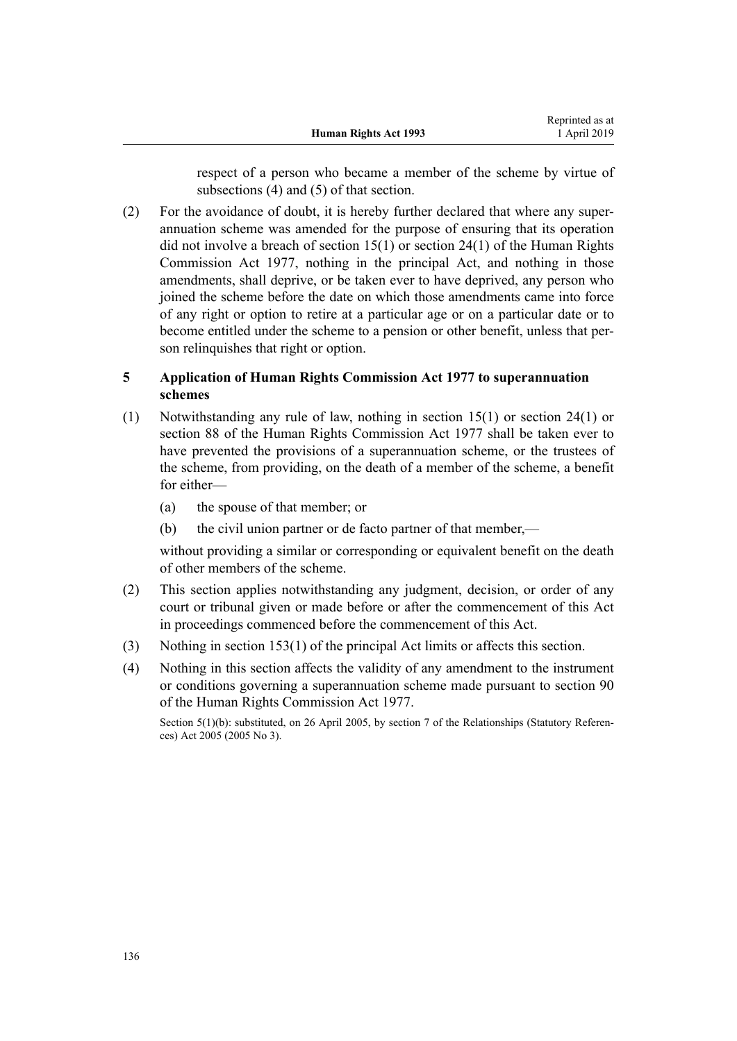respect of a person who became a member of the scheme by virtue of subsections (4) and (5) of that section.

(2) For the avoidance of doubt, it is hereby further declared that where any superannuation scheme was amended for the purpose of ensuring that its operation did not involve a breach of section  $15(1)$  or section  $24(1)$  of the Human Rights Commission Act 1977, nothing in the principal Act, and nothing in those amendments, shall deprive, or be taken ever to have deprived, any person who joined the scheme before the date on which those amendments came into force of any right or option to retire at a particular age or on a particular date or to become entitled under the scheme to a pension or other benefit, unless that person relinquishes that right or option.

# **5 Application of Human Rights Commission Act 1977 to superannuation schemes**

- (1) Notwithstanding any rule of law, nothing in section 15(1) or section 24(1) or section 88 of the Human Rights Commission Act 1977 shall be taken ever to have prevented the provisions of a superannuation scheme, or the trustees of the scheme, from providing, on the death of a member of the scheme, a benefit for either—
	- (a) the spouse of that member; or
	- (b) the civil union partner or de facto partner of that member,—

without providing a similar or corresponding or equivalent benefit on the death of other members of the scheme.

- (2) This section applies notwithstanding any judgment, decision, or order of any court or tribunal given or made before or after the commencement of this Act in proceedings commenced before the commencement of this Act.
- (3) Nothing in section 153(1) of the principal Act limits or affects this section.
- (4) Nothing in this section affects the validity of any amendment to the instrument or conditions governing a superannuation scheme made pursuant to section 90 of the Human Rights Commission Act 1977.

Section 5(1)(b): substituted, on 26 April 2005, by [section 7](http://legislation.govt.nz/pdflink.aspx?id=DLM333795) of the Relationships (Statutory References) Act 2005 (2005 No 3).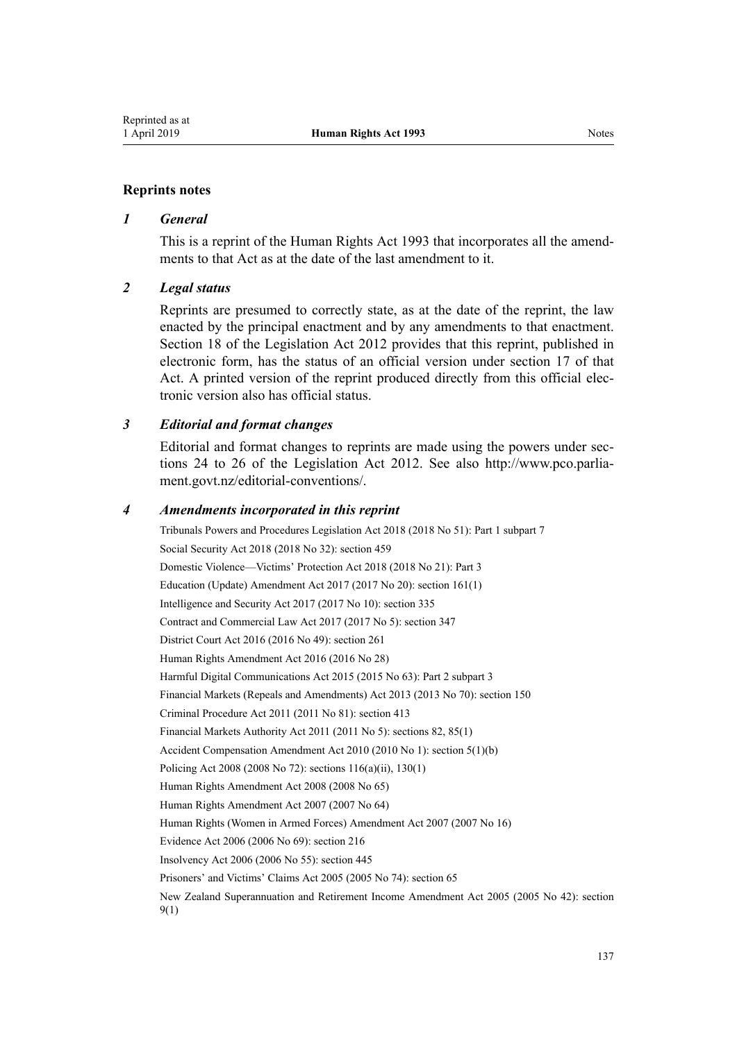#### **Reprints notes**

#### *1 General*

This is a reprint of the Human Rights Act 1993 that incorporates all the amendments to that Act as at the date of the last amendment to it.

#### *2 Legal status*

Reprints are presumed to correctly state, as at the date of the reprint, the law enacted by the principal enactment and by any amendments to that enactment. [Section 18](http://legislation.govt.nz/pdflink.aspx?id=DLM2998516) of the Legislation Act 2012 provides that this reprint, published in electronic form, has the status of an official version under [section 17](http://legislation.govt.nz/pdflink.aspx?id=DLM2998515) of that Act. A printed version of the reprint produced directly from this official electronic version also has official status.

## *3 Editorial and format changes*

Editorial and format changes to reprints are made using the powers under [sec](http://legislation.govt.nz/pdflink.aspx?id=DLM2998532)[tions 24 to 26](http://legislation.govt.nz/pdflink.aspx?id=DLM2998532) of the Legislation Act 2012. See also [http://www.pco.parlia](http://www.pco.parliament.govt.nz/editorial-conventions/)[ment.govt.nz/editorial-conventions/](http://www.pco.parliament.govt.nz/editorial-conventions/).

#### *4 Amendments incorporated in this reprint*

Tribunals Powers and Procedures Legislation Act 2018 (2018 No 51): Part 1 [subpart 7](http://legislation.govt.nz/pdflink.aspx?id=DLM7374284) Social Security Act 2018 (2018 No 32): [section 459](http://legislation.govt.nz/pdflink.aspx?id=DLM6784038) Domestic Violence—Victims' Protection Act 2018 (2018 No 21): [Part 3](http://legislation.govt.nz/pdflink.aspx?id=DLM7054379) Education (Update) Amendment Act 2017 (2017 No 20): [section 161\(1\)](http://legislation.govt.nz/pdflink.aspx?id=DLM6929049) Intelligence and Security Act 2017 (2017 No 10): [section 335](http://legislation.govt.nz/pdflink.aspx?id=DLM6921475) Contract and Commercial Law Act 2017 (2017 No 5): [section 347](http://legislation.govt.nz/pdflink.aspx?id=DLM6844761) District Court Act 2016 (2016 No 49): [section 261](http://legislation.govt.nz/pdflink.aspx?id=DLM6942680) [Human Rights Amendment Act 2016](http://legislation.govt.nz/pdflink.aspx?id=DLM4097502) (2016 No 28) Harmful Digital Communications Act 2015 (2015 No 63): Part 2 [subpart 3](http://legislation.govt.nz/pdflink.aspx?id=DLM5711878) Financial Markets (Repeals and Amendments) Act 2013 (2013 No 70): [section 150](http://legislation.govt.nz/pdflink.aspx?id=DLM5561603) Criminal Procedure Act 2011 (2011 No 81): [section 413](http://legislation.govt.nz/pdflink.aspx?id=DLM3360714) Financial Markets Authority Act 2011 (2011 No 5): [sections 82,](http://legislation.govt.nz/pdflink.aspx?id=DLM3231793) [85\(1\)](http://legislation.govt.nz/pdflink.aspx?id=DLM3231795) Accident Compensation Amendment Act 2010 (2010 No 1): [section 5\(1\)\(b\)](http://legislation.govt.nz/pdflink.aspx?id=DLM2773701) Policing Act 2008 (2008 No 72): [sections 116\(a\)\(ii\),](http://legislation.govt.nz/pdflink.aspx?id=DLM1102349) [130\(1\)](http://legislation.govt.nz/pdflink.aspx?id=DLM1102383) [Human Rights Amendment Act 2008](http://legislation.govt.nz/pdflink.aspx?id=DLM1582300) (2008 No 65) [Human Rights Amendment Act 2007](http://legislation.govt.nz/pdflink.aspx?id=DLM968347) (2007 No 64) [Human Rights \(Women in Armed Forces\) Amendment Act 2007](http://legislation.govt.nz/pdflink.aspx?id=DLM407633) (2007 No 16) Evidence Act 2006 (2006 No 69): [section 216](http://legislation.govt.nz/pdflink.aspx?id=DLM394552) Insolvency Act 2006 (2006 No 55): [section 445](http://legislation.govt.nz/pdflink.aspx?id=DLM387857) Prisoners' and Victims' Claims Act 2005 (2005 No 74): section 65 New Zealand Superannuation and Retirement Income Amendment Act 2005 (2005 No 42): [section](http://legislation.govt.nz/pdflink.aspx?id=DLM346494) [9\(1\)](http://legislation.govt.nz/pdflink.aspx?id=DLM346494)